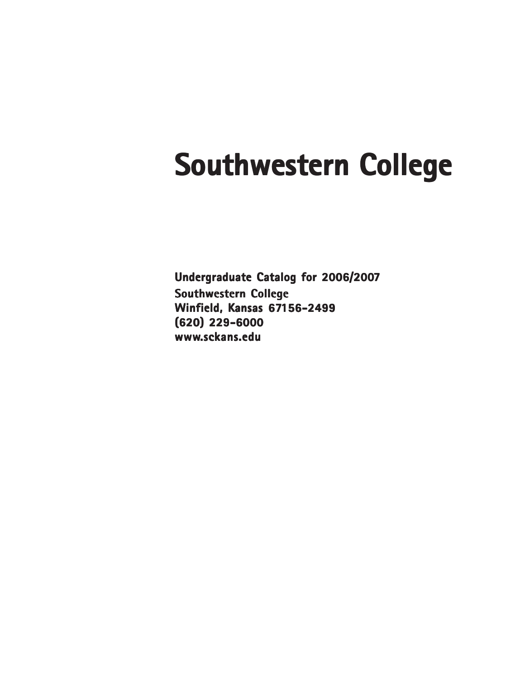# **Southwestern College**

**Undergraduate Catalog for 2006/2007 Southwestern College Winfield, Kansas 67156-2499 (620) 229-6000 www.sckans.edu**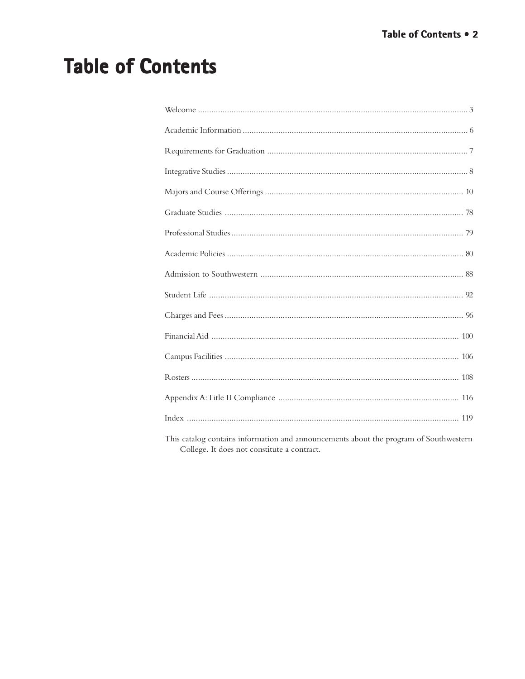# **Table of Contents**

| This catalog contains information and announcements about the program of Southwestern |
|---------------------------------------------------------------------------------------|

s catalog contains information and announcements about the program of Southweste<br>College. It does not constitute a contract.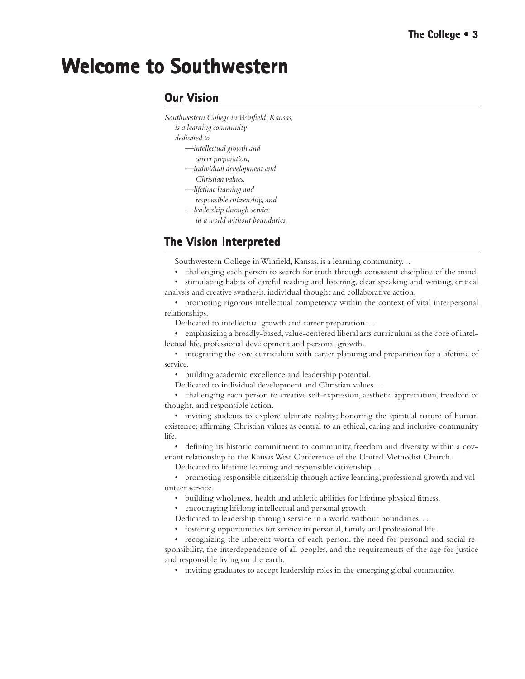# **Welcome to Southwestern**

### **Our Vision**

- *Southwestern College in Winfield, Kansas,*
	- *is a learning community*
	- *dedicated to*
		- *—intellectual growth and*
		- *career preparation,*
		- *—individual development and Christian values,*
		- *—lifetime learning and*
		- *responsible citizenship, and*
		- *—leadership through service*
			- *in a world without boundaries.*

### **The Vision Interpreted**

Southwestern College in Winfield, Kansas, is a learning community. . .

- challenging each person to search for truth through consistent discipline of the mind. • stimulating habits of careful reading and listening, clear speaking and writing, critical
- analysis and creative synthesis, individual thought and collaborative action.

• promoting rigorous intellectual competency within the context of vital interpersonal relationships.

Dedicated to intellectual growth and career preparation. . .

• emphasizing a broadly-based, value-centered liberal arts curriculum as the core of intellectual life, professional development and personal growth.

• integrating the core curriculum with career planning and preparation for a lifetime of service.

• building academic excellence and leadership potential.

Dedicated to individual development and Christian values. . .

• challenging each person to creative self-expression, aesthetic appreciation, freedom of thought, and responsible action.

• inviting students to explore ultimate reality; honoring the spiritual nature of human existence; affirming Christian values as central to an ethical, caring and inclusive community life.

• defining its historic commitment to community, freedom and diversity within a covenant relationship to the Kansas West Conference of the United Methodist Church.

Dedicated to lifetime learning and responsible citizenship. . .

• promoting responsible citizenship through active learning, professional growth and volunteer service.

• building wholeness, health and athletic abilities for lifetime physical fitness.

• encouraging lifelong intellectual and personal growth.

- Dedicated to leadership through service in a world without boundaries. . .
- fostering opportunities for service in personal, family and professional life.

• recognizing the inherent worth of each person, the need for personal and social responsibility, the interdependence of all peoples, and the requirements of the age for justice and responsible living on the earth.

• inviting graduates to accept leadership roles in the emerging global community.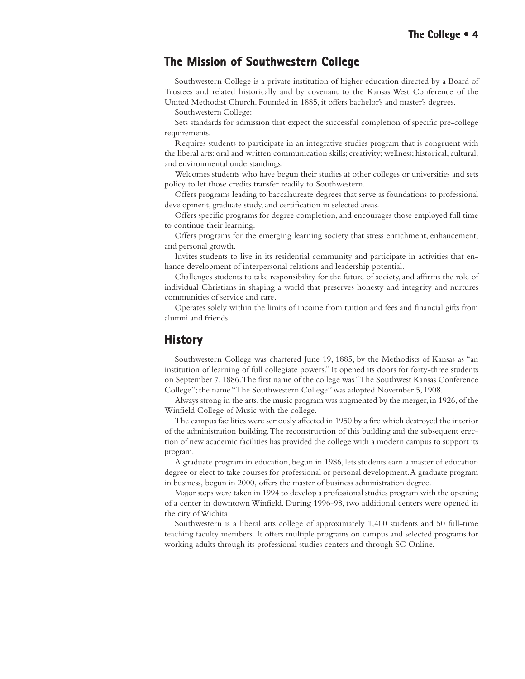### **The Mission of Southwestern College The Mission of Southwestern College**

Southwestern College is a private institution of higher education directed by a Board of Trustees and related historically and by covenant to the Kansas West Conference of the United Methodist Church. Founded in 1885, it offers bachelor's and master's degrees.

Southwestern College:

Sets standards for admission that expect the successful completion of specific pre-college requirements.

Requires students to participate in an integrative studies program that is congruent with the liberal arts: oral and written communication skills; creativity; wellness; historical, cultural, and environmental understandings.

Welcomes students who have begun their studies at other colleges or universities and sets policy to let those credits transfer readily to Southwestern.

Offers programs leading to baccalaureate degrees that serve as foundations to professional development, graduate study, and certification in selected areas.

Offers specific programs for degree completion, and encourages those employed full time to continue their learning.

Offers programs for the emerging learning society that stress enrichment, enhancement, and personal growth.

Invites students to live in its residential community and participate in activities that enhance development of interpersonal relations and leadership potential.

Challenges students to take responsibility for the future of society, and affirms the role of individual Christians in shaping a world that preserves honesty and integrity and nurtures communities of service and care.

Operates solely within the limits of income from tuition and fees and financial gifts from alumni and friends.

### **History**

Southwestern College was chartered June 19, 1885, by the Methodists of Kansas as "an institution of learning of full collegiate powers." It opened its doors for forty-three students on September 7, 1886. The first name of the college was "The Southwest Kansas Conference College"; the name "The Southwestern College'' was adopted November 5, 1908.

Always strong in the arts, the music program was augmented by the merger, in 1926, of the Winfield College of Music with the college.

The campus facilities were seriously affected in 1950 by a fire which destroyed the interior of the administration building. The reconstruction of this building and the subsequent erection of new academic facilities has provided the college with a modern campus to support its program.

A graduate program in education, begun in 1986, lets students earn a master of education degree or elect to take courses for professional or personal development. A graduate program in business, begun in 2000, offers the master of business administration degree.

Major steps were taken in 1994 to develop a professional studies program with the opening of a center in downtown Winfield. During 1996-98, two additional centers were opened in the city of Wichita.

Southwestern is a liberal arts college of approximately 1,400 students and 50 full-time teaching faculty members. It offers multiple programs on campus and selected programs for working adults through its professional studies centers and through SC Online.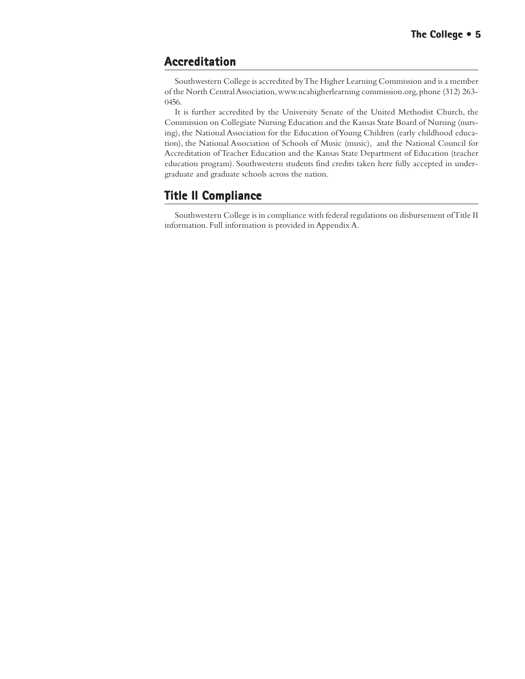### **Accreditation**

Southwestern College is accredited by The Higher Learning Commission and is a member of the North Central Association, www.ncahigherlearning commission.org, phone (312) 263- 0456.

It is further accredited by the University Senate of the United Methodist Church, the Commission on Collegiate Nursing Education and the Kansas State Board of Nursing (nursing), the National Association for the Education of Young Children (early childhood education), the National Association of Schools of Music (music), and the National Council for Accreditation of Teacher Education and the Kansas State Department of Education (teacher education program). Southwestern students find credits taken here fully accepted in undergraduate and graduate schools across the nation.

### **Title II Compliance**

Southwestern College is in compliance with federal regulations on disbursement of Title II information. Full information is provided in Appendix A.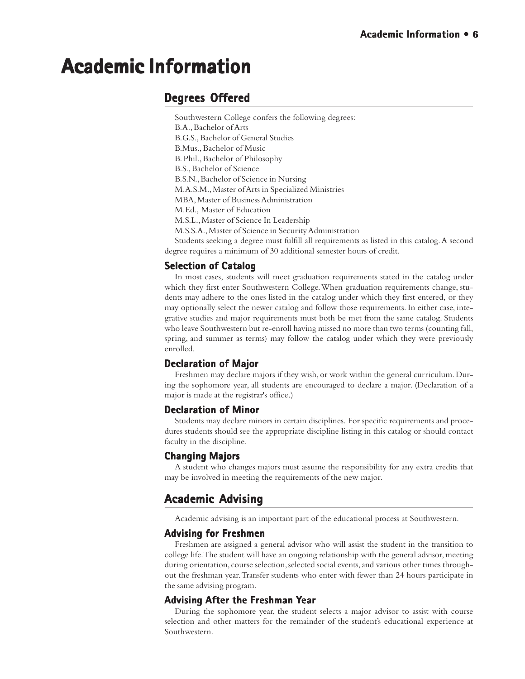# **Academic Information Academic Information**

### **Degrees Offered**

Southwestern College confers the following degrees: B.A., Bachelor of Arts B.G.S., Bachelor of General Studies B.Mus., Bachelor of Music B. Phil., Bachelor of Philosophy B.S., Bachelor of Science B.S.N., Bachelor of Science in Nursing M.A.S.M., Master of Arts in Specialized Ministries MBA, Master of Business Administration M.Ed., Master of Education M.S.L., Master of Science In Leadership M.S.S.A., Master of Science in Security Administration Students seeking a degree must fulfill all requirements as listed in this catalog. A second

degree requires a minimum of 30 additional semester hours of credit.

### **Selection of Catalog**

In most cases, students will meet graduation requirements stated in the catalog under which they first enter Southwestern College. When graduation requirements change, students may adhere to the ones listed in the catalog under which they first entered, or they may optionally select the newer catalog and follow those requirements. In either case, integrative studies and major requirements must both be met from the same catalog. Students who leave Southwestern but re-enroll having missed no more than two terms (counting fall, spring, and summer as terms) may follow the catalog under which they were previously enrolled.

### **Declaration of Major Major**

Freshmen may declare majors if they wish, or work within the general curriculum. During the sophomore year, all students are encouraged to declare a major. (Declaration of a major is made at the registrar's office.)

### **Declaration of Minor**

Students may declare minors in certain disciplines. For specific requirements and procedures students should see the appropriate discipline listing in this catalog or should contact faculty in the discipline.

### **Changing Majors Changing**

A student who changes majors must assume the responsibility for any extra credits that may be involved in meeting the requirements of the new major.

### **Academic Advising**

Academic advising is an important part of the educational process at Southwestern.

### **Advising for Freshmen**

Freshmen are assigned a general advisor who will assist the student in the transition to college life. The student will have an ongoing relationship with the general advisor, meeting during orientation, course selection, selected social events, and various other times throughout the freshman year. Transfer students who enter with fewer than 24 hours participate in the same advising program.

### **Advising After the Freshman Year**

During the sophomore year, the student selects a major advisor to assist with course selection and other matters for the remainder of the student's educational experience at Southwestern.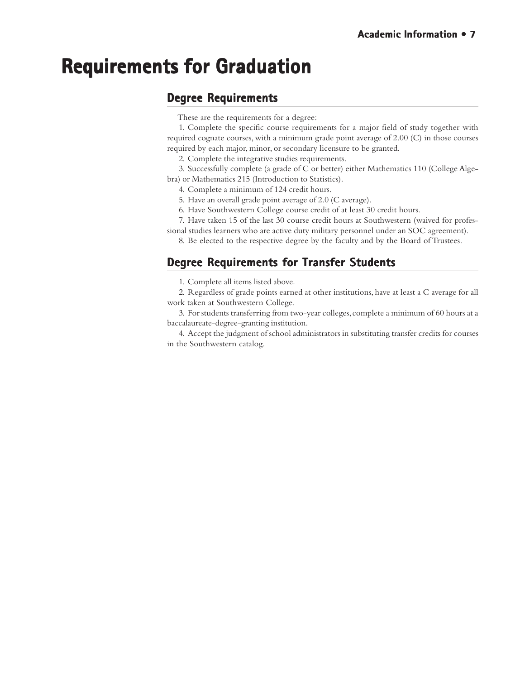# **Requirements for Graduation Requirements for Graduation**

### **Degree Requirements**

These are the requirements for a degree:

1. Complete the specific course requirements for a major field of study together with required cognate courses, with a minimum grade point average of 2.00 (C) in those courses required by each major, minor, or secondary licensure to be granted.

2. Complete the integrative studies requirements.

3. Successfully complete (a grade of C or better) either Mathematics 110 (College Algebra) or Mathematics 215 (Introduction to Statistics).

4. Complete a minimum of 124 credit hours.

5. Have an overall grade point average of 2.0 (C average).

6. Have Southwestern College course credit of at least 30 credit hours.

7. Have taken 15 of the last 30 course credit hours at Southwestern (waived for professional studies learners who are active duty military personnel under an SOC agreement).

8. Be elected to the respective degree by the faculty and by the Board of Trustees.

### **Degree Requirements for Transfer Students**

1. Complete all items listed above.

2. Regardless of grade points earned at other institutions, have at least a C average for all work taken at Southwestern College.

3. For students transferring from two-year colleges, complete a minimum of 60 hours at a baccalaureate-degree-granting institution.

4. Accept the judgment of school administrators in substituting transfer credits for courses in the Southwestern catalog.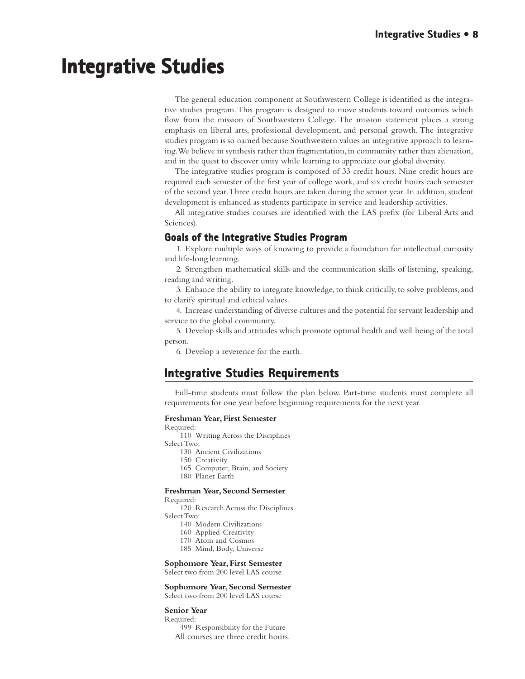# **Integrative Studies Integrative Studies**

The general education component at Southwestern College is identified as the integrative studies program. This program is designed to move students toward outcomes which flow from the mission of Southwestern College. The mission statement places a strong emphasis on liberal arts, professional development, and personal growth. The integrative studies program is so named because Southwestern values an integrative approach to learning. We believe in synthesis rather than fragmentation, in community rather than alienation, and in the quest to discover unity while learning to appreciate our global diversity.

The integrative studies program is composed of 33 credit hours. Nine credit hours are required each semester of the first year of college work, and six credit hours each semester of the second year. Three credit hours are taken during the senior year. In addition, student development is enhanced as students participate in service and leadership activities.

All integrative studies courses are identified with the LAS prefix (for Liberal Arts and Sciences).

### **Goals of the Integrative Studies Program**

1. Explore multiple ways of knowing to provide a foundation for intellectual curiosity and life-long learning.

2. Strengthen mathematical skills and the communication skills of listening, speaking, reading and writing.

3. Enhance the ability to integrate knowledge, to think critically, to solve problems, and to clarify spiritual and ethical values.

4. Increase understanding of diverse cultures and the potential for servant leadership and service to the global community.

5. Develop skills and attitudes which promote optimal health and well being of the total person.

6. Develop a reverence for the earth.

### **Integrative Studies Requirements Integrative Studies Requirements**

Full-time students must follow the plan below. Part-time students must complete all requirements for one year before beginning requirements for the next year.

### **Freshman Year, First Semester**

Required:

110 Writing Across the Disciplines

Select Two:

- 130 Ancient Civilizations
- 150 Creativity
- 165 Computer, Brain, and Society
- 180 Planet Earth

### **Freshman Year, Second Semester**

Required:

120 Research Across the Disciplines Select Two:

- 140 Modern Civilizations
- 160 Applied Creativity
- 170 Atom and Cosmos
- 185 Mind, Body, Universe

### **Sophomore Year, First Semester**

Select two from 200 level LAS course

### **Sophomore Year, Second Semester**

Select two from 200 level LAS course

### **Senior Year**

Required:

499 Responsibility for the Future All courses are three credit hours.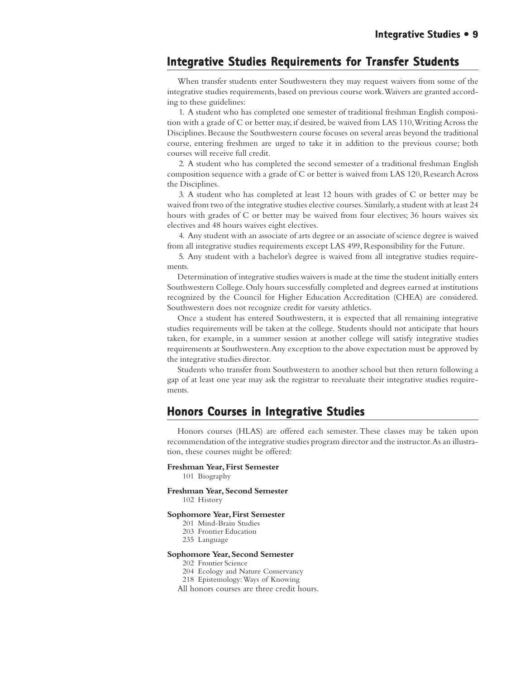### **Integrative Studies Requirements for Transfer Students**

When transfer students enter Southwestern they may request waivers from some of the integrative studies requirements, based on previous course work. Waivers are granted according to these guidelines:

1. A student who has completed one semester of traditional freshman English composition with a grade of C or better may, if desired, be waived from LAS 110, Writing Across the Disciplines. Because the Southwestern course focuses on several areas beyond the traditional course, entering freshmen are urged to take it in addition to the previous course; both courses will receive full credit.

2. A student who has completed the second semester of a traditional freshman English composition sequence with a grade of C or better is waived from LAS 120, Research Across the Disciplines.

3. A student who has completed at least 12 hours with grades of C or better may be waived from two of the integrative studies elective courses. Similarly, a student with at least 24 hours with grades of C or better may be waived from four electives; 36 hours waives six electives and 48 hours waives eight electives.

4. Any student with an associate of arts degree or an associate of science degree is waived from all integrative studies requirements except LAS 499, Responsibility for the Future.

5. Any student with a bachelor's degree is waived from all integrative studies requirements.

Determination of integrative studies waivers is made at the time the student initially enters Southwestern College. Only hours successfully completed and degrees earned at institutions recognized by the Council for Higher Education Accreditation (CHEA) are considered. Southwestern does not recognize credit for varsity athletics.

Once a student has entered Southwestern, it is expected that all remaining integrative studies requirements will be taken at the college. Students should not anticipate that hours taken, for example, in a summer session at another college will satisfy integrative studies requirements at Southwestern. Any exception to the above expectation must be approved by the integrative studies director.

Students who transfer from Southwestern to another school but then return following a gap of at least one year may ask the registrar to reevaluate their integrative studies requirements.

### **Honors Courses in Integrative Studies Honors Courses in Integrative Studies**

Honors courses (HLAS) are offered each semester. These classes may be taken upon recommendation of the integrative studies program director and the instructor. As an illustration, these courses might be offered:

**Freshman Year, First Semester**

101 Biography

**Freshman Year, Second Semester**

102 History

#### **Sophomore Year, First Semester**

- 201 Mind-Brain Studies
- 203 Frontier Education
- 235 Language

#### **Sophomore Year, Second Semester**

202 Frontier Science

- 204 Ecology and Nature Conservancy
- 218 Epistemology: Ways of Knowing

All honors courses are three credit hours.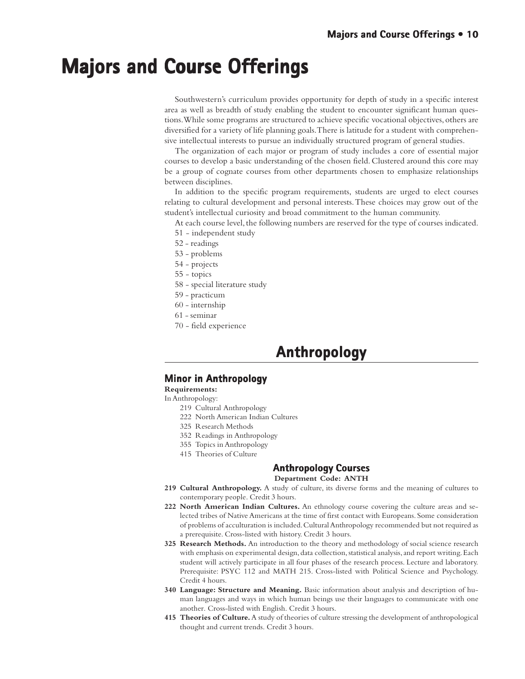# **Majors and Course Offerings Majors and Course and Offerings**

Southwestern's curriculum provides opportunity for depth of study in a specific interest area as well as breadth of study enabling the student to encounter significant human questions. While some programs are structured to achieve specific vocational objectives, others are diversified for a variety of life planning goals. There is latitude for a student with comprehensive intellectual interests to pursue an individually structured program of general studies.

The organization of each major or program of study includes a core of essential major courses to develop a basic understanding of the chosen field. Clustered around this core may be a group of cognate courses from other departments chosen to emphasize relationships between disciplines.

In addition to the specific program requirements, students are urged to elect courses relating to cultural development and personal interests. These choices may grow out of the student's intellectual curiosity and broad commitment to the human community.

At each course level, the following numbers are reserved for the type of courses indicated.

- 51 independent study
- 52 readings
- 53 problems
- 54 projects
- 55 topics
- 58 special literature study
- 59 practicum
- 60 internship
- 61 seminar
- 70 field experience

### **Anthropology Anthropology**

### **Minor in Anthropology**

**Requirements:**

In Anthropology:

- 219 Cultural Anthropology
- 222 North American Indian Cultures
- 325 Research Methods
- 352 Readings in Anthropology
- 355 Topics in Anthropology
- 415 Theories of Culture

### **Anthropology Courses Anthropology**

### **Department Code: ANTH**

- **219 Cultural Anthropology.** A study of culture, its diverse forms and the meaning of cultures to contemporary people. Credit 3 hours.
- **222 North American Indian Cultures.** An ethnology course covering the culture areas and selected tribes of Native Americans at the time of first contact with Europeans. Some consideration of problems of acculturation is included. Cultural Anthropology recommended but not required as a prerequisite. Cross-listed with history. Credit 3 hours.
- **325 Research Methods.** An introduction to the theory and methodology of social science research with emphasis on experimental design, data collection, statistical analysis, and report writing. Each student will actively participate in all four phases of the research process. Lecture and laboratory. Prerequisite: PSYC 112 and MATH 215. Cross-listed with Political Science and Psychology. Credit 4 hours.
- **340 Language: Structure and Meaning.** Basic information about analysis and description of human languages and ways in which human beings use their languages to communicate with one another. Cross-listed with English. Credit 3 hours.
- **415 Theories of Culture.** A study of theories of culture stressing the development of anthropological thought and current trends. Credit 3 hours.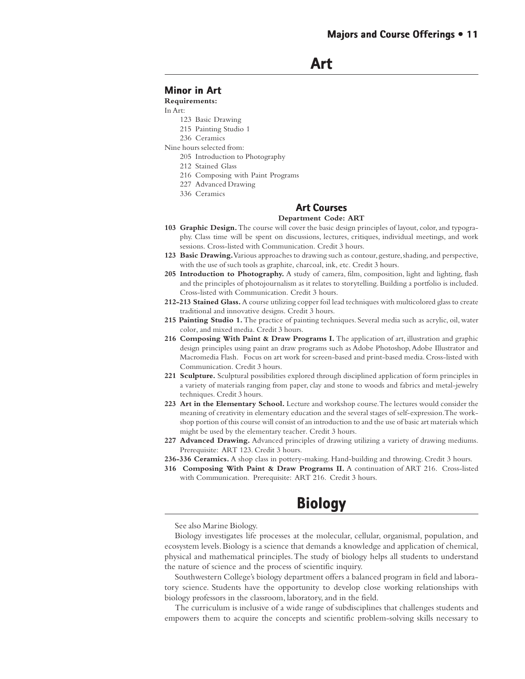```
Art
```
### **Minor in Art in**

**Requirements:**

#### In Art:

- 123 Basic Drawing
- 215 Painting Studio 1
- 236 Ceramics

Nine hours selected from:

- 205 Introduction to Photography
- 212 Stained Glass
- 216 Composing with Paint Programs
- 227 Advanced Drawing
- 336 Ceramics

### **Art Courses Art Courses**

### **Department Code: ART**

- **103 Graphic Design.** The course will cover the basic design principles of layout, color, and typography. Class time will be spent on discussions, lectures, critiques, individual meetings, and work sessions. Cross-listed with Communication. Credit 3 hours.
- **123 Basic Drawing.** Various approaches to drawing such as contour, gesture, shading, and perspective, with the use of such tools as graphite, charcoal, ink, etc. Credit 3 hours.
- 205 Introduction to Photography. A study of camera, film, composition, light and lighting, flash and the principles of photojournalism as it relates to storytelling. Building a portfolio is included. Cross-listed with Communication. Credit 3 hours.
- **212-213 Stained Glass.** A course utilizing copper foil lead techniques with multicolored glass to create traditional and innovative designs. Credit 3 hours.
- **215 Painting Studio 1.** The practice of painting techniques. Several media such as acrylic, oil, water color, and mixed media. Credit 3 hours.
- 216 Composing With Paint & Draw Programs I. The application of art, illustration and graphic design principles using paint an draw programs such as Adobe Photoshop, Adobe Illustrator and Macromedia Flash. Focus on art work for screen-based and print-based media. Cross-listed with Communication. Credit 3 hours.
- **221 Sculpture.** Sculptural possibilities explored through disciplined application of form principles in a variety of materials ranging from paper, clay and stone to woods and fabrics and metal-jewelry techniques. Credit 3 hours.
- **223 Art in the Elementary School.** Lecture and workshop course. The lectures would consider the meaning of creativity in elementary education and the several stages of self-expression. The workshop portion of this course will consist of an introduction to and the use of basic art materials which might be used by the elementary teacher. Credit 3 hours.
- **227 Advanced Drawing.** Advanced principles of drawing utilizing a variety of drawing mediums. Prerequisite: ART 123. Credit 3 hours.
- **236-336 Ceramics.** A shop class in pottery-making. Hand-building and throwing. Credit 3 hours.
- **316 Composing With Paint & Draw Programs II.** A continuation of ART 216. Cross-listed with Communication. Prerequisite: ART 216. Credit 3 hours.

### **Biology Biology**

See also Marine Biology.

Biology investigates life processes at the molecular, cellular, organismal, population, and ecosystem levels. Biology is a science that demands a knowledge and application of chemical, physical and mathematical principles. The study of biology helps all students to understand the nature of science and the process of scientific inquiry.

Southwestern College's biology department offers a balanced program in field and laboratory science. Students have the opportunity to develop close working relationships with biology professors in the classroom, laboratory, and in the field.

The curriculum is inclusive of a wide range of subdisciplines that challenges students and empowers them to acquire the concepts and scientific problem-solving skills necessary to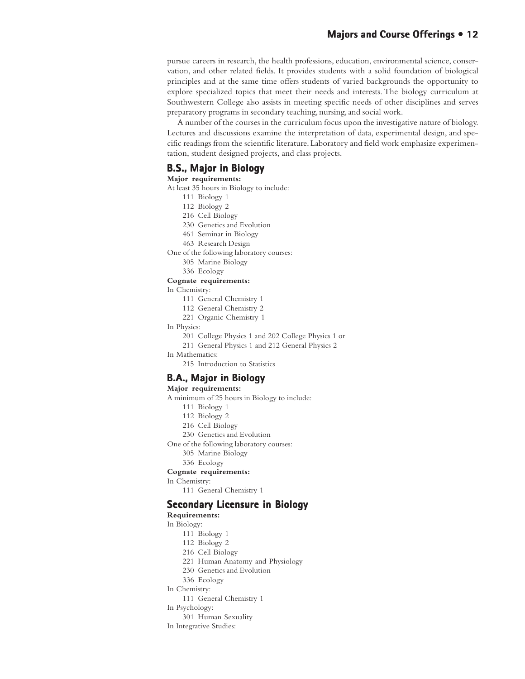### **Majors and Course Offerings • 12**

pursue careers in research, the health professions, education, environmental science, conservation, and other related fields. It provides students with a solid foundation of biological principles and at the same time offers students of varied backgrounds the opportunity to explore specialized topics that meet their needs and interests. The biology curriculum at Southwestern College also assists in meeting specific needs of other disciplines and serves preparatory programs in secondary teaching, nursing, and social work.

A number of the courses in the curriculum focus upon the investigative nature of biology. Lectures and discussions examine the interpretation of data, experimental design, and specific readings from the scientific literature. Laboratory and field work emphasize experimentation, student designed projects, and class projects.

### **B.S., Major in Biology**

### **Major requirements:**

At least 35 hours in Biology to include:

- 111 Biology 1
- 112 Biology 2
- 216 Cell Biology
- 230 Genetics and Evolution
- 461 Seminar in Biology
- 463 Research Design
- One of the following laboratory courses:
	- 305 Marine Biology
	- 336 Ecology

### **Cognate requirements:**

In Chemistry:

- 111 General Chemistry 1
- 112 General Chemistry 2
- 221 Organic Chemistry 1
- In Physics:
	- 201 College Physics 1 and 202 College Physics 1 or
	- 211 General Physics 1 and 212 General Physics 2
- In Mathematics:
	- 215 Introduction to Statistics

### **B.A., Major in Biology**

#### **Major requirements:**

A minimum of 25 hours in Biology to include:

- 111 Biology 1
- 112 Biology 2
- 216 Cell Biology
- 230 Genetics and Evolution

One of the following laboratory courses:

- 305 Marine Biology
- 336 Ecology

### **Cognate requirements:**

In Chemistry:

111 General Chemistry 1

### **Secondary Licensure in Biology**

### **Requirements:**

### In Biology:

- 111 Biology 1
- 112 Biology 2
- 216 Cell Biology
- 221 Human Anatomy and Physiology
- 230 Genetics and Evolution
- 336 Ecology
- In Chemistry:
	- 111 General Chemistry 1
- In Psychology:
	- 301 Human Sexuality
- In Integrative Studies: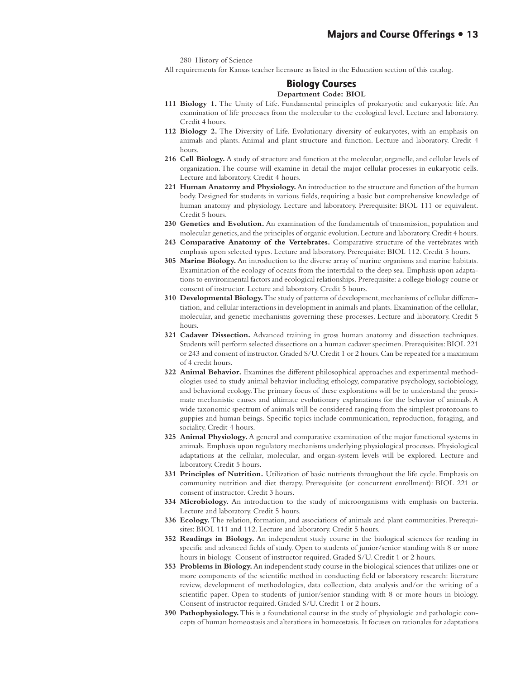280 History of Science

All requirements for Kansas teacher licensure as listed in the Education section of this catalog.

### **Biology Courses Biology Courses Department Code: BIOL**

- **111 Biology 1.** The Unity of Life. Fundamental principles of prokaryotic and eukaryotic life. An examination of life processes from the molecular to the ecological level. Lecture and laboratory. Credit 4 hours.
- **112 Biology 2.** The Diversity of Life. Evolutionary diversity of eukaryotes, with an emphasis on animals and plants. Animal and plant structure and function. Lecture and laboratory. Credit 4 hours.
- **216 Cell Biology.** A study of structure and function at the molecular, organelle, and cellular levels of organization. The course will examine in detail the major cellular processes in eukaryotic cells. Lecture and laboratory. Credit 4 hours.
- **221 Human Anatomy and Physiology.** An introduction to the structure and function of the human body. Designed for students in various fields, requiring a basic but comprehensive knowledge of human anatomy and physiology. Lecture and laboratory. Prerequisite: BIOL 111 or equivalent. Credit 5 hours.
- **230 Genetics and Evolution.** An examination of the fundamentals of transmission, population and molecular genetics, and the principles of organic evolution. Lecture and laboratory. Credit 4 hours.
- **243 Comparative Anatomy of the Vertebrates.** Comparative structure of the vertebrates with emphasis upon selected types. Lecture and laboratory. Prerequisite: BIOL 112. Credit 5 hours.
- **305 Marine Biology.** An introduction to the diverse array of marine organisms and marine habitats. Examination of the ecology of oceans from the intertidal to the deep sea. Emphasis upon adaptations to environmental factors and ecological relationships. Prerequisite: a college biology course or consent of instructor. Lecture and laboratory. Credit 5 hours.
- **310 Developmental Biology.** The study of patterns of development, mechanisms of cellular differentiation, and cellular interactions in development in animals and plants. Examination of the cellular, molecular, and genetic mechanisms governing these processes. Lecture and laboratory. Credit 5 hours.
- **321 Cadaver Dissection.** Advanced training in gross human anatomy and dissection techniques. Students will perform selected dissections on a human cadaver specimen. Prerequisites: BIOL 221 or 243 and consent of instructor. Graded S/U. Credit 1 or 2 hours. Can be repeated for a maximum of 4 credit hours.
- **322 Animal Behavior.** Examines the different philosophical approaches and experimental methodologies used to study animal behavior including ethology, comparative psychology, sociobiology, and behavioral ecology. The primary focus of these explorations will be to understand the proximate mechanistic causes and ultimate evolutionary explanations for the behavior of animals. A wide taxonomic spectrum of animals will be considered ranging from the simplest protozoans to guppies and human beings. Specific topics include communication, reproduction, foraging, and sociality. Credit 4 hours.
- **325 Animal Physiology.** A general and comparative examination of the major functional systems in animals. Emphasis upon regulatory mechanisms underlying physiological processes. Physiological adaptations at the cellular, molecular, and organ-system levels will be explored. Lecture and laboratory. Credit 5 hours.
- **331 Principles of Nutrition.** Utilization of basic nutrients throughout the life cycle. Emphasis on community nutrition and diet therapy. Prerequisite (or concurrent enrollment): BIOL 221 or consent of instructor. Credit 3 hours.
- **334 Microbiology.** An introduction to the study of microorganisms with emphasis on bacteria. Lecture and laboratory. Credit 5 hours.
- **336 Ecology.** The relation, formation, and associations of animals and plant communities. Prerequisites: BIOL 111 and 112. Lecture and laboratory. Credit 5 hours.
- **352 Readings in Biology.** An independent study course in the biological sciences for reading in specific and advanced fields of study. Open to students of junior/senior standing with 8 or more hours in biology. Consent of instructor required. Graded S/U. Credit 1 or 2 hours.
- **353 Problems in Biology.** An independent study course in the biological sciences that utilizes one or more components of the scientific method in conducting field or laboratory research: literature review, development of methodologies, data collection, data analysis and/or the writing of a scientific paper. Open to students of junior/senior standing with 8 or more hours in biology. Consent of instructor required. Graded S/U. Credit 1 or 2 hours.
- **390 Pathophysiology.** This is a foundational course in the study of physiologic and pathologic concepts of human homeostasis and alterations in homeostasis. It focuses on rationales for adaptations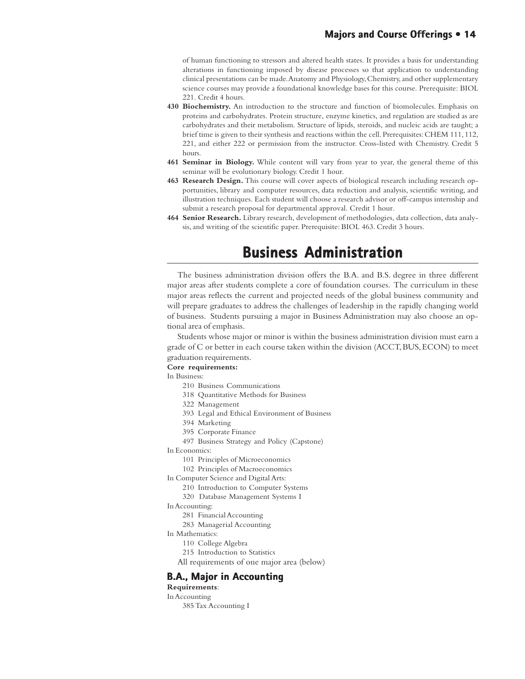of human functioning to stressors and altered health states. It provides a basis for understanding alterations in functioning imposed by disease processes so that application to understanding clinical presentations can be made. Anatomy and Physiology, Chemistry, and other supplementary science courses may provide a foundational knowledge bases for this course. Prerequisite: BIOL 221. Credit 4 hours.

- **430 Biochemistry.** An introduction to the structure and function of biomolecules. Emphasis on proteins and carbohydrates. Protein structure, enzyme kinetics, and regulation are studied as are carbohydrates and their metabolism. Structure of lipids, steroids, and nucleic acids are taught; a brief time is given to their synthesis and reactions within the cell. Prerequisites: CHEM 111, 112, 221, and either 222 or permission from the instructor. Cross-listed with Chemistry. Credit 5 hours.
- **461 Seminar in Biology.** While content will vary from year to year, the general theme of this seminar will be evolutionary biology. Credit 1 hour.
- **463 Research Design.** This course will cover aspects of biological research including research opportunities, library and computer resources, data reduction and analysis, scientific writing, and illustration techniques. Each student will choose a research advisor or off-campus internship and submit a research proposal for departmental approval. Credit 1 hour.
- **464 Senior Research.** Library research, development of methodologies, data collection, data analysis, and writing of the scientific paper. Prerequisite: BIOL 463. Credit 3 hours.

## **Business Administration Business Administration**

The business administration division offers the B.A. and B.S. degree in three different major areas after students complete a core of foundation courses. The curriculum in these major areas reflects the current and projected needs of the global business community and will prepare graduates to address the challenges of leadership in the rapidly changing world of business. Students pursuing a major in Business Administration may also choose an optional area of emphasis.

Students whose major or minor is within the business administration division must earn a grade of C or better in each course taken within the division (ACCT, BUS, ECON) to meet graduation requirements.

### **Core requirements:**

In Business:

- 210 Business Communications
- 318 Quantitative Methods for Business
- 322 Management
- 393 Legal and Ethical Environment of Business
- 394 Marketing
- 395 Corporate Finance
- 497 Business Strategy and Policy (Capstone)
- In Economics:
	- 101 Principles of Microeconomics
	- 102 Principles of Macroeconomics
- In Computer Science and Digital Arts:
	- 210 Introduction to Computer Systems
	- 320 Database Management Systems I
- In Accounting:
	- 281 Financial Accounting
	- 283 Managerial Accounting
- In Mathematics:
	- 110 College Algebra
	- 215 Introduction to Statistics
	- All requirements of one major area (below)

### **B.A., Major in Accounting**

### **Requirements**:

In Accounting

385 Tax Accounting I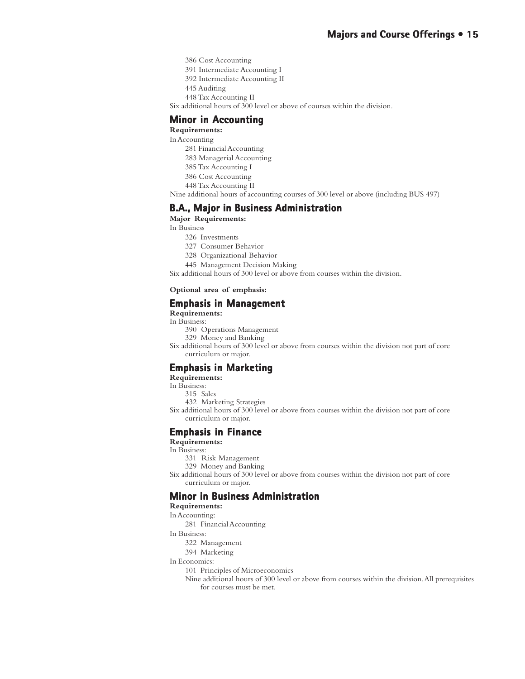386 Cost Accounting

391 Intermediate Accounting I

392 Intermediate Accounting II

- 445 Auditing
- 448 Tax Accounting II

Six additional hours of 300 level or above of courses within the division.

### **Minor in Accounting**

**Requirements:**

In Accounting

- 281 Financial Accounting
- 283 Managerial Accounting
- 385 Tax Accounting I
- 386 Cost Accounting
- 448 Tax Accounting II

Nine additional hours of accounting courses of 300 level or above (including BUS 497)

### **B.A., Major in Business Administration**

**Major Requirements:**

In Business

- 326 Investments
- 327 Consumer Behavior
- 328 Organizational Behavior
- 445 Management Decision Making

Six additional hours of 300 level or above from courses within the division.

#### **Optional area of emphasis:**

### **Emphasis in Management Emphasis**

**Requirements:**

In Business:

- 390 Operations Management
- 329 Money and Banking

Six additional hours of 300 level or above from courses within the division not part of core curriculum or major.

### **Emphasis in Marketing**

**Requirements:**

- In Business:
	- 315 Sales
	- 432 Marketing Strategies
- Six additional hours of 300 level or above from courses within the division not part of core curriculum or major.

### **Emphasis in Finance**

### **Requirements:**

In Business:

- 331 Risk Management
- 329 Money and Banking

Six additional hours of 300 level or above from courses within the division not part of core curriculum or major.

### **Minor in Business Administration**

### **Requirements:**

In Accounting:

- 281 Financial Accounting
- In Business:
	- 322 Management
	- 394 Marketing

### In Economics:

- 101 Principles of Microeconomics
- Nine additional hours of 300 level or above from courses within the division. All prerequisites for courses must be met.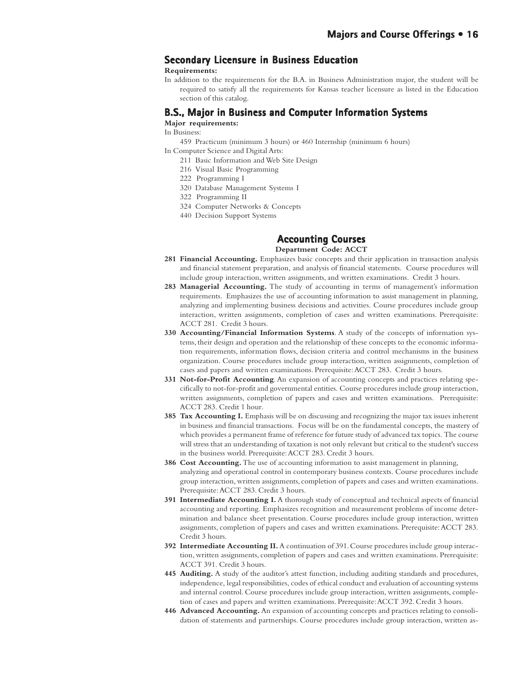### **Secondary Licensure in Business Education**

### **Requirements:**

In addition to the requirements for the B.A. in Business Administration major, the student will be required to satisfy all the requirements for Kansas teacher licensure as listed in the Education section of this catalog.

### **B.S., Major in Business and Computer Information Systems**

**Major requirements:**

In Business:

- 459 Practicum (minimum 3 hours) or 460 Internship (minimum 6 hours)
	- In Computer Science and Digital Arts:
		- 211 Basic Information and Web Site Design
		- 216 Visual Basic Programming
		- 222 Programming I
		- 320 Database Management Systems I
		- 322 Programming II
		- 324 Computer Networks & Concepts
		- 440 Decision Support Systems

### **Accounting Courses Accounting Courses**

**Department Code: ACCT**

- **281 Financial Accounting.** Emphasizes basic concepts and their application in transaction analysis and financial statement preparation, and analysis of financial statements. Course procedures will include group interaction, written assignments, and written examinations. Credit 3 hours.
- **283 Managerial Accounting.** The study of accounting in terms of management's information requirements. Emphasizes the use of accounting information to assist management in planning, analyzing and implementing business decisions and activities. Course procedures include group interaction, written assignments, completion of cases and written examinations. Prerequisite: ACCT 281. Credit 3 hours.
- **330 Accounting/Financial Information Systems**. A study of the concepts of information systems, their design and operation and the relationship of these concepts to the economic information requirements, information flows, decision criteria and control mechanisms in the business organization. Course procedures include group interaction, written assignments, completion of cases and papers and written examinations. Prerequisite: ACCT 283. Credit 3 hours.
- **331 Not-for-Profit Accounting**. An expansion of accounting concepts and practices relating specifically to not-for-profit and governmental entities. Course procedures include group interaction, written assignments, completion of papers and cases and written examinations. Prerequisite: ACCT 283. Credit 1 hour.
- **385 Tax Accounting I.** Emphasis will be on discussing and recognizing the major tax issues inherent in business and financial transactions. Focus will be on the fundamental concepts, the mastery of which provides a permanent frame of reference for future study of advanced tax topics. The course will stress that an understanding of taxation is not only relevant but critical to the student's success in the business world. Prerequisite: ACCT 283. Credit 3 hours.
- **386 Cost Accounting.** The use of accounting information to assist management in planning, analyzing and operational control in contemporary business contexts. Course procedures include group interaction, written assignments, completion of papers and cases and written examinations. Prerequisite: ACCT 283. Credit 3 hours.
- **391 Intermediate Accounting I.** A thorough study of conceptual and technical aspects of financial accounting and reporting. Emphasizes recognition and measurement problems of income determination and balance sheet presentation. Course procedures include group interaction, written assignments, completion of papers and cases and written examinations. Prerequisite: ACCT 283. Credit 3 hours.
- **392 Intermediate Accounting II.** A continuation of 391. Course procedures include group interaction, written assignments, completion of papers and cases and written examinations. Prerequisite: ACCT 391. Credit 3 hours.
- **445 Auditing.** A study of the auditor's attest function, including auditing standards and procedures, independence, legal responsibilities, codes of ethical conduct and evaluation of accounting systems and internal control. Course procedures include group interaction, written assignments, completion of cases and papers and written examinations. Prerequisite: ACCT 392. Credit 3 hours.
- **446 Advanced Accounting.** An expansion of accounting concepts and practices relating to consolidation of statements and partnerships. Course procedures include group interaction, written as-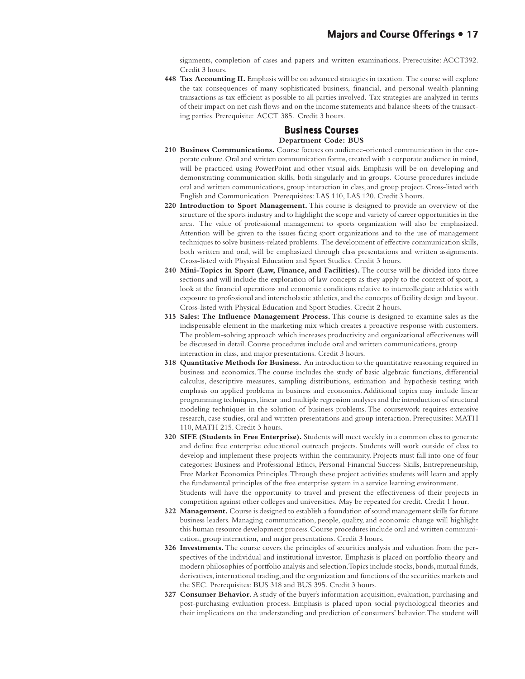signments, completion of cases and papers and written examinations. Prerequisite: ACCT392. Credit 3 hours.

**448 Tax Accounting II.** Emphasis will be on advanced strategies in taxation. The course will explore the tax consequences of many sophisticated business, financial, and personal wealth-planning transactions as tax efficient as possible to all parties involved. Tax strategies are analyzed in terms of their impact on net cash flows and on the income statements and balance sheets of the transacting parties. Prerequisite: ACCT 385. Credit 3 hours.

### **Business Courses Courses**

### **Department Code: BUS**

- **210 Business Communications.** Course focuses on audience-oriented communication in the corporate culture. Oral and written communication forms, created with a corporate audience in mind, will be practiced using PowerPoint and other visual aids. Emphasis will be on developing and demonstrating communication skills, both singularly and in groups. Course procedures include oral and written communications, group interaction in class, and group project. Cross-listed with English and Communication. Prerequisites: LAS 110, LAS 120. Credit 3 hours.
- **220 Introduction to Sport Management.** This course is designed to provide an overview of the structure of the sports industry and to highlight the scope and variety of career opportunities in the area. The value of professional management to sports organization will also be emphasized. Attention will be given to the issues facing sport organizations and to the use of management techniques to solve business-related problems. The development of effective communication skills, both written and oral, will be emphasized through class presentations and written assignments. Cross-listed with Physical Education and Sport Studies. Credit 3 hours.
- **240 Mini-Topics in Sport (Law, Finance, and Facilities).** The course will be divided into three sections and will include the exploration of law concepts as they apply to the context of sport, a look at the financial operations and economic conditions relative to intercollegiate athletics with exposure to professional and interscholastic athletics, and the concepts of facility design and layout. Cross-listed with Physical Education and Sport Studies. Credit 2 hours.
- **315 Sales: The Influence Management Process.** This course is designed to examine sales as the indispensable element in the marketing mix which creates a proactive response with customers. The problem-solving approach which increases productivity and organizational effectiveness will be discussed in detail. Course procedures include oral and written communications, group interaction in class, and major presentations. Credit 3 hours.
- **318 Quantitative Methods for Business.** An introduction to the quantitative reasoning required in business and economics. The course includes the study of basic algebraic functions, differential calculus, descriptive measures, sampling distributions, estimation and hypothesis testing with emphasis on applied problems in business and economics. Additional topics may include linear programming techniques, linear and multiple regression analyses and the introduction of structural modeling techniques in the solution of business problems. The coursework requires extensive research, case studies, oral and written presentations and group interaction. Prerequisites: MATH 110, MATH 215. Credit 3 hours.
- **320 SIFE (Students in Free Enterprise).** Students will meet weekly in a common class to generate and define free enterprise educational outreach projects. Students will work outside of class to develop and implement these projects within the community. Projects must fall into one of four categories: Business and Professional Ethics, Personal Financial Success Skills, Entrepreneurship, Free Market Economics Principles. Through these project activities students will learn and apply the fundamental principles of the free enterprise system in a service learning environment. Students will have the opportunity to travel and present the effectiveness of their projects in
- competition against other colleges and universities. May be repeated for credit. Credit 1 hour. **322 Management.** Course is designed to establish a foundation of sound management skills for future business leaders. Managing communication, people, quality, and economic change will highlight this human resource development process. Course procedures include oral and written communication, group interaction, and major presentations. Credit 3 hours.
- **326 Investments.** The course covers the principles of securities analysis and valuation from the perspectives of the individual and institutional investor. Emphasis is placed on portfolio theory and modern philosophies of portfolio analysis and selection. Topics include stocks, bonds, mutual funds, derivatives, international trading, and the organization and functions of the securities markets and the SEC. Prerequisites: BUS 318 and BUS 395. Credit 3 hours.
- **327 Consumer Behavior.** A study of the buyer's information acquisition, evaluation, purchasing and post-purchasing evaluation process. Emphasis is placed upon social psychological theories and their implications on the understanding and prediction of consumers' behavior. The student will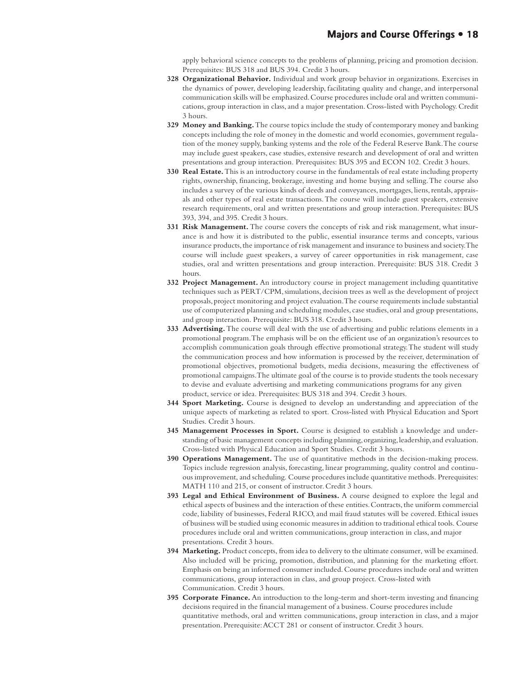apply behavioral science concepts to the problems of planning, pricing and promotion decision. Prerequisites: BUS 318 and BUS 394. Credit 3 hours.

- **328 Organizational Behavior.** Individual and work group behavior in organizations. Exercises in the dynamics of power, developing leadership, facilitating quality and change, and interpersonal communication skills will be emphasized. Course procedures include oral and written communications, group interaction in class, and a major presentation. Cross-listed with Psychology. Credit 3 hours.
- **329 Money and Banking.** The course topics include the study of contemporary money and banking concepts including the role of money in the domestic and world economies, government regulation of the money supply, banking systems and the role of the Federal Reserve Bank. The course may include guest speakers, case studies, extensive research and development of oral and written presentations and group interaction. Prerequisites: BUS 395 and ECON 102. Credit 3 hours.
- **330 Real Estate.** This is an introductory course in the fundamentals of real estate including property rights, ownership, financing, brokerage, investing and home buying and selling. The course also includes a survey of the various kinds of deeds and conveyances, mortgages, liens, rentals, appraisals and other types of real estate transactions. The course will include guest speakers, extensive research requirements, oral and written presentations and group interaction. Prerequisites: BUS 393, 394, and 395. Credit 3 hours.
- **331 Risk Management.** The course covers the concepts of risk and risk management, what insurance is and how it is distributed to the public, essential insurance terms and concepts, various insurance products, the importance of risk management and insurance to business and society. The course will include guest speakers, a survey of career opportunities in risk management, case studies, oral and written presentations and group interaction. Prerequisite: BUS 318. Credit 3 hours.
- **332 Project Management.** An introductory course in project management including quantitative techniques such as PERT/CPM, simulations, decision trees as well as the development of project proposals, project monitoring and project evaluation. The course requirements include substantial use of computerized planning and scheduling modules, case studies, oral and group presentations, and group interaction. Prerequisite: BUS 318. Credit 3 hours.
- **333 Advertising.** The course will deal with the use of advertising and public relations elements in a promotional program. The emphasis will be on the efficient use of an organization's resources to accomplish communication goals through effective promotional strategy. The student will study the communication process and how information is processed by the receiver, determination of promotional objectives, promotional budgets, media decisions, measuring the effectiveness of promotional campaigns. The ultimate goal of the course is to provide students the tools necessary to devise and evaluate advertising and marketing communications programs for any given product, service or idea. Prerequisites: BUS 318 and 394. Credit 3 hours.
- **344 Sport Marketing.** Course is designed to develop an understanding and appreciation of the unique aspects of marketing as related to sport. Cross-listed with Physical Education and Sport Studies. Credit 3 hours.
- **345 Management Processes in Sport.** Course is designed to establish a knowledge and understanding of basic management concepts including planning, organizing, leadership, and evaluation. Cross-listed with Physical Education and Sport Studies. Credit 3 hours.
- **390 Operations Management.** The use of quantitative methods in the decision-making process. Topics include regression analysis, forecasting, linear programming, quality control and continuous improvement, and scheduling. Course procedures include quantitative methods. Prerequisites: MATH 110 and 215, or consent of instructor. Credit 3 hours.
- **393 Legal and Ethical Environment of Business.** A course designed to explore the legal and ethical aspects of business and the interaction of these entities. Contracts, the uniform commercial code, liability of businesses, Federal RICO, and mail fraud statutes will be covered. Ethical issues of business will be studied using economic measures in addition to traditional ethical tools. Course procedures include oral and written communications, group interaction in class, and major presentations. Credit 3 hours.
- **394 Marketing.** Product concepts, from idea to delivery to the ultimate consumer, will be examined. Also included will be pricing, promotion, distribution, and planning for the marketing effort. Emphasis on being an informed consumer included. Course procedures include oral and written communications, group interaction in class, and group project. Cross-listed with Communication. Credit 3 hours.
- **395 Corporate Finance.** An introduction to the long-term and short-term investing and financing decisions required in the financial management of a business. Course procedures include quantitative methods, oral and written communications, group interaction in class, and a major presentation. Prerequisite: ACCT 281 or consent of instructor. Credit 3 hours.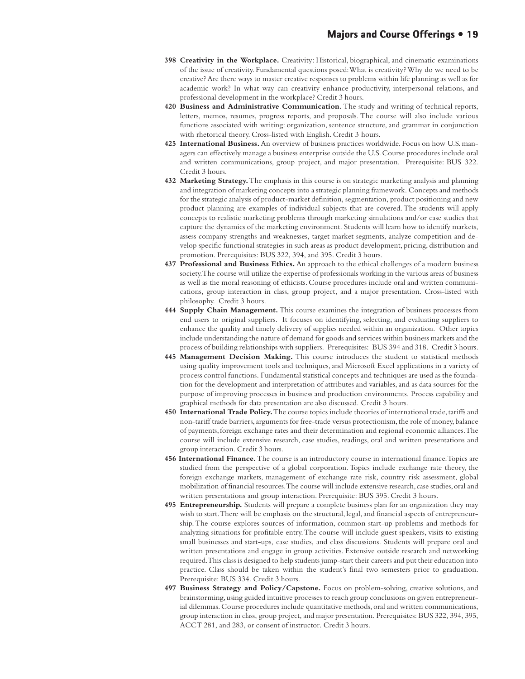- **398 Creativity in the Workplace.** Creativity: Historical, biographical, and cinematic examinations of the issue of creativity. Fundamental questions posed: What is creativity? Why do we need to be creative? Are there ways to master creative responses to problems within life planning as well as for academic work? In what way can creativity enhance productivity, interpersonal relations, and professional development in the workplace? Credit 3 hours.
- **420 Business and Administrative Communication.** The study and writing of technical reports, letters, memos, resumes, progress reports, and proposals. The course will also include various functions associated with writing: organization, sentence structure, and grammar in conjunction with rhetorical theory. Cross-listed with English. Credit 3 hours.
- **425 International Business.** An overview of business practices worldwide. Focus on how U.S. managers can effectively manage a business enterprise outside the U.S. Course procedures include oral and written communications, group project, and major presentation. Prerequisite: BUS 322. Credit 3 hours.
- **432 Marketing Strategy.** The emphasis in this course is on strategic marketing analysis and planning and integration of marketing concepts into a strategic planning framework. Concepts and methods for the strategic analysis of product-market definition, segmentation, product positioning and new product planning are examples of individual subjects that are covered. The students will apply concepts to realistic marketing problems through marketing simulations and/or case studies that capture the dynamics of the marketing environment. Students will learn how to identify markets, assess company strengths and weaknesses, target market segments, analyze competition and develop specific functional strategies in such areas as product development, pricing, distribution and promotion. Prerequisites: BUS 322, 394, and 395. Credit 3 hours.
- **437 Professional and Business Ethics.** An approach to the ethical challenges of a modern business society. The course will utilize the expertise of professionals working in the various areas of business as well as the moral reasoning of ethicists. Course procedures include oral and written communications, group interaction in class, group project, and a major presentation. Cross-listed with philosophy. Credit 3 hours.
- **444 Supply Chain Management.** This course examines the integration of business processes from end users to original suppliers. It focuses on identifying, selecting, and evaluating suppliers to enhance the quality and timely delivery of supplies needed within an organization. Other topics include understanding the nature of demand for goods and services within business markets and the process of building relationships with suppliers. Prerequisites: BUS 394 and 318. Credit 3 hours.
- **445 Management Decision Making.** This course introduces the student to statistical methods using quality improvement tools and techniques, and Microsoft Excel applications in a variety of process control functions. Fundamental statistical concepts and techniques are used as the foundation for the development and interpretation of attributes and variables, and as data sources for the purpose of improving processes in business and production environments. Process capability and graphical methods for data presentation are also discussed. Credit 3 hours.
- **450 International Trade Policy.** The course topics include theories of international trade, tariffs and non-tariff trade barriers, arguments for free-trade versus protectionism, the role of money, balance of payments, foreign exchange rates and their determination and regional economic alliances. The course will include extensive research, case studies, readings, oral and written presentations and group interaction. Credit 3 hours.
- **456 International Finance.** The course is an introductory course in international finance. Topics are studied from the perspective of a global corporation. Topics include exchange rate theory, the foreign exchange markets, management of exchange rate risk, country risk assessment, global mobilization of financial resources. The course will include extensive research, case studies, oral and written presentations and group interaction. Prerequisite: BUS 395. Credit 3 hours.
- **495 Entrepreneurship.** Students will prepare a complete business plan for an organization they may wish to start. There will be emphasis on the structural, legal, and financial aspects of entrepreneurship. The course explores sources of information, common start-up problems and methods for analyzing situations for profitable entry. The course will include guest speakers, visits to existing small businesses and start-ups, case studies, and class discussions. Students will prepare oral and written presentations and engage in group activities. Extensive outside research and networking required. This class is designed to help students jump-start their careers and put their education into practice. Class should be taken within the student's final two semesters prior to graduation. Prerequisite: BUS 334. Credit 3 hours.
- 497 Business Strategy and Policy/Capstone. Focus on problem-solving, creative solutions, and brainstorming, using guided intuitive processes to reach group conclusions on given entrepreneurial dilemmas. Course procedures include quantitative methods, oral and written communications, group interaction in class, group project, and major presentation. Prerequisites: BUS 322, 394, 395, ACCT 281, and 283, or consent of instructor. Credit 3 hours.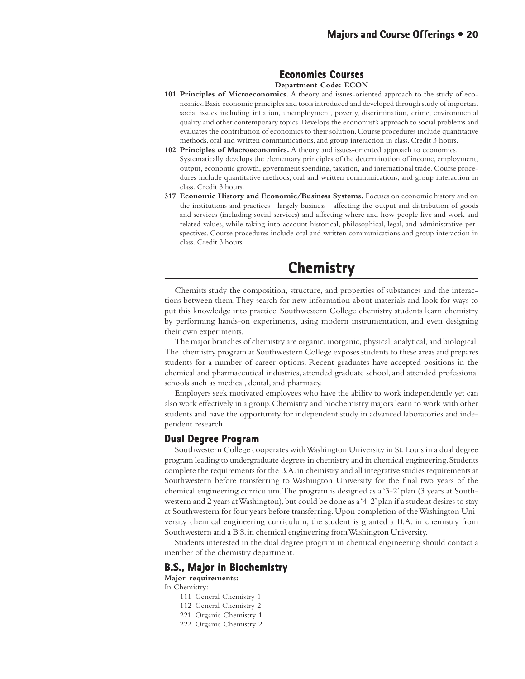### **Economics Courses Economics Courses**

#### **Department Code: ECON**

- **101 Principles of Microeconomics.** A theory and issues-oriented approach to the study of economics. Basic economic principles and tools introduced and developed through study of important social issues including inflation, unemployment, poverty, discrimination, crime, environmental quality and other contemporary topics. Develops the economist's approach to social problems and evaluates the contribution of economics to their solution. Course procedures include quantitative methods, oral and written communications, and group interaction in class. Credit 3 hours.
- **102 Principles of Macroeconomics.** A theory and issues-oriented approach to economics. Systematically develops the elementary principles of the determination of income, employment, output, economic growth, government spending, taxation, and international trade. Course procedures include quantitative methods, oral and written communications, and group interaction in class. Credit 3 hours.
- **317 Economic History and Economic/Business Systems.** Focuses on economic history and on the institutions and practices—largely business—affecting the output and distribution of goods and services (including social services) and affecting where and how people live and work and related values, while taking into account historical, philosophical, legal, and administrative perspectives. Course procedures include oral and written communications and group interaction in class. Credit 3 hours.

### **Chemistry Chemistry**

Chemists study the composition, structure, and properties of substances and the interactions between them. They search for new information about materials and look for ways to put this knowledge into practice. Southwestern College chemistry students learn chemistry by performing hands-on experiments, using modern instrumentation, and even designing their own experiments.

The major branches of chemistry are organic, inorganic, physical, analytical, and biological. The chemistry program at Southwestern College exposes students to these areas and prepares students for a number of career options. Recent graduates have accepted positions in the chemical and pharmaceutical industries, attended graduate school, and attended professional schools such as medical, dental, and pharmacy.

Employers seek motivated employees who have the ability to work independently yet can also work effectively in a group. Chemistry and biochemistry majors learn to work with other students and have the opportunity for independent study in advanced laboratories and independent research.

### **Dual Degree Program**

Southwestern College cooperates with Washington University in St. Louis in a dual degree program leading to undergraduate degrees in chemistry and in chemical engineering. Students complete the requirements for the B.A. in chemistry and all integrative studies requirements at Southwestern before transferring to Washington University for the final two years of the chemical engineering curriculum. The program is designed as a '3-2' plan (3 years at Southwestern and 2 years at Washington), but could be done as a '4-2' plan if a student desires to stay at Southwestern for four years before transferring. Upon completion of the Washington University chemical engineering curriculum, the student is granted a B.A. in chemistry from Southwestern and a B.S. in chemical engineering from Washington University.

Students interested in the dual degree program in chemical engineering should contact a member of the chemistry department.

### **B.S., Major in Biochemistry**

**Major requirements:**

- In Chemistry:
	- 111 General Chemistry 1
	- 112 General Chemistry 2
	- 221 Organic Chemistry 1
	- 222 Organic Chemistry 2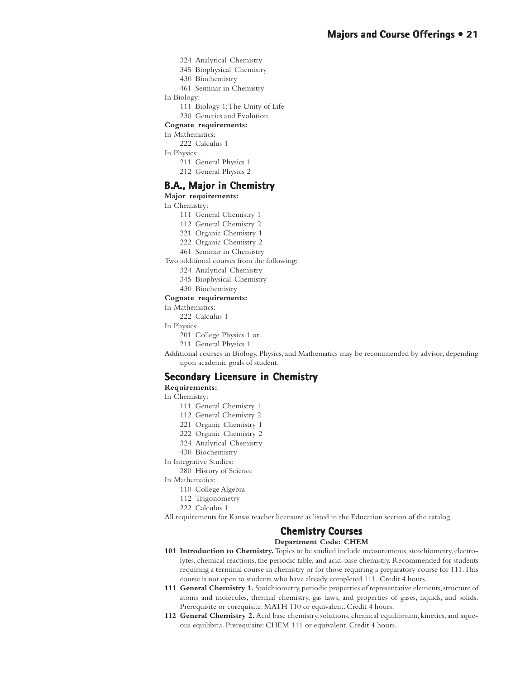324 Analytical Chemistry 345 Biophysical Chemistry 430 Biochemistry

461 Seminar in Chemistry

- In Biology:
	- 111 Biology 1: The Unity of Life
	- 230 Genetics and Evolution
- **Cognate requirements:**

### In Mathematics:

- 222 Calculus 1
- In Physics:
	- 211 General Physics 1
	- 212 General Physics 2

### **B.A., Major in Chemistry**

**Major requirements:**

In Chemistry:

- 111 General Chemistry 1
- 112 General Chemistry 2
- 221 Organic Chemistry 1
- 222 Organic Chemistry 2
- 461 Seminar in Chemistry
- Two additional courses from the following:
	- 324 Analytical Chemistry
	- 345 Biophysical Chemistry
	- 430 Biochemistry

### **Cognate requirements:**

- In Mathematics:
	- 222 Calculus 1
- In Physics:
	- 201 College Physics 1 or
	- 211 General Physics 1

Additional courses in Biology, Physics, and Mathematics may be recommended by advisor, depending upon academic goals of student.

### **Secondary Licensure in Chemistry**

### **Requirements:**

In Chemistry:

- 111 General Chemistry 1
- 112 General Chemistry 2
- 221 Organic Chemistry 1
- 222 Organic Chemistry 2
- 324 Analytical Chemistry
- 430 Biochemistry
- In Integrative Studies:
	- 280 History of Science

In Mathematics:

- 110 College Algebra
- 112 Trigonometry
- 222 Calculus 1
- All requirements for Kansas teacher licensure as listed in the Education section of the catalog.

### **Chemistry Courses Chemistry Courses**

### **Department Code: CHEM**

- **101 Introduction to Chemistry.** Topics to be studied include measurements, stoichiometry, electrolytes, chemical reactions, the periodic table, and acid-base chemistry. Recommended for students requiring a terminal course in chemistry or for those requiring a preparatory course for 111. This course is not open to students who have already completed 111. Credit 4 hours.
- **111 General Chemistry 1.** Stoichiometry, periodic properties of representative elements, structure of atoms and molecules, thermal chemistry, gas laws, and properties of gases, liquids, and solids. Prerequisite or corequisite: MATH 110 or equivalent. Credit 4 hours.
- **112 General Chemistry 2.** Acid base chemistry, solutions, chemical equilibrium, kinetics, and aqueous equilibria. Prerequisite: CHEM 111 or equivalent. Credit 4 hours.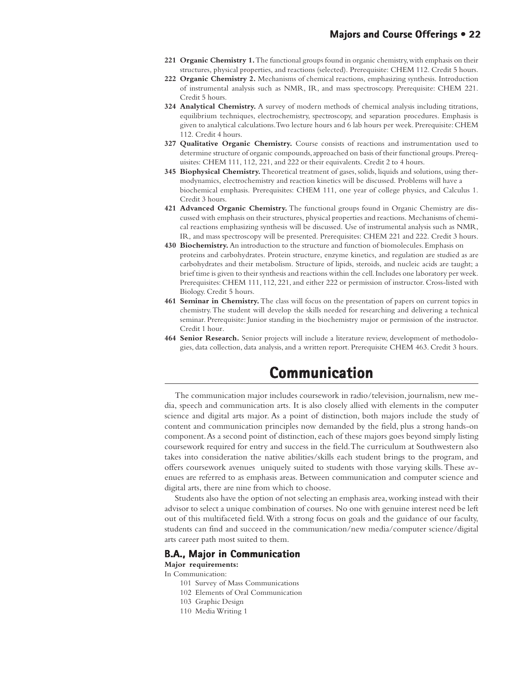- **221 Organic Chemistry 1.** The functional groups found in organic chemistry, with emphasis on their structures, physical properties, and reactions (selected). Prerequisite: CHEM 112. Credit 5 hours.
- **222 Organic Chemistry 2.** Mechanisms of chemical reactions, emphasizing synthesis. Introduction of instrumental analysis such as NMR, IR, and mass spectroscopy. Prerequisite: CHEM 221. Credit 5 hours.
- **324 Analytical Chemistry.** A survey of modern methods of chemical analysis including titrations, equilibrium techniques, electrochemistry, spectroscopy, and separation procedures. Emphasis is given to analytical calculations. Two lecture hours and 6 lab hours per week. Prerequisite: CHEM 112. Credit 4 hours.
- **327 Qualitative Organic Chemistry.** Course consists of reactions and instrumentation used to determine structure of organic compounds, approached on basis of their functional groups. Prerequisites: CHEM 111, 112, 221, and 222 or their equivalents. Credit 2 to 4 hours.
- **345 Biophysical Chemistry.** Theoretical treatment of gases, solids, liquids and solutions, using thermodynamics, electrochemistry and reaction kinetics will be discussed. Problems will have a biochemical emphasis. Prerequisites: CHEM 111, one year of college physics, and Calculus 1. Credit 3 hours.
- **421 Advanced Organic Chemistry.** The functional groups found in Organic Chemistry are discussed with emphasis on their structures, physical properties and reactions. Mechanisms of chemical reactions emphasizing synthesis will be discussed. Use of instrumental analysis such as NMR, IR, and mass spectroscopy will be presented. Prerequisites: CHEM 221 and 222. Credit 3 hours.
- **430 Biochemistry.** An introduction to the structure and function of biomolecules. Emphasis on proteins and carbohydrates. Protein structure, enzyme kinetics, and regulation are studied as are carbohydrates and their metabolism. Structure of lipids, steroids, and nucleic acids are taught; a brief time is given to their synthesis and reactions within the cell. Includes one laboratory per week. Prerequisites: CHEM 111, 112, 221, and either 222 or permission of instructor. Cross-listed with Biology. Credit 5 hours.
- **461 Seminar in Chemistry.** The class will focus on the presentation of papers on current topics in chemistry. The student will develop the skills needed for researching and delivering a technical seminar. Prerequisite: Junior standing in the biochemistry major or permission of the instructor. Credit 1 hour.
- **464 Senior Research.** Senior projects will include a literature review, development of methodologies, data collection, data analysis, and a written report. Prerequisite CHEM 463. Credit 3 hours.

### **Communication Communication**

The communication major includes coursework in radio/television, journalism, new media, speech and communication arts. It is also closely allied with elements in the computer science and digital arts major. As a point of distinction, both majors include the study of content and communication principles now demanded by the field, plus a strong hands-on component. As a second point of distinction, each of these majors goes beyond simply listing coursework required for entry and success in the field. The curriculum at Southwestern also takes into consideration the native abilities/skills each student brings to the program, and offers coursework avenues uniquely suited to students with those varying skills. These avenues are referred to as emphasis areas. Between communication and computer science and digital arts, there are nine from which to choose.

Students also have the option of not selecting an emphasis area, working instead with their advisor to select a unique combination of courses. No one with genuine interest need be left out of this multifaceted field. With a strong focus on goals and the guidance of our faculty, students can find and succeed in the communication/new media/computer science/digital arts career path most suited to them.

### **B.A., Major in Communication**

**Major requirements:**

In Communication:

- 101 Survey of Mass Communications
- 102 Elements of Oral Communication
- 103 Graphic Design
- 110 Media Writing 1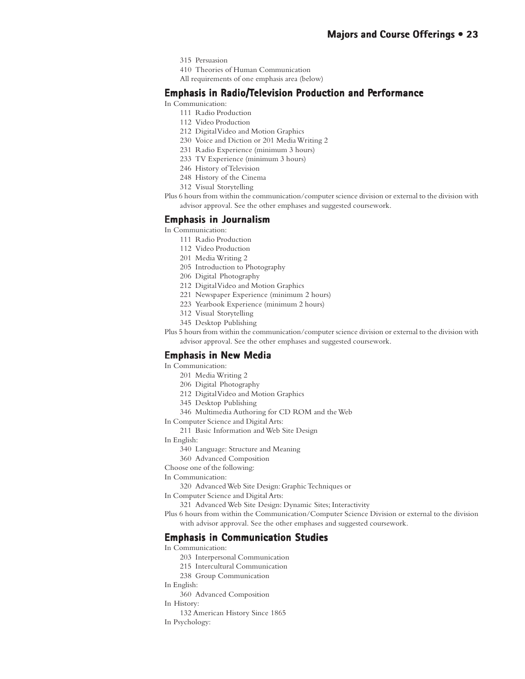- 315 Persuasion
- 410 Theories of Human Communication
- All requirements of one emphasis area (below)

### **Emphasis in Radio/Television Production and Performance**

In Communication:

- 111 Radio Production
- 112 Video Production
- 212 Digital Video and Motion Graphics
- 230 Voice and Diction or 201 Media Writing 2
- 231 Radio Experience (minimum 3 hours)
- 233 TV Experience (minimum 3 hours)
- 246 History of Television
- 248 History of the Cinema
- 312 Visual Storytelling
- Plus 6 hours from within the communication/computer science division or external to the division with advisor approval. See the other emphases and suggested coursework.

### **Emphasis in Journalism**

In Communication:

- 111 Radio Production
- 112 Video Production
- 201 Media Writing 2
- 205 Introduction to Photography
- 206 Digital Photography
- 212 Digital Video and Motion Graphics
- 221 Newspaper Experience (minimum 2 hours)
- 223 Yearbook Experience (minimum 2 hours)
- 312 Visual Storytelling
- 345 Desktop Publishing
- Plus 5 hours from within the communication/computer science division or external to the division with advisor approval. See the other emphases and suggested coursework.

### **Emphasis in New Media**

In Communication:

- 201 Media Writing 2
- 206 Digital Photography
- 212 Digital Video and Motion Graphics
- 345 Desktop Publishing
- 346 Multimedia Authoring for CD ROM and the Web
- In Computer Science and Digital Arts:
	- 211 Basic Information and Web Site Design
- In English:
	- 340 Language: Structure and Meaning
	- 360 Advanced Composition
- Choose one of the following:

In Communication:

- 320 Advanced Web Site Design: Graphic Techniques or
- In Computer Science and Digital Arts:

321 Advanced Web Site Design: Dynamic Sites; Interactivity

Plus 6 hours from within the Communication/Computer Science Division or external to the division with advisor approval. See the other emphases and suggested coursework.

### **Emphasis in Communication Studies**

In Communication:

- 203 Interpersonal Communication
- 215 Intercultural Communication
- 238 Group Communication
- In English:
	- 360 Advanced Composition
- In History:
- 132 American History Since 1865
- In Psychology: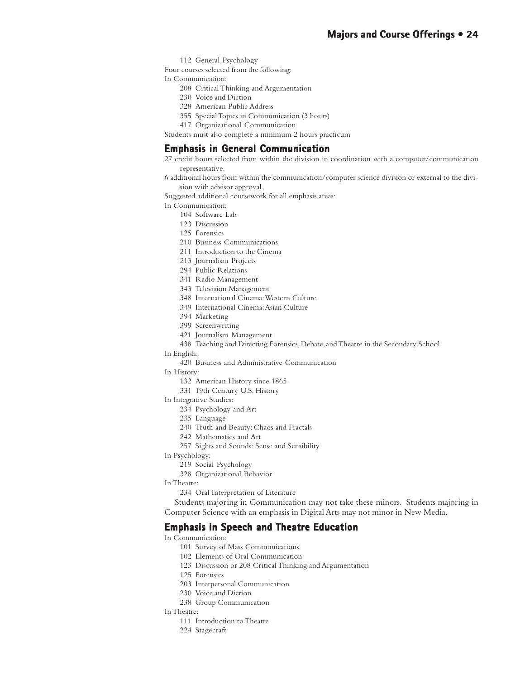112 General Psychology

Four courses selected from the following:

In Communication:

- 208 Critical Thinking and Argumentation
- 230 Voice and Diction
- 328 American Public Address
- 355 Special Topics in Communication (3 hours)
- 417 Organizational Communication

Students must also complete a minimum 2 hours practicum

### **Emphasis in General Communication**

27 credit hours selected from within the division in coordination with a computer/communication representative.

6 additional hours from within the communication/computer science division or external to the division with advisor approval.

Suggested additional coursework for all emphasis areas:

In Communication:

- 104 Software Lab
- 123 Discussion
- 125 Forensics
- 210 Business Communications
- 211 Introduction to the Cinema
- 213 Journalism Projects
- 294 Public Relations
- 341 Radio Management
- 343 Television Management
- 348 International Cinema: Western Culture
- 349 International Cinema: Asian Culture
- 394 Marketing
- 399 Screenwriting
- 421 Journalism Management
- 438 Teaching and Directing Forensics, Debate, and Theatre in the Secondary School
- In English:
	- 420 Business and Administrative Communication
- In History:
	- 132 American History since 1865
	- 331 19th Century U.S. History
- In Integrative Studies:
	- 234 Psychology and Art
	- 235 Language
	- 240 Truth and Beauty: Chaos and Fractals
	- 242 Mathematics and Art
	- 257 Sights and Sounds: Sense and Sensibility
- In Psychology:
	- 219 Social Psychology
	- 328 Organizational Behavior
- In Theatre:
	- 234 Oral Interpretation of Literature

Students majoring in Communication may not take these minors. Students majoring in Computer Science with an emphasis in Digital Arts may not minor in New Media.

### **Emphasis in Speech and Theatre Education**

In Communication:

- 101 Survey of Mass Communications
- 102 Elements of Oral Communication
- 123 Discussion or 208 Critical Thinking and Argumentation
- 125 Forensics
- 203 Interpersonal Communication
- 230 Voice and Diction
- 238 Group Communication
- In Theatre:
	- 111 Introduction to Theatre
	- 224 Stagecraft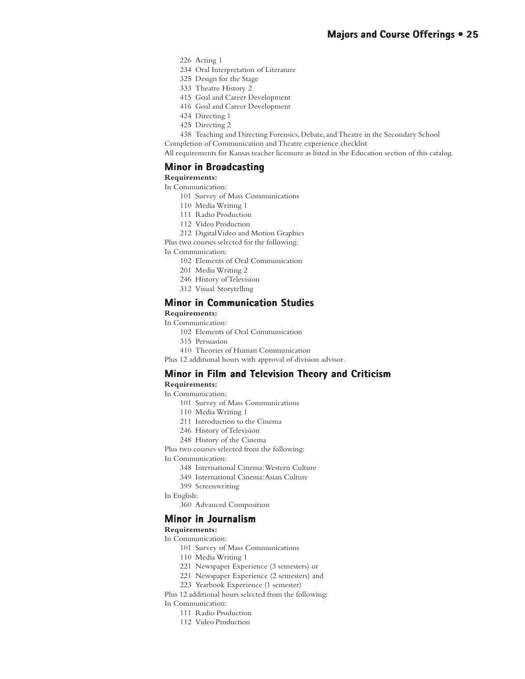- 226 Acting 1
- 234 Oral Interpretation of Literature
- 325 Design for the Stage
- 333 Theatre History 2
- 415 Goal and Career Development
- 416 Goal and Career Development
- 424 Directing 1
- 425 Directing 2

438 Teaching and Directing Forensics, Debate, and Theatre in the Secondary School Completion of Communication and Theatre experience checklist

All requirements for Kansas teacher licensure as listed in the Education section of this catalog.

### **Minor in Broadcasting**

**Requirements:**

In Communication:

- 101 Survey of Mass Communications
- 110 Media Writing 1
- 111 Radio Production
- 112 Video Production
- 212 Digital Video and Motion Graphics

Plus two courses selected for the following:

In Communication:

- 102 Elements of Oral Communication
- 201 Media Writing 2
- 246 History of Television
- 312 Visual Storytelling

### **Minor in Communication Studies**

### **Requirements:**

In Communication:

- 102 Elements of Oral Communication
- 315 Persuasion
- 410 Theories of Human Communication

Plus 12 additional hours with approval of division advisor.

### **Minor in Film and Television Theory and Criticism**

### **Requirements:**

- In Communication:
	- 101 Survey of Mass Communications
	- 110 Media Writing 1
	- 211 Introduction to the Cinema
	- 246 History of Television
	- 248 History of the Cinema

Plus two courses selected from the following:

In Communication:

- 348 International Cinema: Western Culture
- 349 International Cinema: Asian Culture
- 399 Screenwriting
- In English:
	- 360 Advanced Composition

### **Minor in Journalism**

### **Requirements:**

### In Communication:

- 101 Survey of Mass Communications
- 110 Media Writing 1
- 221 Newspaper Experience (3 semesters) or
- 221 Newspaper Experience (2 semesters) and
- 223 Yearbook Experience (1 semester)

Plus 12 additional hours selected from the following: In Communication:

- 111 Radio Production
- 112 Video Production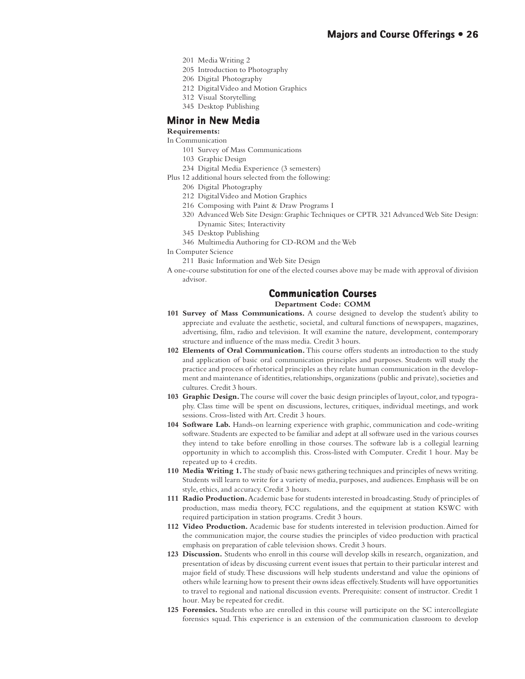- 201 Media Writing 2
- 205 Introduction to Photography
- 206 Digital Photography
- 212 Digital Video and Motion Graphics
- 312 Visual Storytelling
- 345 Desktop Publishing

### **Minor in New Media**

### **Requirements:**

In Communication

- 101 Survey of Mass Communications
- 103 Graphic Design
- 234 Digital Media Experience (3 semesters)
- Plus 12 additional hours selected from the following:
	- 206 Digital Photography
	- 212 Digital Video and Motion Graphics
	- 216 Composing with Paint & Draw Programs I
	- 320 Advanced Web Site Design: Graphic Techniques or CPTR 321 Advanced Web Site Design: Dynamic Sites; Interactivity
	- 345 Desktop Publishing
	- 346 Multimedia Authoring for CD-ROM and the Web
- In Computer Science
	- 211 Basic Information and Web Site Design
- A one-course substitution for one of the elected courses above may be made with approval of division advisor.

### **Communication Courses Courses**

**Department Code: COMM**

- **101 Survey of Mass Communications.** A course designed to develop the student's ability to appreciate and evaluate the aesthetic, societal, and cultural functions of newspapers, magazines, advertising, film, radio and television. It will examine the nature, development, contemporary structure and influence of the mass media. Credit 3 hours.
- **102 Elements of Oral Communication.** This course offers students an introduction to the study and application of basic oral communication principles and purposes. Students will study the practice and process of rhetorical principles as they relate human communication in the development and maintenance of identities, relationships, organizations (public and private), societies and cultures. Credit 3 hours.
- **103 Graphic Design.** The course will cover the basic design principles of layout, color, and typography. Class time will be spent on discussions, lectures, critiques, individual meetings, and work sessions. Cross-listed with Art. Credit 3 hours.
- **104 Software Lab.** Hands-on learning experience with graphic, communication and code-writing software. Students are expected to be familiar and adept at all software used in the various courses they intend to take before enrolling in those courses. The software lab is a collegial learning opportunity in which to accomplish this. Cross-listed with Computer. Credit 1 hour. May be repeated up to 4 credits.
- **110 Media Writing 1.** The study of basic news gathering techniques and principles of news writing. Students will learn to write for a variety of media, purposes, and audiences. Emphasis will be on style, ethics, and accuracy. Credit 3 hours.
- **111 Radio Production.** Academic base for students interested in broadcasting. Study of principles of production, mass media theory, FCC regulations, and the equipment at station KSWC with required participation in station programs. Credit 3 hours.
- **112 Video Production.** Academic base for students interested in television production. Aimed for the communication major, the course studies the principles of video production with practical emphasis on preparation of cable television shows. Credit 3 hours.
- **123 Discussion.** Students who enroll in this course will develop skills in research, organization, and presentation of ideas by discussing current event issues that pertain to their particular interest and major field of study. These discussions will help students understand and value the opinions of others while learning how to present their owns ideas effectively. Students will have opportunities to travel to regional and national discussion events. Prerequisite: consent of instructor. Credit 1 hour. May be repeated for credit.
- **125 Forensics.** Students who are enrolled in this course will participate on the SC intercollegiate forensics squad. This experience is an extension of the communication classroom to develop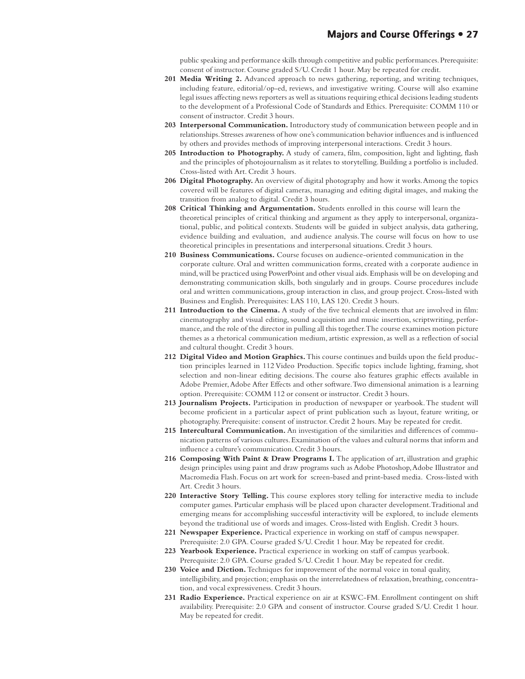public speaking and performance skills through competitive and public performances. Prerequisite: consent of instructor. Course graded S/U. Credit 1 hour. May be repeated for credit.

- **201 Media Writing 2.** Advanced approach to news gathering, reporting, and writing techniques, including feature, editorial/op-ed, reviews, and investigative writing. Course will also examine legal issues affecting news reporters as well as situations requiring ethical decisions leading students to the development of a Professional Code of Standards and Ethics. Prerequisite: COMM 110 or consent of instructor. Credit 3 hours.
- **203 Interpersonal Communication.** Introductory study of communication between people and in relationships. Stresses awareness of how one's communication behavior influences and is influenced by others and provides methods of improving interpersonal interactions. Credit 3 hours.
- **205 Introduction to Photography.** A study of camera, film, composition, light and lighting, flash and the principles of photojournalism as it relates to storytelling. Building a portfolio is included. Cross-listed with Art. Credit 3 hours.
- **206 Digital Photography.** An overview of digital photography and how it works. Among the topics covered will be features of digital cameras, managing and editing digital images, and making the transition from analog to digital. Credit 3 hours.
- **208 Critical Thinking and Argumentation.** Students enrolled in this course will learn the theoretical principles of critical thinking and argument as they apply to interpersonal, organizational, public, and political contexts. Students will be guided in subject analysis, data gathering, evidence building and evaluation, and audience analysis. The course will focus on how to use theoretical principles in presentations and interpersonal situations. Credit 3 hours.
- **210 Business Communications.** Course focuses on audience-oriented communication in the corporate culture. Oral and written communication forms, created with a corporate audience in mind, will be practiced using PowerPoint and other visual aids. Emphasis will be on developing and demonstrating communication skills, both singularly and in groups. Course procedures include oral and written communications, group interaction in class, and group project. Cross-listed with Business and English. Prerequisites: LAS 110, LAS 120. Credit 3 hours.
- **211 Introduction to the Cinema.** A study of the five technical elements that are involved in film: cinematography and visual editing, sound acquisition and music insertion, scriptwriting, performance, and the role of the director in pulling all this together. The course examines motion picture themes as a rhetorical communication medium, artistic expression, as well as a reflection of social and cultural thought. Credit 3 hours.
- **212 Digital Video and Motion Graphics.** This course continues and builds upon the field production principles learned in 112 Video Production. Specific topics include lighting, framing, shot selection and non-linear editing decisions. The course also features graphic effects available in Adobe Premier, Adobe After Effects and other software. Two dimensional animation is a learning option. Prerequisite: COMM 112 or consent or instructor. Credit 3 hours.
- **213 Journalism Projects.** Participation in production of newspaper or yearbook. The student will become proficient in a particular aspect of print publication such as layout, feature writing, or photography. Prerequisite: consent of instructor. Credit 2 hours. May be repeated for credit.
- **215 Intercultural Communication.** An investigation of the similarities and differences of communication patterns of various cultures. Examination of the values and cultural norms that inform and influence a culture's communication. Credit 3 hours.
- 216 Composing With Paint & Draw Programs I. The application of art, illustration and graphic design principles using paint and draw programs such as Adobe Photoshop, Adobe Illustrator and Macromedia Flash. Focus on art work for screen-based and print-based media. Cross-listed with Art. Credit 3 hours.
- **220 Interactive Story Telling.** This course explores story telling for interactive media to include computer games. Particular emphasis will be placed upon character development. Traditional and emerging means for accomplishing successful interactivity will be explored, to include elements beyond the traditional use of words and images. Cross-listed with English. Credit 3 hours.
- **221 Newspaper Experience.** Practical experience in working on staff of campus newspaper. Prerequisite: 2.0 GPA. Course graded S/U. Credit 1 hour. May be repeated for credit.
- **223 Yearbook Experience.** Practical experience in working on staff of campus yearbook. Prerequisite: 2.0 GPA. Course graded S/U. Credit 1 hour. May be repeated for credit.
- **230 Voice and Diction.** Techniques for improvement of the normal voice in tonal quality, intelligibility, and projection; emphasis on the interrelatedness of relaxation, breathing, concentration, and vocal expressiveness. Credit 3 hours.
- **231 Radio Experience.** Practical experience on air at KSWC-FM. Enrollment contingent on shift availability. Prerequisite: 2.0 GPA and consent of instructor. Course graded S/U. Credit 1 hour. May be repeated for credit.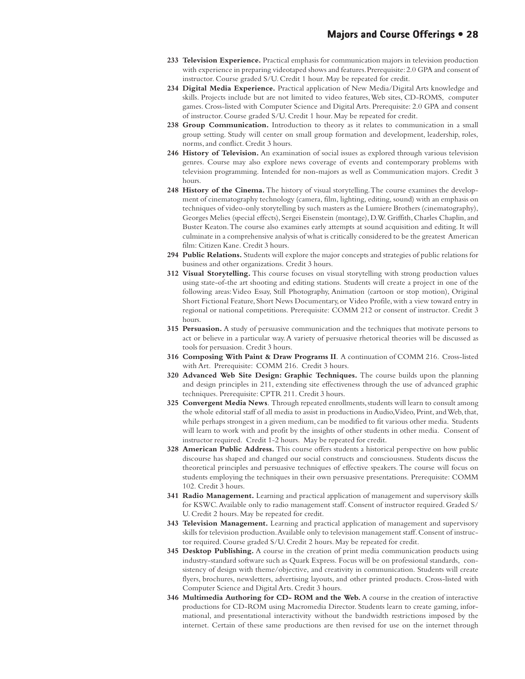- **233 Television Experience.** Practical emphasis for communication majors in television production with experience in preparing videotaped shows and features. Prerequisite: 2.0 GPA and consent of instructor. Course graded S/U. Credit 1 hour. May be repeated for credit.
- **234 Digital Media Experience.** Practical application of New Media/Digital Arts knowledge and skills. Projects include but are not limited to video features, Web sites, CD-ROMS, computer games. Cross-listed with Computer Science and Digital Arts. Prerequisite: 2.0 GPA and consent of instructor. Course graded S/U. Credit 1 hour. May be repeated for credit.
- **238 Group Communication.** Introduction to theory as it relates to communication in a small group setting. Study will center on small group formation and development, leadership, roles, norms, and conflict. Credit 3 hours.
- **246 History of Television.** An examination of social issues as explored through various television genres. Course may also explore news coverage of events and contemporary problems with television programming. Intended for non-majors as well as Communication majors. Credit 3 hours.
- **248 History of the Cinema.** The history of visual storytelling. The course examines the development of cinematography technology (camera, film, lighting, editing, sound) with an emphasis on techniques of video-only storytelling by such masters as the Lumiere Brothers (cinematography), Georges Melies (special effects), Sergei Eisenstein (montage), D.W. Griffith, Charles Chaplin, and Buster Keaton. The course also examines early attempts at sound acquisition and editing. It will culminate in a comprehensive analysis of what is critically considered to be the greatest American film: Citizen Kane. Credit 3 hours.
- **294 Public Relations.** Students will explore the major concepts and strategies of public relations for business and other organizations. Credit 3 hours.
- **312 Visual Storytelling.** This course focuses on visual storytelling with strong production values using state-of-the art shooting and editing stations. Students will create a project in one of the following areas: Video Essay, Still Photography, Animation (cartoon or stop motion), Original Short Fictional Feature, Short News Documentary, or Video Profile, with a view toward entry in regional or national competitions. Prerequisite: COMM 212 or consent of instructor. Credit 3 hours.
- **315 Persuasion.** A study of persuasive communication and the techniques that motivate persons to act or believe in a particular way. A variety of persuasive rhetorical theories will be discussed as tools for persuasion. Credit 3 hours.
- **316 Composing With Paint & Draw Programs II**. A continuation of COMM 216. Cross-listed with Art. Prerequisite: COMM 216. Credit 3 hours.
- **320 Advanced Web Site Design: Graphic Techniques.** The course builds upon the planning and design principles in 211, extending site effectiveness through the use of advanced graphic techniques. Prerequisite: CPTR 211. Credit 3 hours.
- **325 Convergent Media News**. Through repeated enrollments, students will learn to consult among the whole editorial staff of all media to assist in productions in Audio, Video, Print, and Web, that, while perhaps strongest in a given medium, can be modified to fit various other media. Students will learn to work with and profit by the insights of other students in other media. Consent of instructor required. Credit 1-2 hours. May be repeated for credit.
- **328 American Public Address.** This course offers students a historical perspective on how public discourse has shaped and changed our social constructs and consciousness. Students discuss the theoretical principles and persuasive techniques of effective speakers. The course will focus on students employing the techniques in their own persuasive presentations. Prerequisite: COMM 102. Credit 3 hours.
- **341 Radio Management.** Learning and practical application of management and supervisory skills for KSWC. Available only to radio management staff. Consent of instructor required. Graded S/ U. Credit 2 hours. May be repeated for credit.
- **343 Television Management.** Learning and practical application of management and supervisory skills for television production. Available only to television management staff. Consent of instructor required. Course graded S/U. Credit 2 hours. May be repeated for credit.
- **345 Desktop Publishing.** A course in the creation of print media communication products using industry-standard software such as Quark Express. Focus will be on professional standards, consistency of design with theme/objective, and creativity in communication. Students will create flyers, brochures, newsletters, advertising layouts, and other printed products. Cross-listed with Computer Science and Digital Arts. Credit 3 hours.
- **346 Multimedia Authoring for CD- ROM and the Web.** A course in the creation of interactive productions for CD-ROM using Macromedia Director. Students learn to create gaming, informational, and presentational interactivity without the bandwidth restrictions imposed by the internet. Certain of these same productions are then revised for use on the internet through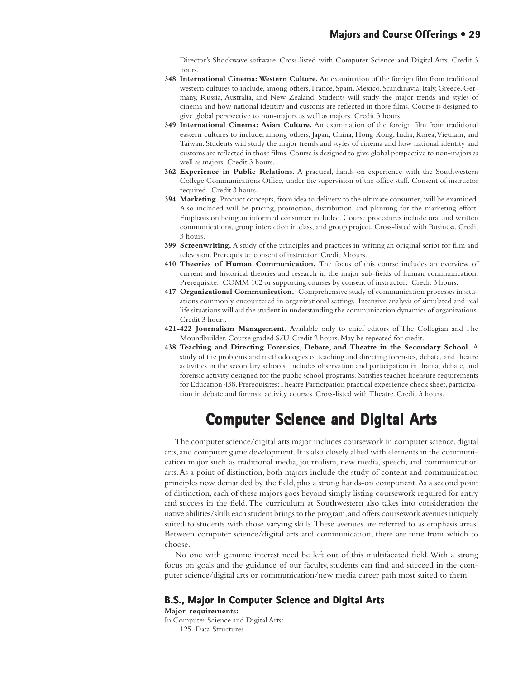Director's Shockwave software. Cross-listed with Computer Science and Digital Arts. Credit 3 hours.

- **348 International Cinema: Western Culture.** An examination of the foreign film from traditional western cultures to include, among others, France, Spain, Mexico, Scandinavia, Italy, Greece, Germany, Russia, Australia, and New Zealand. Students will study the major trends and styles of cinema and how national identity and customs are reflected in those films. Course is designed to give global perspective to non-majors as well as majors. Credit 3 hours.
- **349 International Cinema: Asian Culture.** An examination of the foreign film from traditional eastern cultures to include, among others, Japan, China, Hong Kong, India, Korea, Vietnam, and Taiwan. Students will study the major trends and styles of cinema and how national identity and customs are reflected in those films. Course is designed to give global perspective to non-majors as well as majors. Credit 3 hours.
- **362 Experience in Public Relations.** A practical, hands-on experience with the Southwestern College Communications Office, under the supervision of the office staff. Consent of instructor required. Credit 3 hours.
- **394 Marketing.** Product concepts, from idea to delivery to the ultimate consumer, will be examined. Also included will be pricing, promotion, distribution, and planning for the marketing effort. Emphasis on being an informed consumer included. Course procedures include oral and written communications, group interaction in class, and group project. Cross-listed with Business. Credit 3 hours.
- **399 Screenwriting.** A study of the principles and practices in writing an original script for film and television. Prerequisite: consent of instructor. Credit 3 hours.
- **410 Theories of Human Communication.** The focus of this course includes an overview of current and historical theories and research in the major sub-fields of human communication. Prerequisite: COMM 102 or supporting courses by consent of instructor. Credit 3 hours.
- **417 Organizational Communication.** Comprehensive study of communication processes in situations commonly encountered in organizational settings. Intensive analysis of simulated and real life situations will aid the student in understanding the communication dynamics of organizations. Credit 3 hours.
- **421-422 Journalism Management.** Available only to chief editors of The Collegian and The Moundbuilder. Course graded S/U. Credit 2 hours. May be repeated for credit.
- **438 Teaching and Directing Forensics, Debate, and Theatre in the Secondary School.** A study of the problems and methodologies of teaching and directing forensics, debate, and theatre activities in the secondary schools. Includes observation and participation in drama, debate, and forensic activity designed for the public school programs. Satisfies teacher licensure requirements for Education 438. Prerequisites: Theatre Participation practical experience check sheet, participation in debate and forensic activity courses. Cross-listed with Theatre. Credit 3 hours.

### **Computer Science and Digital Arts Computer Science and Digital Arts**

The computer science/digital arts major includes coursework in computer science, digital arts, and computer game development. It is also closely allied with elements in the communication major such as traditional media, journalism, new media, speech, and communication arts. As a point of distinction, both majors include the study of content and communication principles now demanded by the field, plus a strong hands-on component. As a second point of distinction, each of these majors goes beyond simply listing coursework required for entry and success in the field. The curriculum at Southwestern also takes into consideration the native abilities/skills each student brings to the program, and offers coursework avenues uniquely suited to students with those varying skills. These avenues are referred to as emphasis areas. Between computer science/digital arts and communication, there are nine from which to choose.

No one with genuine interest need be left out of this multifaceted field. With a strong focus on goals and the guidance of our faculty, students can find and succeed in the computer science/digital arts or communication/new media career path most suited to them.

### **B.S., Major in Computer Science and Digital Arts**

**Major requirements:**

In Computer Science and Digital Arts: 125 Data Structures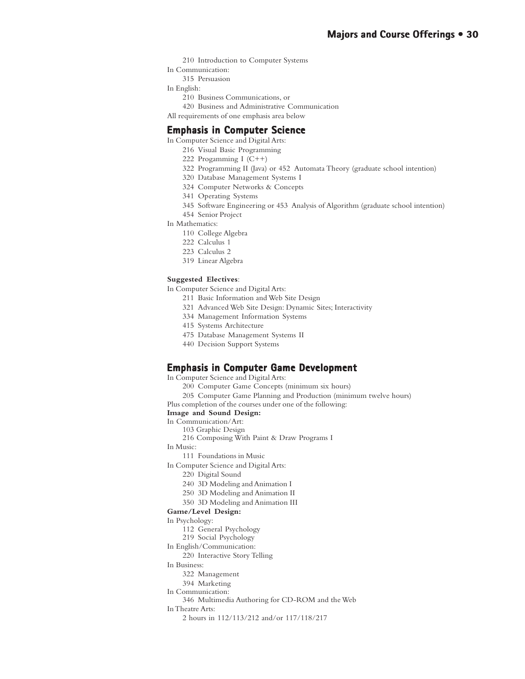- 210 Introduction to Computer Systems
- In Communication:
- 315 Persuasion

In English:

- 210 Business Communications, or
- 420 Business and Administrative Communication
- All requirements of one emphasis area below

### **Emphasis in Computer Science**

In Computer Science and Digital Arts:

- 216 Visual Basic Programming
- 222 Progamming I (C++)
- 322 Programming II (Java) or 452 Automata Theory (graduate school intention)
- 320 Database Management Systems I
- 324 Computer Networks & Concepts
- 341 Operating Systems
- 345 Software Engineering or 453 Analysis of Algorithm (graduate school intention)
- 454 Senior Project
- In Mathematics:
	- 110 College Algebra
	- 222 Calculus 1
	- 223 Calculus 2
	- 319 Linear Algebra

### **Suggested Electives**:

- In Computer Science and Digital Arts:
	- 211 Basic Information and Web Site Design
	- 321 Advanced Web Site Design: Dynamic Sites; Interactivity
	- 334 Management Information Systems
	- 415 Systems Architecture
	- 475 Database Management Systems II
	- 440 Decision Support Systems

### **Emphasis in Computer Game Development Emphasis in Computer Game**

- In Computer Science and Digital Arts:
	- 200 Computer Game Concepts (minimum six hours)
- 205 Computer Game Planning and Production (minimum twelve hours)
- Plus completion of the courses under one of the following:

### **Image and Sound Design:**

- In Communication/Art:
	- 103 Graphic Design
	- 216 Composing With Paint & Draw Programs I
- In Music:
	- 111 Foundations in Music
- In Computer Science and Digital Arts:
	- 220 Digital Sound
	- 240 3D Modeling and Animation I
	- 250 3D Modeling and Animation II
	- 350 3D Modeling and Animation III

### **Game/Level Design:**

- In Psychology:
	- 112 General Psychology
	- 219 Social Psychology
- In English/Communication:
	- 220 Interactive Story Telling
- In Business:
	- 322 Management
	- 394 Marketing
- In Communication:
	- 346 Multimedia Authoring for CD-ROM and the Web

In Theatre Arts:

2 hours in 112/113/212 and/or 117/118/217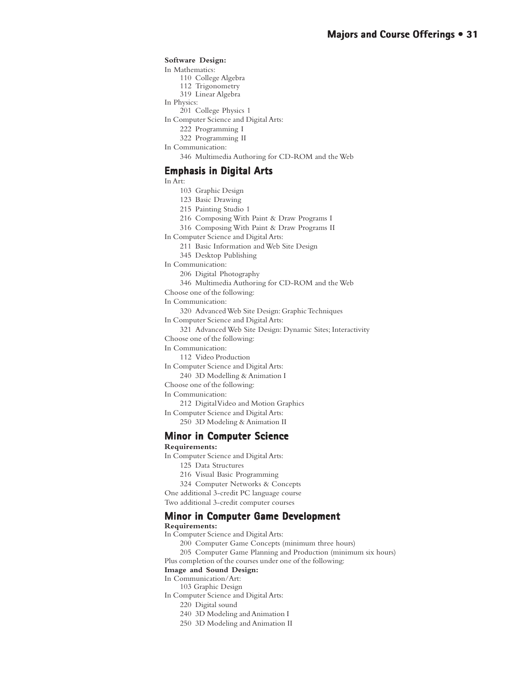### **Software Design:**

In Mathematics:

- 110 College Algebra
- 112 Trigonometry
- 319 Linear Algebra
- In Physics:
	- 201 College Physics 1
- In Computer Science and Digital Arts:
	- 222 Programming I
	- 322 Programming II
- In Communication:
	- 346 Multimedia Authoring for CD-ROM and the Web

### **Emphasis in Digital Arts Emphasis in Arts**

In Art:

- 103 Graphic Design
- 123 Basic Drawing
- 215 Painting Studio 1
- 216 Composing With Paint & Draw Programs I
- 316 Composing With Paint & Draw Programs II
- In Computer Science and Digital Arts:
	- 211 Basic Information and Web Site Design
	- 345 Desktop Publishing
- In Communication:
	- 206 Digital Photography
	- 346 Multimedia Authoring for CD-ROM and the Web
- Choose one of the following:

In Communication:

320 Advanced Web Site Design: Graphic Techniques

- In Computer Science and Digital Arts:
- 321 Advanced Web Site Design: Dynamic Sites; Interactivity Choose one of the following:
- In Communication:
	- 112 Video Production
- In Computer Science and Digital Arts:
	- 240 3D Modelling & Animation I
- Choose one of the following:
- In Communication:
- 212 Digital Video and Motion Graphics
- In Computer Science and Digital Arts: 250 3D Modeling & Animation II
- 

### **Minor in Computer Science**

### **Requirements:**

- In Computer Science and Digital Arts:
	- 125 Data Structures
	- 216 Visual Basic Programming
	- 324 Computer Networks & Concepts
- One additional 3-credit PC language course

Two additional 3-credit computer courses

### **Minor in Computer Game Development in Computer Development**

#### **Requirements:**

- In Computer Science and Digital Arts:
	- 200 Computer Game Concepts (minimum three hours)
- 205 Computer Game Planning and Production (minimum six hours)

Plus completion of the courses under one of the following:

#### **Image and Sound Design:**

- In Communication/Art:
	- 103 Graphic Design
- In Computer Science and Digital Arts:
	- 220 Digital sound
	- 240 3D Modeling and Animation I
	- 250 3D Modeling and Animation II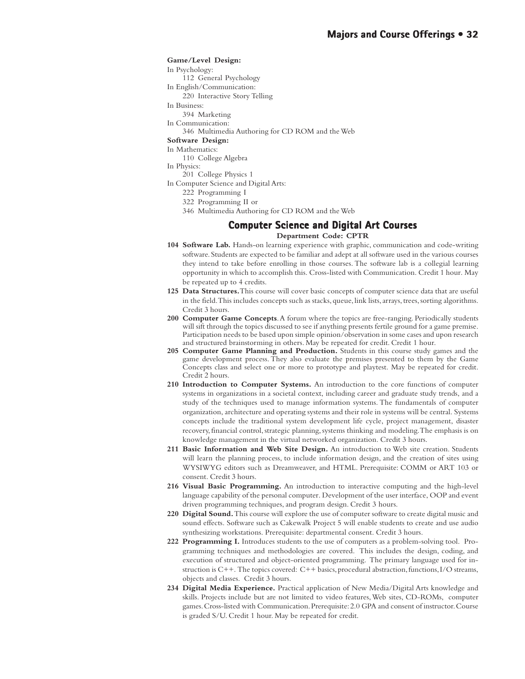#### **Game/Level Design:**

In Psychology:

- 112 General Psychology
- In English/Communication:
- 220 Interactive Story Telling

In Business:

- 394 Marketing
- In Communication:

346 Multimedia Authoring for CD ROM and the Web

**Software Design:**

In Mathematics:

110 College Algebra

- In Physics:
	- 201 College Physics 1
- In Computer Science and Digital Arts:
	- 222 Programming I
	- 322 Programming II or
	- 346 Multimedia Authoring for CD ROM and the Web

### **Computer Science and Digital Art Courses Department Code: CPTR**

- **104 Software Lab.** Hands-on learning experience with graphic, communication and code-writing software. Students are expected to be familiar and adept at all software used in the various courses they intend to take before enrolling in those courses. The software lab is a collegial learning opportunity in which to accomplish this. Cross-listed with Communication. Credit 1 hour. May be repeated up to 4 credits.
- **125 Data Structures.**This course will cover basic concepts of computer science data that are useful in the field. This includes concepts such as stacks, queue, link lists, arrays, trees, sorting algorithms. Credit 3 hours.
- **200 Computer Game Concepts**. A forum where the topics are free-ranging. Periodically students will sift through the topics discussed to see if anything presents fertile ground for a game premise. Participation needs to be based upon simple opinion/observation in some cases and upon research and structured brainstorming in others. May be repeated for credit. Credit 1 hour.
- **205 Computer Game Planning and Production.** Students in this course study games and the game development process. They also evaluate the premises presented to them by the Game Concepts class and select one or more to prototype and playtest. May be repeated for credit. Credit 2 hours.
- **210 Introduction to Computer Systems.** An introduction to the core functions of computer systems in organizations in a societal context, including career and graduate study trends, and a study of the techniques used to manage information systems. The fundamentals of computer organization, architecture and operating systems and their role in systems will be central. Systems concepts include the traditional system development life cycle, project management, disaster recovery, financial control, strategic planning, systems thinking and modeling. The emphasis is on knowledge management in the virtual networked organization. Credit 3 hours.
- **211 Basic Information and Web Site Design.** An introduction to Web site creation. Students will learn the planning process, to include information design, and the creation of sites using WYSIWYG editors such as Dreamweaver, and HTML. Prerequisite: COMM or ART 103 or consent. Credit 3 hours.
- **216 Visual Basic Programming.** An introduction to interactive computing and the high-level language capability of the personal computer. Development of the user interface, OOP and event driven programming techniques, and program design. Credit 3 hours.
- **220 Digital Sound.** This course will explore the use of computer software to create digital music and sound effects. Software such as Cakewalk Project 5 will enable students to create and use audio synthesizing workstations. Prerequisite: departmental consent. Credit 3 hours.
- **222 Programming I.** Introduces students to the use of computers as a problem-solving tool. Programming techniques and methodologies are covered. This includes the design, coding, and execution of structured and object-oriented programming. The primary language used for instruction is C++. The topics covered: C++ basics, procedural abstraction, functions, I/O streams, objects and classes. Credit 3 hours.
- **234 Digital Media Experience.** Practical application of New Media/Digital Arts knowledge and skills. Projects include but are not limited to video features, Web sites, CD-ROMs, computer games. Cross-listed with Communication. Prerequisite: 2.0 GPA and consent of instructor. Course is graded S/U. Credit 1 hour. May be repeated for credit.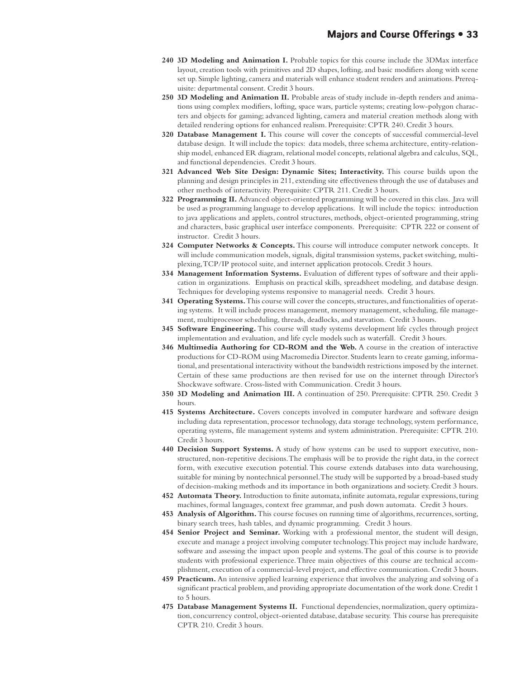- **240 3D Modeling and Animation I.** Probable topics for this course include the 3DMax interface layout, creation tools with primitives and 2D shapes, lofting, and basic modifiers along with scene set up. Simple lighting, camera and materials will enhance student renders and animations. Prerequisite: departmental consent. Credit 3 hours.
- **250 3D Modeling and Animation II.** Probable areas of study include in-depth renders and animations using complex modifiers, lofting, space wars, particle systems; creating low-polygon characters and objects for gaming; advanced lighting, camera and material creation methods along with detailed rendering options for enhanced realism. Prerequisite: CPTR 240. Credit 3 hours.
- **320 Database Management I.** This course will cover the concepts of successful commercial-level database design. It will include the topics: data models, three schema architecture, entity-relationship model, enhanced ER diagram, relational model concepts, relational algebra and calculus, SQL, and functional dependencies. Credit 3 hours.
- **321 Advanced Web Site Design: Dynamic Sites; Interactivity.** This course builds upon the planning and design principles in 211, extending site effectiveness through the use of databases and other methods of interactivity. Prerequisite: CPTR 211. Credit 3 hours.
- **322 Programming II.** Advanced object-oriented programming will be covered in this class. Java will be used as programming language to develop applications. It will include the topics: introduction to java applications and applets, control structures, methods, object-oriented programming, string and characters, basic graphical user interface components. Prerequisite: CPTR 222 or consent of instructor. Credit 3 hours.
- **324 Computer Networks & Concepts.** This course will introduce computer network concepts. It will include communication models, signals, digital transmission systems, packet switching, multiplexing, TCP/IP protocol suite, and internet application protocols. Credit 3 hours.
- **334 Management Information Systems.** Evaluation of different types of software and their application in organizations. Emphasis on practical skills, spreadsheet modeling, and database design. Techniques for developing systems responsive to managerial needs. Credit 3 hours.
- **341 Operating Systems.** This course will cover the concepts, structures, and functionalities of operating systems. It will include process management, memory management, scheduling, file management, multiprocessor scheduling, threads, deadlocks, and starvation. Credit 3 hours.
- **345 Software Engineering.** This course will study systems development life cycles through project implementation and evaluation, and life cycle models such as waterfall. Credit 3 hours.
- **346 Multimedia Authoring for CD-ROM and the Web.** A course in the creation of interactive productions for CD-ROM using Macromedia Director. Students learn to create gaming, informational, and presentational interactivity without the bandwidth restrictions imposed by the internet. Certain of these same productions are then revised for use on the internet through Director's Shockwave software. Cross-listed with Communication. Credit 3 hours.
- **350 3D Modeling and Animation III.** A continuation of 250. Prerequisite: CPTR 250. Credit 3 hours.
- **415 Systems Architecture.** Covers concepts involved in computer hardware and software design including data representation, processor technology, data storage technology, system performance, operating systems, file management systems and system administration. Prerequisite: CPTR 210. Credit 3 hours.
- **440 Decision Support Systems.** A study of how systems can be used to support executive, nonstructured, non-repetitive decisions. The emphasis will be to provide the right data, in the correct form, with executive execution potential. This course extends databases into data warehousing, suitable for mining by nontechnical personnel. The study will be supported by a broad-based study of decision-making methods and its importance in both organizations and society. Credit 3 hours.
- **452 Automata Theory.** Introduction to finite automata, infinite automata, regular expressions, turing machines, formal languages, context free grammar, and push down automata. Credit 3 hours.
- **453 Analysis of Algorithm.** This course focuses on running time of algorithms, recurrences, sorting, binary search trees, hash tables, and dynamic programming. Credit 3 hours.
- **454 Senior Project and Seminar.** Working with a professional mentor, the student will design, execute and manage a project involving computer technology. This project may include hardware, software and assessing the impact upon people and systems. The goal of this course is to provide students with professional experience. Three main objectives of this course are technical accomplishment, execution of a commercial-level project, and effective communication. Credit 3 hours.
- **459 Practicum.** An intensive applied learning experience that involves the analyzing and solving of a significant practical problem, and providing appropriate documentation of the work done. Credit 1 to 5 hours.
- **475 Database Management Systems II.** Functional dependencies, normalization, query optimization, concurrency control, object-oriented database, database security. This course has prerequisite CPTR 210. Credit 3 hours.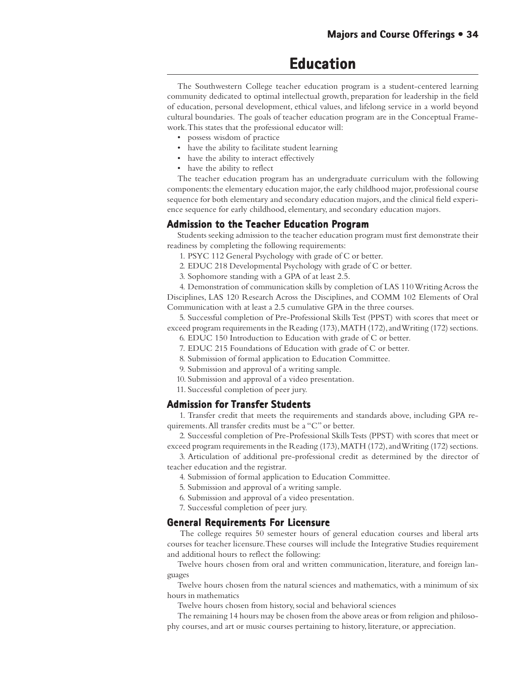### **Education**

The Southwestern College teacher education program is a student-centered learning community dedicated to optimal intellectual growth, preparation for leadership in the field of education, personal development, ethical values, and lifelong service in a world beyond cultural boundaries. The goals of teacher education program are in the Conceptual Framework. This states that the professional educator will:

- possess wisdom of practice
- have the ability to facilitate student learning
- have the ability to interact effectively
- have the ability to reflect

The teacher education program has an undergraduate curriculum with the following components: the elementary education major, the early childhood major, professional course sequence for both elementary and secondary education majors, and the clinical field experience sequence for early childhood, elementary, and secondary education majors.

### **Admission to the Teacher Education Program**

Students seeking admission to the teacher education program must first demonstrate their readiness by completing the following requirements:

- 1. PSYC 112 General Psychology with grade of C or better.
- 2. EDUC 218 Developmental Psychology with grade of C or better.
- 3. Sophomore standing with a GPA of at least 2.5.

4. Demonstration of communication skills by completion of LAS 110 Writing Across the Disciplines, LAS 120 Research Across the Disciplines, and COMM 102 Elements of Oral Communication with at least a 2.5 cumulative GPA in the three courses.

5. Successful completion of Pre-Professional Skills Test (PPST) with scores that meet or exceed program requirements in the Reading (173), MATH (172), and Writing (172) sections.

- 6. EDUC 150 Introduction to Education with grade of C or better.
- 7. EDUC 215 Foundations of Education with grade of C or better.
- 8. Submission of formal application to Education Committee.
- 9. Submission and approval of a writing sample.
- 10. Submission and approval of a video presentation.
- 11. Successful completion of peer jury.

### **Admission for Transfer Students Admission Transfer Students**

1. Transfer credit that meets the requirements and standards above, including GPA requirements. All transfer credits must be a "C" or better.

2. Successful completion of Pre-Professional Skills Tests (PPST) with scores that meet or exceed program requirements in the Reading (173), MATH (172), and Writing (172) sections.

3. Articulation of additional pre-professional credit as determined by the director of teacher education and the registrar.

- 4. Submission of formal application to Education Committee.
- 5. Submission and approval of a writing sample.
- 6. Submission and approval of a video presentation.
- 7. Successful completion of peer jury.

### **General Requirements For Licensure**

 The college requires 50 semester hours of general education courses and liberal arts courses for teacher licensure. These courses will include the Integrative Studies requirement and additional hours to reflect the following:

Twelve hours chosen from oral and written communication, literature, and foreign languages

Twelve hours chosen from the natural sciences and mathematics, with a minimum of six hours in mathematics

Twelve hours chosen from history, social and behavioral sciences

The remaining 14 hours may be chosen from the above areas or from religion and philosophy courses, and art or music courses pertaining to history, literature, or appreciation.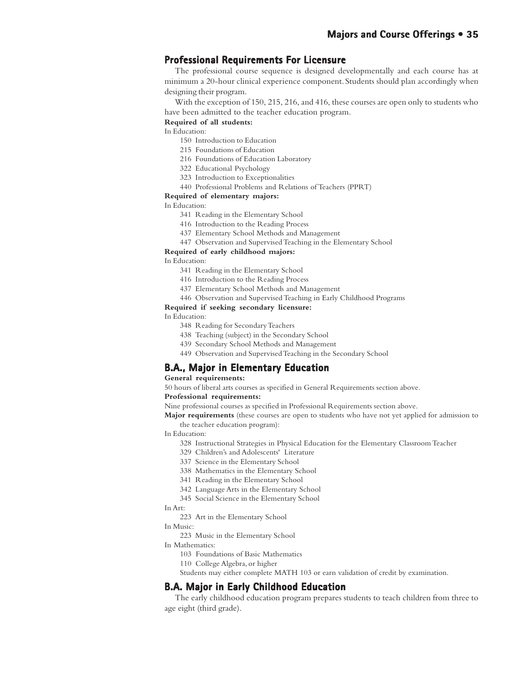### **Professional Requirements For Licensure**

The professional course sequence is designed developmentally and each course has at minimum a 20-hour clinical experience component. Students should plan accordingly when designing their program.

With the exception of 150, 215, 216, and 416, these courses are open only to students who have been admitted to the teacher education program.

### **Required of all students:**

In Education:

- 150 Introduction to Education
- 215 Foundations of Education
- 216 Foundations of Education Laboratory
- 322 Educational Psychology
- 323 Introduction to Exceptionalities
- 440 Professional Problems and Relations of Teachers (PPRT)

### **Required of elementary majors:**

In Education:

- 341 Reading in the Elementary School
- 416 Introduction to the Reading Process
- 437 Elementary School Methods and Management
- 447 Observation and Supervised Teaching in the Elementary School

#### **Required of early childhood majors:**

In Education:

- 341 Reading in the Elementary School
- 416 Introduction to the Reading Process
- 437 Elementary School Methods and Management
- 446 Observation and Supervised Teaching in Early Childhood Programs

#### **Required if seeking secondary licensure:**

In Education:

- 348 Reading for Secondary Teachers
- 438 Teaching (subject) in the Secondary School
- 439 Secondary School Methods and Management
- 449 Observation and Supervised Teaching in the Secondary School

### **B.A., Major in Elementary Education**

### **General requirements:**

50 hours of liberal arts courses as specified in General Requirements section above.

### **Professional requirements:**

Nine professional courses as specified in Professional Requirements section above.

**Major requirements** (these courses are open to students who have not yet applied for admission to the teacher education program):

- In Education:
	- 328 Instructional Strategies in Physical Education for the Elementary Classroom Teacher
	- 329 Children's and Adolescents' Literature
	- 337 Science in the Elementary School
	- 338 Mathematics in the Elementary School
	- 341 Reading in the Elementary School
	- 342 Language Arts in the Elementary School
	- 345 Social Science in the Elementary School

### In Art:

- 223 Art in the Elementary School
- In Music:
	- 223 Music in the Elementary School
- In Mathematics:
	- 103 Foundations of Basic Mathematics
	- 110 College Algebra, or higher

Students may either complete MATH 103 or earn validation of credit by examination.

### **B.A. Major in Early Childhood Education**

The early childhood education program prepares students to teach children from three to age eight (third grade).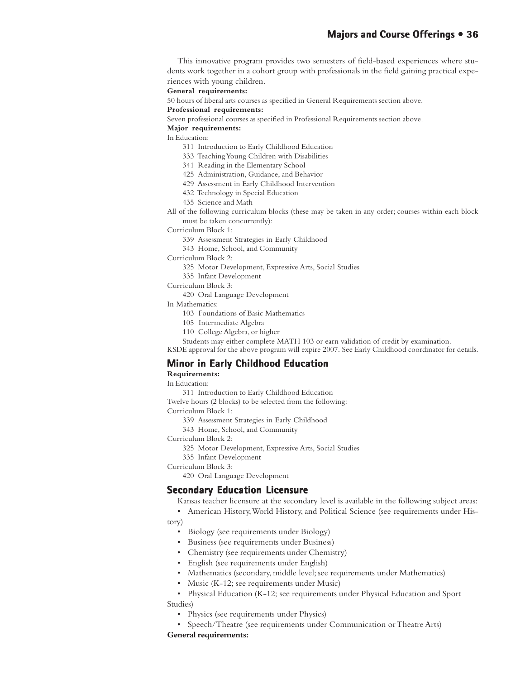This innovative program provides two semesters of field-based experiences where students work together in a cohort group with professionals in the field gaining practical experiences with young children.

**General requirements:**

50 hours of liberal arts courses as specified in General Requirements section above.

**Professional requirements:**

Seven professional courses as specified in Professional Requirements section above.

**Major requirements:**

In Education:

- 311 Introduction to Early Childhood Education
- 333 Teaching Young Children with Disabilities
- 341 Reading in the Elementary School
- 425 Administration, Guidance, and Behavior
- 429 Assessment in Early Childhood Intervention
- 432 Technology in Special Education
- 435 Science and Math
- All of the following curriculum blocks (these may be taken in any order; courses within each block must be taken concurrently):

Curriculum Block 1:

- 339 Assessment Strategies in Early Childhood
- 343 Home, School, and Community

Curriculum Block 2:

- 325 Motor Development, Expressive Arts, Social Studies
- 335 Infant Development
- Curriculum Block 3:
	- 420 Oral Language Development

In Mathematics:

- 103 Foundations of Basic Mathematics
- 105 Intermediate Algebra
- 110 College Algebra, or higher

Students may either complete MATH 103 or earn validation of credit by examination.

KSDE approval for the above program will expire 2007. See Early Childhood coordinator for details.

### **Minor in Early Childhood Education**

### **Requirements:**

In Education:

311 Introduction to Early Childhood Education

Twelve hours (2 blocks) to be selected from the following:

Curriculum Block 1:

- 339 Assessment Strategies in Early Childhood
- 343 Home, School, and Community

Curriculum Block 2:

- 325 Motor Development, Expressive Arts, Social Studies
- 335 Infant Development

Curriculum Block 3:

420 Oral Language Development

### **Secondary Education Licensure**

Kansas teacher licensure at the secondary level is available in the following subject areas:

• American History, World History, and Political Science (see requirements under His-

### tory)

- Biology (see requirements under Biology)
- Business (see requirements under Business)
- Chemistry (see requirements under Chemistry)
- English (see requirements under English)
- Mathematics (secondary, middle level; see requirements under Mathematics)
- Music (K-12; see requirements under Music)
- Physical Education (K-12; see requirements under Physical Education and Sport Studies)
	- Physics (see requirements under Physics)
	- Speech/Theatre (see requirements under Communication or Theatre Arts)

### **General requirements:**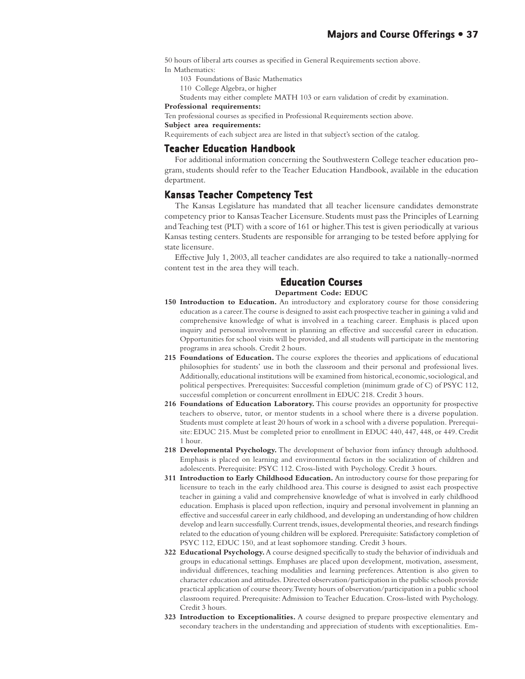50 hours of liberal arts courses as specified in General Requirements section above.

- In Mathematics:
	- 103 Foundations of Basic Mathematics
	- 110 College Algebra, or higher

Students may either complete MATH 103 or earn validation of credit by examination.

#### **Professional requirements:**

Ten professional courses as specified in Professional Requirements section above.

**Subject area requirements:**

Requirements of each subject area are listed in that subject's section of the catalog.

# **Teacher Education Handbook**

For additional information concerning the Southwestern College teacher education program, students should refer to the Teacher Education Handbook, available in the education department.

## **Kansas Teacher Competency Test Teacher Test**

The Kansas Legislature has mandated that all teacher licensure candidates demonstrate competency prior to Kansas Teacher Licensure. Students must pass the Principles of Learning and Teaching test (PLT) with a score of 161 or higher. This test is given periodically at various Kansas testing centers. Students are responsible for arranging to be tested before applying for state licensure.

Effective July 1, 2003, all teacher candidates are also required to take a nationally-normed content test in the area they will teach.

# **Education Courses Education Courses**

#### **Department Code: EDUC**

- **150 Introduction to Education.** An introductory and exploratory course for those considering education as a career. The course is designed to assist each prospective teacher in gaining a valid and comprehensive knowledge of what is involved in a teaching career. Emphasis is placed upon inquiry and personal involvement in planning an effective and successful career in education. Opportunities for school visits will be provided, and all students will participate in the mentoring programs in area schools. Credit 2 hours.
- **215 Foundations of Education.** The course explores the theories and applications of educational philosophies for students' use in both the classroom and their personal and professional lives. Additionally, educational institutions will be examined from historical, economic, sociological, and political perspectives. Prerequisites: Successful completion (minimum grade of C) of PSYC 112, successful completion or concurrent enrollment in EDUC 218. Credit 3 hours.
- **216 Foundations of Education Laboratory.** This course provides an opportunity for prospective teachers to observe, tutor, or mentor students in a school where there is a diverse population. Students must complete at least 20 hours of work in a school with a diverse population. Prerequisite: EDUC 215. Must be completed prior to enrollment in EDUC 440, 447, 448, or 449. Credit 1 hour.
- **218 Developmental Psychology.** The development of behavior from infancy through adulthood. Emphasis is placed on learning and environmental factors in the socialization of children and adolescents. Prerequisite: PSYC 112. Cross-listed with Psychology. Credit 3 hours.
- **311 Introduction to Early Childhood Education.** An introductory course for those preparing for licensure to teach in the early childhood area. This course is designed to assist each prospective teacher in gaining a valid and comprehensive knowledge of what is involved in early childhood education. Emphasis is placed upon reflection, inquiry and personal involvement in planning an effective and successful career in early childhood, and developing an understanding of how children develop and learn successfully. Current trends, issues, developmental theories, and research findings related to the education of young children will be explored. Prerequisite: Satisfactory completion of PSYC 112, EDUC 150, and at least sophomore standing. Credit 3 hours.
- **322 Educational Psychology.** A course designed specifically to study the behavior of individuals and groups in educational settings. Emphases are placed upon development, motivation, assessment, individual differences, teaching modalities and learning preferences. Attention is also given to character education and attitudes. Directed observation/participation in the public schools provide practical application of course theory. Twenty hours of observation/participation in a public school classroom required. Prerequisite: Admission to Teacher Education. Cross-listed with Psychology. Credit 3 hours.
- **323 Introduction to Exceptionalities.** A course designed to prepare prospective elementary and secondary teachers in the understanding and appreciation of students with exceptionalities. Em-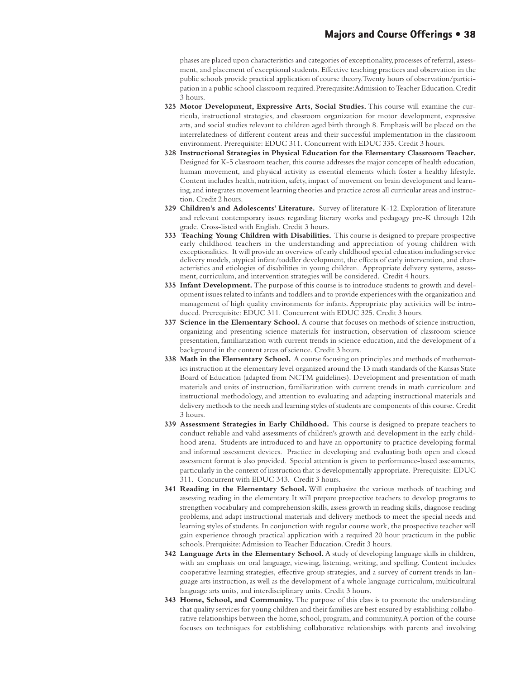phases are placed upon characteristics and categories of exceptionality, processes of referral, assessment, and placement of exceptional students. Effective teaching practices and observation in the public schools provide practical application of course theory. Twenty hours of observation/participation in a public school classroom required. Prerequisite: Admission to Teacher Education. Credit 3 hours.

- **325 Motor Development, Expressive Arts, Social Studies.** This course will examine the curricula, instructional strategies, and classroom organization for motor development, expressive arts, and social studies relevant to children aged birth through 8. Emphasis will be placed on the interrelatedness of different content areas and their successful implementation in the classroom environment. Prerequisite: EDUC 311. Concurrent with EDUC 335. Credit 3 hours.
- **328 Instructional Strategies in Physical Education for the Elementary Classroom Teacher.** Designed for K-5 classroom teacher, this course addresses the major concepts of health education, human movement, and physical activity as essential elements which foster a healthy lifestyle. Content includes health, nutrition, safety, impact of movement on brain development and learning, and integrates movement learning theories and practice across all curricular areas and instruction. Credit 2 hours.
- **329 Children's and Adolescents' Literature.** Survey of literature K-12. Exploration of literature and relevant contemporary issues regarding literary works and pedagogy pre-K through 12th grade. Cross-listed with English. Credit 3 hours.
- **333 Teaching Young Children with Disabilities.** This course is designed to prepare prospective early childhood teachers in the understanding and appreciation of young children with exceptionalities. It will provide an overview of early childhood special education including service delivery models, atypical infant/toddler development, the effects of early intervention, and characteristics and etiologies of disabilities in young children. Appropriate delivery systems, assessment, curriculum, and intervention strategies will be considered. Credit 4 hours.
- **335 Infant Development.** The purpose of this course is to introduce students to growth and development issues related to infants and toddlers and to provide experiences with the organization and management of high quality environments for infants. Appropriate play activities will be introduced. Prerequisite: EDUC 311. Concurrent with EDUC 325. Credit 3 hours.
- **337 Science in the Elementary School.** A course that focuses on methods of science instruction, organizing and presenting science materials for instruction, observation of classroom science presentation, familiarization with current trends in science education, and the development of a background in the content areas of science. Credit 3 hours.
- **338 Math in the Elementary School.** A course focusing on principles and methods of mathematics instruction at the elementary level organized around the 13 math standards of the Kansas State Board of Education (adapted from NCTM guidelines). Development and presentation of math materials and units of instruction, familiarization with current trends in math curriculum and instructional methodology, and attention to evaluating and adapting instructional materials and delivery methods to the needs and learning styles of students are components of this course. Credit 3 hours.
- **339 Assessment Strategies in Early Childhood.** This course is designed to prepare teachers to conduct reliable and valid assessments of children's growth and development in the early childhood arena. Students are introduced to and have an opportunity to practice developing formal and informal assessment devices. Practice in developing and evaluating both open and closed assessment format is also provided. Special attention is given to performance-based assessments, particularly in the context of instruction that is developmentally appropriate. Prerequisite: EDUC 311. Concurrent with EDUC 343. Credit 3 hours.
- **341 Reading in the Elementary School.** Will emphasize the various methods of teaching and assessing reading in the elementary. It will prepare prospective teachers to develop programs to strengthen vocabulary and comprehension skills, assess growth in reading skills, diagnose reading problems, and adapt instructional materials and delivery methods to meet the special needs and learning styles of students. In conjunction with regular course work, the prospective teacher will gain experience through practical application with a required 20 hour practicum in the public schools. Prerquisite: Admission to Teacher Education. Credit 3 hours.
- **342 Language Arts in the Elementary School.** A study of developing language skills in children, with an emphasis on oral language, viewing, listening, writing, and spelling. Content includes cooperative learning strategies, effective group strategies, and a survey of current trends in language arts instruction, as well as the development of a whole language curriculum, multicultural language arts units, and interdisciplinary units. Credit 3 hours.
- **343 Home, School, and Community.** The purpose of this class is to promote the understanding that quality services for young children and their families are best ensured by establishing collaborative relationships between the home, school, program, and community. A portion of the course focuses on techniques for establishing collaborative relationships with parents and involving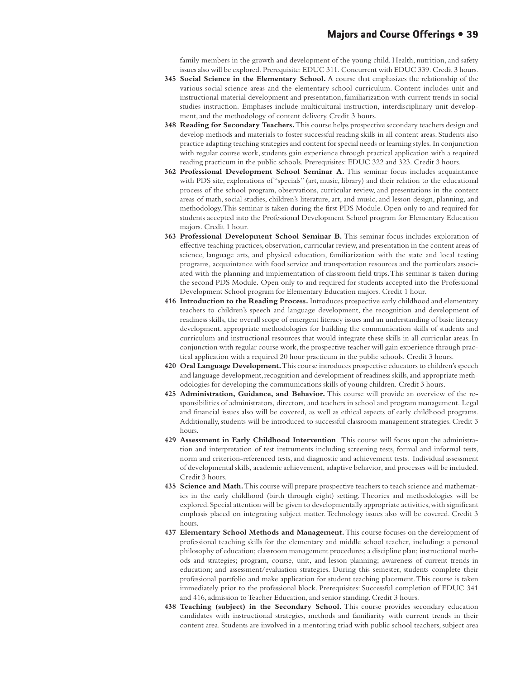family members in the growth and development of the young child. Health, nutrition, and safety issues also will be explored. Prerequisite: EDUC 311. Concurrent with EDUC 339. Credit 3 hours.

- **345 Social Science in the Elementary School.** A course that emphasizes the relationship of the various social science areas and the elementary school curriculum. Content includes unit and instructional material development and presentation, familiarization with current trends in social studies instruction. Emphases include multicultural instruction, interdisciplinary unit development, and the methodology of content delivery. Credit 3 hours.
- **348 Reading for Secondary Teachers.** This course helps prospective secondary teachers design and develop methods and materials to foster successful reading skills in all content areas. Students also practice adapting teaching strategies and content for special needs or learning styles. In conjunction with regular course work, students gain experience through practical application with a required reading practicum in the public schools. Prerequisites: EDUC 322 and 323. Credit 3 hours.
- **362 Professional Development School Seminar A.** This seminar focus includes acquaintance with PDS site, explorations of "specials" (art, music, library) and their relation to the educational process of the school program, observations, curricular review, and presentations in the content areas of math, social studies, children's literature, art, and music, and lesson design, planning, and methodology. This seminar is taken during the first PDS Module. Open only to and required for students accepted into the Professional Development School program for Elementary Education majors. Credit 1 hour.
- **363 Professional Development School Seminar B.** This seminar focus includes exploration of effective teaching practices, observation, curricular review, and presentation in the content areas of science, language arts, and physical education, familiarization with the state and local testing programs, acquaintance with food service and transportation resources and the particulars associated with the planning and implementation of classroom field trips. This seminar is taken during the second PDS Module. Open only to and required for students accepted into the Professional Development School program for Elementary Education majors. Credit 1 hour.
- **416 Introduction to the Reading Process.** Introduces prospective early childhood and elementary teachers to children's speech and language development, the recognition and development of readiness skills, the overall scope of emergent literacy issues and an understanding of basic literacy development, appropriate methodologies for building the communication skills of students and curriculum and instructional resources that would integrate these skills in all curricular areas. In conjunction with regular course work, the prospective teacher will gain experience through practical application with a required 20 hour practicum in the public schools. Credit 3 hours.
- **420 Oral Language Development.** This course introduces prospective educators to children's speech and language development, recognition and development of readiness skills, and appropriate methodologies for developing the communications skills of young children. Credit 3 hours.
- **425 Administration, Guidance, and Behavior.** This course will provide an overview of the responsibilities of administrators, directors, and teachers in school and program management. Legal and financial issues also will be covered, as well as ethical aspects of early childhood programs. Additionally, students will be introduced to successful classroom management strategies. Credit 3 hours.
- **429 Assessment in Early Childhood Intervention**. This course will focus upon the administration and interpretation of test instruments including screening tests, formal and informal tests, norm and criterion-referenced tests, and diagnostic and achievement tests. Individual assessment of developmental skills, academic achievement, adaptive behavior, and processes will be included. Credit 3 hours.
- **435 Science and Math.** This course will prepare prospective teachers to teach science and mathematics in the early childhood (birth through eight) setting. Theories and methodologies will be explored. Special attention will be given to developmentally appropriate activities, with significant emphasis placed on integrating subject matter. Technology issues also will be covered. Credit 3 hours.
- **437 Elementary School Methods and Management.** This course focuses on the development of professional teaching skills for the elementary and middle school teacher, including: a personal philosophy of education; classroom management procedures; a discipline plan; instructional methods and strategies; program, course, unit, and lesson planning; awareness of current trends in education; and assessment/evaluation strategies. During this semester, students complete their professional portfolio and make application for student teaching placement. This course is taken immediately prior to the professional block. Prerequisites: Successful completion of EDUC 341 and 416, admission to Teacher Education, and senior standing. Credit 3 hours.
- **438 Teaching (subject) in the Secondary School.** This course provides secondary education candidates with instructional strategies, methods and familiarity with current trends in their content area. Students are involved in a mentoring triad with public school teachers, subject area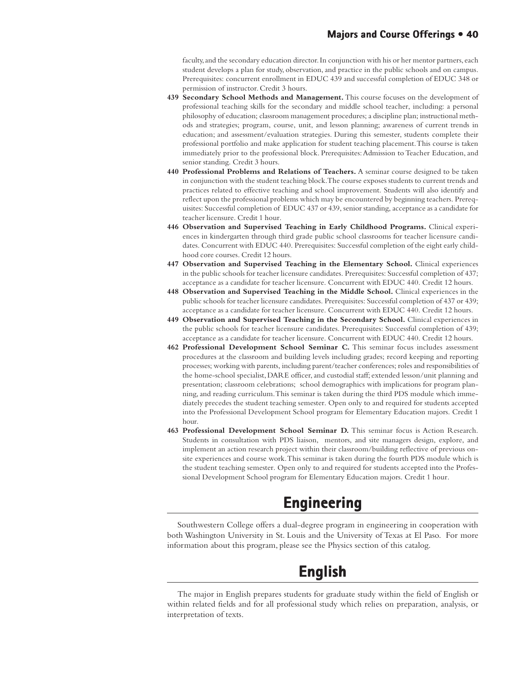faculty, and the secondary education director. In conjunction with his or her mentor partners, each student develops a plan for study, observation, and practice in the public schools and on campus. Prerequisites: concurrent enrollment in EDUC 439 and successful completion of EDUC 348 or permission of instructor. Credit 3 hours.

- **439 Secondary School Methods and Management.** This course focuses on the development of professional teaching skills for the secondary and middle school teacher, including: a personal philosophy of education; classroom management procedures; a discipline plan; instructional methods and strategies; program, course, unit, and lesson planning; awareness of current trends in education; and assessment/evaluation strategies. During this semester, students complete their professional portfolio and make application for student teaching placement. This course is taken immediately prior to the professional block. Prerequisites: Admission to Teacher Education, and senior standing. Credit 3 hours.
- **440 Professional Problems and Relations of Teachers.** A seminar course designed to be taken in conjunction with the student teaching block. The course exposes students to current trends and practices related to effective teaching and school improvement. Students will also identify and reflect upon the professional problems which may be encountered by beginning teachers. Prerequisites: Successful completion of EDUC 437 or 439, senior standing, acceptance as a candidate for teacher licensure. Credit 1 hour.
- **446 Observation and Supervised Teaching in Early Childhood Programs.** Clinical experiences in kindergarten through third grade public school classrooms for teacher licensure candidates. Concurrent with EDUC 440. Prerequisites: Successful completion of the eight early childhood core courses. Credit 12 hours.
- **447 Observation and Supervised Teaching in the Elementary School.** Clinical experiences in the public schools for teacher licensure candidates. Prerequisites: Successful completion of 437; acceptance as a candidate for teacher licensure. Concurrent with EDUC 440. Credit 12 hours.
- **448 Observation and Supervised Teaching in the Middle School.** Clinical experiences in the public schools for teacher licensure candidates. Prerequisites: Successful completion of 437 or 439; acceptance as a candidate for teacher licensure. Concurrent with EDUC 440. Credit 12 hours.
- **449 Observation and Supervised Teaching in the Secondary School.** Clinical experiences in the public schools for teacher licensure candidates. Prerequisites: Successful completion of 439; acceptance as a candidate for teacher licensure. Concurrent with EDUC 440. Credit 12 hours.
- **462 Professional Development School Seminar C.** This seminar focus includes assessment procedures at the classroom and building levels including grades; record keeping and reporting processes; working with parents, including parent/teacher conferences; roles and responsibilities of the home-school specialist, DARE officer, and custodial staff; extended lesson/unit planning and presentation; classroom celebrations; school demographics with implications for program planning, and reading curriculum. This seminar is taken during the third PDS module which immediately precedes the student teaching semester. Open only to and required for students accepted into the Professional Development School program for Elementary Education majors. Credit 1 hour.
- **463 Professional Development School Seminar D.** This seminar focus is Action Research. Students in consultation with PDS liaison, mentors, and site managers design, explore, and implement an action research project within their classroom/building reflective of previous onsite experiences and course work. This seminar is taken during the fourth PDS module which is the student teaching semester. Open only to and required for students accepted into the Professional Development School program for Elementary Education majors. Credit 1 hour.

# **Engineering Engineering**

Southwestern College offers a dual-degree program in engineering in cooperation with both Washington University in St. Louis and the University of Texas at El Paso. For more information about this program, please see the Physics section of this catalog.

# **English English**

The major in English prepares students for graduate study within the field of English or within related fields and for all professional study which relies on preparation, analysis, or interpretation of texts.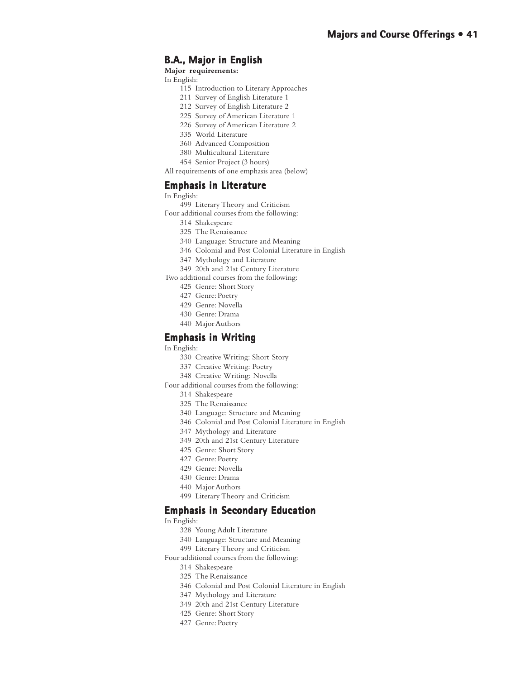# **B.A., Major in English**

**Major requirements:**

In English:

- 115 Introduction to Literary Approaches
- 211 Survey of English Literature 1
- 212 Survey of English Literature 2
- 225 Survey of American Literature 1
- 226 Survey of American Literature 2
- 335 World Literature
- 360 Advanced Composition
- 380 Multicultural Literature
- 454 Senior Project (3 hours)
- All requirements of one emphasis area (below)

## **Emphasis in Literature**

In English:

- 499 Literary Theory and Criticism
- Four additional courses from the following:
	- 314 Shakespeare
	- 325 The Renaissance
	- 340 Language: Structure and Meaning
	- 346 Colonial and Post Colonial Literature in English
	- 347 Mythology and Literature
	- 349 20th and 21st Century Literature
- Two additional courses from the following:
	- 425 Genre: Short Story
	- 427 Genre: Poetry
	- 429 Genre: Novella
	- 430 Genre: Drama
	- 440 Major Authors

#### **Emphasis in Writing**

#### In English:

- 330 Creative Writing: Short Story
- 337 Creative Writing: Poetry
- 348 Creative Writing: Novella
- Four additional courses from the following:
	- 314 Shakespeare
	- 325 The Renaissance
	- 340 Language: Structure and Meaning
	- 346 Colonial and Post Colonial Literature in English
	- 347 Mythology and Literature
	- 349 20th and 21st Century Literature
	- 425 Genre: Short Story
	- 427 Genre: Poetry
	- 429 Genre: Novella
	- 430 Genre: Drama
	- 440 Major Authors
	- 499 Literary Theory and Criticism

#### **Emphasis in Secondary Education**

### In English:

- 328 Young Adult Literature
- 340 Language: Structure and Meaning
- 499 Literary Theory and Criticism
- Four additional courses from the following:
	- 314 Shakespeare
	- 325 The Renaissance
	- 346 Colonial and Post Colonial Literature in English
	- 347 Mythology and Literature
	- 349 20th and 21st Century Literature
	- 425 Genre: Short Story
	- 427 Genre: Poetry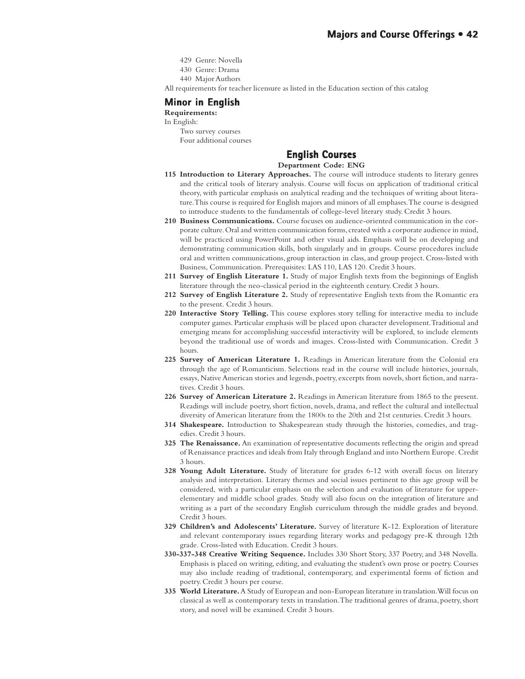- 429 Genre: Novella
- 430 Genre: Drama
- 440 Major Authors

All requirements for teacher licensure as listed in the Education section of this catalog

# **Minor in English**

# **Requirements:**

- In English:
	- Two survey courses Four additional courses

# **English Courses English Courses**

### **Department Code: ENG**

- **115 Introduction to Literary Approaches.** The course will introduce students to literary genres and the critical tools of literary analysis. Course will focus on application of traditional critical theory, with particular emphasis on analytical reading and the techniques of writing about literature. This course is required for English majors and minors of all emphases. The course is designed to introduce students to the fundamentals of college-level literary study. Credit 3 hours.
- **210 Business Communications.** Course focuses on audience-oriented communication in the corporate culture. Oral and written communication forms, created with a corporate audience in mind, will be practiced using PowerPoint and other visual aids. Emphasis will be on developing and demonstrating communication skills, both singularly and in groups. Course procedures include oral and written communications, group interaction in class, and group project. Cross-listed with Business, Communication. Prerequisites: LAS 110, LAS 120. Credit 3 hours.
- **211 Survey of English Literature 1.** Study of major English texts from the beginnings of English literature through the neo-classical period in the eighteenth century. Credit 3 hours.
- **212 Survey of English Literature 2.** Study of representative English texts from the Romantic era to the present. Credit 3 hours.
- **220 Interactive Story Telling.** This course explores story telling for interactive media to include computer games. Particular emphasis will be placed upon character development. Traditional and emerging means for accomplishing successful interactivity will be explored, to include elements beyond the traditional use of words and images. Cross-listed with Communication. Credit 3 hours.
- **225 Survey of American Literature 1.** Readings in American literature from the Colonial era through the age of Romanticism. Selections read in the course will include histories, journals, essays, Native American stories and legends, poetry, excerpts from novels, short fiction, and narratives. Credit 3 hours.
- **226 Survey of American Literature 2.** Readings in American literature from 1865 to the present. Readings will include poetry, short fiction, novels, drama, and reflect the cultural and intellectual diversity of American literature from the 1800s to the 20th and 21st centuries. Credit 3 hours.
- **314 Shakespeare.** Introduction to Shakespearean study through the histories, comedies, and tragedies. Credit 3 hours.
- **325 The Renaissance.** An examination of representative documents reflecting the origin and spread of Renaissance practices and ideals from Italy through England and into Northern Europe. Credit 3 hours.
- **328 Young Adult Literature.** Study of literature for grades 6-12 with overall focus on literary analysis and interpretation. Literary themes and social issues pertinent to this age group will be considered, with a particular emphasis on the selection and evaluation of literature for upperelementary and middle school grades. Study will also focus on the integration of literature and writing as a part of the secondary English curriculum through the middle grades and beyond. Credit 3 hours.
- **329 Children's and Adolescents' Literature.** Survey of literature K-12. Exploration of literature and relevant contemporary issues regarding literary works and pedagogy pre-K through 12th grade. Cross-listed with Education. Credit 3 hours.
- **330-337-348 Creative Writing Sequence.** Includes 330 Short Story, 337 Poetry, and 348 Novella. Emphasis is placed on writing, editing, and evaluating the student's own prose or poetry. Courses may also include reading of traditional, contemporary, and experimental forms of fiction and poetry. Credit 3 hours per course.
- **335 World Literature.** A Study of European and non-European literature in translation. Will focus on classical as well as contemporary texts in translation. The traditional genres of drama, poetry, short story, and novel will be examined. Credit 3 hours.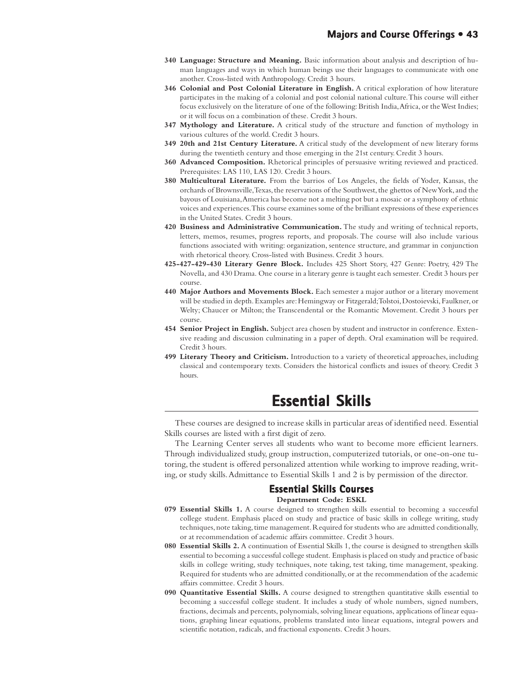- **340 Language: Structure and Meaning.** Basic information about analysis and description of human languages and ways in which human beings use their languages to communicate with one another. Cross-listed with Anthropology. Credit 3 hours.
- **346 Colonial and Post Colonial Literature in English.** A critical exploration of how literature participates in the making of a colonial and post colonial national culture. This course will either focus exclusively on the literature of one of the following: British India, Africa, or the West Indies; or it will focus on a combination of these. Credit 3 hours.
- **347 Mythology and Literature.** A critical study of the structure and function of mythology in various cultures of the world. Credit 3 hours.
- **349 20th and 21st Century Literature.** A critical study of the development of new literary forms during the twentieth century and those emerging in the 21st century. Credit 3 hours.
- **360 Advanced Composition.** Rhetorical principles of persuasive writing reviewed and practiced. Prerequisites: LAS 110, LAS 120. Credit 3 hours.
- **380 Multicultural Literature.** From the barrios of Los Angeles, the fields of Yoder, Kansas, the orchards of Brownsville, Texas, the reservations of the Southwest, the ghettos of New York, and the bayous of Louisiana, America has become not a melting pot but a mosaic or a symphony of ethnic voices and experiences. This course examines some of the brilliant expressions of these experiences in the United States. Credit 3 hours.
- **420 Business and Administrative Communication.** The study and writing of technical reports, letters, memos, resumes, progress reports, and proposals. The course will also include various functions associated with writing: organization, sentence structure, and grammar in conjunction with rhetorical theory. Cross-listed with Business. Credit 3 hours.
- **425-427-429-430 Literary Genre Block.** Includes 425 Short Story, 427 Genre: Poetry, 429 The Novella, and 430 Drama. One course in a literary genre is taught each semester. Credit 3 hours per course.
- **440 Major Authors and Movements Block.** Each semester a major author or a literary movement will be studied in depth. Examples are: Hemingway or Fitzgerald; Tolstoi, Dostoievski, Faulkner, or Welty; Chaucer or Milton; the Transcendental or the Romantic Movement. Credit 3 hours per course.
- **454 Senior Project in English.** Subject area chosen by student and instructor in conference. Extensive reading and discussion culminating in a paper of depth. Oral examination will be required. Credit 3 hours.
- **499 Literary Theory and Criticism.** Introduction to a variety of theoretical approaches, including classical and contemporary texts. Considers the historical conflicts and issues of theory. Credit 3 hours.

# **Essential Skills Essential Skills**

These courses are designed to increase skills in particular areas of identified need. Essential Skills courses are listed with a first digit of zero.

The Learning Center serves all students who want to become more efficient learners. Through individualized study, group instruction, computerized tutorials, or one-on-one tutoring, the student is offered personalized attention while working to improve reading, writing, or study skills. Admittance to Essential Skills 1 and 2 is by permission of the director.

## **Essential Skills Courses**

#### **Department Code: ESKL**

- **079 Essential Skills 1.** A course designed to strengthen skills essential to becoming a successful college student. Emphasis placed on study and practice of basic skills in college writing, study techniques, note taking, time management. Required for students who are admitted conditionally, or at recommendation of academic affairs committee. Credit 3 hours.
- **080 Essential Skills 2.** A continuation of Essential Skills 1, the course is designed to strengthen skills essential to becoming a successful college student. Emphasis is placed on study and practice of basic skills in college writing, study techniques, note taking, test taking, time management, speaking. Required for students who are admitted conditionally, or at the recommendation of the academic affairs committee. Credit 3 hours.
- **090 Quantitative Essential Skills.** A course designed to strengthen quantitative skills essential to becoming a successful college student. It includes a study of whole numbers, signed numbers, fractions, decimals and percents, polynomials, solving linear equations, applications of linear equations, graphing linear equations, problems translated into linear equations, integral powers and scientific notation, radicals, and fractional exponents. Credit 3 hours.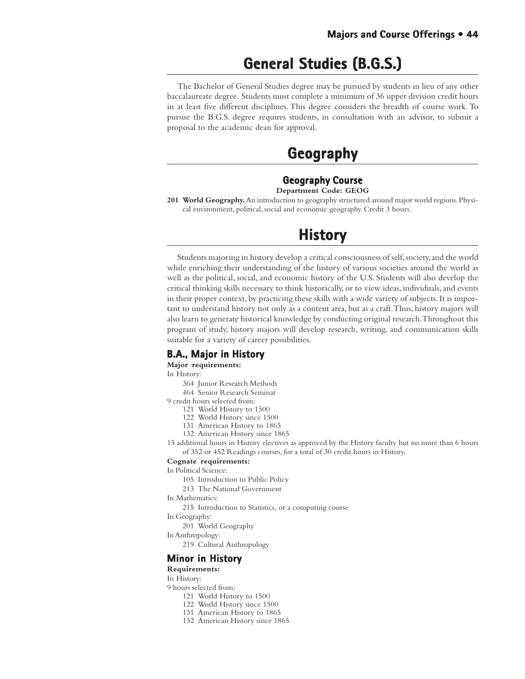# **General Studies (B.G.S.) General Studies (B.G.S.)**

The Bachelor of General Studies degree may be pursued by students in lieu of any other baccalaureate degree. Students must complete a minimum of 36 upper division credit hours in at least five different disciplines. This degree considers the breadth of course work. To pursue the B.G.S. degree requires students, in consultation with an advisor, to submit a proposal to the academic dean for approval.

# **Geography Geography**

#### **Geography Course Department Code: GEOG**

**201 World Geography.** An introduction to geography structured around major world regions. Physical environment, political, social and economic geography. Credit 3 hours.

# **History History**

Students majoring in history develop a critical consciousness of self, society, and the world while enriching their understanding of the history of various societies around the world as well as the political, social, and economic history of the U.S. Students will also develop the critical thinking skills necessary to think historically, or to view ideas, individuals, and events in their proper context, by practicing these skills with a wide variety of subjects. It is important to understand history not only as a content area, but as a craft. Thus, history majors will also learn to generate historical knowledge by conducting original research. Throughout this program of study, history majors will develop research, writing, and communication skills suitable for a variety of career possibilities.

# **B.A., Major in History**

**Major requirements:**

In History:

- 364 Junior Research Methods
- 464 Senior Research Seminar

9 credit hours selected from:

- 121 World History to 1500
- 122 World History since 1500
- 131 American History to 1865
- 132 American History since 1865

15 additional hours in History electives as approved by the History faculty but no more than 6 hours of 352 or 452 Readings courses, for a total of 30 credit hours in History.

#### **Cognate requirements:**

In Political Science:

- 105 Introduction to Public Policy
- 213 The National Government
- In Mathematics:

215 Introduction to Statistics, or a computing course

In Geography:

- 201 World Geography
- In Anthropology:
	- 219 Cultural Anthropology

## **Minor in History**

#### **Requirements:**

In History:

- 9 hours selected from:
	- 121 World History to 1500
	- 122 World History since 1500
	- 131 American History to 1865
	- 132 American History since 1865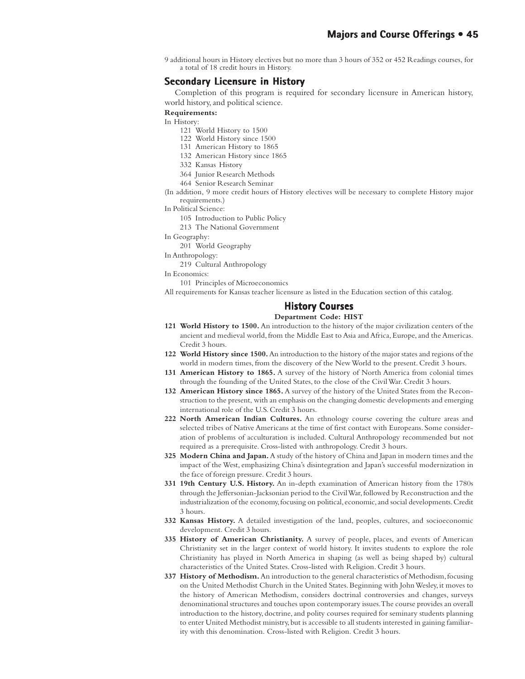9 additional hours in History electives but no more than 3 hours of 352 or 452 Readings courses, for a total of 18 credit hours in History.

## **Secondary Licensure in History**

Completion of this program is required for secondary licensure in American history, world history, and political science.

**Requirements:**

In History:

- 121 World History to 1500
- 122 World History since 1500
- 131 American History to 1865
- 132 American History since 1865
- 332 Kansas History
- 364 Junior Research Methods
- 464 Senior Research Seminar
- (In addition, 9 more credit hours of History electives will be necessary to complete History major requirements.)
- In Political Science:
	- 105 Introduction to Public Policy
	- 213 The National Government
- In Geography:
	- 201 World Geography
- In Anthropology:
	- 219 Cultural Anthropology

In Economics:

101 Principles of Microeconomics

All requirements for Kansas teacher licensure as listed in the Education section of this catalog.

### **History Courses**

#### **Department Code: HIST**

- **121 World History to 1500.** An introduction to the history of the major civilization centers of the ancient and medieval world, from the Middle East to Asia and Africa, Europe, and the Americas. Credit 3 hours.
- **122 World History since 1500.** An introduction to the history of the major states and regions of the world in modern times, from the discovery of the New World to the present. Credit 3 hours.
- **131 American History to 1865.** A survey of the history of North America from colonial times through the founding of the United States, to the close of the Civil War. Credit 3 hours.
- **132 American History since 1865.** A survey of the history of the United States from the Reconstruction to the present, with an emphasis on the changing domestic developments and emerging international role of the U.S. Credit 3 hours.
- **222 North American Indian Cultures.** An ethnology course covering the culture areas and selected tribes of Native Americans at the time of first contact with Europeans. Some consideration of problems of acculturation is included. Cultural Anthropology recommended but not required as a prerequisite. Cross-listed with anthropology. Credit 3 hours.
- **325 Modern China and Japan.** A study of the history of China and Japan in modern times and the impact of the West, emphasizing China's disintegration and Japan's successful modernization in the face of foreign pressure. Credit 3 hours.
- **331 19th Century U.S. History.** An in-depth examination of American history from the 1780s through the Jeffersonian-Jacksonian period to the Civil War, followed by Reconstruction and the industrialization of the economy, focusing on political, economic, and social developments. Credit 3 hours.
- **332 Kansas History.** A detailed investigation of the land, peoples, cultures, and socioeconomic development. Credit 3 hours.
- **335 History of American Christianity.** A survey of people, places, and events of American Christianity set in the larger context of world history. It invites students to explore the role Christianity has played in North America in shaping (as well as being shaped by) cultural characteristics of the United States. Cross-listed with Religion. Credit 3 hours.
- **337 History of Methodism.** An introduction to the general characteristics of Methodism, focusing on the United Methodist Church in the United States. Beginning with John Wesley, it moves to the history of American Methodism, considers doctrinal controversies and changes, surveys denominational structures and touches upon contemporary issues. The course provides an overall introduction to the history, doctrine, and polity courses required for seminary students planning to enter United Methodist ministry, but is accessible to all students interested in gaining familiarity with this denomination. Cross-listed with Religion. Credit 3 hours.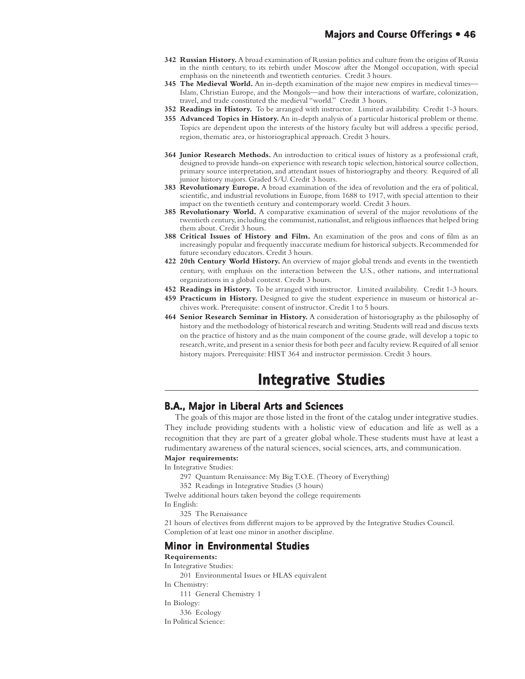- **342 Russian History.** A broad examination of Russian politics and culture from the origins of Russia in the ninth century, to its rebirth under Moscow after the Mongol occupation, with special emphasis on the nineteenth and twentieth centuries. Credit 3 hours.
- **345 The Medieval World.** An in-depth examination of the major new empires in medieval times— Islam, Christian Europe, and the Mongols—and how their interactions of warfare, colonization, travel, and trade constituted the medieval "world." Credit 3 hours.
- **352 Readings in History.** To be arranged with instructor. Limited availability. Credit 1-3 hours.
- **355 Advanced Topics in History.** An in-depth analysis of a particular historical problem or theme. Topics are dependent upon the interests of the history faculty but will address a specific period, region, thematic area, or historiographical approach. Credit 3 hours.
- **364 Junior Research Methods.** An introduction to critical issues of history as a professional craft, designed to provide hands-on experience with research topic selection, historical source collection, primary source interpretation, and attendant issues of historiography and theory. Required of all junior history majors. Graded S/U. Credit 3 hours.
- **383 Revolutionary Europe.** A broad examination of the idea of revolution and the era of political, scientific, and industrial revolutions in Europe, from 1688 to 1917, with special attention to their impact on the twentieth century and contemporary world. Credit 3 hours.
- **385 Revolutionary World.** A comparative examination of several of the major revolutions of the twentieth century, including the communist, nationalist, and religious influences that helped bring them about. Credit 3 hours.
- **388 Critical Issues of History and Film.** An examination of the pros and cons of film as an increasingly popular and frequently inaccurate medium for historical subjects. Recommended for future secondary educators. Credit 3 hours.
- **422 20th Century World History.** An overview of major global trends and events in the twentieth century, with emphasis on the interaction between the U.S., other nations, and international organizations in a global context. Credit 3 hours.
- **452 Readings in History.** To be arranged with instructor. Limited availability. Credit 1-3 hours.
- **459 Practicum in History.** Designed to give the student experience in museum or historical archives work. Prerequisite: consent of instructor. Credit 1 to 5 hours.
- **464 Senior Research Seminar in History.** A consideration of historiography as the philosophy of history and the methodology of historical research and writing. Students will read and discuss texts on the practice of history and as the main component of the course grade, will develop a topic to research, write, and present in a senior thesis for both peer and faculty review. Required of all senior history majors. Prerequisite: HIST 364 and instructor permission. Credit 3 hours.

# **Integrative Studies Integrative**

## **B.A., Major in Liberal Arts and Sciences Major in Liberal Arts and Sciences**

The goals of this major are those listed in the front of the catalog under integrative studies. They include providing students with a holistic view of education and life as well as a recognition that they are part of a greater global whole. These students must have at least a rudimentary awareness of the natural sciences, social sciences, arts, and communication.

#### **Major requirements:**

In Integrative Studies:

- 297 Quantum Renaissance: My Big T.O.E. (Theory of Everything)
- 352 Readings in Integrative Studies (3 hours)

Twelve additional hours taken beyond the college requirements

In English:

325 The Renaissance

21 hours of electives from different majors to be approved by the Integrative Studies Council. Completion of at least one minor in another discipline.

## **Minor in Environmental Studies in Environmental**

#### **Requirements:**

In Integrative Studies: 201 Environmental Issues or HLAS equivalent In Chemistry: 111 General Chemistry 1 In Biology: 336 Ecology In Political Science: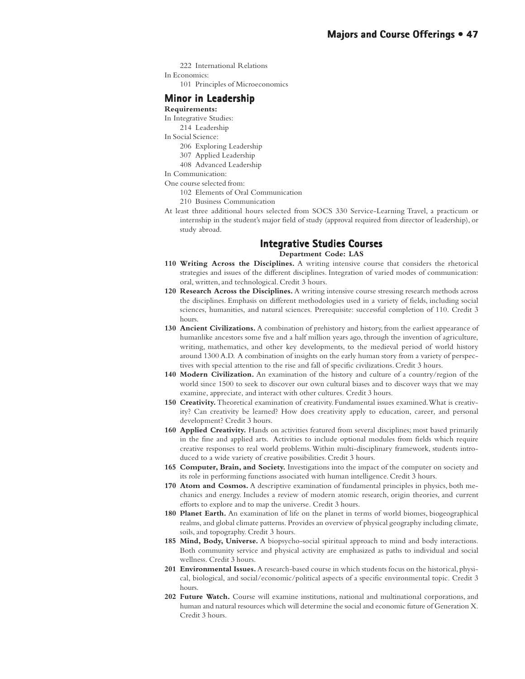- 222 International Relations
- In Economics:
	- 101 Principles of Microeconomics

## **Minor in Leadership**

- **Requirements:**
- In Integrative Studies:
- 214 Leadership
- In Social Science:
	- 206 Exploring Leadership
	- 307 Applied Leadership
	- 408 Advanced Leadership
- In Communication:
- One course selected from:
	- 102 Elements of Oral Communication
	- 210 Business Communication
- At least three additional hours selected from SOCS 330 Service-Learning Travel, a practicum or internship in the student's major field of study (approval required from director of leadership), or study abroad.

## **Integrative Studies Courses**

### **Department Code: LAS**

- **110 Writing Across the Disciplines.** A writing intensive course that considers the rhetorical strategies and issues of the different disciplines. Integration of varied modes of communication: oral, written, and technological. Credit 3 hours.
- **120 Research Across the Disciplines.** A writing intensive course stressing research methods across the disciplines. Emphasis on different methodologies used in a variety of fields, including social sciences, humanities, and natural sciences. Prerequisite: successful completion of 110. Credit 3 hours.
- **130 Ancient Civilizations.** A combination of prehistory and history, from the earliest appearance of humanlike ancestors some five and a half million years ago, through the invention of agriculture, writing, mathematics, and other key developments, to the medieval period of world history around 1300 A.D. A combination of insights on the early human story from a variety of perspectives with special attention to the rise and fall of specific civilizations. Credit 3 hours.
- **140 Modern Civilization.** An examination of the history and culture of a country/region of the world since 1500 to seek to discover our own cultural biases and to discover ways that we may examine, appreciate, and interact with other cultures. Credit 3 hours.
- **150 Creativity.** Theoretical examination of creativity. Fundamental issues examined. What is creativity? Can creativity be learned? How does creativity apply to education, career, and personal development? Credit 3 hours.
- **160 Applied Creativity.** Hands on activities featured from several disciplines; most based primarily in the fine and applied arts. Activities to include optional modules from fields which require creative responses to real world problems. Within multi-disciplinary framework, students introduced to a wide variety of creative possibilities. Credit 3 hours.
- **165 Computer, Brain, and Society.** Investigations into the impact of the computer on society and its role in performing functions associated with human intelligence. Credit 3 hours.
- **170 Atom and Cosmos.** A descriptive examination of fundamental principles in physics, both mechanics and energy. Includes a review of modern atomic research, origin theories, and current efforts to explore and to map the universe. Credit 3 hours.
- **180 Planet Earth.** An examination of life on the planet in terms of world biomes, biogeographical realms, and global climate patterns. Provides an overview of physical geography including climate, soils, and topography. Credit 3 hours.
- **185 Mind, Body, Universe.** A biopsycho-social spiritual approach to mind and body interactions. Both community service and physical activity are emphasized as paths to individual and social wellness. Credit 3 hours.
- **201 Environmental Issues.** A research-based course in which students focus on the historical, physical, biological, and social/economic/political aspects of a specific environmental topic. Credit 3 hours.
- **202 Future Watch.** Course will examine institutions, national and multinational corporations, and human and natural resources which will determine the social and economic future of Generation X. Credit 3 hours.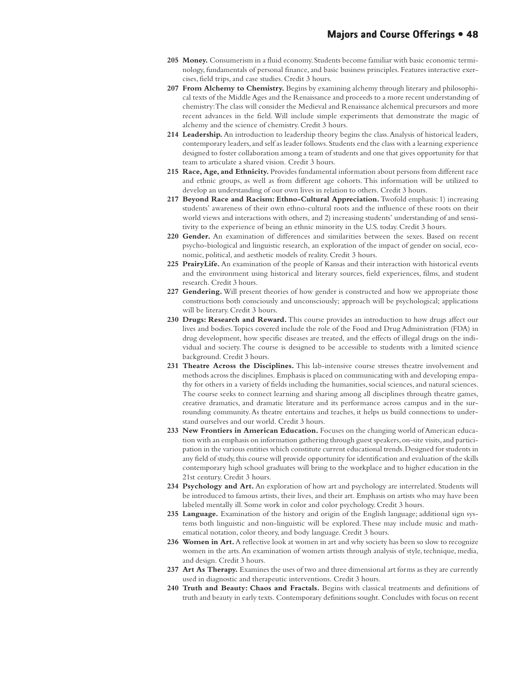- **205 Money.** Consumerism in a fluid economy. Students become familiar with basic economic terminology, fundamentals of personal finance, and basic business principles. Features interactive exercises, field trips, and case studies. Credit 3 hours.
- **207 From Alchemy to Chemistry.** Begins by examining alchemy through literary and philosophical texts of the Middle Ages and the Renaissance and proceeds to a more recent understanding of chemistry: The class will consider the Medieval and Renaissance alchemical precursors and more recent advances in the field. Will include simple experiments that demonstrate the magic of alchemy and the science of chemistry. Credit 3 hours.
- **214 Leadership.** An introduction to leadership theory begins the class. Analysis of historical leaders, contemporary leaders, and self as leader follows. Students end the class with a learning experience designed to foster collaboration among a team of students and one that gives opportunity for that team to articulate a shared vision. Credit 3 hours.
- **215 Race, Age, and Ethnicity.** Provides fundamental information about persons from different race and ethnic groups, as well as from different age cohorts. This information will be utilized to develop an understanding of our own lives in relation to others. Credit 3 hours.
- 217 Beyond Race and Racism: Ethno-Cultural Appreciation. Twofold emphasis: 1) increasing students' awareness of their own ethno-cultural roots and the influence of these roots on their world views and interactions with others, and 2) increasing students' understanding of and sensitivity to the experience of being an ethnic minority in the U.S. today. Credit 3 hours.
- **220 Gender.** An examination of differences and similarities between the sexes. Based on recent psycho-biological and linguistic research, an exploration of the impact of gender on social, economic, political, and aesthetic models of reality. Credit 3 hours.
- **225 PrairyLife.** An examination of the people of Kansas and their interaction with historical events and the environment using historical and literary sources, field experiences, films, and student research. Credit 3 hours.
- **227 Gendering.** Will present theories of how gender is constructed and how we appropriate those constructions both consciously and unconsciously; approach will be psychological; applications will be literary. Credit 3 hours.
- **230 Drugs: Research and Reward.** This course provides an introduction to how drugs affect our lives and bodies. Topics covered include the role of the Food and Drug Administration (FDA) in drug development, how specific diseases are treated, and the effects of illegal drugs on the individual and society. The course is designed to be accessible to students with a limited science background. Credit 3 hours.
- **231 Theatre Across the Disciplines.** This lab-intensive course stresses theatre involvement and methods across the disciplines. Emphasis is placed on communicating with and developing empathy for others in a variety of fields including the humanities, social sciences, and natural sciences. The course seeks to connect learning and sharing among all disciplines through theatre games, creative dramatics, and dramatic literature and its performance across campus and in the surrounding community. As theatre entertains and teaches, it helps us build connections to understand ourselves and our world. Credit 3 hours.
- **233 New Frontiers in American Education.** Focuses on the changing world of American education with an emphasis on information gathering through guest speakers, on-site visits, and participation in the various entities which constitute current educational trends. Designed for students in any field of study, this course will provide opportunity for identification and evaluation of the skills contemporary high school graduates will bring to the workplace and to higher education in the 21st century. Credit 3 hours.
- **234 Psychology and Art.** An exploration of how art and psychology are interrelated. Students will be introduced to famous artists, their lives, and their art. Emphasis on artists who may have been labeled mentally ill. Some work in color and color psychology. Credit 3 hours.
- **235 Language.** Examination of the history and origin of the English language; additional sign systems both linguistic and non-linguistic will be explored. These may include music and mathematical notation, color theory, and body language. Credit 3 hours.
- 236 Women in Art. A reflective look at women in art and why society has been so slow to recognize women in the arts. An examination of women artists through analysis of style, technique, media, and design. Credit 3 hours.
- 237 Art As Therapy. Examines the uses of two and three dimensional art forms as they are currently used in diagnostic and therapeutic interventions. Credit 3 hours.
- **240 Truth and Beauty: Chaos and Fractals.** Begins with classical treatments and definitions of truth and beauty in early texts. Contemporary definitions sought. Concludes with focus on recent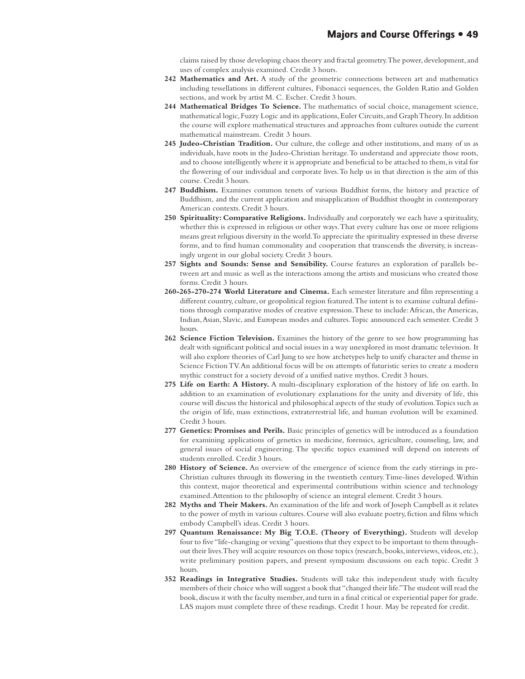claims raised by those developing chaos theory and fractal geometry. The power, development, and uses of complex analysis examined. Credit 3 hours.

- **242 Mathematics and Art.** A study of the geometric connections between art and mathematics including tessellations in different cultures, Fibonacci sequences, the Golden Ratio and Golden sections, and work by artist M. C. Escher. Credit 3 hours.
- **244 Mathematical Bridges To Science.** The mathematics of social choice, management science, mathematical logic, Fuzzy Logic and its applications, Euler Circuits, and Graph Theory. In addition the course will explore mathematical structures and approaches from cultures outside the current mathematical mainstream. Credit 3 hours.
- **245 Judeo-Christian Tradition.** Our culture, the college and other institutions, and many of us as individuals, have roots in the Judeo-Christian heritage. To understand and appreciate those roots, and to choose intelligently where it is appropriate and beneficial to be attached to them, is vital for the flowering of our individual and corporate lives. To help us in that direction is the aim of this course. Credit 3 hours.
- **247 Buddhism.** Examines common tenets of various Buddhist forms, the history and practice of Buddhism, and the current application and misapplication of Buddhist thought in contemporary American contexts. Credit 3 hours.
- 250 Spirituality: Comparative Religions. Individually and corporately we each have a spirituality, whether this is expressed in religious or other ways. That every culture has one or more religions means great religious diversity in the world. To appreciate the spirituality expressed in these diverse forms, and to find human commonality and cooperation that transcends the diversity, is increasingly urgent in our global society. Credit 3 hours.
- **257 Sights and Sounds: Sense and Sensibility.** Course features an exploration of parallels between art and music as well as the interactions among the artists and musicians who created those forms. Credit 3 hours.
- **260-265-270-274 World Literature and Cinema.** Each semester literature and film representing a different country, culture, or geopolitical region featured. The intent is to examine cultural definitions through comparative modes of creative expression. These to include: African, the Americas, Indian, Asian, Slavic, and European modes and cultures. Topic announced each semester. Credit 3 hours.
- **262 Science Fiction Television.** Examines the history of the genre to see how programming has dealt with significant political and social issues in a way unexplored in most dramatic television. It will also explore theories of Carl Jung to see how archetypes help to unify character and theme in Science Fiction TV. An additional focus will be on attempts of futuristic series to create a modern mythic construct for a society devoid of a unified native mythos. Credit 3 hours.
- **275 Life on Earth: A History.** A multi-disciplinary exploration of the history of life on earth. In addition to an examination of evolutionary explanations for the unity and diversity of life, this course will discuss the historical and philosophical aspects of the study of evolution. Topics such as the origin of life, mass extinctions, extraterrestrial life, and human evolution will be examined. Credit 3 hours.
- **277 Genetics: Promises and Perils.** Basic principles of genetics will be introduced as a foundation for examining applications of genetics in medicine, forensics, agriculture, counseling, law, and general issues of social engineering. The specific topics examined will depend on interests of students enrolled. Credit 3 hours.
- **280 History of Science.** An overview of the emergence of science from the early stirrings in pre-Christian cultures through its flowering in the twentieth century. Time-lines developed. Within this context, major theoretical and experimental contributions within science and technology examined. Attention to the philosophy of science an integral element. Credit 3 hours.
- **282 Myths and Their Makers.** An examination of the life and work of Joseph Campbell as it relates to the power of myth in various cultures. Course will also evaluate poetry, fiction and films which embody Campbell's ideas. Credit 3 hours.
- **297 Quantum Renaissance: My Big T.O.E. (Theory of Everything).** Students will develop four to five "life-changing or vexing" questions that they expect to be important to them throughout their lives. They will acquire resources on those topics (research, books, interviews, videos, etc.), write preliminary position papers, and present symposium discussions on each topic. Credit 3 hours.
- **352 Readings in Integrative Studies.** Students will take this independent study with faculty members of their choice who will suggest a book that "changed their life." The student will read the book, discuss it with the faculty member, and turn in a final critical or experiential paper for grade. LAS majors must complete three of these readings. Credit 1 hour. May be repeated for credit.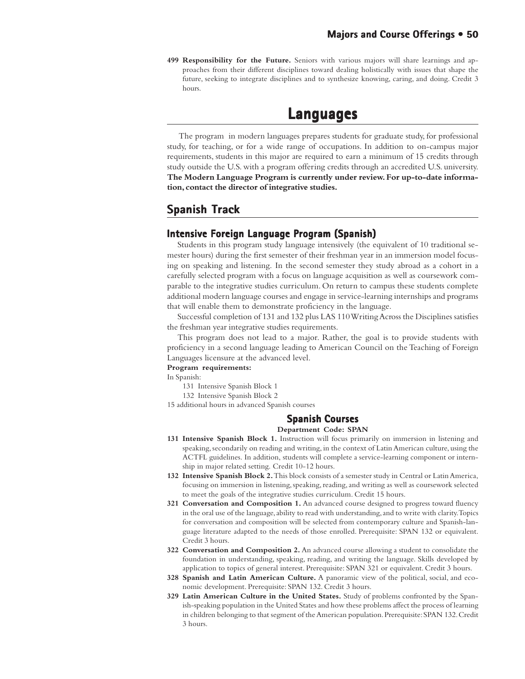**499 Responsibility for the Future.** Seniors with various majors will share learnings and approaches from their different disciplines toward dealing holistically with issues that shape the future, seeking to integrate disciplines and to synthesize knowing, caring, and doing. Credit 3 hours.

# **Languages**

 The program in modern languages prepares students for graduate study, for professional study, for teaching, or for a wide range of occupations. In addition to on-campus major requirements, students in this major are required to earn a minimum of 15 credits through study outside the U.S. with a program offering credits through an accredited U.S. university. **The Modern Language Program is currently under review. For up-to-date information, contact the director of integrative studies.**

# **Spanish Track**

# **Intensive Foreign Language Program (Spanish) Intensive Foreign Program**

Students in this program study language intensively (the equivalent of 10 traditional semester hours) during the first semester of their freshman year in an immersion model focusing on speaking and listening. In the second semester they study abroad as a cohort in a carefully selected program with a focus on language acquisition as well as coursework comparable to the integrative studies curriculum. On return to campus these students complete additional modern language courses and engage in service-learning internships and programs that will enable them to demonstrate proficiency in the language.

Successful completion of 131 and 132 plus LAS 110 Writing Across the Disciplines satisfies the freshman year integrative studies requirements.

This program does not lead to a major. Rather, the goal is to provide students with proficiency in a second language leading to American Council on the Teaching of Foreign Languages licensure at the advanced level.

#### **Program requirements:**

In Spanish:

131 Intensive Spanish Block 1

132 Intensive Spanish Block 2

15 additional hours in advanced Spanish courses

## **Spanish Courses Courses**

#### **Department Code: SPAN**

- **131 Intensive Spanish Block 1.** Instruction will focus primarily on immersion in listening and speaking, secondarily on reading and writing, in the context of Latin American culture, using the ACTFL guidelines. In addition, students will complete a service-learning component or internship in major related setting. Credit 10-12 hours.
- **132 Intensive Spanish Block 2.** This block consists of a semester study in Central or Latin America, focusing on immersion in listening, speaking, reading, and writing as well as coursework selected to meet the goals of the integrative studies curriculum. Credit 15 hours.
- **321 Conversation and Composition 1.** An advanced course designed to progress toward fluency in the oral use of the language, ability to read with understanding, and to write with clarity. Topics for conversation and composition will be selected from contemporary culture and Spanish-language literature adapted to the needs of those enrolled. Prerequisite: SPAN 132 or equivalent. Credit 3 hours.
- **322 Conversation and Composition 2.** An advanced course allowing a student to consolidate the foundation in understanding, speaking, reading, and writing the language. Skills developed by application to topics of general interest. Prerequisite: SPAN 321 or equivalent. Credit 3 hours.
- **328 Spanish and Latin American Culture.** A panoramic view of the political, social, and economic development. Prerequisite: SPAN 132. Credit 3 hours.
- **329 Latin American Culture in the United States.** Study of problems confronted by the Spanish-speaking population in the United States and how these problems affect the process of learning in children belonging to that segment of the American population. Prerequisite: SPAN 132. Credit 3 hours.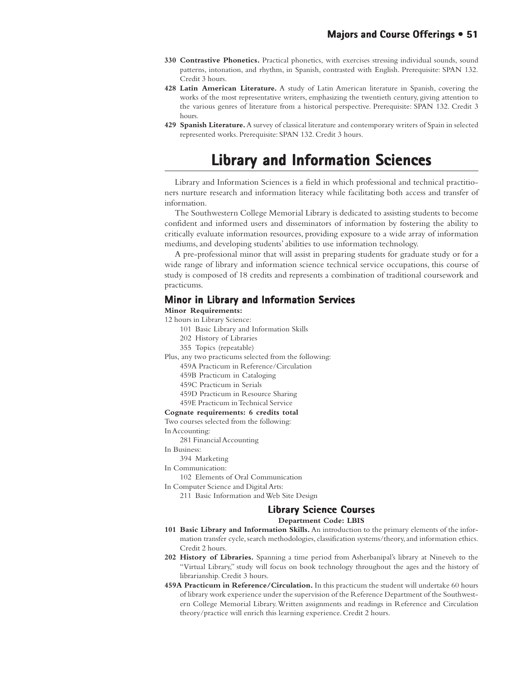- **330 Contrastive Phonetics.** Practical phonetics, with exercises stressing individual sounds, sound patterns, intonation, and rhythm, in Spanish, contrasted with English. Prerequisite: SPAN 132. Credit 3 hours.
- **428 Latin American Literature.** A study of Latin American literature in Spanish, covering the works of the most representative writers, emphasizing the twentieth century, giving attention to the various genres of literature from a historical perspective. Prerequisite: SPAN 132. Credit 3 hours.
- **429 Spanish Literature.** A survey of classical literature and contemporary writers of Spain in selected represented works. Prerequisite: SPAN 132. Credit 3 hours.

# **Library and Information Sciences Library and Information Sciences**

Library and Information Sciences is a field in which professional and technical practitioners nurture research and information literacy while facilitating both access and transfer of information.

The Southwestern College Memorial Library is dedicated to assisting students to become confident and informed users and disseminators of information by fostering the ability to critically evaluate information resources, providing exposure to a wide array of information mediums, and developing students' abilities to use information technology.

A pre-professional minor that will assist in preparing students for graduate study or for a wide range of library and information science technical service occupations, this course of study is composed of 18 credits and represents a combination of traditional coursework and practicums.

## **Minor in Library and Information Services in Library and Information**

## **Minor Requirements:**

12 hours in Library Science:

- 101 Basic Library and Information Skills
- 202 History of Libraries
- 355 Topics (repeatable)
- Plus, any two practicums selected from the following:
	- 459A Practicum in Reference/Circulation
	- 459B Practicum in Cataloging
	- 459C Practicum in Serials
	- 459D Practicum in Resource Sharing
	- 459E Practicum in Technical Service

#### **Cognate requirements: 6 credits total**

Two courses selected from the following:

In Accounting:

- 281 Financial Accounting
- In Business:
	- 394 Marketing
- In Communication:

102 Elements of Oral Communication

- In Computer Science and Digital Arts:
	- 211 Basic Information and Web Site Design

## **Library Science Courses**

**Department Code: LBIS**

- **101 Basic Library and Information Skills.** An introduction to the primary elements of the information transfer cycle, search methodologies, classification systems/theory, and information ethics. Credit 2 hours.
- **202 History of Libraries.** Spanning a time period from Asherbanipal's library at Nineveh to the "Virtual Library," study will focus on book technology throughout the ages and the history of librarianship. Credit 3 hours.
- **459A Practicum in Reference/Circulation.** In this practicum the student will undertake 60 hours of library work experience under the supervision of the Reference Department of the Southwestern College Memorial Library. Written assignments and readings in Reference and Circulation theory/practice will enrich this learning experience. Credit 2 hours.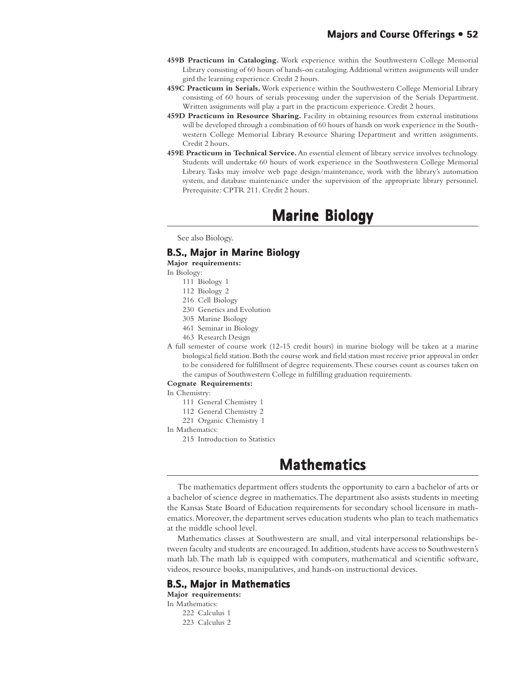- **459B Practicum in Cataloging.** Work experience within the Southwestern College Memorial Library consisting of 60 hours of hands-on cataloging. Additional written assignments will under gird the learning experience. Credit 2 hours.
- **459C Practicum in Serials.** Work experience within the Southwestern College Memorial Library consisting of 60 hours of serials processing under the supervision of the Serials Department. Written assignments will play a part in the practicum experience. Credit 2 hours.
- **459D Practicum in Resource Sharing.** Facility in obtaining resources from external institutions will be developed through a combination of 60 hours of hands on work experience in the Southwestern College Memorial Library Resource Sharing Department and written assignments. Credit 2 hours.
- **459E Practicum in Technical Service.** An essential element of library service involves technology. Students will undertake 60 hours of work experience in the Southwestern College Memorial Library. Tasks may involve web page design/maintenance, work with the library's automation system, and database maintenance under the supervision of the appropriate library personnel. Prerequisite: CPTR 211. Credit 2 hours.

# **Marine Biology Marine Biology**

See also Biology.

## **B.S., Major in Marine Biology**

**Major requirements:**

In Biology:

- 111 Biology 1
- 112 Biology 2
- 216 Cell Biology
- 230 Genetics and Evolution
- 305 Marine Biology
- 461 Seminar in Biology
- 463 Research Design
- A full semester of course work (12-15 credit hours) in marine biology will be taken at a marine biological field station. Both the course work and field station must receive prior approval in order to be considered for fulfillment of degree requirements. These courses count as courses taken on the campus of Southwestern College in fulfilling graduation requirements.

#### **Cognate Requirements:**

- In Chemistry:
	- 111 General Chemistry 1
	- 112 General Chemistry 2
	- 221 Organic Chemistry 1
- In Mathematics:
	- 215 Introduction to Statistics

# **Mathematics Mathematics**

The mathematics department offers students the opportunity to earn a bachelor of arts or a bachelor of science degree in mathematics. The department also assists students in meeting the Kansas State Board of Education requirements for secondary school licensure in mathematics. Moreover, the department serves education students who plan to teach mathematics at the middle school level.

Mathematics classes at Southwestern are small, and vital interpersonal relationships between faculty and students are encouraged. In addition, students have access to Southwestern's math lab. The math lab is equipped with computers, mathematical and scientific software, videos, resource books, manipulatives, and hands-on instructional devices.

## **B.S., Major in Mathematics**

**Major requirements:**

- In Mathematics:
	- 222 Calculus 1 223 Calculus 2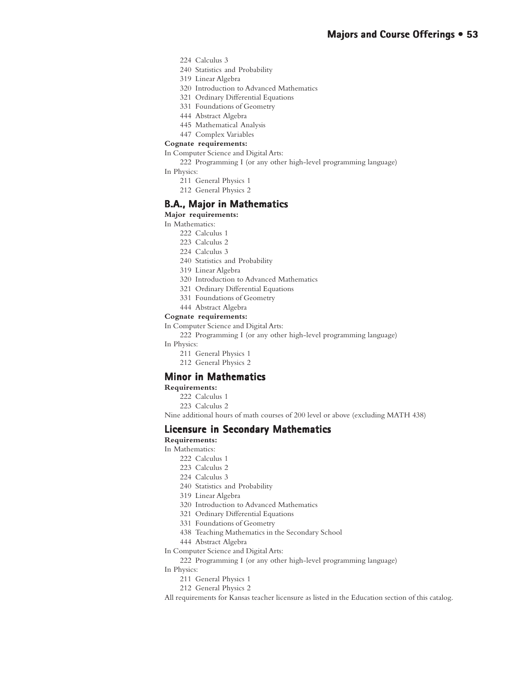- 224 Calculus 3
- 240 Statistics and Probability
- 319 Linear Algebra
- 320 Introduction to Advanced Mathematics
- 321 Ordinary Differential Equations
- 331 Foundations of Geometry
- 444 Abstract Algebra
- 445 Mathematical Analysis
- 447 Complex Variables

#### **Cognate requirements:**

- In Computer Science and Digital Arts:
	- 222 Programming I (or any other high-level programming language)
- In Physics:
	- 211 General Physics 1
	- 212 General Physics 2

## **B.A., Major in Mathematics**

#### **Major requirements:**

- In Mathematics:
	- 222 Calculus 1
	- 223 Calculus 2
	- 224 Calculus 3
	- 240 Statistics and Probability
	- 319 Linear Algebra
	- 320 Introduction to Advanced Mathematics
	- 321 Ordinary Differential Equations
	- 331 Foundations of Geometry
	- 444 Abstract Algebra

#### **Cognate requirements:**

In Computer Science and Digital Arts:

222 Programming I (or any other high-level programming language)

In Physics:

- 211 General Physics 1
- 212 General Physics 2

## **Minor in Mathematics in**

**Requirements:**

- 222 Calculus 1
- 223 Calculus 2

Nine additional hours of math courses of 200 level or above (excluding MATH 438)

## **Licensure in Secondary Mathematics in Secondary Mathematics**

## **Requirements:**

- In Mathematics:
	- 222 Calculus 1
	- 223 Calculus 2
	- 224 Calculus 3
	- 240 Statistics and Probability
	- 319 Linear Algebra
	- 320 Introduction to Advanced Mathematics
	- 321 Ordinary Differential Equations
	- 331 Foundations of Geometry
	- 438 Teaching Mathematics in the Secondary School
	- 444 Abstract Algebra

In Computer Science and Digital Arts:

222 Programming I (or any other high-level programming language)

In Physics:

- 211 General Physics 1
- 212 General Physics 2

All requirements for Kansas teacher licensure as listed in the Education section of this catalog.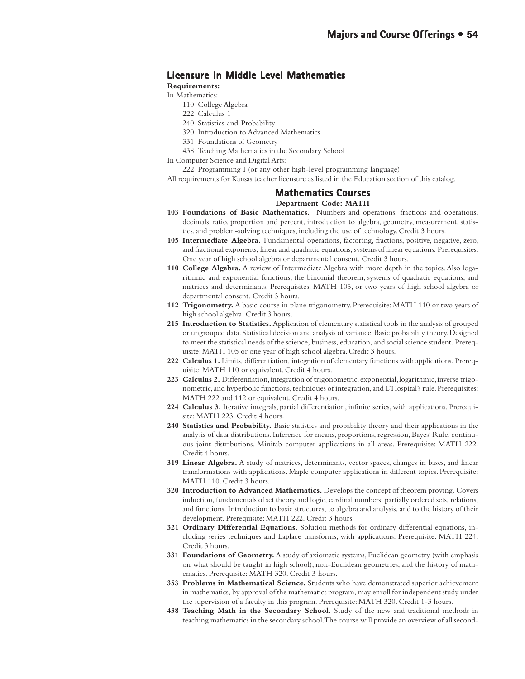# **Licensure in Middle Level Mathematics**

### **Requirements:**

In Mathematics:

- 110 College Algebra
- 222 Calculus 1
- 240 Statistics and Probability
- 320 Introduction to Advanced Mathematics
- 331 Foundations of Geometry
- 438 Teaching Mathematics in the Secondary School
- In Computer Science and Digital Arts:
	- 222 Programming I (or any other high-level programming language)

All requirements for Kansas teacher licensure as listed in the Education section of this catalog.

#### **Mathematics Courses Courses**

#### **Department Code: MATH**

- **103 Foundations of Basic Mathematics.** Numbers and operations, fractions and operations, decimals, ratio, proportion and percent, introduction to algebra, geometry, measurement, statistics, and problem-solving techniques, including the use of technology. Credit 3 hours.
- **105 Intermediate Algebra.** Fundamental operations, factoring, fractions, positive, negative, zero, and fractional exponents, linear and quadratic equations, systems of linear equations. Prerequisites: One year of high school algebra or departmental consent. Credit 3 hours.
- **110 College Algebra.** A review of Intermediate Algebra with more depth in the topics. Also logarithmic and exponential functions, the binomial theorem, systems of quadratic equations, and matrices and determinants. Prerequisites: MATH 105, or two years of high school algebra or departmental consent. Credit 3 hours.
- **112 Trigonometry.** A basic course in plane trigonometry. Prerequisite: MATH 110 or two years of high school algebra. Credit 3 hours.
- **215 Introduction to Statistics.** Application of elementary statistical tools in the analysis of grouped or ungrouped data. Statistical decision and analysis of variance. Basic probability theory. Designed to meet the statistical needs of the science, business, education, and social science student. Prerequisite: MATH 105 or one year of high school algebra. Credit 3 hours.
- **222 Calculus 1.** Limits, differentiation, integration of elementary functions with applications. Prerequisite: MATH 110 or equivalent. Credit 4 hours.
- **223 Calculus 2.** Differentiation, integration of trigonometric, exponential, logarithmic, inverse trigonometric, and hyperbolic functions, techniques of integration, and L'Hospital's rule. Prerequisites: MATH 222 and 112 or equivalent. Credit 4 hours.
- **224 Calculus 3.** Iterative integrals, partial differentiation, infinite series, with applications. Prerequisite: MATH 223. Credit 4 hours.
- **240 Statistics and Probability.** Basic statistics and probability theory and their applications in the analysis of data distributions. Inference for means, proportions, regression, Bayes' Rule, continuous joint distributions. Minitab computer applications in all areas. Prerequisite: MATH 222. Credit 4 hours.
- **319 Linear Algebra.** A study of matrices, determinants, vector spaces, changes in bases, and linear transformations with applications. Maple computer applications in different topics. Prerequisite: MATH 110. Credit 3 hours.
- **320 Introduction to Advanced Mathematics.** Develops the concept of theorem proving. Covers induction, fundamentals of set theory and logic, cardinal numbers, partially ordered sets, relations, and functions. Introduction to basic structures, to algebra and analysis, and to the history of their development. Prerequisite: MATH 222. Credit 3 hours.
- **321 Ordinary Differential Equations.** Solution methods for ordinary differential equations, including series techniques and Laplace transforms, with applications. Prerequisite: MATH 224. Credit 3 hours.
- **331 Foundations of Geometry.** A study of axiomatic systems, Euclidean geometry (with emphasis on what should be taught in high school), non-Euclidean geometries, and the history of mathematics. Prerequisite: MATH 320. Credit 3 hours.
- **353 Problems in Mathematical Science.** Students who have demonstrated superior achievement in mathematics, by approval of the mathematics program, may enroll for independent study under the supervision of a faculty in this program. Prerequisite: MATH 320. Credit 1-3 hours.
- **438 Teaching Math in the Secondary School.** Study of the new and traditional methods in teaching mathematics in the secondary school. The course will provide an overview of all second-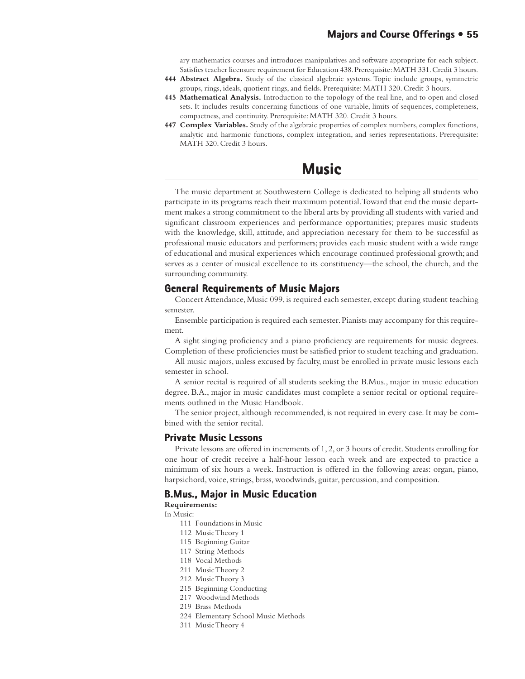ary mathematics courses and introduces manipulatives and software appropriate for each subject. Satisfies teacher licensure requirement for Education 438. Prerequisite: MATH 331. Credit 3 hours.

- **444 Abstract Algebra.** Study of the classical algebraic systems. Topic include groups, symmetric groups, rings, ideals, quotient rings, and fields. Prerequisite: MATH 320. Credit 3 hours.
- **445 Mathematical Analysis.** Introduction to the topology of the real line, and to open and closed sets. It includes results concerning functions of one variable, limits of sequences, completeness, compactness, and continuity. Prerequisite: MATH 320. Credit 3 hours.
- **447 Complex Variables.** Study of the algebraic properties of complex numbers, complex functions, analytic and harmonic functions, complex integration, and series representations. Prerequisite: MATH 320. Credit 3 hours.

# **Music**

The music department at Southwestern College is dedicated to helping all students who participate in its programs reach their maximum potential. Toward that end the music department makes a strong commitment to the liberal arts by providing all students with varied and significant classroom experiences and performance opportunities; prepares music students with the knowledge, skill, attitude, and appreciation necessary for them to be successful as professional music educators and performers; provides each music student with a wide range of educational and musical experiences which encourage continued professional growth; and serves as a center of musical excellence to its constituency—the school, the church, and the surrounding community.

## **General Requirements of Music Majors Requirements of Majors**

Concert Attendance, Music 099, is required each semester, except during student teaching semester.

Ensemble participation is required each semester. Pianists may accompany for this requirement.

A sight singing proficiency and a piano proficiency are requirements for music degrees. Completion of these proficiencies must be satisfied prior to student teaching and graduation.

All music majors, unless excused by faculty, must be enrolled in private music lessons each semester in school.

A senior recital is required of all students seeking the B.Mus., major in music education degree. B.A., major in music candidates must complete a senior recital or optional requirements outlined in the Music Handbook.

The senior project, although recommended, is not required in every case. It may be combined with the senior recital.

#### **Private Music Lessons Private Music**

Private lessons are offered in increments of 1, 2, or 3 hours of credit. Students enrolling for one hour of credit receive a half-hour lesson each week and are expected to practice a minimum of six hours a week. Instruction is offered in the following areas: organ, piano, harpsichord, voice, strings, brass, woodwinds, guitar, percussion, and composition.

### **B.Mus., Major in Music Education**

**Requirements:**

In Music:

- 111 Foundations in Music
- 112 Music Theory 1
- 115 Beginning Guitar
- 117 String Methods
- 118 Vocal Methods
- 211 Music Theory 2
- 212 Music Theory 3
- 215 Beginning Conducting
- 217 Woodwind Methods
- 219 Brass Methods
- 224 Elementary School Music Methods
- 311 Music Theory 4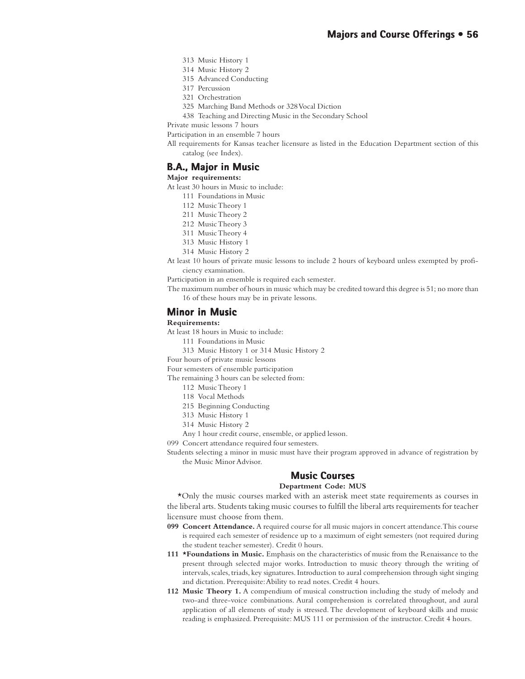- 313 Music History 1
- 314 Music History 2
- 315 Advanced Conducting
- 317 Percussion
- 321 Orchestration
- 325 Marching Band Methods or 328 Vocal Diction

438 Teaching and Directing Music in the Secondary School

Private music lessons 7 hours

Participation in an ensemble 7 hours

All requirements for Kansas teacher licensure as listed in the Education Department section of this catalog (see Index).

### **B.A., Major in Music**

#### **Major requirements:**

At least 30 hours in Music to include:

- 111 Foundations in Music
- 112 Music Theory 1
- 211 Music Theory 2
- 212 Music Theory 3
- 311 Music Theory 4
- 313 Music History 1
- 314 Music History 2
- At least 10 hours of private music lessons to include 2 hours of keyboard unless exempted by proficiency examination.
- Participation in an ensemble is required each semester.
- The maximum number of hours in music which may be credited toward this degree is 51; no more than 16 of these hours may be in private lessons.

## **Minor in Music**

#### **Requirements:**

At least 18 hours in Music to include:

- 111 Foundations in Music
- 313 Music History 1 or 314 Music History 2
- Four hours of private music lessons

Four semesters of ensemble participation

The remaining 3 hours can be selected from:

- 112 Music Theory 1
- 118 Vocal Methods
- 215 Beginning Conducting
- 313 Music History 1
- 314 Music History 2
- Any 1 hour credit course, ensemble, or applied lesson.

099 Concert attendance required four semesters.

Students selecting a minor in music must have their program approved in advance of registration by the Music Minor Advisor.

# **Music Courses Music Courses**

#### **Department Code: MUS**

\*Only the music courses marked with an asterisk meet state requirements as courses in the liberal arts. Students taking music courses to fulfill the liberal arts requirements for teacher licensure must choose from them.

- **099 Concert Attendance.** A required course for all music majors in concert attendance. This course is required each semester of residence up to a maximum of eight semesters (not required during the student teacher semester). Credit 0 hours.
- **111 \*Foundations in Music.** Emphasis on the characteristics of music from the Renaissance to the present through selected major works. Introduction to music theory through the writing of intervals, scales, triads, key signatures. Introduction to aural comprehension through sight singing and dictation. Prerequisite: Ability to read notes. Credit 4 hours.
- **112 Music Theory 1.** A compendium of musical construction including the study of melody and two-and three-voice combinations. Aural comprehension is correlated throughout, and aural application of all elements of study is stressed. The development of keyboard skills and music reading is emphasized. Prerequisite: MUS 111 or permission of the instructor. Credit 4 hours.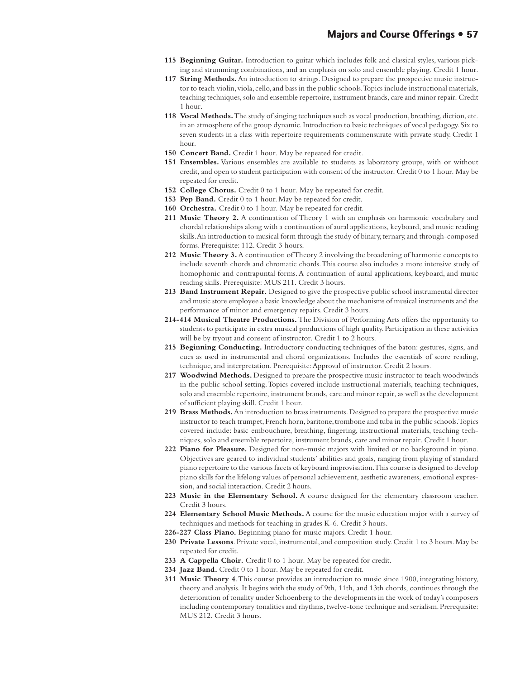- **115 Beginning Guitar.** Introduction to guitar which includes folk and classical styles, various picking and strumming combinations, and an emphasis on solo and ensemble playing. Credit 1 hour.
- **117 String Methods.** An introduction to strings. Designed to prepare the prospective music instructor to teach violin, viola, cello, and bass in the public schools. Topics include instructional materials, teaching techniques, solo and ensemble repertoire, instrument brands, care and minor repair. Credit 1 hour.
- **118 Vocal Methods.** The study of singing techniques such as vocal production, breathing, diction, etc. in an atmosphere of the group dynamic. Introduction to basic techniques of vocal pedagogy. Six to seven students in a class with repertoire requirements commensurate with private study. Credit 1 hour.
- **150 Concert Band.** Credit 1 hour. May be repeated for credit.
- **151 Ensembles.** Various ensembles are available to students as laboratory groups, with or without credit, and open to student participation with consent of the instructor. Credit 0 to 1 hour. May be repeated for credit.
- **152 College Chorus.** Credit 0 to 1 hour. May be repeated for credit.
- 153 Pep Band. Credit 0 to 1 hour. May be repeated for credit.
- **160 Orchestra.** Credit 0 to 1 hour. May be repeated for credit.
- **211 Music Theory 2.** A continuation of Theory 1 with an emphasis on harmonic vocabulary and chordal relationships along with a continuation of aural applications, keyboard, and music reading skills. An introduction to musical form through the study of binary, ternary, and through-composed forms. Prerequisite: 112. Credit 3 hours.
- **212 Music Theory 3.** A continuation of Theory 2 involving the broadening of harmonic concepts to include seventh chords and chromatic chords. This course also includes a more intensive study of homophonic and contrapuntal forms. A continuation of aural applications, keyboard, and music reading skills. Prerequisite: MUS 211. Credit 3 hours.
- **213 Band Instrument Repair.** Designed to give the prospective public school instrumental director and music store employee a basic knowledge about the mechanisms of musical instruments and the performance of minor and emergency repairs. Credit 3 hours.
- **214-414 Musical Theatre Productions.** The Division of Performing Arts offers the opportunity to students to participate in extra musical productions of high quality. Participation in these activities will be by tryout and consent of instructor. Credit 1 to 2 hours.
- **215 Beginning Conducting.** Introductory conducting techniques of the baton: gestures, signs, and cues as used in instrumental and choral organizations. Includes the essentials of score reading, technique, and interpretation. Prerequisite: Approval of instructor. Credit 2 hours.
- **217 Woodwind Methods.** Designed to prepare the prospective music instructor to teach woodwinds in the public school setting. Topics covered include instructional materials, teaching techniques, solo and ensemble repertoire, instrument brands, care and minor repair, as well as the development of sufficient playing skill. Credit 1 hour.
- **219 Brass Methods.** An introduction to brass instruments. Designed to prepare the prospective music instructor to teach trumpet, French horn, baritone, trombone and tuba in the public schools. Topics covered include: basic embouchure, breathing, fingering, instructional materials, teaching techniques, solo and ensemble repertoire, instrument brands, care and minor repair. Credit 1 hour.
- **222 Piano for Pleasure.** Designed for non-music majors with limited or no background in piano. Objectives are geared to individual students' abilities and goals, ranging from playing of standard piano repertoire to the various facets of keyboard improvisation. This course is designed to develop piano skills for the lifelong values of personal achievement, aesthetic awareness, emotional expression, and social interaction. Credit 2 hours.
- **223 Music in the Elementary School.** A course designed for the elementary classroom teacher. Credit 3 hours.
- **224 Elementary School Music Methods.** A course for the music education major with a survey of techniques and methods for teaching in grades K-6. Credit 3 hours.
- **226-227 Class Piano.** Beginning piano for music majors. Credit 1 hour.
- **230 Private Lessons**. Private vocal, instrumental, and composition study. Credit 1 to 3 hours. May be repeated for credit.
- **233 A Cappella Choir.** Credit 0 to 1 hour. May be repeated for credit.
- **234 Jazz Band.** Credit 0 to 1 hour. May be repeated for credit.
- **311 Music Theory 4**. This course provides an introduction to music since 1900, integrating history, theory and analysis. It begins with the study of 9th, 11th, and 13th chords, continues through the deterioration of tonality under Schoenberg to the developments in the work of today's composers including contemporary tonalities and rhythms, twelve-tone technique and serialism. Prerequisite: MUS 212. Credit 3 hours.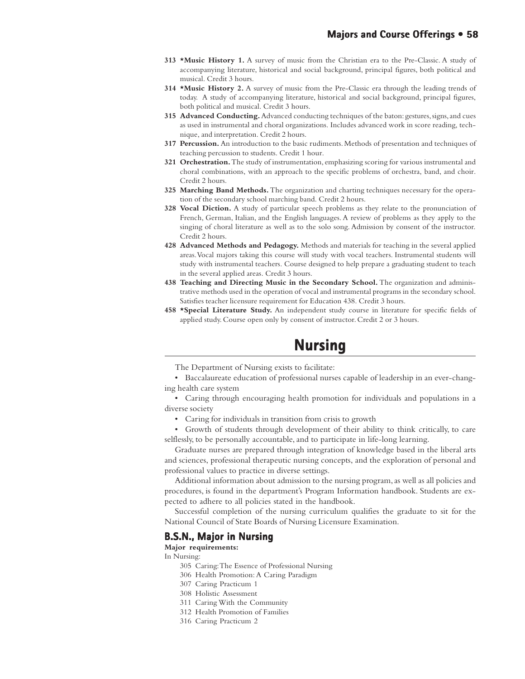- **313 \*Music History 1.** A survey of music from the Christian era to the Pre-Classic. A study of accompanying literature, historical and social background, principal figures, both political and musical. Credit 3 hours.
- **314 \*Music History 2.** A survey of music from the Pre-Classic era through the leading trends of today. A study of accompanying literature, historical and social background, principal figures, both political and musical. Credit 3 hours.
- **315 Advanced Conducting.** Advanced conducting techniques of the baton: gestures, signs, and cues as used in instrumental and choral organizations. Includes advanced work in score reading, technique, and interpretation. Credit 2 hours.
- **317 Percussion.** An introduction to the basic rudiments. Methods of presentation and techniques of teaching percussion to students. Credit 1 hour.
- **321 Orchestration.** The study of instrumentation, emphasizing scoring for various instrumental and choral combinations, with an approach to the specific problems of orchestra, band, and choir. Credit 2 hours.
- **325 Marching Band Methods.** The organization and charting techniques necessary for the operation of the secondary school marching band. Credit 2 hours.
- **328 Vocal Diction.** A study of particular speech problems as they relate to the pronunciation of French, German, Italian, and the English languages. A review of problems as they apply to the singing of choral literature as well as to the solo song. Admission by consent of the instructor. Credit 2 hours.
- **428 Advanced Methods and Pedagogy.** Methods and materials for teaching in the several applied areas. Vocal majors taking this course will study with vocal teachers. Instrumental students will study with instrumental teachers. Course designed to help prepare a graduating student to teach in the several applied areas. Credit 3 hours.
- **438 Teaching and Directing Music in the Secondary School.** The organization and administrative methods used in the operation of vocal and instrumental programs in the secondary school. Satisfies teacher licensure requirement for Education 438. Credit 3 hours.
- **458 \*Special Literature Study.** An independent study course in literature for specific fields of applied study. Course open only by consent of instructor. Credit 2 or 3 hours.

# **Nursing Nursing**

The Department of Nursing exists to facilitate:

• Baccalaureate education of professional nurses capable of leadership in an ever-changing health care system

• Caring through encouraging health promotion for individuals and populations in a diverse society

• Caring for individuals in transition from crisis to growth

• Growth of students through development of their ability to think critically, to care selflessly, to be personally accountable, and to participate in life-long learning.

Graduate nurses are prepared through integration of knowledge based in the liberal arts and sciences, professional therapeutic nursing concepts, and the exploration of personal and professional values to practice in diverse settings.

Additional information about admission to the nursing program, as well as all policies and procedures, is found in the department's Program Information handbook. Students are expected to adhere to all policies stated in the handbook.

Successful completion of the nursing curriculum qualifies the graduate to sit for the National Council of State Boards of Nursing Licensure Examination.

#### **B.S.N., Major in Nursing**

**Major requirements:**

In Nursing:

- 305 Caring: The Essence of Professional Nursing
- 306 Health Promotion: A Caring Paradigm
- 307 Caring Practicum 1
- 308 Holistic Assessment
- 311 Caring With the Community
- 312 Health Promotion of Families
- 316 Caring Practicum 2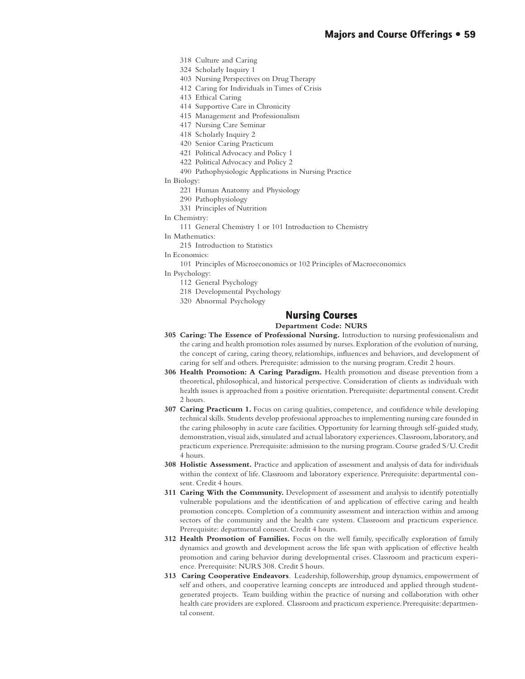- 318 Culture and Caring
- 324 Scholarly Inquiry 1
- 403 Nursing Perspectives on Drug Therapy
- 412 Caring for Individuals in Times of Crisis
- 413 Ethical Caring
- 414 Supportive Care in Chronicity
- 415 Management and Professionalism
- 417 Nursing Care Seminar
- 418 Scholarly Inquiry 2
- 420 Senior Caring Practicum
- 421 Political Advocacy and Policy 1
- 422 Political Advocacy and Policy 2
- 490 Pathophysiologic Applications in Nursing Practice
- In Biology:
	- 221 Human Anatomy and Physiology
	- 290 Pathophysiology
	- 331 Principles of Nutrition
- In Chemistry:
	- 111 General Chemistry 1 or 101 Introduction to Chemistry
- In Mathematics:
	- 215 Introduction to Statistics
- In Economics:
	- 101 Principles of Microeconomics or 102 Principles of Macroeconomics
- In Psychology:
	- 112 General Psychology
	- 218 Developmental Psychology
	- 320 Abnormal Psychology

# **Nursing Courses Nursing Courses**

#### **Department Code: NURS**

- **305 Caring: The Essence of Professional Nursing.** Introduction to nursing professionalism and the caring and health promotion roles assumed by nurses. Exploration of the evolution of nursing, the concept of caring, caring theory, relationships, influences and behaviors, and development of caring for self and others. Prerequisite: admission to the nursing program. Credit 2 hours.
- **306 Health Promotion: A Caring Paradigm.** Health promotion and disease prevention from a theoretical, philosophical, and historical perspective. Consideration of clients as individuals with health issues is approached from a positive orientation. Prerequisite: departmental consent. Credit 2 hours.
- **307 Caring Practicum 1.** Focus on caring qualities, competence, and confidence while developing technical skills. Students develop professional approaches to implementing nursing care founded in the caring philosophy in acute care facilities. Opportunity for learning through self-guided study, demonstration, visual aids, simulated and actual laboratory experiences. Classroom, laboratory, and practicum experience. Prerequisite: admission to the nursing program. Course graded S/U. Credit 4 hours.
- **308 Holistic Assessment.** Practice and application of assessment and analysis of data for individuals within the context of life. Classroom and laboratory experience. Prerequisite: departmental consent. Credit 4 hours.
- **311 Caring With the Community.** Development of assessment and analysis to identify potentially vulnerable populations and the identification of and application of effective caring and health promotion concepts. Completion of a community assessment and interaction within and among sectors of the community and the health care system. Classroom and practicum experience. Prerequisite: departmental consent. Credit 4 hours.
- **312 Health Promotion of Families.** Focus on the well family, specifically exploration of family dynamics and growth and development across the life span with application of effective health promotion and caring behavior during developmental crises. Classroom and practicum experience. Prerequisite: NURS 308. Credit 5 hours.
- **313 Caring Cooperative Endeavors**. Leadership, followership, group dynamics, empowerment of self and others, and cooperative learning concepts are introduced and applied through studentgenerated projects. Team building within the practice of nursing and collaboration with other health care providers are explored. Classroom and practicum experience. Prerequisite: departmental consent.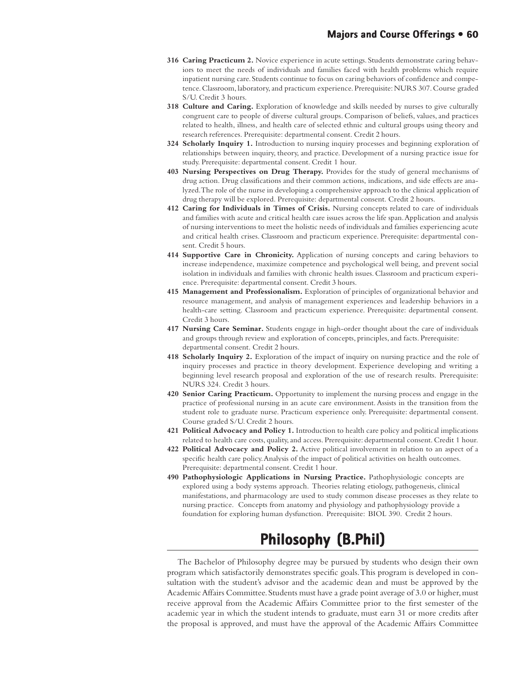- **316 Caring Practicum 2.** Novice experience in acute settings. Students demonstrate caring behaviors to meet the needs of individuals and families faced with health problems which require inpatient nursing care. Students continue to focus on caring behaviors of confidence and competence. Classroom, laboratory, and practicum experience. Prerequisite: NURS 307. Course graded S/U. Credit 3 hours.
- **318 Culture and Caring.** Exploration of knowledge and skills needed by nurses to give culturally congruent care to people of diverse cultural groups. Comparison of beliefs, values, and practices related to health, illness, and health care of selected ethnic and cultural groups using theory and research references. Prerequisite: departmental consent. Credit 2 hours.
- **324 Scholarly Inquiry 1.** Introduction to nursing inquiry processes and beginning exploration of relationships between inquiry, theory, and practice. Development of a nursing practice issue for study. Prerequisite: departmental consent. Credit 1 hour.
- **403 Nursing Perspectives on Drug Therapy.** Provides for the study of general mechanisms of drug action. Drug classifications and their common actions, indications, and side effects are analyzed. The role of the nurse in developing a comprehensive approach to the clinical application of drug therapy will be explored. Prerequisite: departmental consent. Credit 2 hours.
- **412 Caring for Individuals in Times of Crisis.** Nursing concepts related to care of individuals and families with acute and critical health care issues across the life span. Application and analysis of nursing interventions to meet the holistic needs of individuals and families experiencing acute and critical health crises. Classroom and practicum experience. Prerequisite: departmental consent. Credit 5 hours.
- **414 Supportive Care in Chronicity.** Application of nursing concepts and caring behaviors to increase independence, maximize competence and psychological well being, and prevent social isolation in individuals and families with chronic health issues. Classroom and practicum experience. Prerequisite: departmental consent. Credit 3 hours.
- **415 Management and Professionalism.** Exploration of principles of organizational behavior and resource management, and analysis of management experiences and leadership behaviors in a health-care setting. Classroom and practicum experience. Prerequisite: departmental consent. Credit 3 hours.
- **417 Nursing Care Seminar.** Students engage in high-order thought about the care of individuals and groups through review and exploration of concepts, principles, and facts. Prerequisite: departmental consent. Credit 2 hours.
- **418 Scholarly Inquiry 2.** Exploration of the impact of inquiry on nursing practice and the role of inquiry processes and practice in theory development. Experience developing and writing a beginning level research proposal and exploration of the use of research results. Prerequisite: NURS 324. Credit 3 hours.
- **420 Senior Caring Practicum.** Opportunity to implement the nursing process and engage in the practice of professional nursing in an acute care environment. Assists in the transition from the student role to graduate nurse. Practicum experience only. Prerequisite: departmental consent. Course graded S/U. Credit 2 hours.
- **421 Political Advocacy and Policy 1.** Introduction to health care policy and political implications related to health care costs, quality, and access. Prerequisite: departmental consent. Credit 1 hour.
- **422 Political Advocacy and Policy 2.** Active political involvement in relation to an aspect of a specific health care policy. Analysis of the impact of political activities on health outcomes. Prerequisite: departmental consent. Credit 1 hour.
- **490 Pathophysiologic Applications in Nursing Practice.** Pathophysiologic concepts are explored using a body systems approach. Theories relating etiology, pathogenesis, clinical manifestations, and pharmacology are used to study common disease processes as they relate to nursing practice. Concepts from anatomy and physiology and pathophysiology provide a foundation for exploring human dysfunction. Prerequisite: BIOL 390. Credit 2 hours.

# **Philosophy (B.Phil) Philosophy**

The Bachelor of Philosophy degree may be pursued by students who design their own program which satisfactorily demonstrates specific goals. This program is developed in consultation with the student's advisor and the academic dean and must be approved by the Academic Affairs Committee. Students must have a grade point average of 3.0 or higher, must receive approval from the Academic Affairs Committee prior to the first semester of the academic year in which the student intends to graduate, must earn 31 or more credits after the proposal is approved, and must have the approval of the Academic Affairs Committee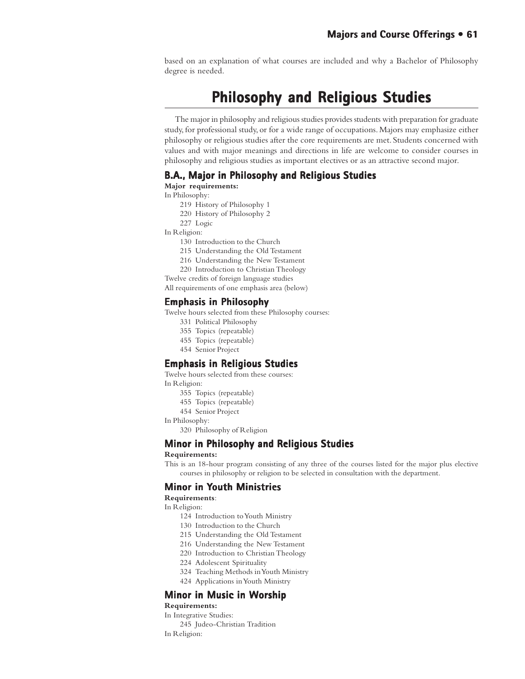based on an explanation of what courses are included and why a Bachelor of Philosophy degree is needed.

# **Philosophy and Religious Studies**

The major in philosophy and religious studies provides students with preparation for graduate study, for professional study, or for a wide range of occupations. Majors may emphasize either philosophy or religious studies after the core requirements are met. Students concerned with values and with major meanings and directions in life are welcome to consider courses in philosophy and religious studies as important electives or as an attractive second major.

## **B.A., Major in Philosophy and Religious Studies**

**Major requirements:**

- In Philosophy:
	- 219 History of Philosophy 1
	- 220 History of Philosophy 2
	- 227 Logic
- In Religion:
	- 130 Introduction to the Church
	- 215 Understanding the Old Testament
	- 216 Understanding the New Testament
	- 220 Introduction to Christian Theology
- Twelve credits of foreign language studies

All requirements of one emphasis area (below)

### **Emphasis in Philosophy**

Twelve hours selected from these Philosophy courses:

- 331 Political Philosophy
- 355 Topics (repeatable)
- 455 Topics (repeatable)
- 454 Senior Project

### **Emphasis in Religious Studies Emphasis in**

Twelve hours selected from these courses: In Religion:

- 355 Topics (repeatable)
- 455 Topics (repeatable)
- 454 Senior Project
- In Philosophy:
	- 320 Philosophy of Religion

## **Minor in Philosophy and Religious Studies Philosophy and Religious Studies**

#### **Requirements:**

This is an 18-hour program consisting of any three of the courses listed for the major plus elective courses in philosophy or religion to be selected in consultation with the department.

## **Minor in Youth Ministries outh**

**Requirements**:

In Religion:

- 124 Introduction to Youth Ministry
- 130 Introduction to the Church
- 215 Understanding the Old Testament
- 216 Understanding the New Testament
- 220 Introduction to Christian Theology
- 224 Adolescent Spirituality
- 324 Teaching Methods in Youth Ministry
- 424 Applications in Youth Ministry

## **Minor in Music in Worship**

**Requirements:**

In Integrative Studies: 245 Judeo-Christian Tradition

In Religion: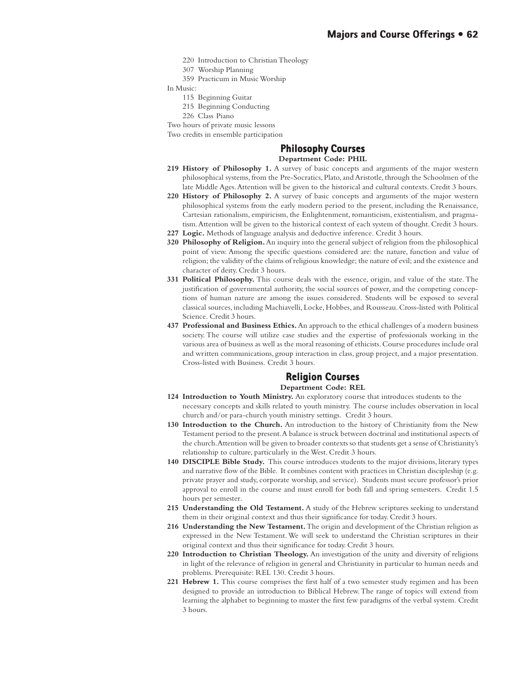- 220 Introduction to Christian Theology
- 307 Worship Planning
- 359 Practicum in Music Worship

In Music:

- 115 Beginning Guitar
- 215 Beginning Conducting
- 226 Class Piano

Two hours of private music lessons

Two credits in ensemble participation

#### **Philosophy Courses Philosophy Courses Department Code: PHIL**

- **219 History of Philosophy 1.** A survey of basic concepts and arguments of the major western philosophical systems, from the Pre-Socratics, Plato, and Aristotle, through the Schoolmen of the late Middle Ages. Attention will be given to the historical and cultural contexts. Credit 3 hours.
- **220 History of Philosophy 2.** A survey of basic concepts and arguments of the major western philosophical systems from the early modern period to the present, including the Renaissance, Cartesian rationalism, empiricism, the Enlightenment, romanticism, existentialism, and pragmatism. Attention will be given to the historical context of each system of thought. Credit 3 hours.
- **227 Logic.** Methods of language analysis and deductive inference. Credit 3 hours.
- **320 Philosophy of Religion.** An inquiry into the general subject of religion from the philosophical point of view. Among the specific questions considered are: the nature, function and value of religion; the validity of the claims of religious knowledge; the nature of evil; and the existence and character of deity. Credit 3 hours.
- **331 Political Philosophy.** This course deals with the essence, origin, and value of the state. The justification of governmental authority, the social sources of power, and the competing conceptions of human nature are among the issues considered. Students will be exposed to several classical sources, including Machiavelli, Locke, Hobbes, and Rousseau. Cross-listed with Political Science. Credit 3 hours.
- **437 Professional and Business Ethics.** An approach to the ethical challenges of a modern business society. The course will utilize case studies and the expertise of professionals working in the various area of business as well as the moral reasoning of ethicists. Course procedures include oral and written communications, group interaction in class, group project, and a major presentation. Cross-listed with Business. Credit 3 hours.

# **Religion Courses Courses**

**Department Code: REL**

- **124 Introduction to Youth Ministry.** An exploratory course that introduces students to the necessary concepts and skills related to youth ministry. The course includes observation in local church and/or para-church youth ministry settings. Credit 3 hours.
- **130 Introduction to the Church.** An introduction to the history of Christianity from the New Testament period to the present. A balance is struck between doctrinal and institutional aspects of the church. Attention will be given to broader contexts so that students get a sense of Christianity's relationship to culture, particularly in the West. Credit 3 hours.
- **140 DISCIPLE Bible Study.** This course introduces students to the major divisions, literary types and narrative flow of the Bible. It combines content with practices in Christian discipleship (e.g. private prayer and study, corporate worship, and service). Students must secure professor's prior approval to enroll in the course and must enroll for both fall and spring semesters. Credit 1.5 hours per semester.
- **215 Understanding the Old Testament.** A study of the Hebrew scriptures seeking to understand them in their original context and thus their significance for today. Credit 3 hours.
- **216 Understanding the New Testament.** The origin and development of the Christian religion as expressed in the New Testament. We will seek to understand the Christian scriptures in their original context and thus their significance for today. Credit 3 hours.
- **220 Introduction to Christian Theology.** An investigation of the unity and diversity of religions in light of the relevance of religion in general and Christianity in particular to human needs and problems. Prerequisite: REL 130. Credit 3 hours.
- **221 Hebrew 1.** This course comprises the first half of a two semester study regimen and has been designed to provide an introduction to Biblical Hebrew. The range of topics will extend from learning the alphabet to beginning to master the first few paradigms of the verbal system. Credit 3 hours.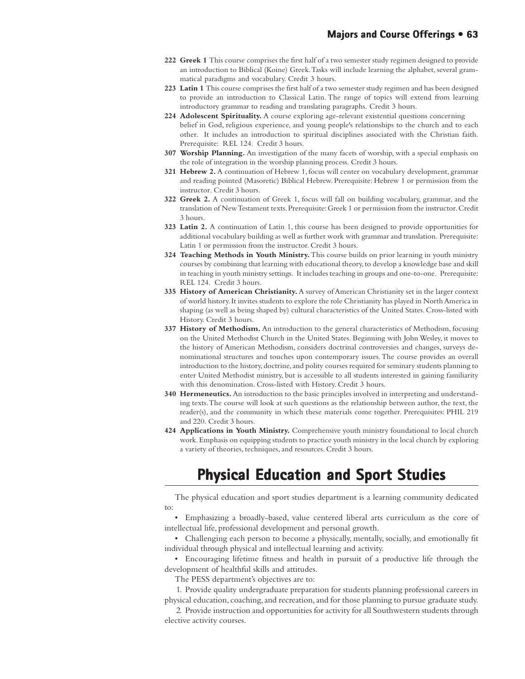- **222 Greek 1** This course comprises the first half of a two semester study regimen designed to provide an introduction to Biblical (Koine) Greek. Tasks will include learning the alphabet, several grammatical paradigms and vocabulary. Credit 3 hours.
- **223 Latin 1** This course comprises the first half of a two semester study regimen and has been designed to provide an introduction to Classical Latin. The range of topics will extend from learning introductory grammar to reading and translating paragraphs. Credit 3 hours.
- **224 Adolescent Spirituality.** A course exploring age-relevant existential questions concerning belief in God, religious experience, and young people's relationships to the church and to each other. It includes an introduction to spiritual disciplines associated with the Christian faith. Prerequisite: REL 124. Credit 3 hours.
- **307 Worship Planning.** An investigation of the many facets of worship, with a special emphasis on the role of integration in the worship planning process. Credit 3 hours.
- **321 Hebrew 2.** A continuation of Hebrew 1, focus will center on vocabulary development, grammar and reading pointed (Masoretic) Biblical Hebrew. Prerequisite: Hebrew 1 or permission from the instructor. Credit 3 hours.
- **322 Greek 2.** A continuation of Greek 1, focus will fall on building vocabulary, grammar, and the translation of New Testament texts. Prerequisite: Greek 1 or permission from the instructor. Credit 3 hours.
- **323 Latin 2.** A continuation of Latin 1, this course has been designed to provide opportunities for additional vocabulary building as well as further work with grammar and translation. Prerequisite: Latin 1 or permission from the instructor. Credit 3 hours.
- **324 Teaching Methods in Youth Ministry.** This course builds on prior learning in youth ministry courses by combining that learning with educational theory, to develop a knowledge base and skill in teaching in youth ministry settings. It includes teaching in groups and one-to-one. Prerequisite: REL 124. Credit 3 hours.
- **335 History of American Christianity.** A survey of American Christianity set in the larger context of world history. It invites students to explore the role Christianity has played in North America in shaping (as well as being shaped by) cultural characteristics of the United States. Cross-listed with History. Credit 3 hours.
- **337 History of Methodism.** An introduction to the general characteristics of Methodism, focusing on the United Methodist Church in the United States. Beginning with John Wesley, it moves to the history of American Methodism, considers doctrinal controversies and changes, surveys denominational structures and touches upon contemporary issues. The course provides an overall introduction to the history, doctrine, and polity courses required for seminary students planning to enter United Methodist ministry, but is accessible to all students interested in gaining familiarity with this denomination. Cross-listed with History. Credit 3 hours.
- **340 Hermeneutics.** An introduction to the basic principles involved in interpreting and understanding texts. The course will look at such questions as the relationship between author, the text, the reader(s), and the community in which these materials come together. Prerequisites: PHIL 219 and 220. Credit 3 hours.
- **424 Applications in Youth Ministry.** Comprehensive youth ministry foundational to local church work. Emphasis on equipping students to practice youth ministry in the local church by exploring a variety of theories, techniques, and resources. Credit 3 hours.

# **Physical Education and Sport Studies**

The physical education and sport studies department is a learning community dedicated to:

• Emphasizing a broadly-based, value centered liberal arts curriculum as the core of intellectual life, professional development and personal growth.

• Challenging each person to become a physically, mentally, socially, and emotionally fit individual through physical and intellectual learning and activity.

• Encouraging lifetime fitness and health in pursuit of a productive life through the development of healthful skills and attitudes.

The PESS department's objectives are to:

1. Provide quality undergraduate preparation for students planning professional careers in physical education, coaching, and recreation, and for those planning to pursue graduate study.

2. Provide instruction and opportunities for activity for all Southwestern students through elective activity courses.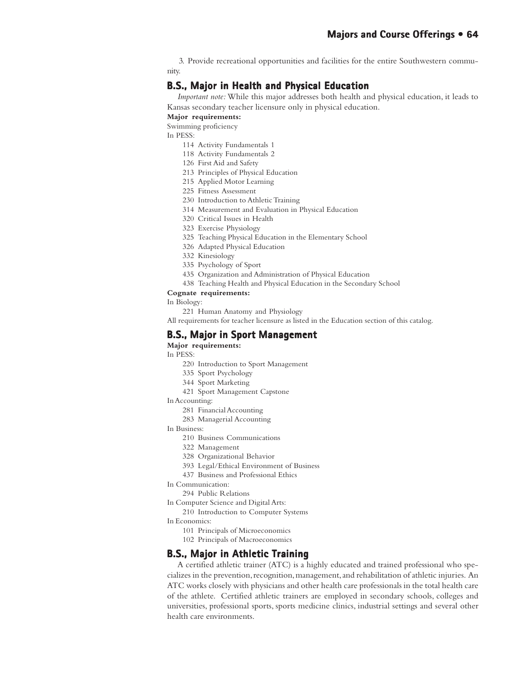3. Provide recreational opportunities and facilities for the entire Southwestern community.

# **B.S., Major in Health and Physical Education**

*Important note:* While this major addresses both health and physical education, it leads to Kansas secondary teacher licensure only in physical education.

#### **Major requirements:**

Swimming proficiency

In PESS:

- 114 Activity Fundamentals 1
- 118 Activity Fundamentals 2
- 126 First Aid and Safety
- 213 Principles of Physical Education
- 215 Applied Motor Learning
- 225 Fitness Assessment
- 230 Introduction to Athletic Training
- 314 Measurement and Evaluation in Physical Education
- 320 Critical Issues in Health
- 323 Exercise Physiology
- 325 Teaching Physical Education in the Elementary School
- 326 Adapted Physical Education
- 332 Kinesiology
- 335 Psychology of Sport
- 435 Organization and Administration of Physical Education
- 438 Teaching Health and Physical Education in the Secondary School

#### **Cognate requirements:**

In Biology:

221 Human Anatomy and Physiology

All requirements for teacher licensure as listed in the Education section of this catalog.

## **B.S., Major in Sport Management**

## **Major requirements:**

In PESS:

- 220 Introduction to Sport Management
- 335 Sport Psychology
- 344 Sport Marketing
- 421 Sport Management Capstone

In Accounting:

- 281 Financial Accounting
- 283 Managerial Accounting

## In Business:

- 210 Business Communications
- 322 Management
- 328 Organizational Behavior
- 393 Legal/Ethical Environment of Business
- 437 Business and Professional Ethics
- In Communication:
	- 294 Public Relations

In Computer Science and Digital Arts:

- 210 Introduction to Computer Systems
- In Economics:
	- 101 Principals of Microeconomics
	- 102 Principals of Macroeconomics

## **B.S., Major in Athletic Training**

A certified athletic trainer (ATC) is a highly educated and trained professional who specializes in the prevention, recognition, management, and rehabilitation of athletic injuries. An ATC works closely with physicians and other health care professionals in the total health care of the athlete. Certified athletic trainers are employed in secondary schools, colleges and universities, professional sports, sports medicine clinics, industrial settings and several other health care environments.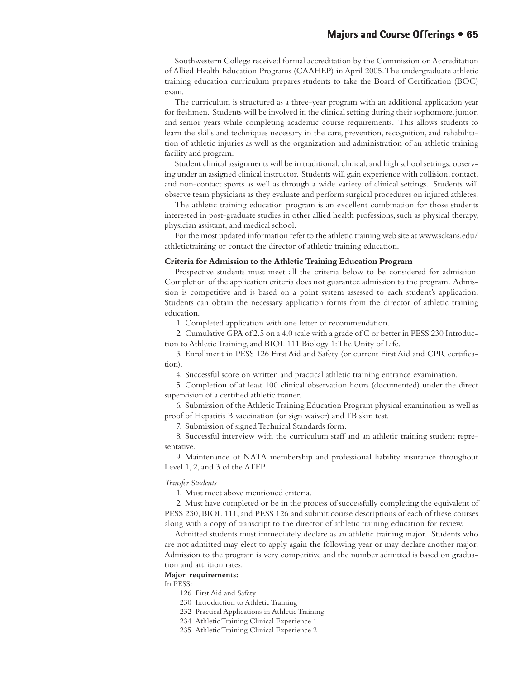Southwestern College received formal accreditation by the Commission on Accreditation of Allied Health Education Programs (CAAHEP) in April 2005. The undergraduate athletic training education curriculum prepares students to take the Board of Certification (BOC) exam.

The curriculum is structured as a three-year program with an additional application year for freshmen. Students will be involved in the clinical setting during their sophomore, junior, and senior years while completing academic course requirements. This allows students to learn the skills and techniques necessary in the care, prevention, recognition, and rehabilitation of athletic injuries as well as the organization and administration of an athletic training facility and program.

Student clinical assignments will be in traditional, clinical, and high school settings, observing under an assigned clinical instructor. Students will gain experience with collision, contact, and non-contact sports as well as through a wide variety of clinical settings. Students will observe team physicians as they evaluate and perform surgical procedures on injured athletes.

The athletic training education program is an excellent combination for those students interested in post-graduate studies in other allied health professions, such as physical therapy, physician assistant, and medical school.

For the most updated information refer to the athletic training web site at www.sckans.edu/ athletictraining or contact the director of athletic training education.

#### **Criteria for Admission to the Athletic Training Education Program**

Prospective students must meet all the criteria below to be considered for admission. Completion of the application criteria does not guarantee admission to the program. Admission is competitive and is based on a point system assessed to each student's application. Students can obtain the necessary application forms from the director of athletic training education.

1. Completed application with one letter of recommendation.

2. Cumulative GPA of 2.5 on a 4.0 scale with a grade of C or better in PESS 230 Introduction to Athletic Training, and BIOL 111 Biology 1: The Unity of Life.

3. Enrollment in PESS 126 First Aid and Safety (or current First Aid and CPR certification).

4. Successful score on written and practical athletic training entrance examination.

5. Completion of at least 100 clinical observation hours (documented) under the direct supervision of a certified athletic trainer.

6. Submission of the Athletic Training Education Program physical examination as well as proof of Hepatitis B vaccination (or sign waiver) and TB skin test.

7. Submission of signed Technical Standards form.

8. Successful interview with the curriculum staff and an athletic training student representative.

9. Maintenance of NATA membership and professional liability insurance throughout Level 1, 2, and 3 of the ATEP.

#### *Transfer Students*

1. Must meet above mentioned criteria.

2. Must have completed or be in the process of successfully completing the equivalent of PESS 230, BIOL 111, and PESS 126 and submit course descriptions of each of these courses along with a copy of transcript to the director of athletic training education for review.

Admitted students must immediately declare as an athletic training major. Students who are not admitted may elect to apply again the following year or may declare another major. Admission to the program is very competitive and the number admitted is based on graduation and attrition rates.

#### **Major requirements:**

In PESS:

126 First Aid and Safety

- 230 Introduction to Athletic Training
- 232 Practical Applications in Athletic Training
- 234 Athletic Training Clinical Experience 1
- 235 Athletic Training Clinical Experience 2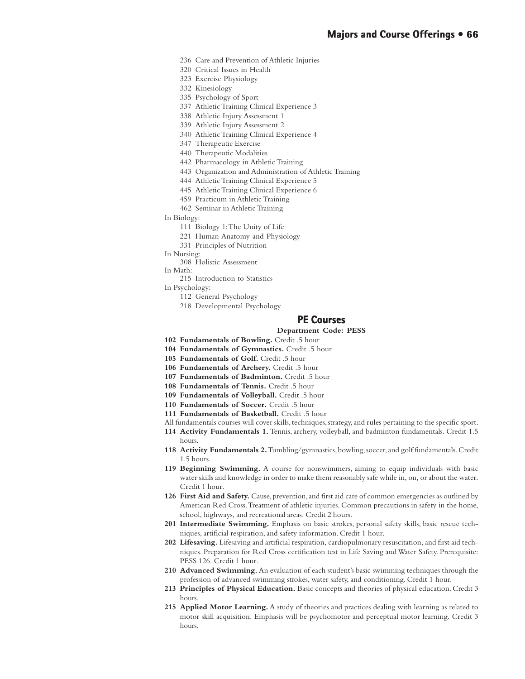- 236 Care and Prevention of Athletic Injuries
- 320 Critical Issues in Health
- 323 Exercise Physiology
- 332 Kinesiology
- 335 Psychology of Sport
- 337 Athletic Training Clinical Experience 3
- 338 Athletic Injury Assessment 1
- 339 Athletic Injury Assessment 2
- 340 Athletic Training Clinical Experience 4
- 347 Therapeutic Exercise
- 440 Therapeutic Modalities
- 442 Pharmacology in Athletic Training
- 443 Organization and Administration of Athletic Training
- 444 Athletic Training Clinical Experience 5
- 445 Athletic Training Clinical Experience 6
- 459 Practicum in Athletic Training
- 462 Seminar in Athletic Training
- In Biology:
	- 111 Biology 1: The Unity of Life
	- 221 Human Anatomy and Physiology
	- 331 Principles of Nutrition
- In Nursing:
	- 308 Holistic Assessment
- In Math:
- 215 Introduction to Statistics
- In Psychology:
	- 112 General Psychology
	- 218 Developmental Psychology

## **PE Courses**

#### **Department Code: PESS**

- **102 Fundamentals of Bowling.** Credit .5 hour
- **104 Fundamentals of Gymnastics.** Credit .5 hour
- **105 Fundamentals of Golf.** Credit .5 hour
- **106 Fundamentals of Archery.** Credit .5 hour
- **107 Fundamentals of Badminton.** Credit .5 hour
- **108 Fundamentals of Tennis.** Credit .5 hour
- **109 Fundamentals of Volleyball.** Credit .5 hour
- **110 Fundamentals of Soccer.** Credit .5 hour
- **111 Fundamentals of Basketball.** Credit .5 hour
- All fundamentals courses will cover skills, techniques, strategy, and rules pertaining to the specific sport.
- **114 Activity Fundamentals 1.** Tennis, archery, volleyball, and badminton fundamentals. Credit 1.5 hours.
- **118 Activity Fundamentals 2.** Tumbling/gymnastics, bowling, soccer, and golf fundamentals. Credit 1.5 hours.
- **119 Beginning Swimming.** A course for nonswimmers, aiming to equip individuals with basic water skills and knowledge in order to make them reasonably safe while in, on, or about the water. Credit 1 hour.
- **126 First Aid and Safety.** Cause, prevention, and first aid care of common emergencies as outlined by American Red Cross. Treatment of athletic injuries. Common precautions in safety in the home, school, highways, and recreational areas. Credit 2 hours.
- **201 Intermediate Swimming.** Emphasis on basic strokes, personal safety skills, basic rescue techniques, artificial respiration, and safety information. Credit 1 hour.
- **202 Lifesaving.** Lifesaving and artificial respiration, cardiopulmonary resuscitation, and first aid techniques. Preparation for Red Cross certification test in Life Saving and Water Safety. Prerequisite: PESS 126. Credit 1 hour.
- **210 Advanced Swimming.** An evaluation of each student's basic swimming techniques through the profession of advanced swimming strokes, water safety, and conditioning. Credit 1 hour.
- **213 Principles of Physical Education.** Basic concepts and theories of physical education. Credit 3 hours.
- **215 Applied Motor Learning.** A study of theories and practices dealing with learning as related to motor skill acquisition. Emphasis will be psychomotor and perceptual motor learning. Credit 3 hours.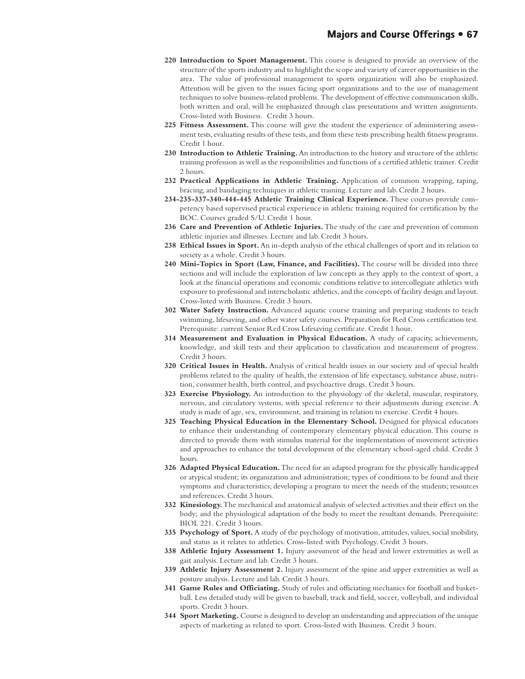- **220 Introduction to Sport Management.** This course is designed to provide an overview of the structure of the sports industry and to highlight the scope and variety of career opportunities in the area. The value of professional management to sports organization will also be emphasized. Attention will be given to the issues facing sport organizations and to the use of management techniques to solve business-related problems. The development of effective communication skills, both written and oral, will be emphasized through class presentations and written assignments. Cross-listed with Business. Credit 3 hours.
- **225 Fitness Assessment.** This course will give the student the experience of administering assessment tests, evaluating results of these tests, and from these tests prescribing health fitness programs. Credit 1 hour.
- **230 Introduction to Athletic Training.** An introduction to the history and structure of the athletic training profession as well as the responsibilities and functions of a certified athletic trainer. Credit 2 hours.
- **232 Practical Applications in Athletic Training.** Application of common wrapping, taping, bracing, and bandaging techniques in athletic training. Lecture and lab. Credit 2 hours.
- **234-235-337-340-444-445 Athletic Training Clinical Experience.** These courses provide competency based supervised practical experience in athletic training required for certification by the BOC. Courses graded S/U. Credit 1 hour.
- **236 Care and Prevention of Athletic Injuries.** The study of the care and prevention of common athletic injuries and illnesses. Lecture and lab. Credit 3 hours.
- **238 Ethical Issues in Sport.** An in-depth analysis of the ethical challenges of sport and its relation to society as a whole. Credit 3 hours.
- **240 Mini-Topics in Sport (Law, Finance, and Facilities).** The course will be divided into three sections and will include the exploration of law concepts as they apply to the context of sport, a look at the financial operations and economic conditions relative to intercollegiate athletics with exposure to professional and interscholastic athletics, and the concepts of facility design and layout. Cross-listed with Business. Credit 3 hours.
- **302 Water Safety Instruction.** Advanced aquatic course training and preparing students to teach swimming, lifesaving, and other water safety courses. Preparation for Red Cross certification test. Prerequisite: current Senior Red Cross Lifesaving certificate. Credit 1 hour.
- **314 Measurement and Evaluation in Physical Education.** A study of capacity, achievements, knowledge, and skill tests and their application to classification and measurement of progress. Credit 3 hours.
- **320 Critical Issues in Health.** Analysis of critical health issues in our society and of special health problems related to the quality of health, the extension of life expectancy, substance abuse, nutrition, consumer health, birth control, and psychoactive drugs. Credit 3 hours.
- **323 Exercise Physiology.** An introduction to the physiology of the skeletal, muscular, respiratory, nervous, and circulatory systems, with special reference to their adjustments during exercise. A study is made of age, sex, environment, and training in relation to exercise. Credit 4 hours.
- **325 Teaching Physical Education in the Elementary School.** Designed for physical educators to enhance their understanding of contemporary elementary physical education. This course is directed to provide them with stimulus material for the implementation of movement activities and approaches to enhance the total development of the elementary school-aged child. Credit 3 hours.
- **326 Adapted Physical Education.** The need for an adapted program for the physically handicapped or atypical student; its organization and administration; types of conditions to be found and their symptoms and characteristics; developing a program to meet the needs of the students; resources and references. Credit 3 hours.
- **332 Kinesiology.** The mechanical and anatomical analysis of selected activities and their effect on the body; and the physiological adaptation of the body to meet the resultant demands. Prerequisite: BIOL 221. Credit 3 hours.
- **335 Psychology of Sport.** A study of the psychology of motivation, attitudes, values, social mobility, and status as it relates to athletics. Cross-listed with Psychology. Credit 3 hours.
- **338 Athletic Injury Assessment 1.** Injury assessment of the head and lower extremities as well as gait analysis. Lecture and lab. Credit 3 hours.
- **339 Athletic Injury Assessment 2.** Injury assessment of the spine and upper extremities as well as posture analysis. Lecture and lab. Credit 3 hours.
- **341 Game Rules and Officiating.** Study of rules and officiating mechanics for football and basketball. Less detailed study will be given to baseball, track and field, soccer, volleyball, and individual sports. Credit 3 hours.
- **344 Sport Marketing.** Course is designed to develop an understanding and appreciation of the unique aspects of marketing as related to sport. Cross-listed with Business. Credit 3 hours.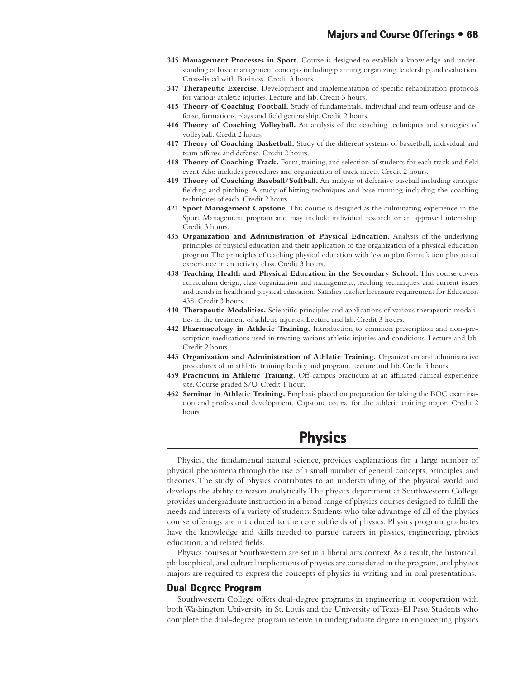- **345 Management Processes in Sport.** Course is designed to establish a knowledge and understanding of basic management concepts including planning, organizing, leadership, and evaluation. Cross-listed with Business. Credit 3 hours.
- **347 Therapeutic Exercise.** Development and implementation of specific rehabilitation protocols for various athletic injuries. Lecture and lab. Credit 3 hours.
- **415 Theory of Coaching Football.** Study of fundamentals, individual and team offense and defense, formations, plays and field generalship. Credit 2 hours.
- **416 Theory of Coaching Volleyball.** An analysis of the coaching techniques and strategies of volleyball. Credit 2 hours.
- **417 Theory of Coaching Basketball.** Study of the different systems of basketball, individual and team offense and defense. Credit 2 hours.
- **418 Theory of Coaching Track.** Form, training, and selection of students for each track and field event. Also includes procedures and organization of track meets. Credit 2 hours.
- **419 Theory of Coaching Baseball/Softball.** An analysis of defensive baseball including strategic fielding and pitching. A study of hitting techniques and base running including the coaching techniques of each. Credit 2 hours.
- **421 Sport Management Capstone.** This course is designed as the culminating experience in the Sport Management program and may include individual research or an approved internship. Credit 3 hours.
- **435 Organization and Administration of Physical Education.** Analysis of the underlying principles of physical education and their application to the organization of a physical education program. The principles of teaching physical education with lesson plan formulation plus actual experience in an activity class. Credit 3 hours.
- **438 Teaching Health and Physical Education in the Secondary School.** This course covers curriculum design, class organization and management, teaching techniques, and current issues and trends in health and physical education. Satisfies teacher licensure requirement for Education 438. Credit 3 hours.
- **440 Therapeutic Modalities.** Scientific principles and applications of various therapeutic modalities in the treatment of athletic injuries. Lecture and lab. Credit 3 hours.
- **442 Pharmacology in Athletic Training.** Introduction to common prescription and non-prescription medications used in treating various athletic injuries and conditions. Lecture and lab. Credit 2 hours.
- **443 Organization and Administration of Athletic Training.** Organization and administrative procedures of an athletic training facility and program. Lecture and lab. Credit 3 hours.
- **459 Practicum in Athletic Training.** Off-campus practicum at an affiliated clinical experience site. Course graded S/U. Credit 1 hour.
- **462 Seminar in Athletic Training.** Emphasis placed on preparation for taking the BOC examination and professional development. Capstone course for the athletic training major. Credit 2 hours.

# **Physics**

Physics, the fundamental natural science, provides explanations for a large number of physical phenomena through the use of a small number of general concepts, principles, and theories. The study of physics contributes to an understanding of the physical world and develops the ability to reason analytically. The physics department at Southwestern College provides undergraduate instruction in a broad range of physics courses designed to fulfill the needs and interests of a variety of students. Students who take advantage of all of the physics course offerings are introduced to the core subfields of physics. Physics program graduates have the knowledge and skills needed to pursue careers in physics, engineering, physics education, and related fields.

Physics courses at Southwestern are set in a liberal arts context. As a result, the historical, philosophical, and cultural implications of physics are considered in the program, and physics majors are required to express the concepts of physics in writing and in oral presentations.

## **Dual Degree Program**

Southwestern College offers dual-degree programs in engineering in cooperation with both Washington University in St. Louis and the University of Texas-El Paso. Students who complete the dual-degree program receive an undergraduate degree in engineering physics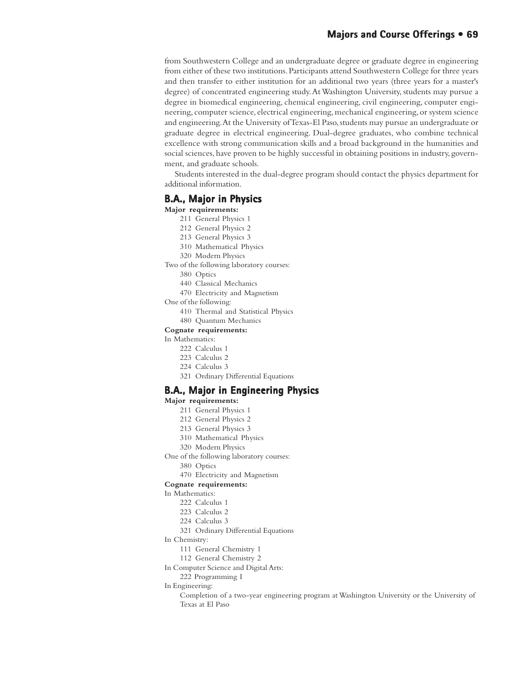# **Majors and Course Offerings • 69**

from Southwestern College and an undergraduate degree or graduate degree in engineering from either of these two institutions. Participants attend Southwestern College for three years and then transfer to either institution for an additional two years (three years for a master's degree) of concentrated engineering study. At Washington University, students may pursue a degree in biomedical engineering, chemical engineering, civil engineering, computer engineering, computer science, electrical engineering, mechanical engineering, or system science and engineering. At the University of Texas-El Paso, students may pursue an undergraduate or graduate degree in electrical engineering. Dual-degree graduates, who combine technical excellence with strong communication skills and a broad background in the humanities and social sciences, have proven to be highly successful in obtaining positions in industry, government, and graduate schools.

Students interested in the dual-degree program should contact the physics department for additional information.

### **B.A., Major in Physics**

**Major requirements:**

- 211 General Physics 1
- 212 General Physics 2
- 213 General Physics 3
- 310 Mathematical Physics
- 320 Modern Physics
- Two of the following laboratory courses:
	- 380 Optics
	- 440 Classical Mechanics
	- 470 Electricity and Magnetism

One of the following:

- 410 Thermal and Statistical Physics
- 480 Quantum Mechanics

#### **Cognate requirements:**

- In Mathematics:
	- 222 Calculus 1
	- 223 Calculus 2
	- 224 Calculus 3
	- 321 Ordinary Differential Equations

## **B.A., Major in Engineering Physics**

#### **Major requirements:**

- 211 General Physics 1
- 212 General Physics 2
- 213 General Physics 3
- 310 Mathematical Physics
- 320 Modern Physics
- One of the following laboratory courses:
	- 380 Optics
	- 470 Electricity and Magnetism

#### **Cognate requirements:**

In Mathematics:

- 222 Calculus 1
- 223 Calculus 2
- 224 Calculus 3
- 321 Ordinary Differential Equations

#### In Chemistry:

- 111 General Chemistry 1
- 112 General Chemistry 2
- In Computer Science and Digital Arts:
	- 222 Programming I
- In Engineering:
	- Completion of a two-year engineering program at Washington University or the University of Texas at El Paso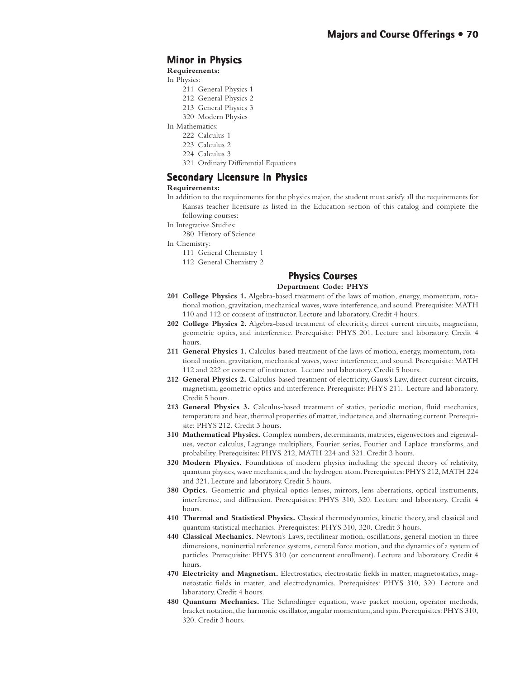# **Minor in Physics in**

**Requirements:**

- In Physics:
	- 211 General Physics 1
	- 212 General Physics 2
	- 213 General Physics 3
	- 320 Modern Physics
- In Mathematics:
	- 222 Calculus 1
	- 223 Calculus 2
	- 224 Calculus 3
	- 321 Ordinary Differential Equations

## **Secondary Licensure in Physics in Physics**

#### **Requirements:**

- In addition to the requirements for the physics major, the student must satisfy all the requirements for Kansas teacher licensure as listed in the Education section of this catalog and complete the following courses:
- In Integrative Studies:
	- 280 History of Science
- In Chemistry:
	- 111 General Chemistry 1
	- 112 General Chemistry 2

# **Physics Courses Physics Courses**

#### **Department Code: PHYS**

- **201 College Physics 1.** Algebra-based treatment of the laws of motion, energy, momentum, rotational motion, gravitation, mechanical waves, wave interference, and sound. Prerequisite: MATH 110 and 112 or consent of instructor. Lecture and laboratory. Credit 4 hours.
- **202 College Physics 2.** Algebra-based treatment of electricity, direct current circuits, magnetism, geometric optics, and interference. Prerequisite: PHYS 201. Lecture and laboratory. Credit 4 hours.
- **211 General Physics 1.** Calculus-based treatment of the laws of motion, energy, momentum, rotational motion, gravitation, mechanical waves, wave interference, and sound. Prerequisite: MATH 112 and 222 or consent of instructor. Lecture and laboratory. Credit 5 hours.
- **212 General Physics 2.** Calculus-based treatment of electricity, Gauss's Law, direct current circuits, magnetism, geometric optics and interference. Prerequisite: PHYS 211. Lecture and laboratory. Credit 5 hours.
- **213 General Physics 3.** Calculus-based treatment of statics, periodic motion, fluid mechanics, temperature and heat, thermal properties of matter, inductance, and alternating current. Prerequisite: PHYS 212. Credit 3 hours.
- **310 Mathematical Physics.** Complex numbers, determinants, matrices, eigenvectors and eigenvalues, vector calculus, Lagrange multipliers, Fourier series, Fourier and Laplace transforms, and probability. Prerequisites: PHYS 212, MATH 224 and 321. Credit 3 hours.
- **320 Modern Physics.** Foundations of modern physics including the special theory of relativity, quantum physics, wave mechanics, and the hydrogen atom. Prerequisites: PHYS 212, MATH 224 and 321. Lecture and laboratory. Credit 5 hours.
- **380 Optics.** Geometric and physical optics-lenses, mirrors, lens aberrations, optical instruments, interference, and diffraction. Prerequisites: PHYS 310, 320. Lecture and laboratory. Credit 4 hours.
- **410 Thermal and Statistical Physics.** Classical thermodynamics, kinetic theory, and classical and quantum statistical mechanics. Prerequisites: PHYS 310, 320. Credit 3 hours.
- **440 Classical Mechanics.** Newton's Laws, rectilinear motion, oscillations, general motion in three dimensions, noninertial reference systems, central force motion, and the dynamics of a system of particles. Prerequisite: PHYS 310 (or concurrent enrollment). Lecture and laboratory. Credit 4 hours.
- **470 Electricity and Magnetism.** Electrostatics, electrostatic fields in matter, magnetostatics, magnetostatic fields in matter, and electrodynamics. Prerequisites: PHYS 310, 320. Lecture and laboratory. Credit 4 hours.
- **480 Quantum Mechanics.** The Schrodinger equation, wave packet motion, operator methods, bracket notation, the harmonic oscillator, angular momentum, and spin. Prerequisites: PHYS 310, 320. Credit 3 hours.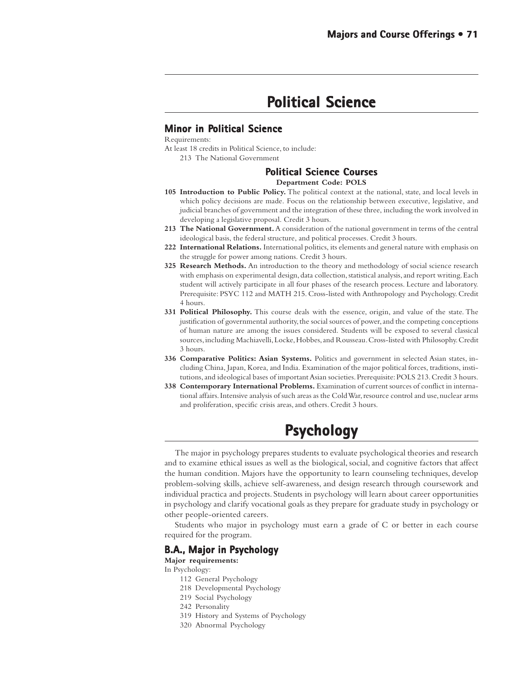# **Political Science olitical Science**

# **Minor in Political Science**

Requirements:

At least 18 credits in Political Science, to include:

213 The National Government

## **Political Science Courses olitical Science Courses**

**Department Code: POLS**

- **105 Introduction to Public Policy.** The political context at the national, state, and local levels in which policy decisions are made. Focus on the relationship between executive, legislative, and judicial branches of government and the integration of these three, including the work involved in developing a legislative proposal. Credit 3 hours.
- **213 The National Government.** A consideration of the national government in terms of the central ideological basis, the federal structure, and political processes. Credit 3 hours.
- **222 International Relations.** International politics, its elements and general nature with emphasis on the struggle for power among nations. Credit 3 hours.
- **325 Research Methods.** An introduction to the theory and methodology of social science research with emphasis on experimental design, data collection, statistical analysis, and report writing. Each student will actively participate in all four phases of the research process. Lecture and laboratory. Prerequisite: PSYC 112 and MATH 215. Cross-listed with Anthropology and Psychology. Credit 4 hours.
- **331 Political Philosophy.** This course deals with the essence, origin, and value of the state. The justification of governmental authority, the social sources of power, and the competing conceptions of human nature are among the issues considered. Students will be exposed to several classical sources, including Machiavelli, Locke, Hobbes, and Rousseau. Cross-listed with Philosophy. Credit 3 hours.
- **336 Comparative Politics: Asian Systems.** Politics and government in selected Asian states, including China, Japan, Korea, and India. Examination of the major political forces, traditions, institutions, and ideological bases of important Asian societies. Prerequisite: POLS 213. Credit 3 hours.
- **338 Contemporary International Problems.** Examination of current sources of conflict in international affairs. Intensive analysis of such areas as the Cold War, resource control and use, nuclear arms and proliferation, specific crisis areas, and others. Credit 3 hours.

# **Psychology Psychology**

The major in psychology prepares students to evaluate psychological theories and research and to examine ethical issues as well as the biological, social, and cognitive factors that affect the human condition. Majors have the opportunity to learn counseling techniques, develop problem-solving skills, achieve self-awareness, and design research through coursework and individual practica and projects. Students in psychology will learn about career opportunities in psychology and clarify vocational goals as they prepare for graduate study in psychology or other people-oriented careers.

Students who major in psychology must earn a grade of C or better in each course required for the program.

## **B.A., Major in Psychology**

**Major requirements:**

In Psychology:

- 112 General Psychology
- 218 Developmental Psychology
- 219 Social Psychology
- 242 Personality
- 319 History and Systems of Psychology
- 320 Abnormal Psychology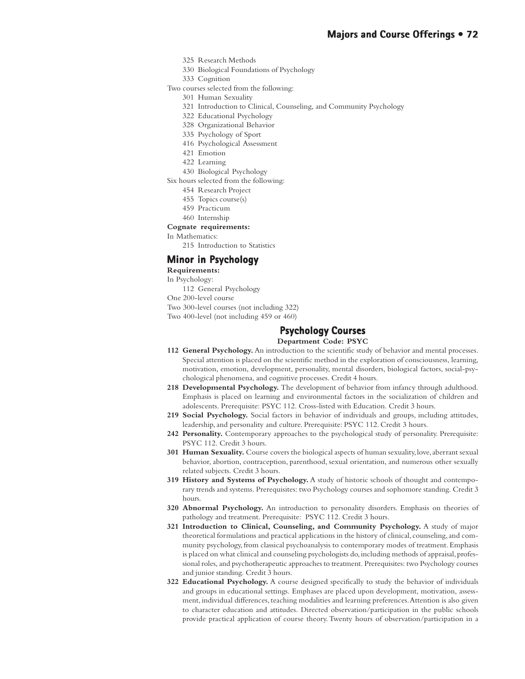- 325 Research Methods
- 330 Biological Foundations of Psychology
- 333 Cognition
- Two courses selected from the following:
	- 301 Human Sexuality
	- 321 Introduction to Clinical, Counseling, and Community Psychology
	- 322 Educational Psychology
	- 328 Organizational Behavior
	- 335 Psychology of Sport
	- 416 Psychological Assessment
	- 421 Emotion
	- 422 Learning
	- 430 Biological Psychology
- Six hours selected from the following:
	- 454 Research Project
	- 455 Topics course(s)
	- 459 Practicum
	- 460 Internship

#### **Cognate requirements:**

In Mathematics:

215 Introduction to Statistics

### **Minor in Psychology**

**Requirements:**

In Psychology:

112 General Psychology

One 200-level course

Two 300-level courses (not including 322)

Two 400-level (not including 459 or 460)

## **Psychology Courses Psychology Courses**

**Department Code: PSYC**

- **112 General Psychology.** An introduction to the scientific study of behavior and mental processes. Special attention is placed on the scientific method in the exploration of consciousness, learning, motivation, emotion, development, personality, mental disorders, biological factors, social-psychological phenomena, and cognitive processes. Credit 4 hours.
- 218 Developmental Psychology. The development of behavior from infancy through adulthood. Emphasis is placed on learning and environmental factors in the socialization of children and adolescents. Prerequisite: PSYC 112. Cross-listed with Education. Credit 3 hours.
- **219 Social Psychology.** Social factors in behavior of individuals and groups, including attitudes, leadership, and personality and culture. Prerequisite: PSYC 112. Credit 3 hours.
- **242 Personality.** Contemporary approaches to the psychological study of personality. Prerequisite: PSYC 112. Credit 3 hours.
- **301 Human Sexuality.** Course covers the biological aspects of human sexuality, love, aberrant sexual behavior, abortion, contraception, parenthood, sexual orientation, and numerous other sexually related subjects. Credit 3 hours.
- **319 History and Systems of Psychology.** A study of historic schools of thought and contemporary trends and systems. Prerequisites: two Psychology courses and sophomore standing. Credit 3 hours.
- **320 Abnormal Psychology.** An introduction to personality disorders. Emphasis on theories of pathology and treatment. Prerequisite: PSYC 112. Credit 3 hours.
- **321 Introduction to Clinical, Counseling, and Community Psychology.** A study of major theoretical formulations and practical applications in the history of clinical, counseling, and community psychology, from classical psychoanalysis to contemporary modes of treatment. Emphasis is placed on what clinical and counseling psychologists do, including methods of appraisal, professional roles, and psychotherapeutic approaches to treatment. Prerequisites: two Psychology courses and junior standing. Credit 3 hours.
- **322 Educational Psychology.** A course designed specifically to study the behavior of individuals and groups in educational settings. Emphases are placed upon development, motivation, assessment, individual differences, teaching modalities and learning preferences. Attention is also given to character education and attitudes. Directed observation/participation in the public schools provide practical application of course theory. Twenty hours of observation/participation in a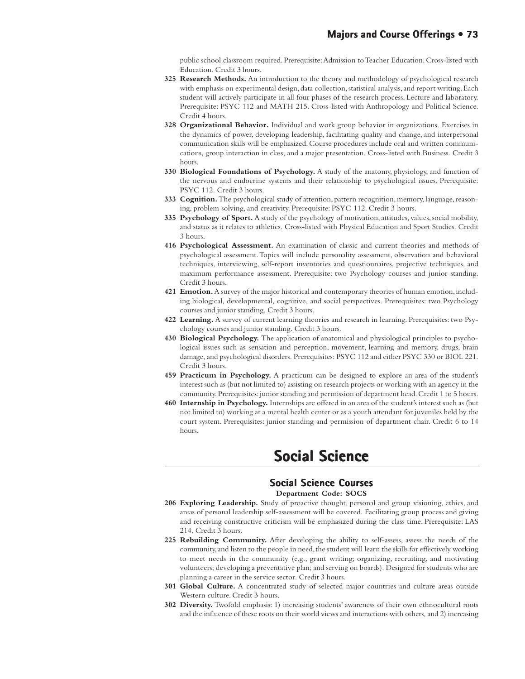public school classroom required. Prerequisite: Admission to Teacher Education. Cross-listed with Education. Credit 3 hours.

- **325 Research Methods.** An introduction to the theory and methodology of psychological research with emphasis on experimental design, data collection, statistical analysis, and report writing. Each student will actively participate in all four phases of the research process. Lecture and laboratory. Prerequisite: PSYC 112 and MATH 215. Cross-listed with Anthropology and Political Science. Credit 4 hours.
- **328 Organizational Behavior.** Individual and work group behavior in organizations. Exercises in the dynamics of power, developing leadership, facilitating quality and change, and interpersonal communication skills will be emphasized. Course procedures include oral and written communications, group interaction in class, and a major presentation. Cross-listed with Business. Credit 3 hours.
- **330 Biological Foundations of Psychology.** A study of the anatomy, physiology, and function of the nervous and endocrine systems and their relationship to psychological issues. Prerequisite: PSYC 112. Credit 3 hours.
- **333 Cognition.** The psychological study of attention, pattern recognition, memory, language, reasoning, problem solving, and creativity. Prerequisite: PSYC 112. Credit 3 hours.
- **335 Psychology of Sport.** A study of the psychology of motivation, attitudes, values, social mobility, and status as it relates to athletics. Cross-listed with Physical Education and Sport Studies. Credit 3 hours.
- **416 Psychological Assessment.** An examination of classic and current theories and methods of psychological assessment. Topics will include personality assessment, observation and behavioral techniques, interviewing, self-report inventories and questionnaires, projective techniques, and maximum performance assessment. Prerequisite: two Psychology courses and junior standing. Credit 3 hours.
- **421 Emotion.** A survey of the major historical and contemporary theories of human emotion, including biological, developmental, cognitive, and social perspectives. Prerequisites: two Psychology courses and junior standing. Credit 3 hours.
- **422 Learning.** A survey of current learning theories and research in learning. Prerequisites: two Psychology courses and junior standing. Credit 3 hours.
- **430 Biological Psychology.** The application of anatomical and physiological principles to psychological issues such as sensation and perception, movement, learning and memory, drugs, brain damage, and psychological disorders. Prerequisites: PSYC 112 and either PSYC 330 or BIOL 221. Credit 3 hours.
- **459 Practicum in Psychology.** A practicum can be designed to explore an area of the student's interest such as (but not limited to) assisting on research projects or working with an agency in the community. Prerequisites: junior standing and permission of department head. Credit 1 to 5 hours.
- **460 Internship in Psychology.** Internships are offered in an area of the student's interest such as (but not limited to) working at a mental health center or as a youth attendant for juveniles held by the court system. Prerequisites: junior standing and permission of department chair. Credit 6 to 14 hours.

# **Social Science Social Science**

## **Social Science Courses Science Courses**

#### **Department Code: SOCS**

- **206 Exploring Leadership.** Study of proactive thought, personal and group visioning, ethics, and areas of personal leadership self-assessment will be covered. Facilitating group process and giving and receiving constructive criticism will be emphasized during the class time. Prerequisite: LAS 214. Credit 3 hours.
- **225 Rebuilding Community.** After developing the ability to self-assess, assess the needs of the community, and listen to the people in need, the student will learn the skills for effectively working to meet needs in the community (e.g., grant writing; organizing, recruiting, and motivating volunteers; developing a preventative plan; and serving on boards). Designed for students who are planning a career in the service sector. Credit 3 hours.
- **301 Global Culture.** A concentrated study of selected major countries and culture areas outside Western culture. Credit 3 hours.
- **302 Diversity.** Twofold emphasis: 1) increasing students' awareness of their own ethnocultural roots and the influence of these roots on their world views and interactions with others, and 2) increasing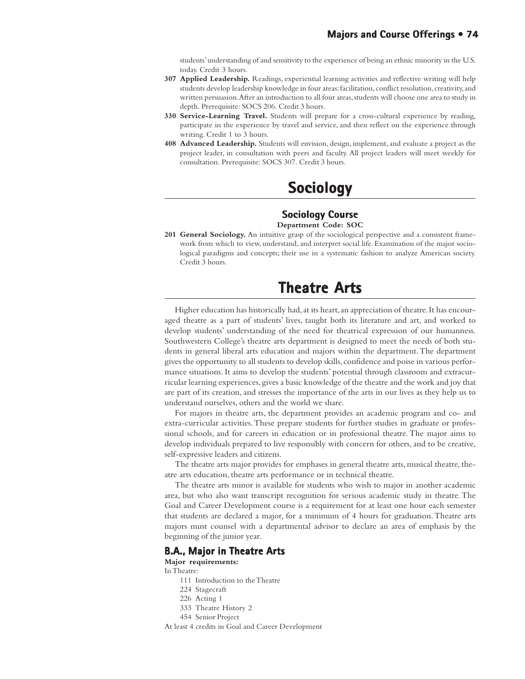students' understanding of and sensitivity to the experience of being an ethnic minority in the U.S. today. Credit 3 hours.

- **307 Applied Leadership.** Readings, experiential learning activities and reflective writing will help students develop leadership knowledge in four areas: facilitation, conflict resolution, creativity, and written persuasion. After an introduction to all four areas, students will choose one area to study in depth. Prerequisite: SOCS 206. Credit 3 hours.
- **330 Service-Learning Travel.** Students will prepare for a cross-cultural experience by reading, participate in the experience by travel and service, and then reflect on the experience through writing. Credit 1 to 3 hours.
- **408 Advanced Leadership.** Students will envision, design, implement, and evaluate a project as the project leader, in consultation with peers and faculty. All project leaders will meet weekly for consultation. Prerequisite: SOCS 307. Credit 3 hours.

# **Sociology Sociology**

## **Sociology Course**

#### **Department Code: SOC**

**201 General Sociology.** An intuitive grasp of the sociological perspective and a consistent framework from which to view, understand, and interpret social life. Examination of the major sociological paradigms and concepts; their use in a systematic fashion to analyze American society. Credit 3 hours.

# **Theatre Arts Arts**

Higher education has historically had, at its heart, an appreciation of theatre. It has encouraged theatre as a part of students' lives, taught both its literature and art, and worked to develop students' understanding of the need for theatrical expression of our humanness. Southwestern College's theatre arts department is designed to meet the needs of both students in general liberal arts education and majors within the department. The department gives the opportunity to all students to develop skills, confidence and poise in various performance situations. It aims to develop the students' potential through classroom and extracurricular learning experiences, gives a basic knowledge of the theatre and the work and joy that are part of its creation, and stresses the importance of the arts in our lives as they help us to understand ourselves, others and the world we share.

For majors in theatre arts, the department provides an academic program and co- and extra-curricular activities. These prepare students for further studies in graduate or professional schools, and for careers in education or in professional theatre. The major aims to develop individuals prepared to live responsibly with concern for others, and to be creative, self-expressive leaders and citizens.

The theatre arts major provides for emphases in general theatre arts, musical theatre, theatre arts education, theatre arts performance or in technical theatre.

The theatre arts minor is available for students who wish to major in another academic area, but who also want transcript recognition for serious academic study in theatre. The Goal and Career Development course is a requirement for at least one hour each semester that students are declared a major, for a minimum of 4 hours for graduation. Theatre arts majors must counsel with a departmental advisor to declare an area of emphasis by the beginning of the junior year.

#### **B.A., Major in Theatre Arts**

#### **Major requirements:**

In Theatre:

- 111 Introduction to the Theatre
- 224 Stagecraft
- 226 Acting 1
- 333 Theatre History 2
- 454 Senior Project
- At least 4 credits in Goal and Career Development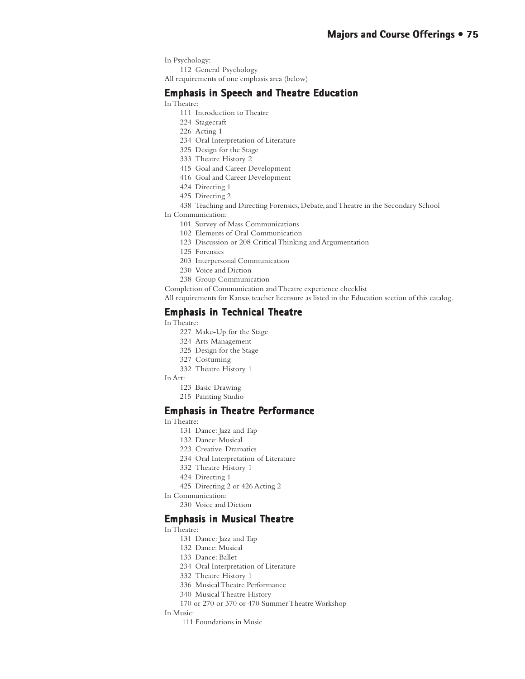- In Psychology:
- 112 General Psychology
- All requirements of one emphasis area (below)

#### **Emphasis in Speech and Theatre Education**

- In Theatre:
	- 111 Introduction to Theatre
	- 224 Stagecraft
	- 226 Acting 1
	- 234 Oral Interpretation of Literature
	- 325 Design for the Stage
	- 333 Theatre History 2
	- 415 Goal and Career Development
	- 416 Goal and Career Development
	- 424 Directing 1
	- 425 Directing 2
	- 438 Teaching and Directing Forensics, Debate, and Theatre in the Secondary School
- In Communication:
	- 101 Survey of Mass Communications
	- 102 Elements of Oral Communication
	- 123 Discussion or 208 Critical Thinking and Argumentation
	- 125 Forensics
	- 203 Interpersonal Communication
	- 230 Voice and Diction
	- 238 Group Communication

Completion of Communication and Theatre experience checklist

All requirements for Kansas teacher licensure as listed in the Education section of this catalog.

#### **Emphasis in Technical Theatre**

In Theatre:

- 227 Make-Up for the Stage
- 324 Arts Management
- 325 Design for the Stage
- 327 Costuming
- 332 Theatre History 1
- In Art:
	- 123 Basic Drawing
	- 215 Painting Studio

#### **Emphasis in Theatre Performance**

#### In Theatre:

- 131 Dance: Jazz and Tap
- 132 Dance: Musical
- 223 Creative Dramatics
- 234 Oral Interpretation of Literature
- 332 Theatre History 1
- 424 Directing 1
- 425 Directing 2 or 426 Acting 2
- In Communication:
	- 230 Voice and Diction

#### **Emphasis in Musical Theatre**

#### In Theatre:

- 131 Dance: Jazz and Tap
- 132 Dance: Musical
- 133 Dance: Ballet
- 234 Oral Interpretation of Literature
- 332 Theatre History 1
- 336 Musical Theatre Performance
- 340 Musical Theatre History
- 170 or 270 or 370 or 470 Summer Theatre Workshop
- In Music:
	- 111 Foundations in Music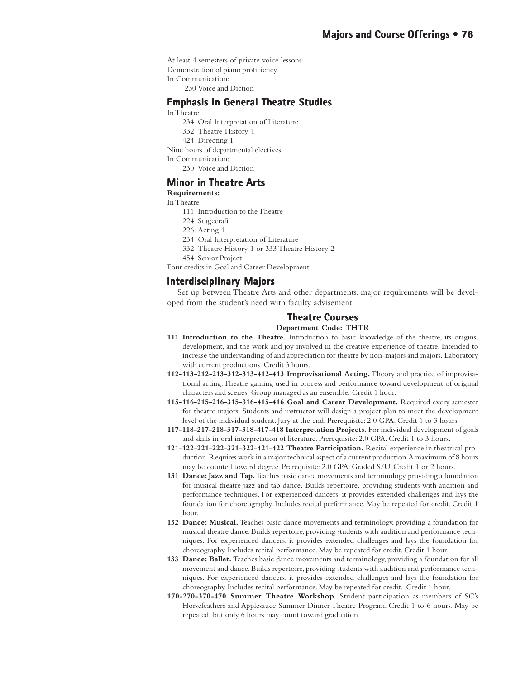At least 4 semesters of private voice lessons

- Demonstration of piano proficiency
- In Communication:
	- 230 Voice and Diction

## **Emphasis in General Theatre Studies**

- In Theatre:
	- 234 Oral Interpretation of Literature
	- 332 Theatre History 1
	- 424 Directing 1
- Nine hours of departmental electives
- In Communication:
- 230 Voice and Diction

#### **Minor in Theatre Arts**

#### **Requirements:**

In Theatre:

- 111 Introduction to the Theatre
- 224 Stagecraft
	- 226 Acting 1
	- 234 Oral Interpretation of Literature
	- 332 Theatre History 1 or 333 Theatre History 2
- 454 Senior Project
- Four credits in Goal and Career Development

#### **Interdisciplinary Majors Interdisciplinary**

Set up between Theatre Arts and other departments, major requirements will be developed from the student's need with faculty advisement.

#### **Theatre Courses Theatre**

#### **Department Code: THTR**

- **111 Introduction to the Theatre.** Introduction to basic knowledge of the theatre, its origins, development, and the work and joy involved in the creative experience of theatre. Intended to increase the understanding of and appreciation for theatre by non-majors and majors. Laboratory with current productions. Credit 3 hours.
- **112-113-212-213-312-313-412-413 Improvisational Acting.** Theory and practice of improvisational acting. Theatre gaming used in process and performance toward development of original characters and scenes. Group managed as an ensemble. Credit 1 hour.
- **115-116-215-216-315-316-415-416 Goal and Career Development.** Required every semester for theatre majors. Students and instructor will design a project plan to meet the development level of the individual student. Jury at the end. Prerequisite: 2.0 GPA. Credit 1 to 3 hours
- **117-118-217-218-317-318-417-418 Interpretation Projects.** For individual development of goals and skills in oral interpretation of literature. Prerequisite: 2.0 GPA. Credit 1 to 3 hours.
- **121-122-221-222-321-322-421-422 Theatre Participation.** Recital experience in theatrical production. Requires work in a major technical aspect of a current production. A maximum of 8 hours may be counted toward degree. Prerequisite: 2.0 GPA. Graded S/U. Credit 1 or 2 hours.
- **131 Dance: Jazz and Tap.** Teaches basic dance movements and terminology, providing a foundation for musical theatre jazz and tap dance. Builds repertoire, providing students with audition and performance techniques. For experienced dancers, it provides extended challenges and lays the foundation for choreography. Includes recital performance. May be repeated for credit. Credit 1 hour.
- **132 Dance: Musical.** Teaches basic dance movements and terminology, providing a foundation for musical theatre dance. Builds repertoire, providing students with audition and performance techniques. For experienced dancers, it provides extended challenges and lays the foundation for choreography. Includes recital performance. May be repeated for credit. Credit 1 hour.
- **133 Dance: Ballet.** Teaches basic dance movements and terminology, providing a foundation for all movement and dance. Builds repertoire, providing students with audition and performance techniques. For experienced dancers, it provides extended challenges and lays the foundation for choreography. Includes recital performance. May be repeated for credit. Credit 1 hour.
- **170-270-370-470 Summer Theatre Workshop.** Student participation as members of SC's Horsefeathers and Applesauce Summer Dinner Theatre Program. Credit 1 to 6 hours. May be repeated, but only 6 hours may count toward graduation.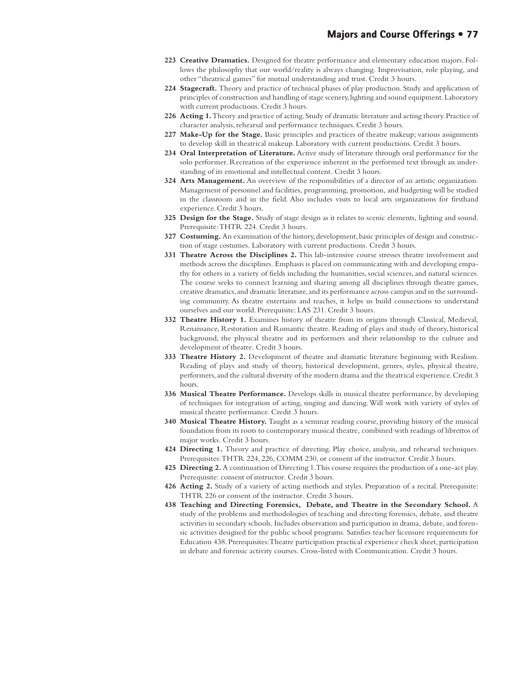- **223 Creative Dramatics.** Designed for theatre performance and elementary education majors. Follows the philosophy that our world/reality is always changing. Improvisation, role playing, and other "theatrical games" for mutual understanding and trust. Credit 3 hours.
- **224 Stagecraft.** Theory and practice of technical phases of play production. Study and application of principles of construction and handling of stage scenery, lighting and sound equipment. Laboratory with current productions. Credit 3 hours.
- **226 Acting 1.** Theory and practice of acting. Study of dramatic literature and acting theory. Practice of character analysis, rehearsal and performance techniques. Credit 3 hours.
- **227 Make-Up for the Stage.** Basic principles and practices of theatre makeup; various assignments to develop skill in theatrical makeup. Laboratory with current productions. Credit 3 hours.
- **234 Oral Interpretation of Literature.** Active study of literature through oral performance for the solo performer. Recreation of the experience inherent in the performed text through an understanding of its emotional and intellectual content. Credit 3 hours.
- **324 Arts Management.** An overview of the responsibilities of a director of an artistic organization. Management of personnel and facilities, programming, promotion, and budgeting will be studied in the classroom and in the field. Also includes visits to local arts organizations for firsthand experience. Credit 3 hours.
- **325 Design for the Stage.** Study of stage design as it relates to scenic elements, lighting and sound. Prerequisite: THTR 224. Credit 3 hours.
- **327 Costuming.** An examination of the history, development, basic principles of design and construction of stage costumes. Laboratory with current productions. Credit 3 hours.
- **331 Theatre Across the Disciplines 2.** This lab-intensive course stresses theatre involvement and methods across the disciplines. Emphasis is placed on communicating with and developing empathy for others in a variety of fields including the humanities, social sciences, and natural sciences. The course seeks to connect learning and sharing among all disciplines through theatre games, creative dramatics, and dramatic literature, and its performance across campus and in the surrounding community. As theatre entertains and teaches, it helps us build connections to understand ourselves and our world. Prerequisite: LAS 231. Credit 3 hours*.*
- **332 Theatre History 1.** Examines history of theatre from its origins through Classical, Medieval, Renaissance, Restoration and Romantic theatre. Reading of plays and study of theory, historical background, the physical theatre and its performers and their relationship to the culture and development of theatre. Credit 3 hours.
- **333 Theatre History 2.** Development of theatre and dramatic literature beginning with Realism. Reading of plays and study of theory, historical development, genres, styles, physical theatre, performers, and the cultural diversity of the modern drama and the theatrical experience. Credit 3 hours.
- **336 Musical Theatre Performance.** Develops skills in musical theatre performance, by developing of techniques for integration of acting, singing and dancing. Will work with variety of styles of musical theatre performance. Credit 3 hours.
- **340 Musical Theatre History.** Taught as a seminar reading course, providing history of the musical foundation from its roots to contemporary musical theatre, combined with readings of librettos of major works. Credit 3 hours.
- **424 Directing 1.** Theory and practice of directing. Play choice, analysis, and rehearsal techniques. Prerequisites: THTR 224, 226, COMM 230, or consent of the instructor. Credit 3 hours.
- **425 Directing 2.** A continuation of Directing 1. This course requires the production of a one-act play. Prerequisite: consent of instructor. Credit 3 hours.
- **426 Acting 2.** Study of a variety of acting methods and styles. Preparation of a recital. Prerequisite: THTR 226 or consent of the instructor. Credit 3 hours.
- **438 Teaching and Directing Forensics, Debate, and Theatre in the Secondary School.** A study of the problems and methodologies of teaching and directing forensics, debate, and theatre activities in secondary schools. Includes observation and participation in drama, debate, and forensic activities designed for the public school programs. Satisfies teacher licensure requirements for Education 438. Prerequisites: Theatre participation practical experience check sheet, participation in debate and forensic activity courses. Cross-listed with Communication. Credit 3 hours.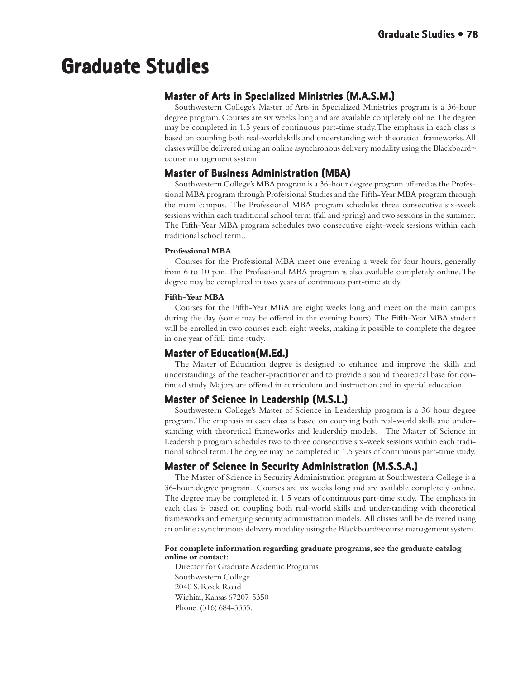# **Graduate Studies Studies Graduate**

## **Master of Arts in Specialized Ministries (M.A.S.M.)**

Southwestern College's Master of Arts in Specialized Ministries program is a 36-hour degree program. Courses are six weeks long and are available completely online. The degree may be completed in 1.5 years of continuous part-time study. The emphasis in each class is based on coupling both real-world skills and understanding with theoretical frameworks. All classes will be delivered using an online asynchronous delivery modality using the Blackboard $\mathbb{M}$ course management system.

## **Master of Business Administration (MBA)**

Southwestern College's MBA program is a 36-hour degree program offered as the Professional MBA program through Professional Studies and the Fifth-Year MBA program through the main campus. The Professional MBA program schedules three consecutive six-week sessions within each traditional school term (fall and spring) and two sessions in the summer. The Fifth-Year MBA program schedules two consecutive eight-week sessions within each traditional school term..

#### **Professional MBA**

Courses for the Professional MBA meet one evening a week for four hours, generally from 6 to 10 p.m. The Professional MBA program is also available completely online. The degree may be completed in two years of continuous part-time study.

#### **Fifth-Year MBA**

Courses for the Fifth-Year MBA are eight weeks long and meet on the main campus during the day (some may be offered in the evening hours). The Fifth-Year MBA student will be enrolled in two courses each eight weeks, making it possible to complete the degree in one year of full-time study.

## **Master of Education(M.Ed.)**

The Master of Education degree is designed to enhance and improve the skills and understandings of the teacher-practitioner and to provide a sound theoretical base for continued study. Majors are offered in curriculum and instruction and in special education.

## **Master of Science in Leadership (M.S.L.)**

Southwestern College's Master of Science in Leadership program is a 36-hour degree program. The emphasis in each class is based on coupling both real-world skills and understanding with theoretical frameworks and leadership models. The Master of Science in Leadership program schedules two to three consecutive six-week sessions within each traditional school term. The degree may be completed in 1.5 years of continuous part-time study.

## **Master of Science in Security Administration (M.S.S.A.)**

The Master of Science in Security Administration program at Southwestern College is a 36-hour degree program. Courses are six weeks long and are available completely online. The degree may be completed in 1.5 years of continuous part-time study. The emphasis in each class is based on coupling both real-world skills and understanding with theoretical frameworks and emerging security administration models. All classes will be delivered using an online asynchronous delivery modality using the Blackboard $\mathcal{M}$ course management system.

#### **For complete information regarding graduate programs, see the graduate catalog online or contact:**

Director for Graduate Academic Programs Southwestern College 2040 S. Rock Road Wichita, Kansas 67207-5350 Phone: (316) 684-5335.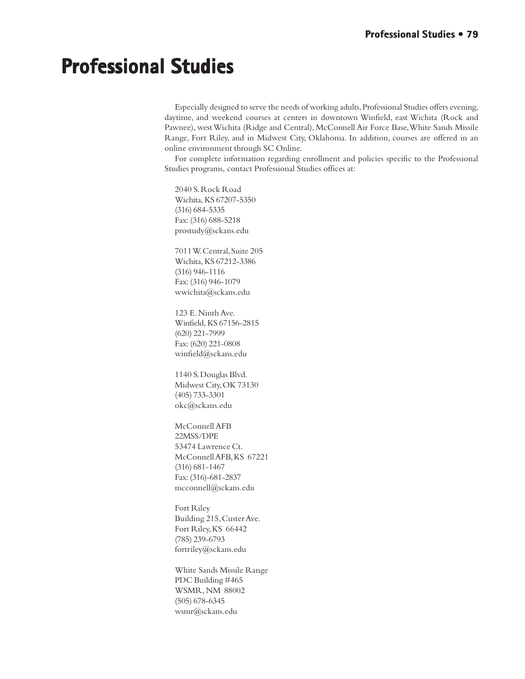# **Professional Studies**

Especially designed to serve the needs of working adults, Professional Studies offers evening, daytime, and weekend courses at centers in downtown Winfield, east Wichita (Rock and Pawnee), west Wichita (Ridge and Central), McConnell Air Force Base, White Sands Missile Range, Fort Riley, and in Midwest City, Oklahoma. In addition, courses are offered in an online environment through SC Online.

For complete information regarding enrollment and policies specific to the Professional Studies programs, contact Professional Studies offices at:

2040 S. Rock Road Wichita, KS 67207-5350 (316) 684-5335 Fax: (316) 688-5218 prostudy@sckans.edu

7011 W. Central, Suite 205 Wichita, KS 67212-3386 (316) 946-1116 Fax: (316) 946-1079 wwichita@sckans.edu

123 E. Ninth Ave. Winfield, KS 67156-2815 (620) 221-7999 Fax: (620) 221-0808 winfield@sckans.edu

1140 S. Douglas Blvd. Midwest City, OK 73130 (405) 733-3301 okc@sckans.edu

McConnell AFB 22MSS/DPE 53474 Lawrence Ct. McConnell AFB, KS 67221 (316) 681-1467 Fax: (316)-681-2837 mcconnell@sckans.edu

Fort Riley Building 215, Custer Ave. Fort Riley, KS 66442 (785) 239-6793 fortriley@sckans.edu

White Sands Missile Range PDC Building #465 WSMR, NM 88002 (505) 678-6345 wsmr@sckans.edu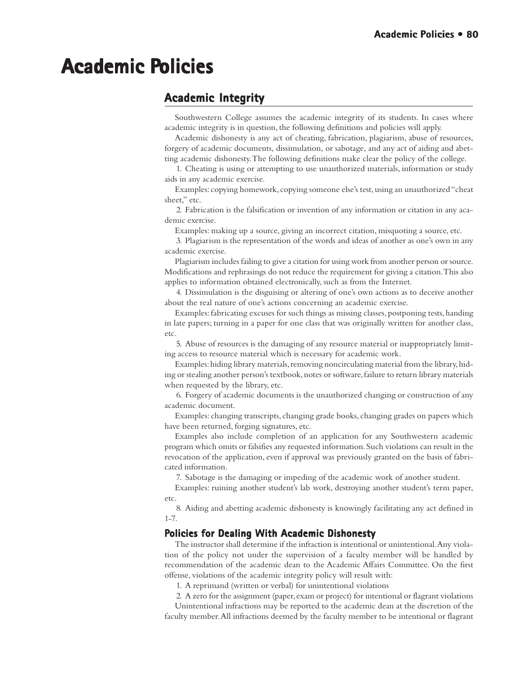# **Academic P Policies olicies**

# **Academic Integrity Academic**

Southwestern College assumes the academic integrity of its students. In cases where academic integrity is in question, the following definitions and policies will apply.

Academic dishonesty is any act of cheating, fabrication, plagiarism, abuse of resources, forgery of academic documents, dissimulation, or sabotage, and any act of aiding and abetting academic dishonesty. The following definitions make clear the policy of the college.

1. Cheating is using or attempting to use unauthorized materials, information or study aids in any academic exercise.

Examples: copying homework, copying someone else's test, using an unauthorized "cheat sheet," etc.

2. Fabrication is the falsification or invention of any information or citation in any academic exercise.

Examples: making up a source, giving an incorrect citation, misquoting a source, etc.

3. Plagiarism is the representation of the words and ideas of another as one's own in any academic exercise.

Plagiarism includes failing to give a citation for using work from another person or source. Modifications and rephrasings do not reduce the requirement for giving a citation. This also applies to information obtained electronically, such as from the Internet.

4. Dissimulation is the disguising or altering of one's own actions as to deceive another about the real nature of one's actions concerning an academic exercise.

Examples: fabricating excuses for such things as missing classes, postponing tests, handing in late papers; turning in a paper for one class that was originally written for another class, etc.

5. Abuse of resources is the damaging of any resource material or inappropriately limiting access to resource material which is necessary for academic work.

Examples: hiding library materials, removing noncirculating material from the library, hiding or stealing another person's textbook, notes or software, failure to return library materials when requested by the library, etc.

6. Forgery of academic documents is the unauthorized changing or construction of any academic document.

Examples: changing transcripts, changing grade books, changing grades on papers which have been returned, forging signatures, etc.

Examples also include completion of an application for any Southwestern academic program which omits or falsifies any requested information. Such violations can result in the revocation of the application, even if approval was previously granted on the basis of fabricated information.

7. Sabotage is the damaging or impeding of the academic work of another student.

Examples: ruining another student's lab work, destroying another student's term paper, etc.

8. Aiding and abetting academic dishonesty is knowingly facilitating any act defined in 1-7.

#### **Policies for Dealing With Academic Dishonesty**

The instructor shall determine if the infraction is intentional or unintentional. Any violation of the policy not under the supervision of a faculty member will be handled by recommendation of the academic dean to the Academic Affairs Committee. On the first offense, violations of the academic integrity policy will result with:

1. A reprimand (written or verbal) for unintentional violations

2. A zero for the assignment (paper, exam or project) for intentional or flagrant violations Unintentional infractions may be reported to the academic dean at the discretion of the faculty member. All infractions deemed by the faculty member to be intentional or flagrant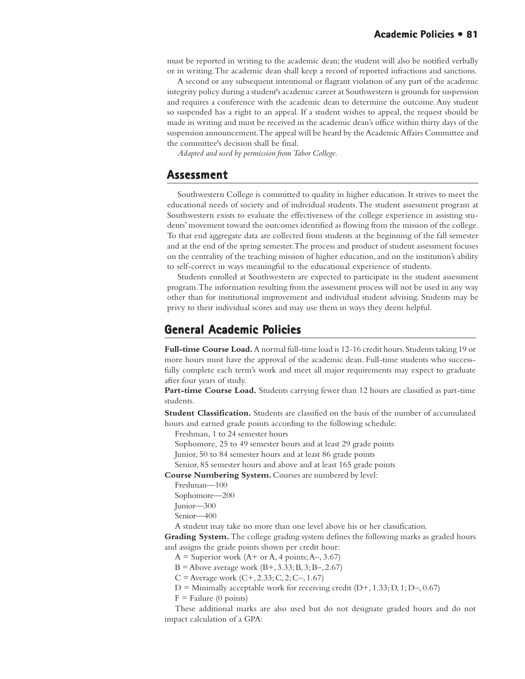must be reported in writing to the academic dean; the student will also be notified verbally or in writing. The academic dean shall keep a record of reported infractions and sanctions.

A second or any subsequent intentional or flagrant violation of any part of the academic integrity policy during a student's academic career at Southwestern is grounds for suspension and requires a conference with the academic dean to determine the outcome. Any student so suspended has a right to an appeal. If a student wishes to appeal, the request should be made in writing and must be received in the academic dean's office within thirty days of the suspension announcement. The appeal will be heard by the Academic Affairs Committee and the committee's decision shall be final.

*Adapted and used by permission from Tabor College.*

## **Assessment Assessment**

Southwestern College is committed to quality in higher education. It strives to meet the educational needs of society and of individual students. The student assessment program at Southwestern exists to evaluate the effectiveness of the college experience in assisting students' movement toward the outcomes identified as flowing from the mission of the college. To that end aggregate data are collected from students at the beginning of the fall semester and at the end of the spring semester. The process and product of student assessment focuses on the centrality of the teaching mission of higher education, and on the institution's ability to self-correct in ways meaningful to the educational experience of students.

Students enrolled at Southwestern are expected to participate in the student assessment program. The information resulting from the assessment process will not be used in any way other than for institutional improvement and individual student advising. Students may be privy to their individual scores and may use them in ways they deem helpful.

## **General Academic Policies olicies**

**Full-time Course Load.** A normal full-time load is 12-16 credit hours. Students taking 19 or more hours must have the approval of the academic dean. Full-time students who successfully complete each term's work and meet all major requirements may expect to graduate after four years of study.

**Part-time Course Load.** Students carrying fewer than 12 hours are classified as part-time students.

**Student Classification.** Students are classified on the basis of the number of accumulated hours and earned grade points according to the following schedule:

Freshman, 1 to 24 semester hours

Sophomore, 25 to 49 semester hours and at least 29 grade points

Junior, 50 to 84 semester hours and at least 86 grade points

Senior, 85 semester hours and above and at least 165 grade points

**Course Numbering System.** Courses are numbered by level:

Freshman—100

Sophomore—200 Junior—300

Senior—400

A student may take no more than one level above his or her classification.

**Grading System.** The college grading system defines the following marks as graded hours and assigns the grade points shown per credit hour:

 $A =$  Superior work  $(A + or A, 4 points; A-, 3.67)$ 

 $B =$  Above average work  $(B+, 3.33; B, 3; B-, 2.67)$ 

 $C =$  Average work  $(C+, 2.33; C, 2; C-, 1.67)$ 

 $D =$  Minimally acceptable work for receiving credit  $(D+, 1.33; D, 1; D-, 0.67)$ 

 $F =$  Failure (0 points)

These additional marks are also used but do not designate graded hours and do not impact calculation of a GPA: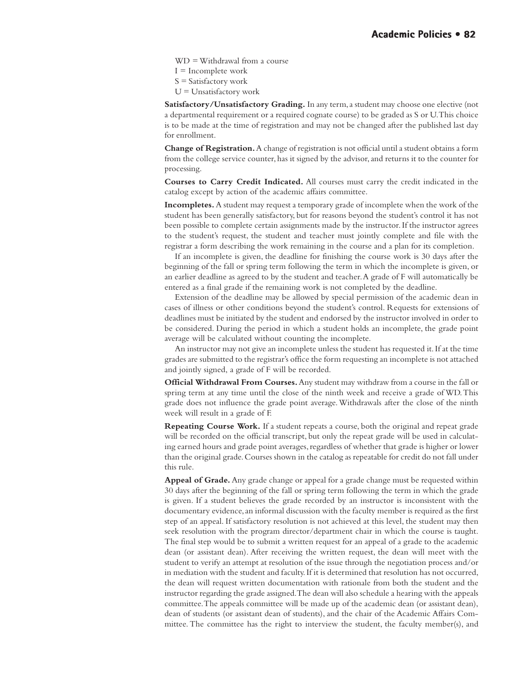WD = Withdrawal from a course

 $I = Incomplete$  work

 $S =$  Satisfactory work

 $U =$ Unsatisfactory work

**Satisfactory/Unsatisfactory Grading.** In any term, a student may choose one elective (not a departmental requirement or a required cognate course) to be graded as S or U. This choice is to be made at the time of registration and may not be changed after the published last day for enrollment.

**Change of Registration.** A change of registration is not official until a student obtains a form from the college service counter, has it signed by the advisor, and returns it to the counter for processing.

**Courses to Carry Credit Indicated.** All courses must carry the credit indicated in the catalog except by action of the academic affairs committee.

**Incompletes.** A student may request a temporary grade of incomplete when the work of the student has been generally satisfactory, but for reasons beyond the student's control it has not been possible to complete certain assignments made by the instructor. If the instructor agrees to the student's request, the student and teacher must jointly complete and file with the registrar a form describing the work remaining in the course and a plan for its completion.

If an incomplete is given, the deadline for finishing the course work is 30 days after the beginning of the fall or spring term following the term in which the incomplete is given, or an earlier deadline as agreed to by the student and teacher. A grade of F will automatically be entered as a final grade if the remaining work is not completed by the deadline.

Extension of the deadline may be allowed by special permission of the academic dean in cases of illness or other conditions beyond the student's control. Requests for extensions of deadlines must be initiated by the student and endorsed by the instructor involved in order to be considered. During the period in which a student holds an incomplete, the grade point average will be calculated without counting the incomplete.

An instructor may not give an incomplete unless the student has requested it. If at the time grades are submitted to the registrar's office the form requesting an incomplete is not attached and jointly signed, a grade of F will be recorded.

**Official Withdrawal From Courses.** Any student may withdraw from a course in the fall or spring term at any time until the close of the ninth week and receive a grade of WD. This grade does not influence the grade point average. Withdrawals after the close of the ninth week will result in a grade of F.

**Repeating Course Work.** If a student repeats a course, both the original and repeat grade will be recorded on the official transcript, but only the repeat grade will be used in calculating earned hours and grade point averages, regardless of whether that grade is higher or lower than the original grade. Courses shown in the catalog as repeatable for credit do not fall under this rule.

**Appeal of Grade.** Any grade change or appeal for a grade change must be requested within 30 days after the beginning of the fall or spring term following the term in which the grade is given. If a student believes the grade recorded by an instructor is inconsistent with the documentary evidence, an informal discussion with the faculty member is required as the first step of an appeal. If satisfactory resolution is not achieved at this level, the student may then seek resolution with the program director/department chair in which the course is taught. The final step would be to submit a written request for an appeal of a grade to the academic dean (or assistant dean). After receiving the written request, the dean will meet with the student to verify an attempt at resolution of the issue through the negotiation process and/or in mediation with the student and faculty. If it is determined that resolution has not occurred, the dean will request written documentation with rationale from both the student and the instructor regarding the grade assigned. The dean will also schedule a hearing with the appeals committee. The appeals committee will be made up of the academic dean (or assistant dean), dean of students (or assistant dean of students), and the chair of the Academic Affairs Committee. The committee has the right to interview the student, the faculty member(s), and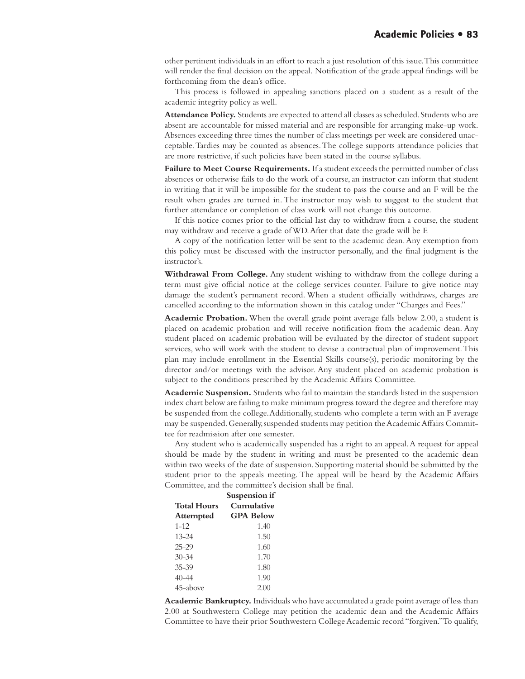other pertinent individuals in an effort to reach a just resolution of this issue. This committee will render the final decision on the appeal. Notification of the grade appeal findings will be forthcoming from the dean's office.

This process is followed in appealing sanctions placed on a student as a result of the academic integrity policy as well.

**Attendance Policy.** Students are expected to attend all classes as scheduled. Students who are absent are accountable for missed material and are responsible for arranging make-up work. Absences exceeding three times the number of class meetings per week are considered unacceptable. Tardies may be counted as absences. The college supports attendance policies that are more restrictive, if such policies have been stated in the course syllabus.

**Failure to Meet Course Requirements.** If a student exceeds the permitted number of class absences or otherwise fails to do the work of a course, an instructor can inform that student in writing that it will be impossible for the student to pass the course and an F will be the result when grades are turned in. The instructor may wish to suggest to the student that further attendance or completion of class work will not change this outcome.

If this notice comes prior to the official last day to withdraw from a course, the student may withdraw and receive a grade of WD. After that date the grade will be F.

A copy of the notification letter will be sent to the academic dean. Any exemption from this policy must be discussed with the instructor personally, and the final judgment is the instructor's.

**Withdrawal From College.** Any student wishing to withdraw from the college during a term must give official notice at the college services counter. Failure to give notice may damage the student's permanent record. When a student officially withdraws, charges are cancelled according to the information shown in this catalog under "Charges and Fees."

**Academic Probation.** When the overall grade point average falls below 2.00, a student is placed on academic probation and will receive notification from the academic dean. Any student placed on academic probation will be evaluated by the director of student support services, who will work with the student to devise a contractual plan of improvement. This plan may include enrollment in the Essential Skills course(s), periodic monitoring by the director and/or meetings with the advisor. Any student placed on academic probation is subject to the conditions prescribed by the Academic Affairs Committee.

**Academic Suspension.** Students who fail to maintain the standards listed in the suspension index chart below are failing to make minimum progress toward the degree and therefore may be suspended from the college. Additionally, students who complete a term with an F average may be suspended. Generally, suspended students may petition the Academic Affairs Committee for readmission after one semester.

Any student who is academically suspended has a right to an appeal. A request for appeal should be made by the student in writing and must be presented to the academic dean within two weeks of the date of suspension. Supporting material should be submitted by the student prior to the appeals meeting. The appeal will be heard by the Academic Affairs Committee, and the committee's decision shall be final.

|                    | Suspension if    |  |
|--------------------|------------------|--|
| <b>Total Hours</b> | Cumulative       |  |
| <b>Attempted</b>   | <b>GPA Below</b> |  |
| $1 - 12$           | 1.40             |  |
| $13 - 24$          | 1.50             |  |
| $25 - 29$          | 1.60             |  |
| $30 - 34$          | 1.70             |  |
| $35 - 39$          | 1.80             |  |
| 40–44              | 1.90             |  |
| 45-above           | 2(0)             |  |

**Academic Bankruptcy.** Individuals who have accumulated a grade point average of less than 2.00 at Southwestern College may petition the academic dean and the Academic Affairs Committee to have their prior Southwestern College Academic record "forgiven." To qualify,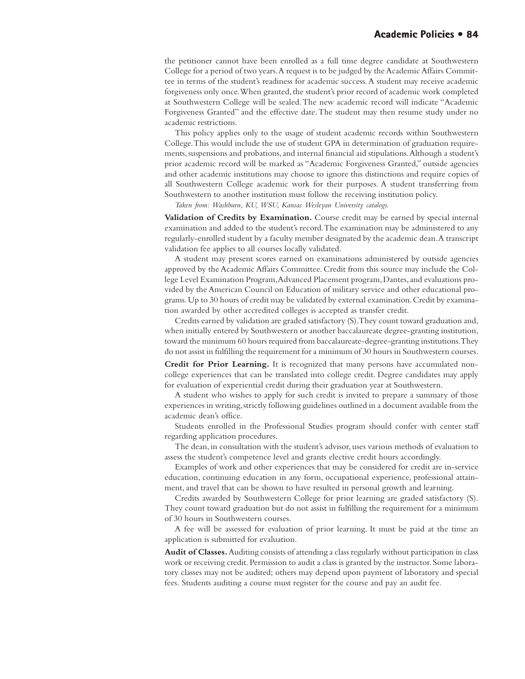the petitioner cannot have been enrolled as a full time degree candidate at Southwestern College for a period of two years. A request is to be judged by the Academic Affairs Committee in terms of the student's readiness for academic success. A student may receive academic forgiveness only once. When granted, the student's prior record of academic work completed at Southwestern College will be sealed. The new academic record will indicate "Academic Forgiveness Granted" and the effective date. The student may then resume study under no academic restrictions.

This policy applies only to the usage of student academic records within Southwestern College. This would include the use of student GPA in determination of graduation requirements, suspensions and probations, and internal financial aid stipulations. Although a student's prior academic record will be marked as "Academic Forgiveness Granted," outside agencies and other academic institutions may choose to ignore this distinctions and require copies of all Southwestern College academic work for their purposes. A student transferring from Southwestern to another institution must follow the receiving institution policy.

*Taken from: Washburn, KU, WSU, Kansas Wesleyan University catalogs.*

**Validation of Credits by Examination.** Course credit may be earned by special internal examination and added to the student's record. The examination may be administered to any regularly-enrolled student by a faculty member designated by the academic dean. A transcript validation fee applies to all courses locally validated.

A student may present scores earned on examinations administered by outside agencies approved by the Academic Affairs Committee. Credit from this source may include the College Level Examination Program, Advanced Placement program, Dantes, and evaluations provided by the American Council on Education of military service and other educational programs. Up to 30 hours of credit may be validated by external examination. Credit by examination awarded by other accredited colleges is accepted as transfer credit.

Credits earned by validation are graded satisfactory (S). They count toward graduation and, when initially entered by Southwestern or another baccalaureate degree-granting institution, toward the minimum 60 hours required from baccalaureate-degree-granting institutions. They do not assist in fulfilling the requirement for a minimum of 30 hours in Southwestern courses.

**Credit for Prior Learning.** It is recognized that many persons have accumulated noncollege experiences that can be translated into college credit. Degree candidates may apply for evaluation of experiential credit during their graduation year at Southwestern.

A student who wishes to apply for such credit is invited to prepare a summary of those experiences in writing, strictly following guidelines outlined in a document available from the academic dean's office.

Students enrolled in the Professional Studies program should confer with center staff regarding application procedures.

The dean, in consultation with the student's advisor, uses various methods of evaluation to assess the student's competence level and grants elective credit hours accordingly.

Examples of work and other experiences that may be considered for credit are in-service education, continuing education in any form, occupational experience, professional attainment, and travel that can be shown to have resulted in personal growth and learning.

Credits awarded by Southwestern College for prior learning are graded satisfactory (S). They count toward graduation but do not assist in fulfilling the requirement for a minimum of 30 hours in Southwestern courses.

A fee will be assessed for evaluation of prior learning. It must be paid at the time an application is submitted for evaluation.

**Audit of Classes.** Auditing consists of attending a class regularly without participation in class work or receiving credit. Permission to audit a class is granted by the instructor. Some laboratory classes may not be audited; others may depend upon payment of laboratory and special fees. Students auditing a course must register for the course and pay an audit fee.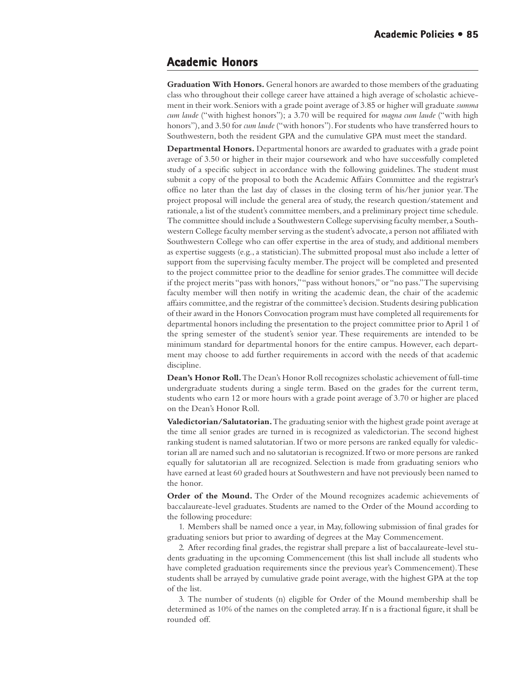## **Academic Honors**

**Graduation With Honors.** General honors are awarded to those members of the graduating class who throughout their college career have attained a high average of scholastic achievement in their work. Seniors with a grade point average of 3.85 or higher will graduate *summa cum laude* ("with highest honors"); a 3.70 will be required for *magna cum laude* ("with high honors"), and 3.50 for *cum laude* ("with honors"). For students who have transferred hours to Southwestern, both the resident GPA and the cumulative GPA must meet the standard.

**Departmental Honors.** Departmental honors are awarded to graduates with a grade point average of 3.50 or higher in their major coursework and who have successfully completed study of a specific subject in accordance with the following guidelines. The student must submit a copy of the proposal to both the Academic Affairs Committee and the registrar's office no later than the last day of classes in the closing term of his/her junior year. The project proposal will include the general area of study, the research question/statement and rationale, a list of the student's committee members, and a preliminary project time schedule. The committee should include a Southwestern College supervising faculty member, a Southwestern College faculty member serving as the student's advocate, a person not affiliated with Southwestern College who can offer expertise in the area of study, and additional members as expertise suggests (e.g., a statistician). The submitted proposal must also include a letter of support from the supervising faculty member. The project will be completed and presented to the project committee prior to the deadline for senior grades. The committee will decide if the project merits "pass with honors," "pass without honors," or "no pass." The supervising faculty member will then notify in writing the academic dean, the chair of the academic affairs committee, and the registrar of the committee's decision. Students desiring publication of their award in the Honors Convocation program must have completed all requirements for departmental honors including the presentation to the project committee prior to April 1 of the spring semester of the student's senior year. These requirements are intended to be minimum standard for departmental honors for the entire campus. However, each department may choose to add further requirements in accord with the needs of that academic discipline.

**Dean's Honor Roll.** The Dean's Honor Roll recognizes scholastic achievement of full-time undergraduate students during a single term. Based on the grades for the current term, students who earn 12 or more hours with a grade point average of 3.70 or higher are placed on the Dean's Honor Roll.

**Valedictorian/Salutatorian.** The graduating senior with the highest grade point average at the time all senior grades are turned in is recognized as valedictorian. The second highest ranking student is named salutatorian. If two or more persons are ranked equally for valedictorian all are named such and no salutatorian is recognized. If two or more persons are ranked equally for salutatorian all are recognized. Selection is made from graduating seniors who have earned at least 60 graded hours at Southwestern and have not previously been named to the honor.

**Order of the Mound.** The Order of the Mound recognizes academic achievements of baccalaureate-level graduates. Students are named to the Order of the Mound according to the following procedure:

1. Members shall be named once a year, in May, following submission of final grades for graduating seniors but prior to awarding of degrees at the May Commencement.

2. After recording final grades, the registrar shall prepare a list of baccalaureate-level students graduating in the upcoming Commencement (this list shall include all students who have completed graduation requirements since the previous year's Commencement). These students shall be arrayed by cumulative grade point average, with the highest GPA at the top of the list.

3. The number of students (n) eligible for Order of the Mound membership shall be determined as 10% of the names on the completed array. If n is a fractional figure, it shall be rounded off.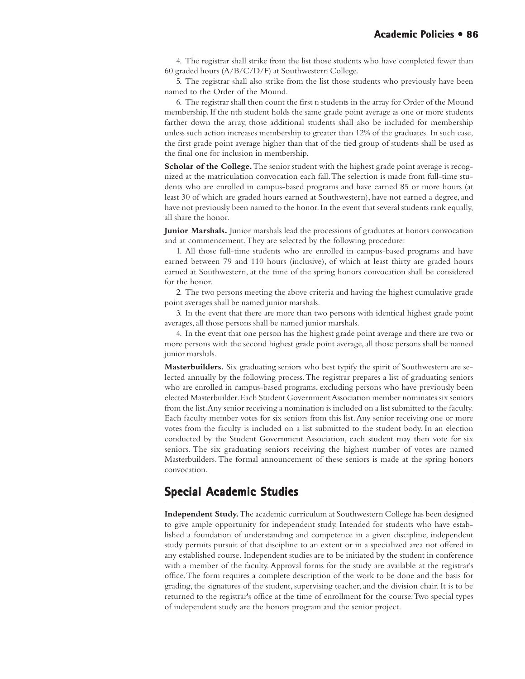4. The registrar shall strike from the list those students who have completed fewer than 60 graded hours (A/B/C/D/F) at Southwestern College.

5. The registrar shall also strike from the list those students who previously have been named to the Order of the Mound.

6. The registrar shall then count the first n students in the array for Order of the Mound membership. If the nth student holds the same grade point average as one or more students farther down the array, those additional students shall also be included for membership unless such action increases membership to greater than 12% of the graduates. In such case, the first grade point average higher than that of the tied group of students shall be used as the final one for inclusion in membership.

**Scholar of the College.** The senior student with the highest grade point average is recognized at the matriculation convocation each fall. The selection is made from full-time students who are enrolled in campus-based programs and have earned 85 or more hours (at least 30 of which are graded hours earned at Southwestern), have not earned a degree, and have not previously been named to the honor. In the event that several students rank equally, all share the honor.

**Junior Marshals.** Junior marshals lead the processions of graduates at honors convocation and at commencement. They are selected by the following procedure:

1. All those full-time students who are enrolled in campus-based programs and have earned between 79 and 110 hours (inclusive), of which at least thirty are graded hours earned at Southwestern, at the time of the spring honors convocation shall be considered for the honor.

2. The two persons meeting the above criteria and having the highest cumulative grade point averages shall be named junior marshals.

3. In the event that there are more than two persons with identical highest grade point averages, all those persons shall be named junior marshals.

4. In the event that one person has the highest grade point average and there are two or more persons with the second highest grade point average, all those persons shall be named junior marshals.

**Masterbuilders.** Six graduating seniors who best typify the spirit of Southwestern are selected annually by the following process. The registrar prepares a list of graduating seniors who are enrolled in campus-based programs, excluding persons who have previously been elected Masterbuilder. Each Student Government Association member nominates six seniors from the list. Any senior receiving a nomination is included on a list submitted to the faculty. Each faculty member votes for six seniors from this list. Any senior receiving one or more votes from the faculty is included on a list submitted to the student body. In an election conducted by the Student Government Association, each student may then vote for six seniors. The six graduating seniors receiving the highest number of votes are named Masterbuilders. The formal announcement of these seniors is made at the spring honors convocation.

## **Special Academic Studies Special Academic**

**Independent Study.** The academic curriculum at Southwestern College has been designed to give ample opportunity for independent study. Intended for students who have established a foundation of understanding and competence in a given discipline, independent study permits pursuit of that discipline to an extent or in a specialized area not offered in any established course. Independent studies are to be initiated by the student in conference with a member of the faculty. Approval forms for the study are available at the registrar's office. The form requires a complete description of the work to be done and the basis for grading, the signatures of the student, supervising teacher, and the division chair. It is to be returned to the registrar's office at the time of enrollment for the course. Two special types of independent study are the honors program and the senior project.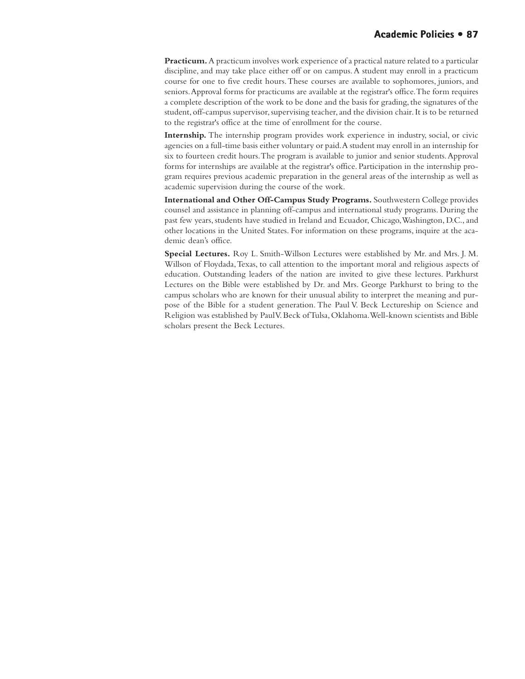**Practicum.** A practicum involves work experience of a practical nature related to a particular discipline, and may take place either off or on campus. A student may enroll in a practicum course for one to five credit hours. These courses are available to sophomores, juniors, and seniors. Approval forms for practicums are available at the registrar's office. The form requires a complete description of the work to be done and the basis for grading, the signatures of the student, off-campus supervisor, supervising teacher, and the division chair. It is to be returned to the registrar's office at the time of enrollment for the course.

**Internship.** The internship program provides work experience in industry, social, or civic agencies on a full-time basis either voluntary or paid. A student may enroll in an internship for six to fourteen credit hours. The program is available to junior and senior students. Approval forms for internships are available at the registrar's office. Participation in the internship program requires previous academic preparation in the general areas of the internship as well as academic supervision during the course of the work.

**International and Other Off-Campus Study Programs.** Southwestern College provides counsel and assistance in planning off-campus and international study programs. During the past few years, students have studied in Ireland and Ecuador, Chicago, Washington, D.C., and other locations in the United States. For information on these programs, inquire at the academic dean's office.

**Special Lectures.** Roy L. Smith-Willson Lectures were established by Mr. and Mrs. J. M. Willson of Floydada, Texas, to call attention to the important moral and religious aspects of education. Outstanding leaders of the nation are invited to give these lectures. Parkhurst Lectures on the Bible were established by Dr. and Mrs. George Parkhurst to bring to the campus scholars who are known for their unusual ability to interpret the meaning and purpose of the Bible for a student generation. The Paul V. Beck Lectureship on Science and Religion was established by Paul V. Beck of Tulsa, Oklahoma. Well-known scientists and Bible scholars present the Beck Lectures.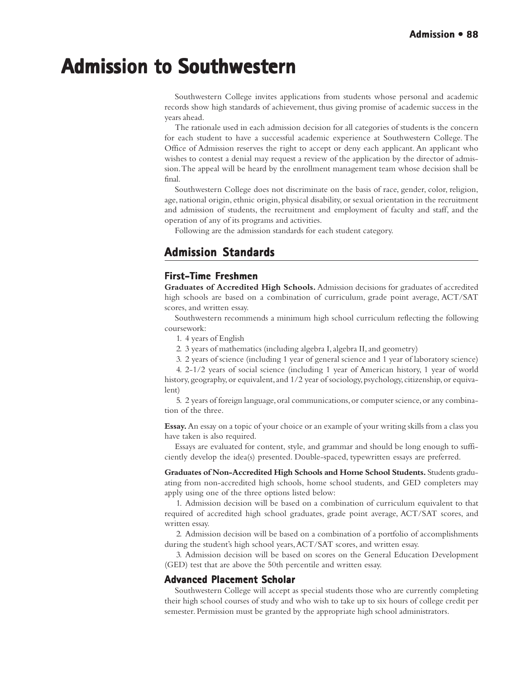# **Admission to Southwestern Admission to Southwestern**

Southwestern College invites applications from students whose personal and academic records show high standards of achievement, thus giving promise of academic success in the years ahead.

The rationale used in each admission decision for all categories of students is the concern for each student to have a successful academic experience at Southwestern College. The Office of Admission reserves the right to accept or deny each applicant. An applicant who wishes to contest a denial may request a review of the application by the director of admission. The appeal will be heard by the enrollment management team whose decision shall be final.

Southwestern College does not discriminate on the basis of race, gender, color, religion, age, national origin, ethnic origin, physical disability, or sexual orientation in the recruitment and admission of students, the recruitment and employment of faculty and staff, and the operation of any of its programs and activities.

Following are the admission standards for each student category.

# **Admission Standards Admission Standards**

## **First-Time Freshmen**

**Graduates of Accredited High Schools.** Admission decisions for graduates of accredited high schools are based on a combination of curriculum, grade point average, ACT/SAT scores, and written essay.

Southwestern recommends a minimum high school curriculum reflecting the following coursework:

1. 4 years of English

2. 3 years of mathematics (including algebra I, algebra II, and geometry)

3. 2 years of science (including 1 year of general science and 1 year of laboratory science)

4. 2-1/2 years of social science (including 1 year of American history, 1 year of world history, geography, or equivalent, and 1/2 year of sociology, psychology, citizenship, or equivalent)

5. 2 years of foreign language, oral communications, or computer science, or any combination of the three.

**Essay.** An essay on a topic of your choice or an example of your writing skills from a class you have taken is also required.

Essays are evaluated for content, style, and grammar and should be long enough to sufficiently develop the idea(s) presented. Double-spaced, typewritten essays are preferred.

**Graduates of Non-Accredited High Schools and Home School Students.** Students graduating from non-accredited high schools, home school students, and GED completers may apply using one of the three options listed below:

1. Admission decision will be based on a combination of curriculum equivalent to that required of accredited high school graduates, grade point average, ACT/SAT scores, and written essay.

2. Admission decision will be based on a combination of a portfolio of accomplishments during the student's high school years, ACT/SAT scores, and written essay.

3. Admission decision will be based on scores on the General Education Development (GED) test that are above the 50th percentile and written essay.

## **Advanced Placement Scholar Placement Scholar**

Southwestern College will accept as special students those who are currently completing their high school courses of study and who wish to take up to six hours of college credit per semester. Permission must be granted by the appropriate high school administrators.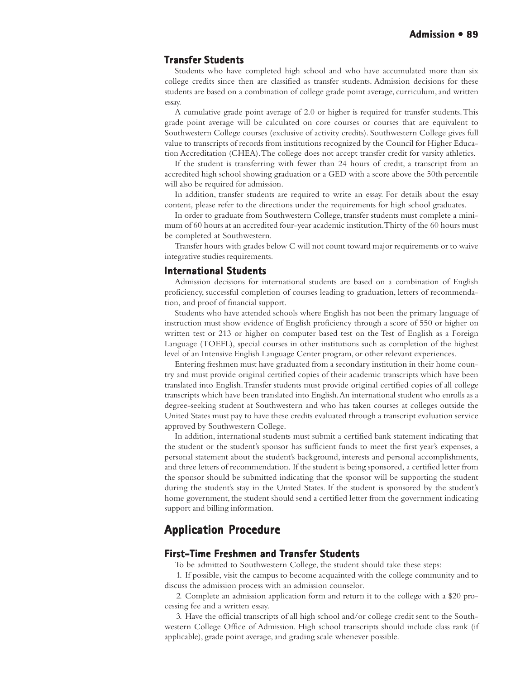#### **Transfer Students**

Students who have completed high school and who have accumulated more than six college credits since then are classified as transfer students. Admission decisions for these students are based on a combination of college grade point average, curriculum, and written essay.

A cumulative grade point average of 2.0 or higher is required for transfer students. This grade point average will be calculated on core courses or courses that are equivalent to Southwestern College courses (exclusive of activity credits). Southwestern College gives full value to transcripts of records from institutions recognized by the Council for Higher Education Accreditation (CHEA). The college does not accept transfer credit for varsity athletics.

If the student is transferring with fewer than 24 hours of credit, a transcript from an accredited high school showing graduation or a GED with a score above the 50th percentile will also be required for admission.

In addition, transfer students are required to write an essay. For details about the essay content, please refer to the directions under the requirements for high school graduates.

In order to graduate from Southwestern College, transfer students must complete a minimum of 60 hours at an accredited four-year academic institution. Thirty of the 60 hours must be completed at Southwestern.

Transfer hours with grades below C will not count toward major requirements or to waive integrative studies requirements.

#### **International Students**

Admission decisions for international students are based on a combination of English proficiency, successful completion of courses leading to graduation, letters of recommendation, and proof of financial support.

Students who have attended schools where English has not been the primary language of instruction must show evidence of English proficiency through a score of 550 or higher on written test or 213 or higher on computer based test on the Test of English as a Foreign Language (TOEFL), special courses in other institutions such as completion of the highest level of an Intensive English Language Center program, or other relevant experiences.

Entering freshmen must have graduated from a secondary institution in their home country and must provide original certified copies of their academic transcripts which have been translated into English. Transfer students must provide original certified copies of all college transcripts which have been translated into English. An international student who enrolls as a degree-seeking student at Southwestern and who has taken courses at colleges outside the United States must pay to have these credits evaluated through a transcript evaluation service approved by Southwestern College.

In addition, international students must submit a certified bank statement indicating that the student or the student's sponsor has sufficient funds to meet the first year's expenses, a personal statement about the student's background, interests and personal accomplishments, and three letters of recommendation. If the student is being sponsored, a certified letter from the sponsor should be submitted indicating that the sponsor will be supporting the student during the student's stay in the United States. If the student is sponsored by the student's home government, the student should send a certified letter from the government indicating support and billing information.

# **Application Procedure Application**

#### **First-Time Freshmen and Transfer Students Freshmen and Transfer Students**

To be admitted to Southwestern College, the student should take these steps:

1. If possible, visit the campus to become acquainted with the college community and to discuss the admission process with an admission counselor.

2. Complete an admission application form and return it to the college with a \$20 processing fee and a written essay.

3. Have the official transcripts of all high school and/or college credit sent to the Southwestern College Office of Admission. High school transcripts should include class rank (if applicable), grade point average, and grading scale whenever possible.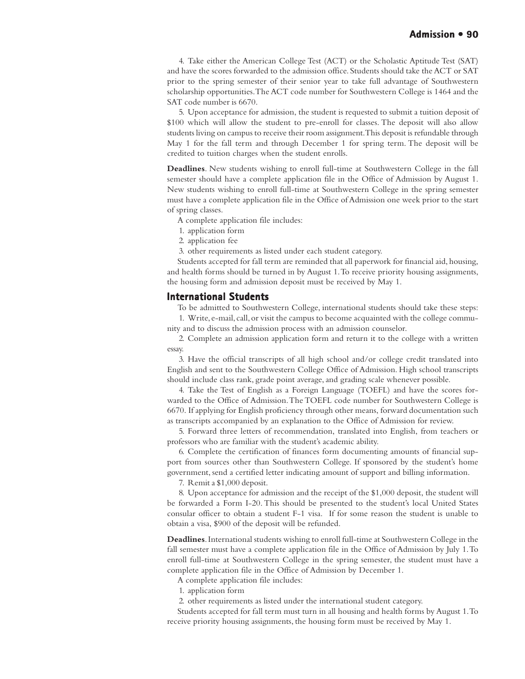4. Take either the American College Test (ACT) or the Scholastic Aptitude Test (SAT) and have the scores forwarded to the admission office. Students should take the ACT or SAT prior to the spring semester of their senior year to take full advantage of Southwestern scholarship opportunities. The ACT code number for Southwestern College is 1464 and the SAT code number is 6670.

5. Upon acceptance for admission, the student is requested to submit a tuition deposit of \$100 which will allow the student to pre-enroll for classes. The deposit will also allow students living on campus to receive their room assignment. This deposit is refundable through May 1 for the fall term and through December 1 for spring term. The deposit will be credited to tuition charges when the student enrolls.

**Deadlines**. New students wishing to enroll full-time at Southwestern College in the fall semester should have a complete application file in the Office of Admission by August 1. New students wishing to enroll full-time at Southwestern College in the spring semester must have a complete application file in the Office of Admission one week prior to the start of spring classes.

- A complete application file includes:
- 1. application form
- 2. application fee
- 3. other requirements as listed under each student category.

Students accepted for fall term are reminded that all paperwork for financial aid, housing, and health forms should be turned in by August 1. To receive priority housing assignments, the housing form and admission deposit must be received by May 1.

#### **International Students**

To be admitted to Southwestern College, international students should take these steps:

1. Write, e-mail, call, or visit the campus to become acquainted with the college community and to discuss the admission process with an admission counselor.

2. Complete an admission application form and return it to the college with a written essay.

3. Have the official transcripts of all high school and/or college credit translated into English and sent to the Southwestern College Office of Admission. High school transcripts should include class rank, grade point average, and grading scale whenever possible.

4. Take the Test of English as a Foreign Language (TOEFL) and have the scores forwarded to the Office of Admission. The TOEFL code number for Southwestern College is 6670. If applying for English proficiency through other means, forward documentation such as transcripts accompanied by an explanation to the Office of Admission for review.

5. Forward three letters of recommendation, translated into English, from teachers or professors who are familiar with the student's academic ability.

6. Complete the certification of finances form documenting amounts of financial support from sources other than Southwestern College. If sponsored by the student's home government, send a certified letter indicating amount of support and billing information.

7. Remit a \$1,000 deposit.

8. Upon acceptance for admission and the receipt of the \$1,000 deposit, the student will be forwarded a Form I-20. This should be presented to the student's local United States consular officer to obtain a student F-1 visa. If for some reason the student is unable to obtain a visa, \$900 of the deposit will be refunded.

**Deadlines**. International students wishing to enroll full-time at Southwestern College in the fall semester must have a complete application file in the Office of Admission by July 1. To enroll full-time at Southwestern College in the spring semester, the student must have a complete application file in the Office of Admission by December 1.

A complete application file includes:

- 1. application form
- 2. other requirements as listed under the international student category.

Students accepted for fall term must turn in all housing and health forms by August 1. To receive priority housing assignments, the housing form must be received by May 1.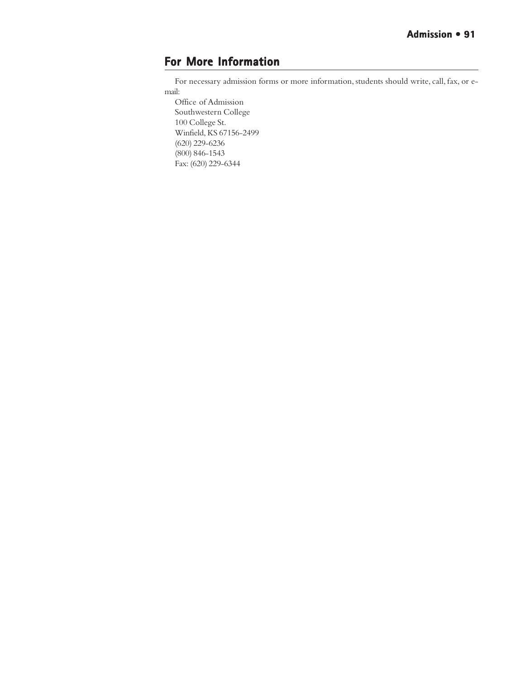# **For More Information**

For necessary admission forms or more information, students should write, call, fax, or email:

Office of Admission Southwestern College 100 College St. Winfield, KS 67156-2499 (620) 229-6236 (800) 846-1543 Fax: (620) 229-6344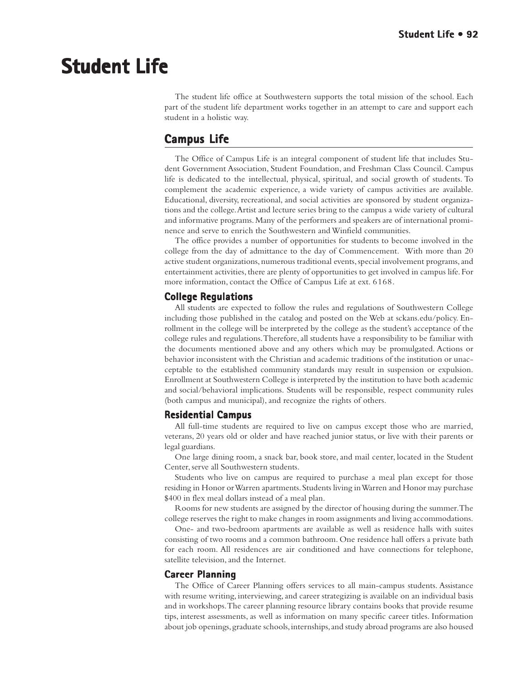# **Student Life Student Life**

The student life office at Southwestern supports the total mission of the school. Each part of the student life department works together in an attempt to care and support each student in a holistic way.

# **Campus Life**

The Office of Campus Life is an integral component of student life that includes Student Government Association, Student Foundation, and Freshman Class Council. Campus life is dedicated to the intellectual, physical, spiritual, and social growth of students. To complement the academic experience, a wide variety of campus activities are available. Educational, diversity, recreational, and social activities are sponsored by student organizations and the college. Artist and lecture series bring to the campus a wide variety of cultural and informative programs. Many of the performers and speakers are of international prominence and serve to enrich the Southwestern and Winfield communities.

The office provides a number of opportunities for students to become involved in the college from the day of admittance to the day of Commencement. With more than 20 active student organizations, numerous traditional events, special involvement programs, and entertainment activities, there are plenty of opportunities to get involved in campus life. For more information, contact the Office of Campus Life at ext. 6168.

## **College Regulations**

All students are expected to follow the rules and regulations of Southwestern College including those published in the catalog and posted on the Web at sckans.edu/policy. Enrollment in the college will be interpreted by the college as the student's acceptance of the college rules and regulations. Therefore, all students have a responsibility to be familiar with the documents mentioned above and any others which may be promulgated. Actions or behavior inconsistent with the Christian and academic traditions of the institution or unacceptable to the established community standards may result in suspension or expulsion. Enrollment at Southwestern College is interpreted by the institution to have both academic and social/behavioral implications. Students will be responsible, respect community rules (both campus and municipal), and recognize the rights of others.

#### **Residential Campus Residential**

All full-time students are required to live on campus except those who are married, veterans, 20 years old or older and have reached junior status, or live with their parents or legal guardians.

One large dining room, a snack bar, book store, and mail center, located in the Student Center, serve all Southwestern students.

Students who live on campus are required to purchase a meal plan except for those residing in Honor or Warren apartments. Students living in Warren and Honor may purchase \$400 in flex meal dollars instead of a meal plan.

Rooms for new students are assigned by the director of housing during the summer. The college reserves the right to make changes in room assignments and living accommodations.

One- and two-bedroom apartments are available as well as residence halls with suites consisting of two rooms and a common bathroom. One residence hall offers a private bath for each room. All residences are air conditioned and have connections for telephone, satellite television, and the Internet.

## **Career Planning**

The Office of Career Planning offers services to all main-campus students. Assistance with resume writing, interviewing, and career strategizing is available on an individual basis and in workshops. The career planning resource library contains books that provide resume tips, interest assessments, as well as information on many specific career titles. Information about job openings, graduate schools, internships, and study abroad programs are also housed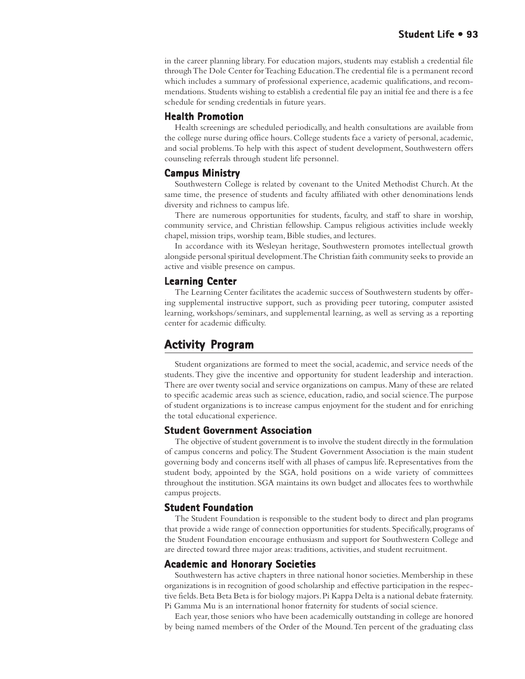in the career planning library. For education majors, students may establish a credential file through The Dole Center for Teaching Education. The credential file is a permanent record which includes a summary of professional experience, academic qualifications, and recommendations. Students wishing to establish a credential file pay an initial fee and there is a fee schedule for sending credentials in future years.

## **Health Promotion**

Health screenings are scheduled periodically, and health consultations are available from the college nurse during office hours. College students face a variety of personal, academic, and social problems. To help with this aspect of student development, Southwestern offers counseling referrals through student life personnel.

#### **Campus Ministry**

Southwestern College is related by covenant to the United Methodist Church. At the same time, the presence of students and faculty affiliated with other denominations lends diversity and richness to campus life.

There are numerous opportunities for students, faculty, and staff to share in worship, community service, and Christian fellowship. Campus religious activities include weekly chapel, mission trips, worship team, Bible studies, and lectures.

In accordance with its Wesleyan heritage, Southwestern promotes intellectual growth alongside personal spiritual development. The Christian faith community seeks to provide an active and visible presence on campus.

#### **Learning Center**

The Learning Center facilitates the academic success of Southwestern students by offering supplemental instructive support, such as providing peer tutoring, computer assisted learning, workshops/seminars, and supplemental learning, as well as serving as a reporting center for academic difficulty.

# **Activity Program**

Student organizations are formed to meet the social, academic, and service needs of the students. They give the incentive and opportunity for student leadership and interaction. There are over twenty social and service organizations on campus. Many of these are related to specific academic areas such as science, education, radio, and social science. The purpose of student organizations is to increase campus enjoyment for the student and for enriching the total educational experience.

#### **Student Government Association**

The objective of student government is to involve the student directly in the formulation of campus concerns and policy. The Student Government Association is the main student governing body and concerns itself with all phases of campus life. Representatives from the student body, appointed by the SGA, hold positions on a wide variety of committees throughout the institution. SGA maintains its own budget and allocates fees to worthwhile campus projects.

#### **Student Foundation**

The Student Foundation is responsible to the student body to direct and plan programs that provide a wide range of connection opportunities for students. Specifically, programs of the Student Foundation encourage enthusiasm and support for Southwestern College and are directed toward three major areas: traditions, activities, and student recruitment.

#### **Academic and Honorary Societies**

Southwestern has active chapters in three national honor societies. Membership in these organizations is in recognition of good scholarship and effective participation in the respective fields. Beta Beta Beta is for biology majors. Pi Kappa Delta is a national debate fraternity. Pi Gamma Mu is an international honor fraternity for students of social science.

Each year, those seniors who have been academically outstanding in college are honored by being named members of the Order of the Mound. Ten percent of the graduating class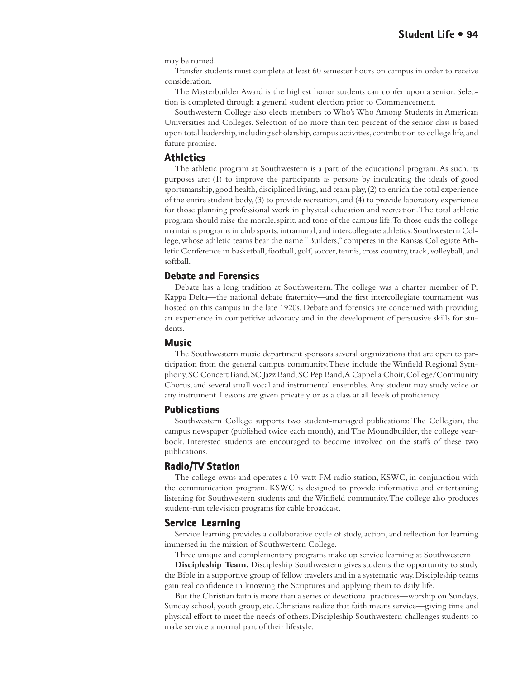may be named.

Transfer students must complete at least 60 semester hours on campus in order to receive consideration.

The Masterbuilder Award is the highest honor students can confer upon a senior. Selection is completed through a general student election prior to Commencement.

Southwestern College also elects members to Who's Who Among Students in American Universities and Colleges. Selection of no more than ten percent of the senior class is based upon total leadership, including scholarship, campus activities, contribution to college life, and future promise.

#### **Athletics**

The athletic program at Southwestern is a part of the educational program. As such, its purposes are: (1) to improve the participants as persons by inculcating the ideals of good sportsmanship, good health, disciplined living, and team play, (2) to enrich the total experience of the entire student body, (3) to provide recreation, and (4) to provide laboratory experience for those planning professional work in physical education and recreation. The total athletic program should raise the morale, spirit, and tone of the campus life. To those ends the college maintains programs in club sports, intramural, and intercollegiate athletics. Southwestern College, whose athletic teams bear the name "Builders," competes in the Kansas Collegiate Athletic Conference in basketball, football, golf, soccer, tennis, cross country, track, volleyball, and softball.

#### **Debate and Forensics and Forensics**

Debate has a long tradition at Southwestern. The college was a charter member of Pi Kappa Delta—the national debate fraternity—and the first intercollegiate tournament was hosted on this campus in the late 1920s. Debate and forensics are concerned with providing an experience in competitive advocacy and in the development of persuasive skills for students.

#### **Music**

The Southwestern music department sponsors several organizations that are open to participation from the general campus community. These include the Winfield Regional Symphony, SC Concert Band, SC Jazz Band, SC Pep Band, A Cappella Choir, College/Community Chorus, and several small vocal and instrumental ensembles. Any student may study voice or any instrument. Lessons are given privately or as a class at all levels of proficiency.

#### **Publications**

Southwestern College supports two student-managed publications: The Collegian, the campus newspaper (published twice each month), and The Moundbuilder, the college yearbook. Interested students are encouraged to become involved on the staffs of these two publications.

#### **Radio/TV Station**

The college owns and operates a 10-watt FM radio station, KSWC, in conjunction with the communication program. KSWC is designed to provide informative and entertaining listening for Southwestern students and the Winfield community. The college also produces student-run television programs for cable broadcast.

## **Service Learning**

Service learning provides a collaborative cycle of study, action, and reflection for learning immersed in the mission of Southwestern College.

Three unique and complementary programs make up service learning at Southwestern:

**Discipleship Team.** Discipleship Southwestern gives students the opportunity to study the Bible in a supportive group of fellow travelers and in a systematic way. Discipleship teams gain real confidence in knowing the Scriptures and applying them to daily life.

But the Christian faith is more than a series of devotional practices—worship on Sundays, Sunday school, youth group, etc. Christians realize that faith means service—giving time and physical effort to meet the needs of others. Discipleship Southwestern challenges students to make service a normal part of their lifestyle.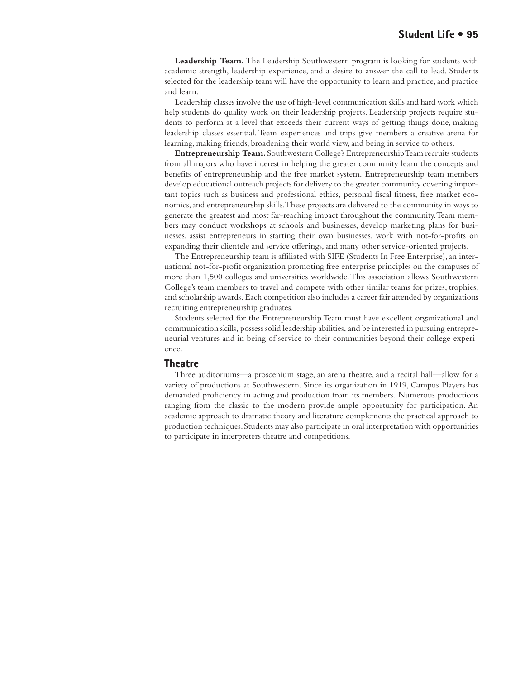**Leadership Team.** The Leadership Southwestern program is looking for students with academic strength, leadership experience, and a desire to answer the call to lead. Students selected for the leadership team will have the opportunity to learn and practice, and practice and learn.

Leadership classes involve the use of high-level communication skills and hard work which help students do quality work on their leadership projects. Leadership projects require students to perform at a level that exceeds their current ways of getting things done, making leadership classes essential. Team experiences and trips give members a creative arena for learning, making friends, broadening their world view, and being in service to others.

**Entrepreneurship Team.** Southwestern College's Entrepreneurship Team recruits students from all majors who have interest in helping the greater community learn the concepts and benefits of entrepreneurship and the free market system. Entrepreneurship team members develop educational outreach projects for delivery to the greater community covering important topics such as business and professional ethics, personal fiscal fitness, free market economics, and entrepreneurship skills. These projects are delivered to the community in ways to generate the greatest and most far-reaching impact throughout the community. Team members may conduct workshops at schools and businesses, develop marketing plans for businesses, assist entrepreneurs in starting their own businesses, work with not-for-profits on expanding their clientele and service offerings, and many other service-oriented projects.

The Entrepreneurship team is affiliated with SIFE (Students In Free Enterprise), an international not-for-profit organization promoting free enterprise principles on the campuses of more than 1,500 colleges and universities worldwide. This association allows Southwestern College's team members to travel and compete with other similar teams for prizes, trophies, and scholarship awards. Each competition also includes a career fair attended by organizations recruiting entrepreneurship graduates.

Students selected for the Entrepreneurship Team must have excellent organizational and communication skills, possess solid leadership abilities, and be interested in pursuing entrepreneurial ventures and in being of service to their communities beyond their college experience.

#### **Theatre**

Three auditoriums—a proscenium stage, an arena theatre, and a recital hall—allow for a variety of productions at Southwestern. Since its organization in 1919, Campus Players has demanded proficiency in acting and production from its members. Numerous productions ranging from the classic to the modern provide ample opportunity for participation. An academic approach to dramatic theory and literature complements the practical approach to production techniques. Students may also participate in oral interpretation with opportunities to participate in interpreters theatre and competitions.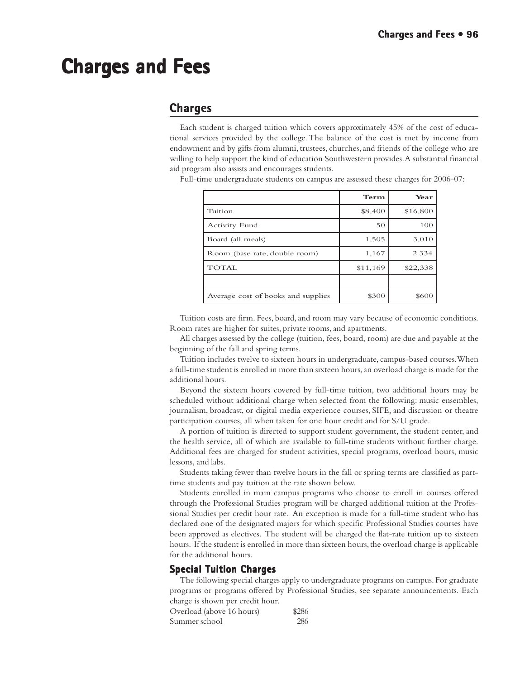# **Charges and Fees Charges and Fees**

# **Charges**

Each student is charged tuition which covers approximately 45% of the cost of educational services provided by the college. The balance of the cost is met by income from endowment and by gifts from alumni, trustees, churches, and friends of the college who are willing to help support the kind of education Southwestern provides. A substantial financial aid program also assists and encourages students.

Full-time undergraduate students on campus are assessed these charges for 2006-07:

|                                    | Term     | Year     |
|------------------------------------|----------|----------|
| Tuition                            | \$8,400  | \$16,800 |
| Activity Fund                      | 50       | 100      |
| Board (all meals)                  | 1,505    | 3,010    |
| Room (base rate, double room)      | 1,167    | 2.334    |
| <b>TOTAL</b>                       | \$11,169 | \$22,338 |
|                                    |          |          |
| Average cost of books and supplies | \$300    | \$600    |

Tuition costs are firm. Fees, board, and room may vary because of economic conditions. Room rates are higher for suites, private rooms, and apartments.

All charges assessed by the college (tuition, fees, board, room) are due and payable at the beginning of the fall and spring terms.

Tuition includes twelve to sixteen hours in undergraduate, campus-based courses. When a full-time student is enrolled in more than sixteen hours, an overload charge is made for the additional hours.

Beyond the sixteen hours covered by full-time tuition, two additional hours may be scheduled without additional charge when selected from the following: music ensembles, journalism, broadcast, or digital media experience courses, SIFE, and discussion or theatre participation courses, all when taken for one hour credit and for S/U grade.

A portion of tuition is directed to support student government, the student center, and the health service, all of which are available to full-time students without further charge. Additional fees are charged for student activities, special programs, overload hours, music lessons, and labs.

Students taking fewer than twelve hours in the fall or spring terms are classified as parttime students and pay tuition at the rate shown below.

Students enrolled in main campus programs who choose to enroll in courses offered through the Professional Studies program will be charged additional tuition at the Professional Studies per credit hour rate. An exception is made for a full-time student who has declared one of the designated majors for which specific Professional Studies courses have been approved as electives. The student will be charged the flat-rate tuition up to sixteen hours. If the student is enrolled in more than sixteen hours, the overload charge is applicable for the additional hours.

## **Special Tuition Charges**

The following special charges apply to undergraduate programs on campus. For graduate programs or programs offered by Professional Studies, see separate announcements. Each charge is shown per credit hour.

Overload (above 16 hours) \$286 Summer school 286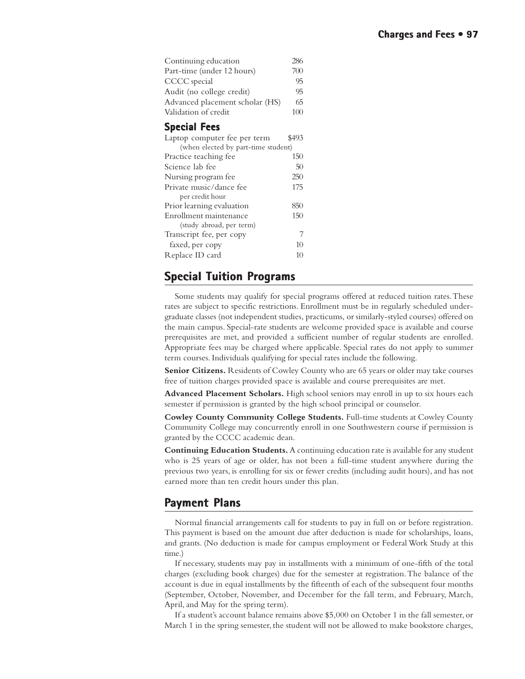| Continuing education                | 286   |  |
|-------------------------------------|-------|--|
| Part-time (under 12 hours)          | 700   |  |
| CCCC special                        | 95    |  |
| Audit (no college credit)           | 95    |  |
| Advanced placement scholar (HS)     | 65    |  |
| Validation of credit                | 100   |  |
| <b>Special Fees</b>                 |       |  |
| Laptop computer fee per term        | \$493 |  |
| (when elected by part-time student) |       |  |
| Practice teaching fee               | 150   |  |
| Science lab fee                     | 50    |  |
| Nursing program fee                 | 250   |  |
| Private music/dance fee             | 175   |  |
| per credit hour                     |       |  |
| Prior learning evaluation           | 850   |  |
| Enrollment maintenance              | 150   |  |
| (study abroad, per term)            |       |  |
| Transcript fee, per copy            |       |  |

# **Special Tuition Programs Special Tuition Programs**

faxed, per copy 10 Replace ID card 10

Some students may qualify for special programs offered at reduced tuition rates. These rates are subject to specific restrictions. Enrollment must be in regularly scheduled undergraduate classes (not independent studies, practicums, or similarly-styled courses) offered on the main campus. Special-rate students are welcome provided space is available and course prerequisites are met, and provided a sufficient number of regular students are enrolled. Appropriate fees may be charged where applicable. Special rates do not apply to summer term courses. Individuals qualifying for special rates include the following.

**Senior Citizens.** Residents of Cowley County who are 65 years or older may take courses free of tuition charges provided space is available and course prerequisites are met.

**Advanced Placement Scholars.** High school seniors may enroll in up to six hours each semester if permission is granted by the high school principal or counselor.

**Cowley County Community College Students.** Full-time students at Cowley County Community College may concurrently enroll in one Southwestern course if permission is granted by the CCCC academic dean.

**Continuing Education Students.** A continuing education rate is available for any student who is 25 years of age or older, has not been a full-time student anywhere during the previous two years, is enrolling for six or fewer credits (including audit hours), and has not earned more than ten credit hours under this plan.

# **Payment Plans ayment Plans**

Normal financial arrangements call for students to pay in full on or before registration. This payment is based on the amount due after deduction is made for scholarships, loans, and grants. (No deduction is made for campus employment or Federal Work Study at this time.)

If necessary, students may pay in installments with a minimum of one-fifth of the total charges (excluding book charges) due for the semester at registration. The balance of the account is due in equal installments by the fifteenth of each of the subsequent four months (September, October, November, and December for the fall term, and February, March, April, and May for the spring term).

If a student's account balance remains above \$5,000 on October 1 in the fall semester, or March 1 in the spring semester, the student will not be allowed to make bookstore charges,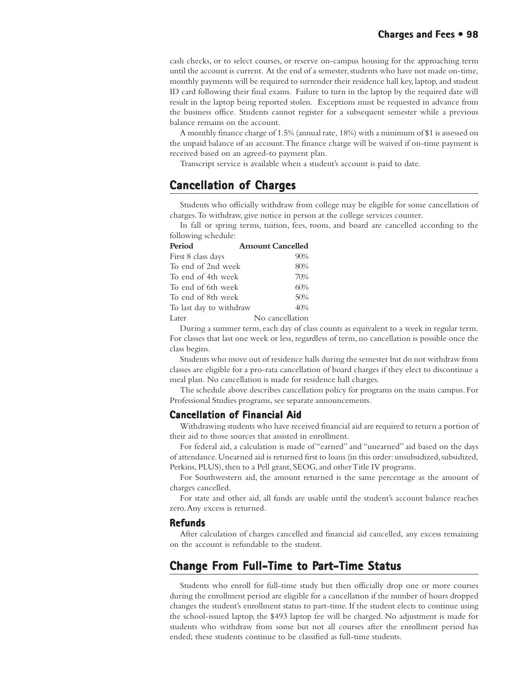cash checks, or to select courses, or reserve on-campus housing for the approaching term until the account is current. At the end of a semester, students who have not made on-time, monthly payments will be required to surrender their residence hall key, laptop, and student ID card following their final exams. Failure to turn in the laptop by the required date will result in the laptop being reported stolen. Exceptions must be requested in advance from the business office. Students cannot register for a subsequent semester while a previous balance remains on the account.

A monthly finance charge of 1.5% (annual rate, 18%) with a minimum of \$1 is assessed on the unpaid balance of an account. The finance charge will be waived if on-time payment is received based on an agreed-to payment plan.

Transcript service is available when a student's account is paid to date.

# **Cancellation of Charges Cancellation Charges**

Students who officially withdraw from college may be eligible for some cancellation of charges. To withdraw, give notice in person at the college services counter.

In fall or spring terms, tuition, fees, room, and board are cancelled according to the following schedule:

| Period                  | <b>Amount Cancelled</b> |
|-------------------------|-------------------------|
| First 8 class days      | 90%                     |
| To end of 2nd week      | 80%                     |
| To end of 4th week      | 70%                     |
| To end of 6th week      | 60%                     |
| To end of 8th week      | 50%                     |
| To last day to withdraw | 40%                     |
| Later                   | No cancellation         |

During a summer term, each day of class counts as equivalent to a week in regular term. For classes that last one week or less, regardless of term, no cancellation is possible once the class begins.

Students who move out of residence halls during the semester but do not withdraw from classes are eligible for a pro-rata cancellation of board charges if they elect to discontinue a meal plan. No cancellation is made for residence hall charges.

The schedule above describes cancellation policy for programs on the main campus. For Professional Studies programs, see separate announcements.

#### **Cancellation of Financial Aid**

Withdrawing students who have received financial aid are required to return a portion of their aid to those sources that assisted in enrollment.

For federal aid, a calculation is made of "earned" and "unearned" aid based on the days of attendance. Unearned aid is returned first to loans (in this order: unsubsidized, subsidized, Perkins, PLUS), then to a Pell grant, SEOG, and other Title IV programs.

For Southwestern aid, the amount returned is the same percentage as the amount of charges cancelled.

For state and other aid, all funds are usable until the student's account balance reaches zero. Any excess is returned.

#### **Refunds**

After calculation of charges cancelled and financial aid cancelled, any excess remaining on the account is refundable to the student.

# **Change From Full-Time to Part-Time Status art-Time Status**

Students who enroll for full-time study but then officially drop one or more courses during the enrollment period are eligible for a cancellation if the number of hours dropped changes the student's enrollment status to part-time. If the student elects to continue using the school-issued laptop, the \$493 laptop fee will be charged. No adjustment is made for students who withdraw from some but not all courses after the enrollment period has ended; these students continue to be classified as full-time students.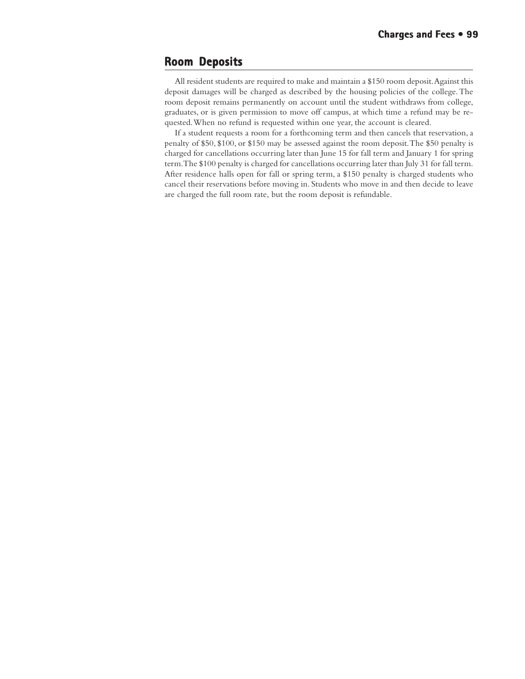## **Room Deposits Deposits**

All resident students are required to make and maintain a \$150 room deposit. Against this deposit damages will be charged as described by the housing policies of the college. The room deposit remains permanently on account until the student withdraws from college, graduates, or is given permission to move off campus, at which time a refund may be requested. When no refund is requested within one year, the account is cleared.

If a student requests a room for a forthcoming term and then cancels that reservation, a penalty of \$50, \$100, or \$150 may be assessed against the room deposit. The \$50 penalty is charged for cancellations occurring later than June 15 for fall term and January 1 for spring term. The \$100 penalty is charged for cancellations occurring later than July 31 for fall term. After residence halls open for fall or spring term, a \$150 penalty is charged students who cancel their reservations before moving in. Students who move in and then decide to leave are charged the full room rate, but the room deposit is refundable.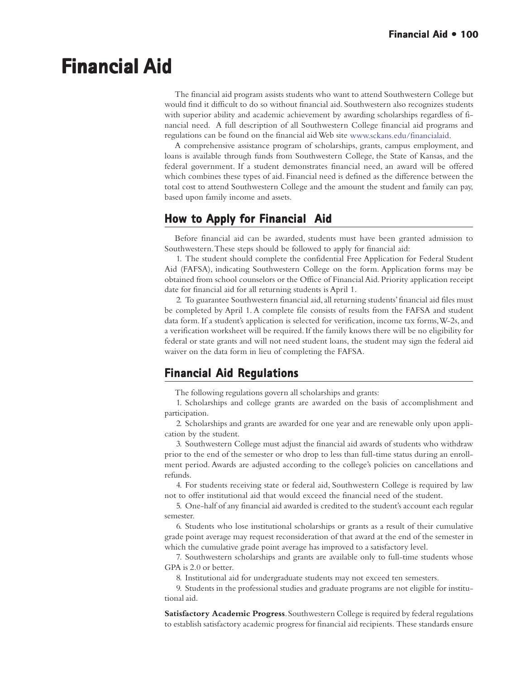# **Financial Aid Financial Aid**

The financial aid program assists students who want to attend Southwestern College but would find it difficult to do so without financial aid. Southwestern also recognizes students with superior ability and academic achievement by awarding scholarships regardless of financial need. A full description of all Southwestern College financial aid programs and regulations can be found on the financial aid Web site www.sckans.edu/financialaid.

A comprehensive assistance program of scholarships, grants, campus employment, and loans is available through funds from Southwestern College, the State of Kansas, and the federal government. If a student demonstrates financial need, an award will be offered which combines these types of aid. Financial need is defined as the difference between the total cost to attend Southwestern College and the amount the student and family can pay, based upon family income and assets.

# **How to Apply for Financial Aid**

Before financial aid can be awarded, students must have been granted admission to Southwestern. These steps should be followed to apply for financial aid:

1. The student should complete the confidential Free Application for Federal Student Aid (FAFSA), indicating Southwestern College on the form. Application forms may be obtained from school counselors or the Office of Financial Aid. Priority application receipt date for financial aid for all returning students is April 1.

2. To guarantee Southwestern financial aid, all returning students' financial aid files must be completed by April 1. A complete file consists of results from the FAFSA and student data form. If a student's application is selected for verification, income tax forms, W-2s, and a verification worksheet will be required. If the family knows there will be no eligibility for federal or state grants and will not need student loans, the student may sign the federal aid waiver on the data form in lieu of completing the FAFSA.

# **Financial Aid Regulations Aid Regulations**

The following regulations govern all scholarships and grants:

1. Scholarships and college grants are awarded on the basis of accomplishment and participation.

2. Scholarships and grants are awarded for one year and are renewable only upon application by the student.

3. Southwestern College must adjust the financial aid awards of students who withdraw prior to the end of the semester or who drop to less than full-time status during an enrollment period. Awards are adjusted according to the college's policies on cancellations and refunds.

4. For students receiving state or federal aid, Southwestern College is required by law not to offer institutional aid that would exceed the financial need of the student.

5. One-half of any financial aid awarded is credited to the student's account each regular semester.

6. Students who lose institutional scholarships or grants as a result of their cumulative grade point average may request reconsideration of that award at the end of the semester in which the cumulative grade point average has improved to a satisfactory level.

7. Southwestern scholarships and grants are available only to full-time students whose GPA is 2.0 or better.

8. Institutional aid for undergraduate students may not exceed ten semesters.

9. Students in the professional studies and graduate programs are not eligible for institutional aid.

**Satisfactory Academic Progress**. Southwestern College is required by federal regulations to establish satisfactory academic progress for financial aid recipients. These standards ensure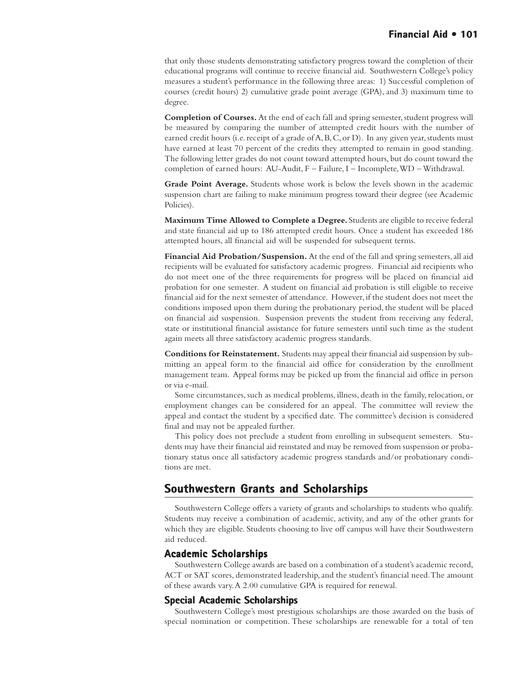that only those students demonstrating satisfactory progress toward the completion of their educational programs will continue to receive financial aid. Southwestern College's policy measures a student's performance in the following three areas: 1) Successful completion of courses (credit hours) 2) cumulative grade point average (GPA), and 3) maximum time to degree.

**Completion of Courses.** At the end of each fall and spring semester, student progress will be measured by comparing the number of attempted credit hours with the number of earned credit hours (i.e. receipt of a grade of A, B, C, or D). In any given year, students must have earned at least 70 percent of the credits they attempted to remain in good standing. The following letter grades do not count toward attempted hours, but do count toward the completion of earned hours: AU-Audit, F – Failure, I – Incomplete, WD – Withdrawal.

**Grade Point Average.** Students whose work is below the levels shown in the academic suspension chart are failing to make minimum progress toward their degree (see Academic Policies).

**Maximum Time Allowed to Complete a Degree.** Students are eligible to receive federal and state financial aid up to 186 attempted credit hours. Once a student has exceeded 186 attempted hours, all financial aid will be suspended for subsequent terms.

**Financial Aid Probation/Suspension.** At the end of the fall and spring semesters, all aid recipients will be evaluated for satisfactory academic progress. Financial aid recipients who do not meet one of the three requirements for progress will be placed on financial aid probation for one semester. A student on financial aid probation is still eligible to receive financial aid for the next semester of attendance. However, if the student does not meet the conditions imposed upon them during the probationary period, the student will be placed on financial aid suspension. Suspension prevents the student from receiving any federal, state or institutional financial assistance for future semesters until such time as the student again meets all three satisfactory academic progress standards.

**Conditions for Reinstatement.** Students may appeal their financial aid suspension by submitting an appeal form to the financial aid office for consideration by the enrollment management team. Appeal forms may be picked up from the financial aid office in person or via e-mail.

Some circumstances, such as medical problems, illness, death in the family, relocation, or employment changes can be considered for an appeal. The committee will review the appeal and contact the student by a specified date. The committee's decision is considered final and may not be appealed further.

This policy does not preclude a student from enrolling in subsequent semesters. Students may have their financial aid reinstated and may be removed from suspension or probationary status once all satisfactory academic progress standards and/or probationary conditions are met.

# **Southwestern Grants and Scholarships**

Southwestern College offers a variety of grants and scholarships to students who qualify. Students may receive a combination of academic, activity, and any of the other grants for which they are eligible. Students choosing to live off campus will have their Southwestern aid reduced.

#### **Academic Scholarships**

Southwestern College awards are based on a combination of a student's academic record, ACT or SAT scores, demonstrated leadership, and the student's financial need. The amount of these awards vary. A 2.00 cumulative GPA is required for renewal.

## **Special Academic Scholarships**

Southwestern College's most prestigious scholarships are those awarded on the basis of special nomination or competition. These scholarships are renewable for a total of ten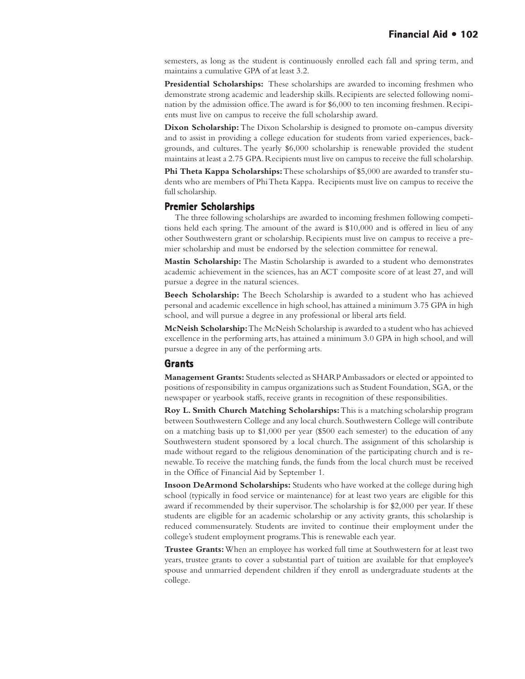semesters, as long as the student is continuously enrolled each fall and spring term, and maintains a cumulative GPA of at least 3.2.

**Presidential Scholarships:** These scholarships are awarded to incoming freshmen who demonstrate strong academic and leadership skills. Recipients are selected following nomination by the admission office. The award is for \$6,000 to ten incoming freshmen. Recipients must live on campus to receive the full scholarship award.

**Dixon Scholarship:** The Dixon Scholarship is designed to promote on-campus diversity and to assist in providing a college education for students from varied experiences, backgrounds, and cultures. The yearly \$6,000 scholarship is renewable provided the student maintains at least a 2.75 GPA. Recipients must live on campus to receive the full scholarship.

**Phi Theta Kappa Scholarships:** These scholarships of \$5,000 are awarded to transfer students who are members of Phi Theta Kappa. Recipients must live on campus to receive the full scholarship.

#### **Premier Scholarships**

The three following scholarships are awarded to incoming freshmen following competitions held each spring. The amount of the award is \$10,000 and is offered in lieu of any other Southwestern grant or scholarship. Recipients must live on campus to receive a premier scholarship and must be endorsed by the selection committee for renewal.

**Mastin Scholarship:** The Mastin Scholarship is awarded to a student who demonstrates academic achievement in the sciences, has an ACT composite score of at least 27, and will pursue a degree in the natural sciences.

**Beech Scholarship:** The Beech Scholarship is awarded to a student who has achieved personal and academic excellence in high school, has attained a minimum 3.75 GPA in high school, and will pursue a degree in any professional or liberal arts field.

**McNeish Scholarship:** The McNeish Scholarship is awarded to a student who has achieved excellence in the performing arts, has attained a minimum 3.0 GPA in high school, and will pursue a degree in any of the performing arts.

#### **Grants**

**Management Grants:** Students selected as SHARP Ambassadors or elected or appointed to positions of responsibility in campus organizations such as Student Foundation, SGA, or the newspaper or yearbook staffs, receive grants in recognition of these responsibilities.

**Roy L. Smith Church Matching Scholarships:** This is a matching scholarship program between Southwestern College and any local church. Southwestern College will contribute on a matching basis up to \$1,000 per year (\$500 each semester) to the education of any Southwestern student sponsored by a local church. The assignment of this scholarship is made without regard to the religious denomination of the participating church and is renewable. To receive the matching funds, the funds from the local church must be received in the Office of Financial Aid by September 1.

**Insoon DeArmond Scholarships:** Students who have worked at the college during high school (typically in food service or maintenance) for at least two years are eligible for this award if recommended by their supervisor. The scholarship is for \$2,000 per year. If these students are eligible for an academic scholarship or any activity grants, this scholarship is reduced commensurately. Students are invited to continue their employment under the college's student employment programs. This is renewable each year.

**Trustee Grants:** When an employee has worked full time at Southwestern for at least two years, trustee grants to cover a substantial part of tuition are available for that employee's spouse and unmarried dependent children if they enroll as undergraduate students at the college.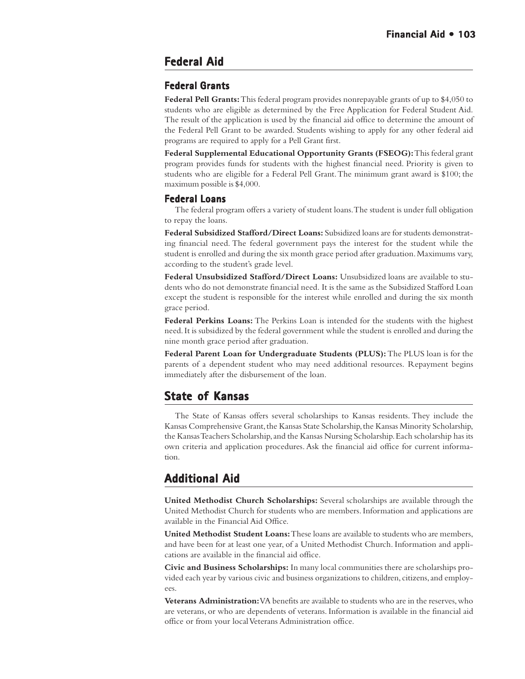# **Federal Aid**

## **Federal Grants Grants**

**Federal Pell Grants:** This federal program provides nonrepayable grants of up to \$4,050 to students who are eligible as determined by the Free Application for Federal Student Aid. The result of the application is used by the financial aid office to determine the amount of the Federal Pell Grant to be awarded. Students wishing to apply for any other federal aid programs are required to apply for a Pell Grant first.

**Federal Supplemental Educational Opportunity Grants (FSEOG):** This federal grant program provides funds for students with the highest financial need. Priority is given to students who are eligible for a Federal Pell Grant. The minimum grant award is \$100; the maximum possible is \$4,000.

#### **Federal Loans**

The federal program offers a variety of student loans. The student is under full obligation to repay the loans.

**Federal Subsidized Stafford/Direct Loans:** Subsidized loans are for students demonstrating financial need. The federal government pays the interest for the student while the student is enrolled and during the six month grace period after graduation. Maximums vary, according to the student's grade level.

**Federal Unsubsidized Stafford/Direct Loans:** Unsubsidized loans are available to students who do not demonstrate financial need. It is the same as the Subsidized Stafford Loan except the student is responsible for the interest while enrolled and during the six month grace period.

**Federal Perkins Loans:** The Perkins Loan is intended for the students with the highest need. It is subsidized by the federal government while the student is enrolled and during the nine month grace period after graduation.

**Federal Parent Loan for Undergraduate Students (PLUS):** The PLUS loan is for the parents of a dependent student who may need additional resources. Repayment begins immediately after the disbursement of the loan.

# **State of Kansas of Kansas**

The State of Kansas offers several scholarships to Kansas residents. They include the Kansas Comprehensive Grant, the Kansas State Scholarship, the Kansas Minority Scholarship, the Kansas Teachers Scholarship, and the Kansas Nursing Scholarship. Each scholarship has its own criteria and application procedures. Ask the financial aid office for current information.

# **Additional Aid**

**United Methodist Church Scholarships:** Several scholarships are available through the United Methodist Church for students who are members. Information and applications are available in the Financial Aid Office.

**United Methodist Student Loans:** These loans are available to students who are members, and have been for at least one year, of a United Methodist Church. Information and applications are available in the financial aid office.

**Civic and Business Scholarships:** In many local communities there are scholarships provided each year by various civic and business organizations to children, citizens, and employees.

**Veterans Administration:** VA benefits are available to students who are in the reserves, who are veterans, or who are dependents of veterans. Information is available in the financial aid office or from your local Veterans Administration office.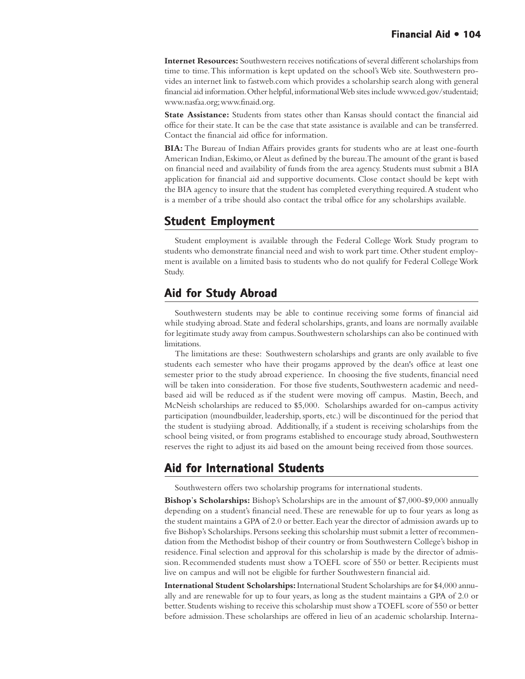**Internet Resources:** Southwestern receives notifications of several different scholarships from time to time. This information is kept updated on the school's Web site. Southwestern provides an internet link to fastweb.com which provides a scholarship search along with general financial aid information. Other helpful, informational Web sites include www.ed.gov/studentaid; www.nasfaa.org; www.finaid.org.

**State Assistance:** Students from states other than Kansas should contact the financial aid office for their state. It can be the case that state assistance is available and can be transferred. Contact the financial aid office for information.

**BIA:** The Bureau of Indian Affairs provides grants for students who are at least one-fourth American Indian, Eskimo, or Aleut as defined by the bureau. The amount of the grant is based on financial need and availability of funds from the area agency. Students must submit a BIA application for financial aid and supportive documents. Close contact should be kept with the BIA agency to insure that the student has completed everything required. A student who is a member of a tribe should also contact the tribal office for any scholarships available.

# **Student Employment**

Student employment is available through the Federal College Work Study program to students who demonstrate financial need and wish to work part time. Other student employment is available on a limited basis to students who do not qualify for Federal College Work Study.

# **Aid for Study Abroad**

Southwestern students may be able to continue receiving some forms of financial aid while studying abroad. State and federal scholarships, grants, and loans are normally available for legitimate study away from campus. Southwestern scholarships can also be continued with limitations.

The limitations are these: Southwestern scholarships and grants are only available to five students each semester who have their progams approved by the dean's office at least one semester prior to the study abroad experience. In choosing the five students, financial need will be taken into consideration. For those five students, Southwestern academic and needbased aid will be reduced as if the student were moving off campus. Mastin, Beech, and McNeish scholarships are reduced to \$5,000. Scholarships awarded for on-campus activity participation (moundbuilder, leadership, sports, etc.) will be discontinued for the period that the student is studyiing abroad. Additionally, if a student is receiving scholarships from the school being visited, or from programs established to encourage study abroad, Southwestern reserves the right to adjust its aid based on the amount being received from those sources.

# **Aid for International Students Aid for International**

Southwestern offers two scholarship programs for international students.

**Bishop**'**s Scholarships:** Bishop's Scholarships are in the amount of \$7,000-\$9,000 annually depending on a student's financial need. These are renewable for up to four years as long as the student maintains a GPA of 2.0 or better. Each year the director of admission awards up to five Bishop's Scholarships. Persons seeking this scholarship must submit a letter of recommendation from the Methodist bishop of their country or from Southwestern College's bishop in residence. Final selection and approval for this scholarship is made by the director of admission. Recommended students must show a TOEFL score of 550 or better. Recipients must live on campus and will not be eligible for further Southwestern financial aid.

**International Student Scholarships:** International Student Scholarships are for \$4,000 annually and are renewable for up to four years, as long as the student maintains a GPA of 2.0 or better. Students wishing to receive this scholarship must show a TOEFL score of 550 or better before admission. These scholarships are offered in lieu of an academic scholarship. Interna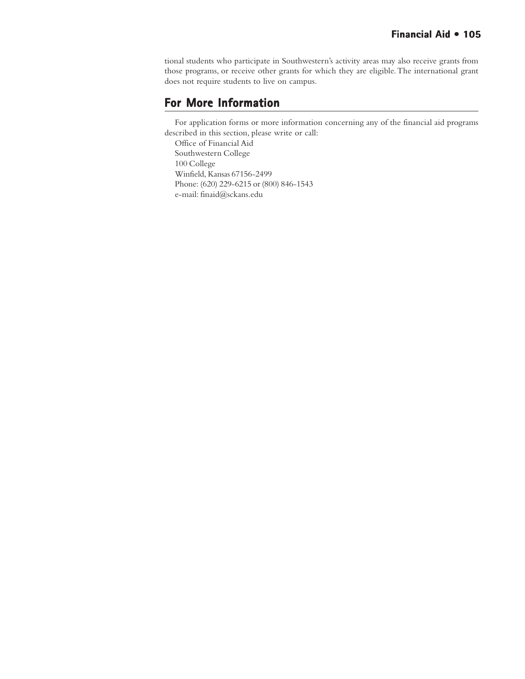tional students who participate in Southwestern's activity areas may also receive grants from those programs, or receive other grants for which they are eligible. The international grant does not require students to live on campus.

# **For More Information**

For application forms or more information concerning any of the financial aid programs described in this section, please write or call:

Office of Financial Aid Southwestern College 100 College Winfield, Kansas 67156-2499 Phone: (620) 229-6215 or (800) 846-1543 e-mail: finaid@sckans.edu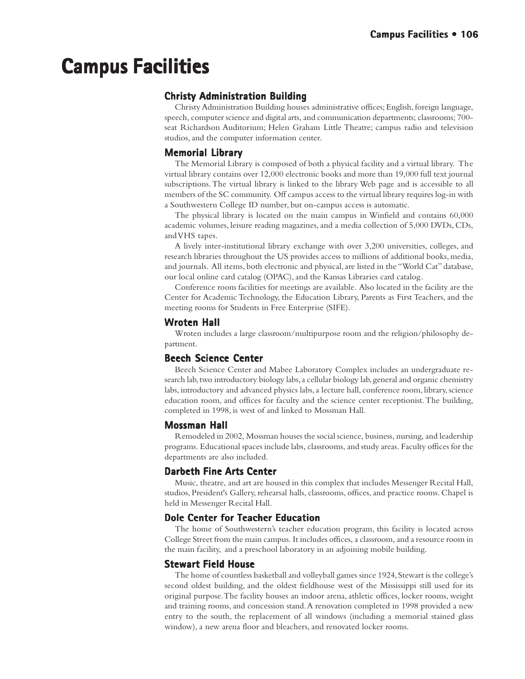# **Campus Facilities Campus Facilities**

## **Christy Administration Building**

Christy Administration Building houses administrative offices; English, foreign language, speech, computer science and digital arts, and communication departments; classrooms; 700 seat Richardson Auditorium; Helen Graham Little Theatre; campus radio and television studios, and the computer information center.

## **Memorial Library**

The Memorial Library is composed of both a physical facility and a virtual library. The virtual library contains over 12,000 electronic books and more than 19,000 full text journal subscriptions. The virtual library is linked to the library Web page and is accessible to all members of the SC community. Off campus access to the virtual library requires log-in with a Southwestern College ID number, but on-campus access is automatic.

The physical library is located on the main campus in Winfield and contains 60,000 academic volumes, leisure reading magazines, and a media collection of 5,000 DVDs, CDs, and VHS tapes.

A lively inter-institutional library exchange with over 3,200 universities, colleges, and research libraries throughout the US provides access to millions of additional books, media, and journals. All items, both electronic and physical, are listed in the "World Cat" database, our local online card catalog (OPAC), and the Kansas Libraries card catalog.

Conference room facilities for meetings are available. Also located in the facility are the Center for Academic Technology, the Education Library, Parents as First Teachers, and the meeting rooms for Students in Free Enterprise (SIFE).

#### **Wroten Hall Hall**

Wroten includes a large classroom/multipurpose room and the religion/philosophy department.

## **Beech Science Center Beech**

Beech Science Center and Mabee Laboratory Complex includes an undergraduate research lab, two introductory biology labs, a cellular biology lab, general and organic chemistry labs, introductory and advanced physics labs, a lecture hall, conference room, library, science education room, and offices for faculty and the science center receptionist. The building, completed in 1998, is west of and linked to Mossman Hall.

## **Mossman Hall Hall**

Remodeled in 2002, Mossman houses the social science, business, nursing, and leadership programs. Educational spaces include labs, classrooms, and study areas. Faculty offices for the departments are also included.

## **Darbeth Fine Arts Center Center**

Music, theatre, and art are housed in this complex that includes Messenger Recital Hall, studios, President's Gallery, rehearsal halls, classrooms, offices, and practice rooms. Chapel is held in Messenger Recital Hall.

## **Dole Center for Teacher Education**

The home of Southwestern's teacher education program, this facility is located across College Street from the main campus. It includes offices, a classroom, and a resource room in the main facility, and a preschool laboratory in an adjoining mobile building.

## **Stewart Field House**

The home of countless basketball and volleyball games since 1924, Stewart is the college's second oldest building, and the oldest fieldhouse west of the Mississippi still used for its original purpose. The facility houses an indoor arena, athletic offices, locker rooms, weight and training rooms, and concession stand. A renovation completed in 1998 provided a new entry to the south, the replacement of all windows (including a memorial stained glass window), a new arena floor and bleachers, and renovated locker rooms.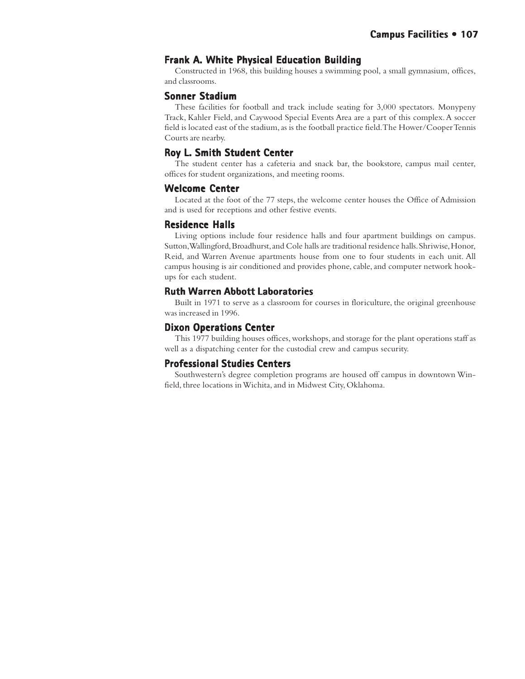## **Frank A. White Physical Education Building**

Constructed in 1968, this building houses a swimming pool, a small gymnasium, offices, and classrooms.

#### **Sonner Stadium**

These facilities for football and track include seating for 3,000 spectators. Monypeny Track, Kahler Field, and Caywood Special Events Area are a part of this complex. A soccer field is located east of the stadium, as is the football practice field. The Hower/Cooper Tennis Courts are nearby.

#### **Roy L. Smith Student Center Roy L. Student Center**

The student center has a cafeteria and snack bar, the bookstore, campus mail center, offices for student organizations, and meeting rooms.

#### **Welcome Center Welcome Center**

Located at the foot of the 77 steps, the welcome center houses the Office of Admission and is used for receptions and other festive events.

#### **Residence Halls Halls**

Living options include four residence halls and four apartment buildings on campus. Sutton, Wallingford, Broadhurst, and Cole halls are traditional residence halls. Shriwise, Honor, Reid, and Warren Avenue apartments house from one to four students in each unit. All campus housing is air conditioned and provides phone, cable, and computer network hookups for each student.

#### **Ruth Warren Abbott Laboratories Ruth Abbott Laboratories**

Built in 1971 to serve as a classroom for courses in floriculture, the original greenhouse was increased in 1996.

#### **Dixon Operations Center**

This 1977 building houses offices, workshops, and storage for the plant operations staff as well as a dispatching center for the custodial crew and campus security.

#### **Professional Studies Centers**

Southwestern's degree completion programs are housed off campus in downtown Winfield, three locations in Wichita, and in Midwest City, Oklahoma.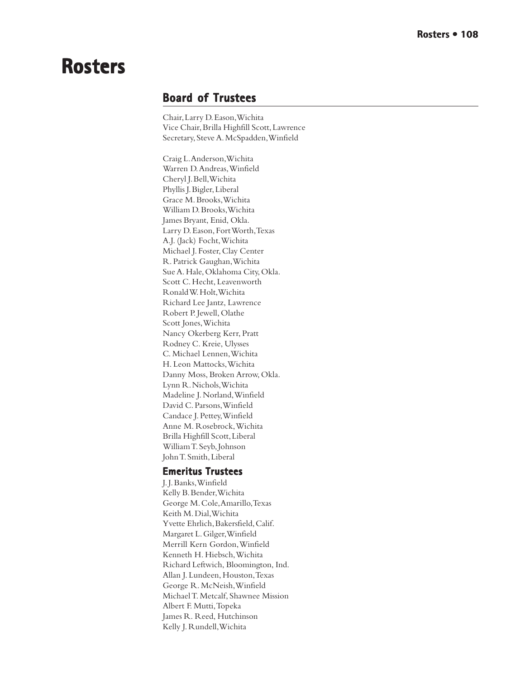# **Rosters Rosters**

# **Board of Trustees of Trustees**

Chair, Larry D. Eason, Wichita Vice Chair, Brilla Highfill Scott, Lawrence Secretary, Steve A. McSpadden, Winfield

Craig L. Anderson, Wichita Warren D. Andreas, Winfield Cheryl J. Bell, Wichita Phyllis J. Bigler, Liberal Grace M. Brooks, Wichita William D. Brooks, Wichita James Bryant, Enid, Okla. Larry D. Eason, Fort Worth, Texas A.J. (Jack) Focht, Wichita Michael J. Foster, Clay Center R. Patrick Gaughan, Wichita Sue A. Hale, Oklahoma City, Okla. Scott C. Hecht, Leavenworth Ronald W. Holt, Wichita Richard Lee Jantz, Lawrence Robert P. Jewell, Olathe Scott Jones, Wichita Nancy Okerberg Kerr, Pratt Rodney C. Kreie, Ulysses C. Michael Lennen, Wichita H. Leon Mattocks, Wichita Danny Moss, Broken Arrow, Okla. Lynn R. Nichols, Wichita Madeline J. Norland, Winfield David C. Parsons, Winfield Candace J. Pettey, Winfield Anne M. Rosebrock, Wichita Brilla Highfill Scott, Liberal William T. Seyb, Johnson John T. Smith, Liberal

## **Emeritus Trustees Emeritus**

J. J. Banks, Winfield Kelly B. Bender, Wichita George M. Cole, Amarillo, Texas Keith M. Dial, Wichita Yvette Ehrlich, Bakersfield, Calif. Margaret L. Gilger, Winfield Merrill Kern Gordon, Winfield Kenneth H. Hiebsch, Wichita Richard Leftwich, Bloomington, Ind. Allan J. Lundeen, Houston, Texas George R. McNeish, Winfield Michael T. Metcalf, Shawnee Mission Albert F. Mutti, Topeka James R. Reed, Hutchinson Kelly J. Rundell, Wichita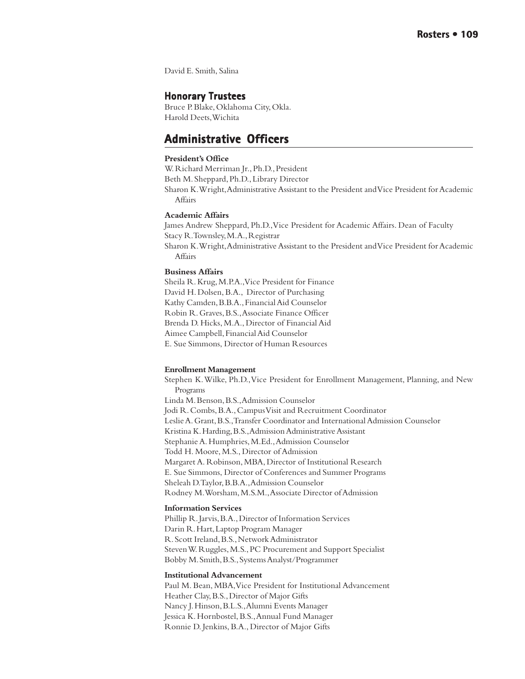David E. Smith, Salina

## **Honorary Trustees Honorary Trustees**

Bruce P. Blake, Oklahoma City, Okla. Harold Deets, Wichita

# **Administrative Officers Administrative Officers**

#### **President's Office**

W. Richard Merriman Jr., Ph.D., President

Beth M. Sheppard, Ph.D., Library Director

Sharon K. Wright, Administrative Assistant to the President and Vice President for Academic Affairs

#### **Academic Affairs**

James Andrew Sheppard, Ph.D., Vice President for Academic Affairs. Dean of Faculty Stacy R. Townsley, M.A., Registrar Sharon K. Wright, Administrative Assistant to the President and Vice President for Academic Affairs

#### **Business Affairs**

Sheila R. Krug, M.P.A., Vice President for Finance David H. Dolsen, B.A., Director of Purchasing Kathy Camden, B.B.A., Financial Aid Counselor Robin R. Graves, B.S., Associate Finance Officer Brenda D. Hicks, M.A., Director of Financial Aid Aimee Campbell, Financial Aid Counselor E. Sue Simmons, Director of Human Resources

#### **Enrollment Management**

Stephen K. Wilke, Ph.D., Vice President for Enrollment Management, Planning, and New Programs Linda M. Benson, B.S., Admission Counselor Jodi R. Combs, B.A., Campus Visit and Recruitment Coordinator Leslie A. Grant, B.S., Transfer Coordinator and International Admission Counselor Kristina K. Harding, B.S., Admission Administrative Assistant Stephanie A. Humphries, M.Ed., Admission Counselor Todd H. Moore, M.S., Director of Admission Margaret A. Robinson, MBA, Director of Institutional Research E. Sue Simmons, Director of Conferences and Summer Programs Sheleah D. Taylor, B.B.A., Admission Counselor Rodney M. Worsham, M.S.M., Associate Director of Admission

#### **Information Services**

Phillip R. Jarvis, B.A., Director of Information Services Darin R. Hart, Laptop Program Manager R. Scott Ireland, B.S., Network Administrator Steven W. Ruggles, M.S., PC Procurement and Support Specialist Bobby M. Smith, B.S., Systems Analyst/Programmer

#### **Institutional Advancement**

Paul M. Bean, MBA, Vice President for Institutional Advancement Heather Clay, B.S., Director of Major Gifts Nancy J. Hinson, B.L.S., Alumni Events Manager Jessica K. Hornbostel, B.S., Annual Fund Manager Ronnie D. Jenkins, B.A., Director of Major Gifts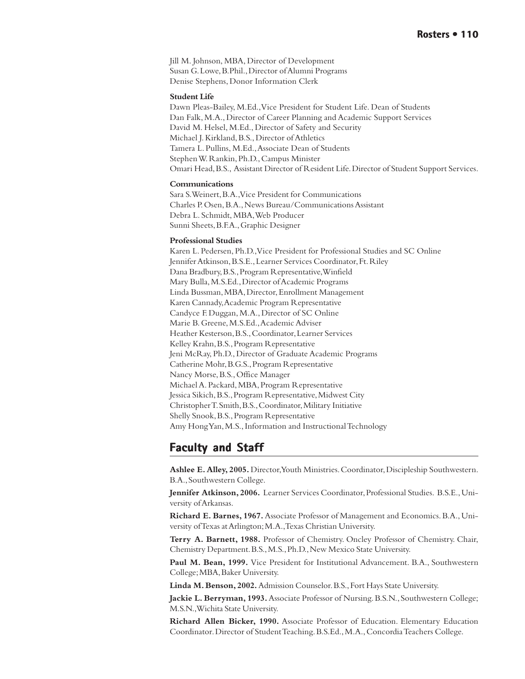Jill M. Johnson, MBA, Director of Development Susan G. Lowe, B.Phil., Director of Alumni Programs Denise Stephens, Donor Information Clerk

#### **Student Life**

Dawn Pleas-Bailey, M.Ed., Vice President for Student Life. Dean of Students Dan Falk, M.A., Director of Career Planning and Academic Support Services David M. Helsel, M.Ed., Director of Safety and Security Michael J. Kirkland, B.S., Director of Athletics Tamera L. Pullins, M.Ed., Associate Dean of Students Stephen W. Rankin, Ph.D., Campus Minister Omari Head, B.S., Assistant Director of Resident Life. Director of Student Support Services.

#### **Communications**

Sara S. Weinert, B.A., Vice President for Communications Charles P. Osen, B.A., News Bureau/Communications Assistant Debra L. Schmidt, MBA, Web Producer Sunni Sheets, B.F.A., Graphic Designer

#### **Professional Studies**

Karen L. Pedersen, Ph.D., Vice President for Professional Studies and SC Online Jennifer Atkinson, B.S.E., Learner Services Coordinator, Ft. Riley Dana Bradbury, B.S., Program Representative, Winfield Mary Bulla, M.S.Ed., Director of Academic Programs Linda Bussman, MBA, Director, Enrollment Management Karen Cannady, Academic Program Representative Candyce F. Duggan, M.A., Director of SC Online Marie B. Greene, M.S.Ed., Academic Adviser Heather Kesterson, B.S., Coordinator, Learner Services Kelley Krahn, B.S., Program Representative Jeni McRay, Ph.D., Director of Graduate Academic Programs Catherine Mohr, B.G.S., Program Representative Nancy Morse, B.S., Office Manager Michael A. Packard, MBA, Program Representative Jessica Sikich, B.S., Program Representative, Midwest City Christopher T. Smith, B.S., Coordinator, Military Initiative Shelly Snook, B.S., Program Representative Amy Hong Yan, M.S., Information and Instructional Technology

# **Faculty and Staff Faculty and Staff**

**Ashlee E. Alley, 2005.** Director, Youth Ministries. Coordinator, Discipleship Southwestern. B.A., Southwestern College.

**Jennifer Atkinson, 2006.** Learner Services Coordinator, Professional Studies. B.S.E., University of Arkansas.

**Richard E. Barnes, 1967.** Associate Professor of Management and Economics. B.A., University of Texas at Arlington; M.A., Texas Christian University.

**Terry A. Barnett, 1988.** Professor of Chemistry. Oncley Professor of Chemistry. Chair, Chemistry Department. B.S., M.S., Ph.D., New Mexico State University.

**Paul M. Bean, 1999.** Vice President for Institutional Advancement. B.A., Southwestern College; MBA, Baker University.

**Linda M. Benson, 2002.** Admission Counselor. B.S., Fort Hays State University.

**Jackie L. Berryman, 1993.** Associate Professor of Nursing. B.S.N., Southwestern College; M.S.N., Wichita State University.

**Richard Allen Bicker, 1990.** Associate Professor of Education. Elementary Education Coordinator. Director of Student Teaching. B.S.Ed., M.A., Concordia Teachers College.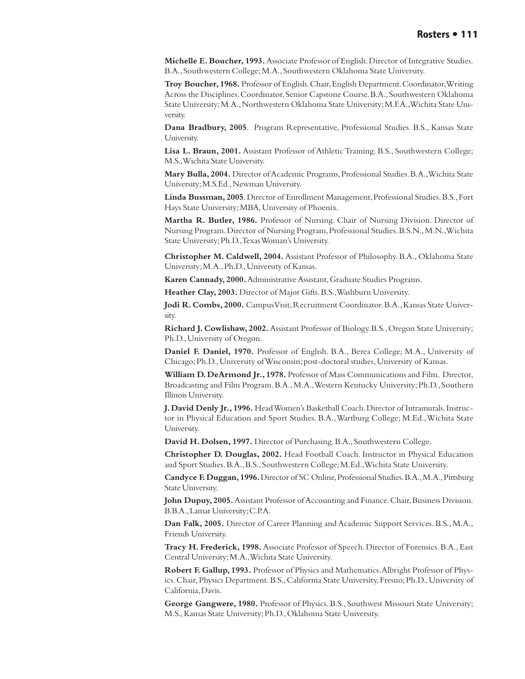**Michelle E. Boucher, 1993.** Associate Professor of English. Director of Integrative Studies. B.A., Southwestern College; M.A., Southwestern Oklahoma State University.

**Troy Boucher, 1968.** Professor of English. Chair, English Department. Coordinator, Writing Across the Disciplines. Coordinator, Senior Capstone Course. B.A., Southwestern Oklahoma State University; M.A., Northwestern Oklahoma State University; M.F.A., Wichita State University.

**Dana Bradbury, 2005**. Program Representative, Professional Studies. B.S., Kansas State University.

**Lisa L. Braun, 2001.** Assistant Professor of Athletic Training. B.S., Southwestern College; M.S., Wichita State University.

**Mary Bulla, 2004.** Director of Academic Programs, Professional Studies. B.A., Wichita State University; M.S.Ed., Newman University.

**Linda Bussman, 2005**. Director of Enrollment Management, Professional Studies. B.S., Fort Hays State University; MBA, University of Phoenix.

**Martha R. Butler, 1986.** Professor of Nursing. Chair of Nursing Division. Director of Nursing Program. Director of Nursing Program, Professional Studies. B.S.N., M.N., Wichita State University; Ph.D., Texas Woman's University.

**Christopher M. Caldwell, 2004.** Assistant Professor of Philosophy. B.A., Oklahoma State University; M.A., Ph.D., University of Kansas.

**Karen Cannady, 2000.** Administrative Assistant, Graduate Studies Programs.

**Heather Clay, 2003.** Director of Major Gifts. B.S., Washburn University.

**Jodi R. Combs, 2000.** Campus Visit, Recruitment Coordinator. B.A., Kansas State University.

**Richard J. Cowlishaw, 2002.** Assistant Professor of Biology. B.S., Oregon State University; Ph.D., University of Oregon.

**Daniel F. Daniel, 1970.** Professor of English. B.A., Berea College; M.A., University of Chicago; Ph.D., University of Wisconsin; post-doctoral studies, University of Kansas.

**William D. DeArmond Jr., 1978.** Professor of Mass Communications and Film. Director, Broadcasting and Film Program. B.A., M.A., Western Kentucky University; Ph.D., Southern Illinois University.

**J. David Denly Jr., 1996.** Head Women's Basketball Coach. Director of Intramurals. Instructor in Physical Education and Sport Studies. B.A., Wartburg College; M.Ed., Wichita State University.

**David H. Dolsen, 1997.** Director of Purchasing. B.A., Southwestern College.

**Christopher D. Douglas, 2002.** Head Football Coach. Instructor in Physical Education and Sport Studies. B.A., B.S., Southwestern College; M.Ed., Wichita State University.

**Candyce F. Duggan, 1996.** Director of SC Online, Professional Studies. B.A., M.A., Pittsburg State University.

**John Dupuy, 2005.** Assistant Professor of Accounting and Finance. Chair, Business Division. B.B.A., Lamar University; C.P.A.

**Dan Falk, 2005.** Director of Career Planning and Academic Support Services. B.S., M.A., Friends University.

**Tracy H. Frederick, 1998.** Associate Professor of Speech. Director of Forensics. B.A., East Central University; M.A., Wichita State University.

**Robert F. Gallup, 1993.** Professor of Physics and Mathematics. Albright Professor of Physics. Chair, Physics Department. B.S., California State University, Fresno; Ph.D., University of California, Davis.

**George Gangwere, 1980.** Professor of Physics. B.S., Southwest Missouri State University; M.S., Kansas State University; Ph.D., Oklahoma State University.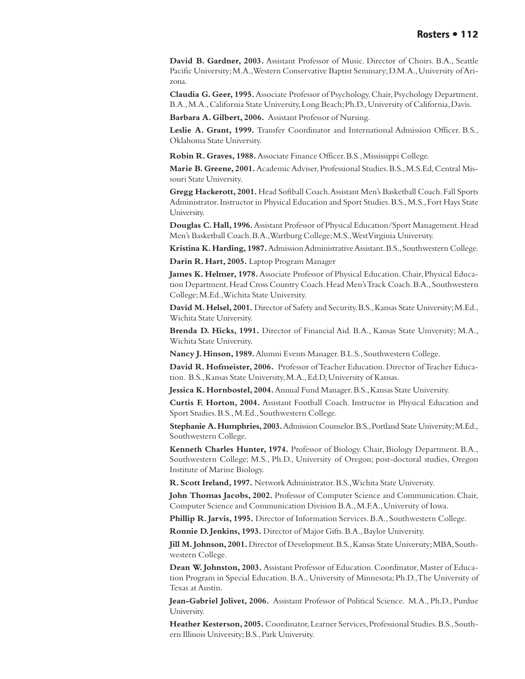**David B. Gardner, 2003.** Assistant Professor of Music. Director of Choirs. B.A., Seattle Pacific University; M.A., Western Conservative Baptist Seminary; D.M.A., University of Arizona.

**Claudia G. Geer, 1995.** Associate Professor of Psychology. Chair, Psychology Department. B.A., M.A., California State University, Long Beach; Ph.D., University of California, Davis.

**Barbara A. Gilbert, 2006.** Assistant Professor of Nursing.

**Leslie A. Grant, 1999.** Transfer Coordinator and International Admission Officer. B.S., Oklahoma State University.

**Robin R. Graves, 1988.** Associate Finance Officer. B.S., Mississippi College.

**Marie B. Greene, 2001.** Academic Adviser, Professional Studies. B.S., M.S.Ed, Central Missouri State University.

**Gregg Hackerott, 2001.** Head Softball Coach. Assistant Men's Basketball Coach. Fall Sports Administrator. Instructor in Physical Education and Sport Studies. B.S., M.S., Fort Hays State University.

**Douglas C. Hall, 1996.** Assistant Professor of Physical Education/Sport Management. Head Men's Basketball Coach. B.A., Wartburg College; M.S., West Virginia University.

**Kristina K. Harding, 1987.** Admission Administrative Assistant. B.S., Southwestern College.

**Darin R. Hart, 2005.** Laptop Program Manager

**James K. Helmer, 1978.** Associate Professor of Physical Education. Chair, Physical Education Department. Head Cross Country Coach. Head Men's Track Coach. B.A., Southwestern College; M.Ed., Wichita State University.

**David M. Helsel, 2001.** Director of Safety and Security. B.S., Kansas State University; M.Ed., Wichita State University.

**Brenda D. Hicks, 1991.** Director of Financial Aid. B.A., Kansas State University; M.A., Wichita State University.

**Nancy J. Hinson, 1989.** Alumni Events Manager. B.L.S., Southwestern College.

**David R. Hofmeister, 2006.** Professor of Teacher Education. Director of Teacher Education. B.S., Kansas State University, M.A., Ed.D, University of Kansas.

**Jessica K. Hornbostel, 2004.** Annual Fund Manager. B.S., Kansas State University.

**Curtis F. Horton, 2004.** Assistant Football Coach. Instructor in Physical Education and Sport Studies. B.S., M.Ed., Southwestern College.

**Stephanie A. Humphries, 2003.** Admission Counselor. B.S., Portland State University; M.Ed., Southwestern College.

**Kenneth Charles Hunter, 1974.** Professor of Biology. Chair, Biology Department. B.A., Southwestern College; M.S., Ph.D., University of Oregon; post-doctoral studies, Oregon Institute of Marine Biology.

**R. Scott Ireland, 1997.** Network Administrator. B.S., Wichita State University.

**John Thomas Jacobs, 2002.** Professor of Computer Science and Communication. Chair, Computer Science and Communication Division B.A., M.F.A., University of Iowa.

**Phillip R. Jarvis, 1995.** Director of Information Services. B.A., Southwestern College.

**Ronnie D. Jenkins, 1993.** Director of Major Gifts. B.A., Baylor University.

**Jill M. Johnson, 2001.** Director of Development. B.S., Kansas State University; MBA, Southwestern College.

**Dean W. Johnston, 2003.** Assistant Professor of Education. Coordinator, Master of Education Program in Special Education. B.A., University of Minnesota; Ph.D., The University of Texas at Austin.

**Jean-Gabriel Jolivet, 2006.** Assistant Professor of Political Science. M.A., Ph.D., Purdue University.

**Heather Kesterson, 2005.** Coordinator, Learner Services, Professional Studies. B.S., Southern Illinois University; B.S., Park University.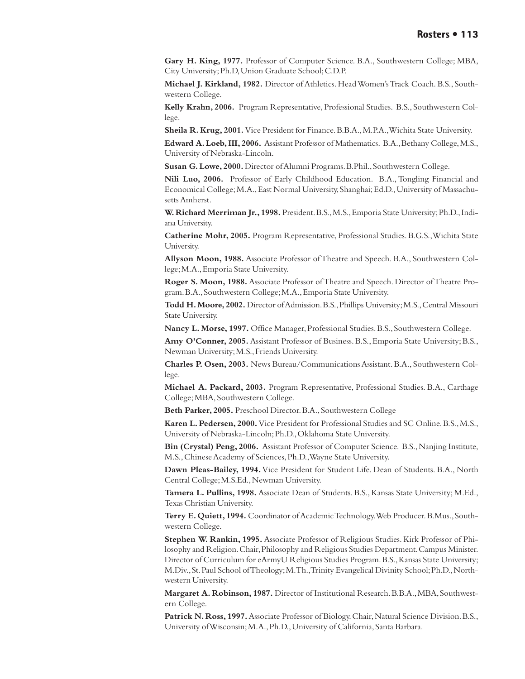**Gary H. King, 1977.** Professor of Computer Science. B.A., Southwestern College; MBA, City University; Ph.D, Union Graduate School; C.D.P.

**Michael J. Kirkland, 1982.** Director of Athletics. Head Women's Track Coach. B.S., Southwestern College.

**Kelly Krahn, 2006.** Program Representative, Professional Studies. B.S., Southwestern College.

**Sheila R. Krug, 2001.** Vice President for Finance. B.B.A., M.P.A., Wichita State University.

**Edward A. Loeb, III, 2006.** Assistant Professor of Mathematics. B.A., Bethany College, M.S., University of Nebraska-Lincoln.

**Susan G. Lowe, 2000.** Director of Alumni Programs. B.Phil., Southwestern College.

**Nili Luo, 2006.** Professor of Early Childhood Education. B.A., Tongling Financial and Economical College; M.A., East Normal University, Shanghai; Ed.D., University of Massachusetts Amherst.

**W. Richard Merriman Jr., 1998.** President. B.S., M.S., Emporia State University; Ph.D., Indiana University.

**Catherine Mohr, 2005.** Program Representative, Professional Studies. B.G.S., Wichita State University.

**Allyson Moon, 1988.** Associate Professor of Theatre and Speech. B.A., Southwestern College; M.A., Emporia State University.

**Roger S. Moon, 1988.** Associate Professor of Theatre and Speech. Director of Theatre Program. B.A., Southwestern College; M.A., Emporia State University.

**Todd H. Moore, 2002.** Director of Admission. B.S., Phillips University; M.S., Central Missouri State University.

**Nancy L. Morse, 1997.** Office Manager, Professional Studies. B.S., Southwestern College.

**Amy O'Conner, 2005.** Assistant Professor of Business. B.S., Emporia State University; B.S., Newman University; M.S., Friends University.

**Charles P. Osen, 2003.** News Bureau/Communications Assistant. B.A., Southwestern College.

**Michael A. Packard, 2003.** Program Representative, Professional Studies. B.A., Carthage College; MBA, Southwestern College.

**Beth Parker, 2005.** Preschool Director. B.A., Southwestern College

**Karen L. Pedersen, 2000.** Vice President for Professional Studies and SC Online. B.S., M.S., University of Nebraska-Lincoln; Ph.D., Oklahoma State University.

**Bin (Crystal) Peng, 2006.** Assistant Professor of Computer Science. B.S., Nanjing Institute, M.S., Chinese Academy of Sciences, Ph.D., Wayne State University.

**Dawn Pleas-Bailey, 1994.** Vice President for Student Life. Dean of Students. B.A., North Central College; M.S.Ed., Newman University.

**Tamera L. Pullins, 1998.** Associate Dean of Students. B.S., Kansas State University; M.Ed., Texas Christian University.

**Terry E. Quiett, 1994.** Coordinator of Academic Technology. Web Producer. B.Mus., Southwestern College.

**Stephen W. Rankin, 1995.** Associate Professor of Religious Studies. Kirk Professor of Philosophy and Religion. Chair, Philosophy and Religious Studies Department. Campus Minister. Director of Curriculum for eArmyU Religious Studies Program. B.S., Kansas State University; M.Div., St. Paul School of Theology; M.Th., Trinity Evangelical Divinity School; Ph.D., Northwestern University.

**Margaret A. Robinson, 1987.** Director of Institutional Research. B.B.A., MBA, Southwestern College.

**Patrick N. Ross, 1997.** Associate Professor of Biology. Chair, Natural Science Division. B.S., University of Wisconsin; M.A., Ph.D., University of California, Santa Barbara.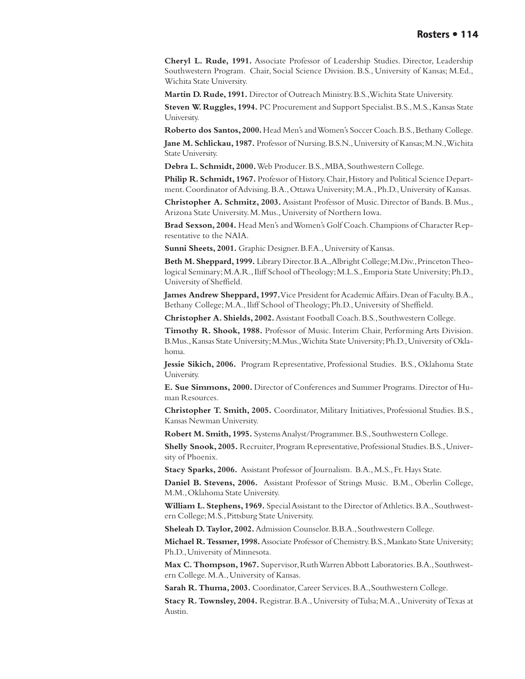**Cheryl L. Rude, 1991.** Associate Professor of Leadership Studies. Director, Leadership Southwestern Program. Chair, Social Science Division. B.S., University of Kansas; M.Ed., Wichita State University.

**Martin D. Rude, 1991.** Director of Outreach Ministry. B.S., Wichita State University.

**Steven W. Ruggles, 1994.** PC Procurement and Support Specialist. B.S., M.S., Kansas State University.

**Roberto dos Santos, 2000.** Head Men's and Women's Soccer Coach. B.S., Bethany College. **Jane M. Schlickau, 1987.** Professor of Nursing. B.S.N., University of Kansas; M.N., Wichita

State University.

**Debra L. Schmidt, 2000.** Web Producer. B.S., MBA, Southwestern College.

**Philip R. Schmidt, 1967.** Professor of History. Chair, History and Political Science Department. Coordinator of Advising. B.A., Ottawa University; M.A., Ph.D., University of Kansas.

**Christopher A. Schmitz, 2003.** Assistant Professor of Music. Director of Bands. B. Mus., Arizona State University. M. Mus., University of Northern Iowa.

**Brad Sexson, 2004.** Head Men's and Women's Golf Coach. Champions of Character Representative to the NAIA.

**Sunni Sheets, 2001.** Graphic Designer. B.F.A., University of Kansas.

**Beth M. Sheppard, 1999.** Library Director. B.A., Albright College; M.Div., Princeton Theological Seminary; M.A.R., Iliff School of Theology; M.L.S., Emporia State University; Ph.D., University of Sheffield.

**James Andrew Sheppard, 1997.** Vice President for Academic Affairs. Dean of Faculty. B.A., Bethany College; M.A., Iliff School of Theology; Ph.D., University of Sheffield.

**Christopher A. Shields, 2002.** Assistant Football Coach. B.S., Southwestern College.

**Timothy R. Shook, 1988.** Professor of Music. Interim Chair, Performing Arts Division. B.Mus., Kansas State University; M.Mus., Wichita State University; Ph.D., University of Oklahoma.

**Jessie Sikich, 2006.** Program Representative, Professional Studies. B.S., Oklahoma State University.

**E. Sue Simmons, 2000.** Director of Conferences and Summer Programs. Director of Human Resources.

**Christopher T. Smith, 2005.** Coordinator, Military Initiatives, Professional Studies. B.S., Kansas Newman University.

**Robert M. Smith, 1995.** Systems Analyst/Programmer. B.S., Southwestern College.

**Shelly Snook, 2005.** Recruiter, Program Representative, Professional Studies. B.S., University of Phoenix.

**Stacy Sparks, 2006.** Assistant Professor of Journalism. B.A., M.S., Ft. Hays State.

**Daniel B. Stevens, 2006.** Assistant Professor of Strings Music. B.M., Oberlin College, M.M., Oklahoma State University.

**William L. Stephens, 1969.** Special Assistant to the Director of Athletics. B.A., Southwestern College; M.S., Pittsburg State University.

**Sheleah D. Taylor, 2002.** Admission Counselor. B.B.A., Southwestern College.

**Michael R. Tessmer, 1998.** Associate Professor of Chemistry. B.S., Mankato State University; Ph.D., University of Minnesota.

**Max C. Thompson, 1967.** Supervisor, Ruth Warren Abbott Laboratories. B.A., Southwestern College. M.A., University of Kansas.

**Sarah R. Thuma, 2003.** Coordinator, Career Services. B.A., Southwestern College.

**Stacy R. Townsley, 2004.** Registrar. B.A., University of Tulsa; M.A., University of Texas at Austin.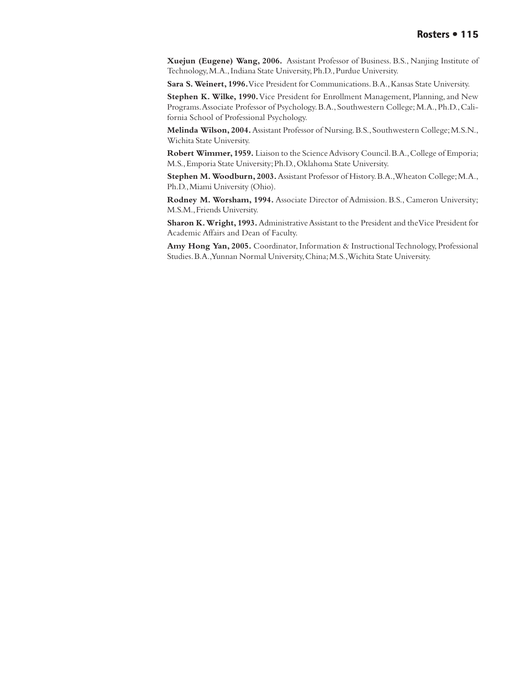**Xuejun (Eugene) Wang, 2006.** Assistant Professor of Business. B.S., Nanjing Institute of Technology, M.A., Indiana State University, Ph.D., Purdue University.

**Sara S. Weinert, 1996.** Vice President for Communications. B.A., Kansas State University.

**Stephen K. Wilke, 1990.** Vice President for Enrollment Management, Planning, and New Programs. Associate Professor of Psychology. B.A., Southwestern College; M.A., Ph.D., California School of Professional Psychology.

**Melinda Wilson, 2004.** Assistant Professor of Nursing. B.S., Southwestern College; M.S.N., Wichita State University.

**Robert Wimmer, 1959.** Liaison to the Science Advisory Council. B.A., College of Emporia; M.S., Emporia State University; Ph.D., Oklahoma State University.

**Stephen M. Woodburn, 2003.** Assistant Professor of History. B.A., Wheaton College; M.A., Ph.D., Miami University (Ohio).

**Rodney M. Worsham, 1994.** Associate Director of Admission. B.S., Cameron University; M.S.M., Friends University.

**Sharon K. Wright, 1993.** Administrative Assistant to the President and the Vice President for Academic Affairs and Dean of Faculty.

**Amy Hong Yan, 2005.** Coordinator, Information & Instructional Technology, Professional Studies. B.A., Yunnan Normal University, China; M.S., Wichita State University.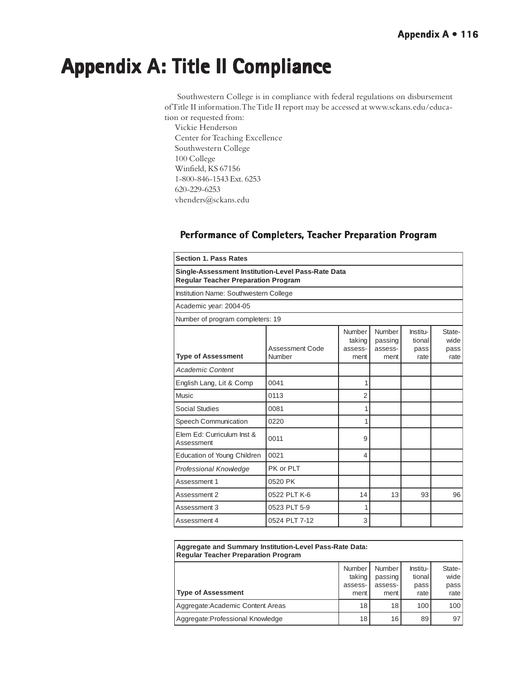# **Appendix A: Title II Compliance Appendix A: Title II Compliance**

 Southwestern College is in compliance with federal regulations on disbursement of Title II information. The Title II report may be accessed at www.sckans.edu/education or requested from:

Vickie Henderson Center for Teaching Excellence Southwestern College 100 College Winfield, KS 67156 1-800-846-1543 Ext. 6253 620-229-6253 vhenders@sckans.edu

| <b>Section 1. Pass Rates</b>                                                                     |                           |                                     |                                      |                                    |                                |  |  |
|--------------------------------------------------------------------------------------------------|---------------------------|-------------------------------------|--------------------------------------|------------------------------------|--------------------------------|--|--|
| Single-Assessment Institution-Level Pass-Rate Data<br><b>Regular Teacher Preparation Program</b> |                           |                                     |                                      |                                    |                                |  |  |
| Institution Name: Southwestern College                                                           |                           |                                     |                                      |                                    |                                |  |  |
| Academic year: 2004-05                                                                           |                           |                                     |                                      |                                    |                                |  |  |
| Number of program completers: 19                                                                 |                           |                                     |                                      |                                    |                                |  |  |
| <b>Type of Assessment</b>                                                                        | Assessment Code<br>Number | Number<br>taking<br>assess-<br>ment | Number<br>passing<br>assess-<br>ment | Institu-<br>tional<br>pass<br>rate | State-<br>wide<br>pass<br>rate |  |  |
| <b>Academic Content</b>                                                                          |                           |                                     |                                      |                                    |                                |  |  |
| English Lang, Lit & Comp                                                                         | 0041                      |                                     |                                      |                                    |                                |  |  |
| Music                                                                                            | 0113                      | 2                                   |                                      |                                    |                                |  |  |
| <b>Social Studies</b>                                                                            | 0081                      | 1                                   |                                      |                                    |                                |  |  |
| Speech Communication                                                                             | 0220                      | 1                                   |                                      |                                    |                                |  |  |
| Elem Ed: Curriculum Inst &<br>Assessment                                                         | 0011                      | 9                                   |                                      |                                    |                                |  |  |
| Education of Young Children                                                                      | 0021                      | 4                                   |                                      |                                    |                                |  |  |
| <b>Professional Knowledge</b>                                                                    | PK or PLT                 |                                     |                                      |                                    |                                |  |  |
| Assessment 1                                                                                     | 0520 PK                   |                                     |                                      |                                    |                                |  |  |
| Assessment 2                                                                                     | 0522 PLT K-6              | 14                                  | 13                                   | 93                                 | 96                             |  |  |
| Assessment 3                                                                                     | 0523 PLT 5-9              | 1                                   |                                      |                                    |                                |  |  |
| Assessment 4                                                                                     | 0524 PLT 7-12             | 3                                   |                                      |                                    |                                |  |  |

# **Performance of Completers, Teacher Preparation Program**

| Aggregate and Summary Institution-Level Pass-Rate Data:<br><b>Regular Teacher Preparation Program</b> |                  |                          |                    |                |  |  |  |
|-------------------------------------------------------------------------------------------------------|------------------|--------------------------|--------------------|----------------|--|--|--|
|                                                                                                       | Number<br>taking | <b>Number</b><br>passing | Institu-<br>tional | State-<br>wide |  |  |  |
| Type of Assessment                                                                                    | assess-<br>ment  | assess-<br>ment          | pass<br>rate       | pass<br>rate   |  |  |  |
| Aggregate: Academic Content Areas                                                                     | 18               | 18                       | 100                | 100            |  |  |  |
| Aggregate: Professional Knowledge                                                                     | 18               | 16                       | 89                 | 97             |  |  |  |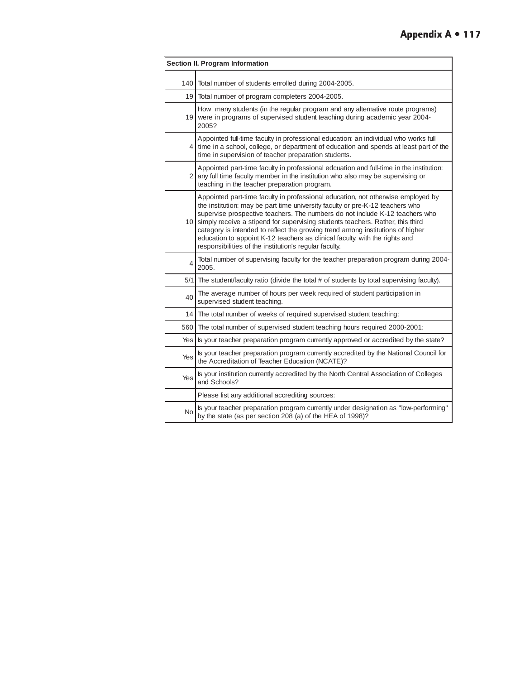| Section II. Program Information |                                                                                                                                                                                                                                                                                                                                                                                                                                                                                                                                                                   |  |  |  |
|---------------------------------|-------------------------------------------------------------------------------------------------------------------------------------------------------------------------------------------------------------------------------------------------------------------------------------------------------------------------------------------------------------------------------------------------------------------------------------------------------------------------------------------------------------------------------------------------------------------|--|--|--|
| 140 <sup>1</sup>                | Total number of students enrolled during 2004-2005.                                                                                                                                                                                                                                                                                                                                                                                                                                                                                                               |  |  |  |
|                                 | 19 Total number of program completers 2004-2005.                                                                                                                                                                                                                                                                                                                                                                                                                                                                                                                  |  |  |  |
|                                 | How many students (in the regular program and any alternative route programs)<br>19 were in programs of supervised student teaching during academic year 2004-<br>2005?                                                                                                                                                                                                                                                                                                                                                                                           |  |  |  |
|                                 | Appointed full-time faculty in professional education: an individual who works full<br>4 time in a school, college, or department of education and spends at least part of the<br>time in supervision of teacher preparation students.                                                                                                                                                                                                                                                                                                                            |  |  |  |
|                                 | Appointed part-time faculty in professional edcuation and full-time in the institution:<br>2 any full time faculty member in the institution who also may be supervising or<br>teaching in the teacher preparation program.                                                                                                                                                                                                                                                                                                                                       |  |  |  |
|                                 | Appointed part-time faculty in professional education, not otherwise employed by<br>the institution: may be part time university faculty or pre-K-12 teachers who<br>supervise prospective teachers. The numbers do not include K-12 teachers who<br>10 simply receive a stipend for supervising students teachers. Rather, this third<br>category is intended to reflect the growing trend among institutions of higher<br>education to appoint K-12 teachers as clinical faculty, with the rights and<br>responsibilities of the institution's regular faculty. |  |  |  |
| 4                               | Total number of supervising faculty for the teacher preparation program during 2004-<br>2005.                                                                                                                                                                                                                                                                                                                                                                                                                                                                     |  |  |  |
|                                 | 5/1 The student/faculty ratio (divide the total # of students by total supervising faculty).                                                                                                                                                                                                                                                                                                                                                                                                                                                                      |  |  |  |
| 40                              | The average number of hours per week required of student participation in<br>supervised student teaching.                                                                                                                                                                                                                                                                                                                                                                                                                                                         |  |  |  |
|                                 | 14 The total number of weeks of required supervised student teaching:                                                                                                                                                                                                                                                                                                                                                                                                                                                                                             |  |  |  |
| 560 l                           | The total number of supervised student teaching hours required 2000-2001:                                                                                                                                                                                                                                                                                                                                                                                                                                                                                         |  |  |  |
| Yes                             | Is your teacher preparation program currently approved or accredited by the state?                                                                                                                                                                                                                                                                                                                                                                                                                                                                                |  |  |  |
| Yes                             | Is your teacher preparation program currently accredited by the National Council for<br>the Accreditation of Teacher Education (NCATE)?                                                                                                                                                                                                                                                                                                                                                                                                                           |  |  |  |
| Yes                             | Is your institution currently accredited by the North Central Association of Colleges<br>and Schools?                                                                                                                                                                                                                                                                                                                                                                                                                                                             |  |  |  |
|                                 | Please list any additional accrediting sources:                                                                                                                                                                                                                                                                                                                                                                                                                                                                                                                   |  |  |  |
| <b>No</b>                       | Is your teacher preparation program currently under designation as "low-performing"<br>by the state (as per section 208 (a) of the HEA of 1998)?                                                                                                                                                                                                                                                                                                                                                                                                                  |  |  |  |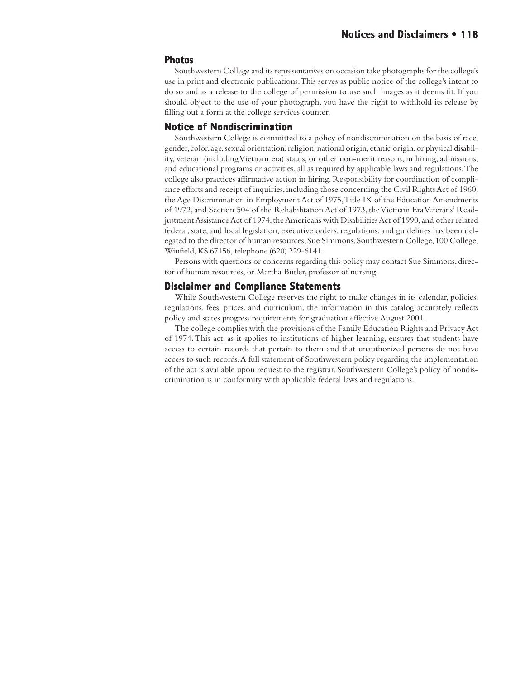#### **Photos**

Southwestern College and its representatives on occasion take photographs for the college's use in print and electronic publications. This serves as public notice of the college's intent to do so and as a release to the college of permission to use such images as it deems fit. If you should object to the use of your photograph, you have the right to withhold its release by filling out a form at the college services counter.

## **Notice of Nondiscrimination**

Southwestern College is committed to a policy of nondiscrimination on the basis of race, gender, color, age, sexual orientation, religion, national origin, ethnic origin, or physical disability, veteran (including Vietnam era) status, or other non-merit reasons, in hiring, admissions, and educational programs or activities, all as required by applicable laws and regulations. The college also practices affirmative action in hiring. Responsibility for coordination of compliance efforts and receipt of inquiries, including those concerning the Civil Rights Act of 1960, the Age Discrimination in Employment Act of 1975, Title IX of the Education Amendments of 1972, and Section 504 of the Rehabilitation Act of 1973, the Vietnam Era Veterans' Readjustment Assistance Act of 1974, the Americans with Disabilities Act of 1990, and other related federal, state, and local legislation, executive orders, regulations, and guidelines has been delegated to the director of human resources, Sue Simmons, Southwestern College, 100 College, Winfield, KS 67156, telephone (620) 229-6141.

Persons with questions or concerns regarding this policy may contact Sue Simmons, director of human resources, or Martha Butler, professor of nursing.

#### **Disclaimer and Compliance Statements**

While Southwestern College reserves the right to make changes in its calendar, policies, regulations, fees, prices, and curriculum, the information in this catalog accurately reflects policy and states progress requirements for graduation effective August 2001.

The college complies with the provisions of the Family Education Rights and Privacy Act of 1974. This act, as it applies to institutions of higher learning, ensures that students have access to certain records that pertain to them and that unauthorized persons do not have access to such records. A full statement of Southwestern policy regarding the implementation of the act is available upon request to the registrar. Southwestern College's policy of nondiscrimination is in conformity with applicable federal laws and regulations.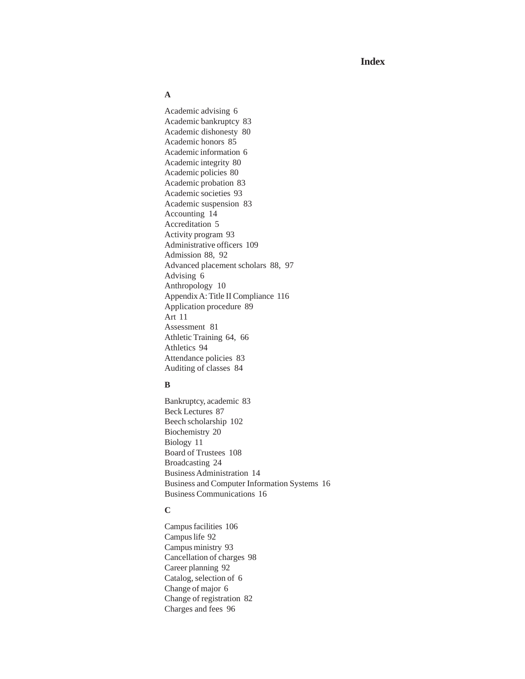**Index**

#### **A**

Academic advising 6 Academic bankruptcy 83 Academic dishonesty 80 Academic honors 85 Academic information 6 Academic integrity 80 Academic policies 80 Academic probation 83 Academic societies 93 Academic suspension 83 Accounting 14 Accreditation 5 Activity program 93 Administrative officers 109 Admission 88, 92 Advanced placement scholars 88, 97 Advising 6 Anthropology 10 Appendix A: Title II Compliance 116 Application procedure 89 Art 11 Assessment 81 Athletic Training 64, 66 Athletics 94 Attendance policies 83 Auditing of classes 84

#### **B**

Bankruptcy, academic 83 Beck Lectures 87 Beech scholarship 102 Biochemistry 20 Biology 11 Board of Trustees 108 Broadcasting 24 Business Administration 14 Business and Computer Information Systems 16 Business Communications 16

## **C**

Campus facilities 106 Campus life 92 Campus ministry 93 Cancellation of charges 98 Career planning 92 Catalog, selection of 6 Change of major 6 Change of registration 82 Charges and fees 96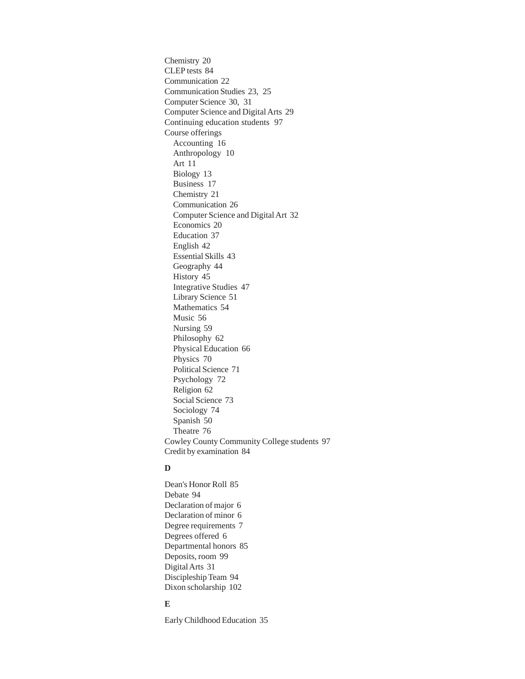Chemistry 20 CLEP tests 84 Communication 22 Communication Studies 23, 25 Computer Science 30, 31 Computer Science and Digital Arts 29 Continuing education students 97 Course offerings Accounting 16 Anthropology 10 Art 11 Biology 13 Business 17 Chemistry 21 Communication 26 Computer Science and Digital Art 32 Economics 20 Education 37 English 42 Essential Skills 43 Geography 44 History 45 Integrative Studies 47 Library Science 51 Mathematics 54 Music 56 Nursing 59 Philosophy 62 Physical Education 66 Physics 70 Political Science 71 Psychology 72 Religion 62 Social Science 73 Sociology 74 Spanish 50 Theatre 76 Cowley County Community College students 97 Credit by examination 84

## **D**

Dean's Honor Roll 85 Debate 94 Declaration of major 6 Declaration of minor 6 Degree requirements 7 Degrees offered 6 Departmental honors 85 Deposits, room 99 Digital Arts 31 Discipleship Team 94 Dixon scholarship 102

## **E**

Early Childhood Education 35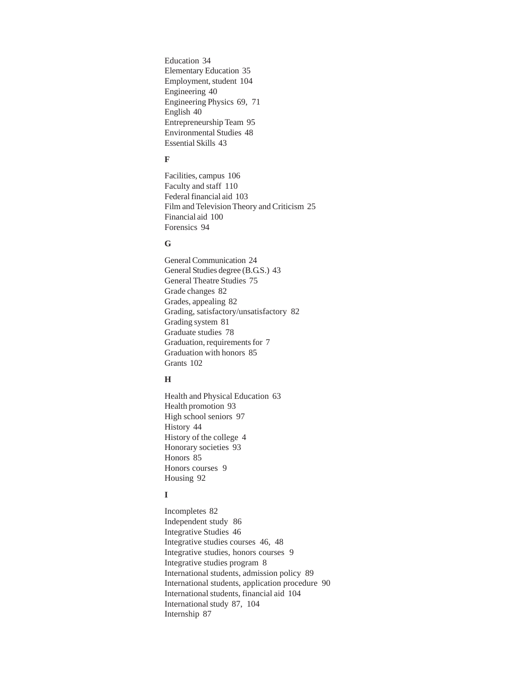Education 34 Elementary Education 35 Employment, student 104 Engineering 40 Engineering Physics 69, 71 English 40 Entrepreneurship Team 95 Environmental Studies 48 Essential Skills 43

#### **F**

Facilities, campus 106 Faculty and staff 110 Federal financial aid 103 Film and Television Theory and Criticism 25 Financial aid 100 Forensics 94

## **G**

General Communication 24 General Studies degree (B.G.S.) 43 General Theatre Studies 75 Grade changes 82 Grades, appealing 82 Grading, satisfactory/unsatisfactory 82 Grading system 81 Graduate studies 78 Graduation, requirements for 7 Graduation with honors 85 Grants 102

## **H**

Health and Physical Education 63 Health promotion 93 High school seniors 97 History 44 History of the college 4 Honorary societies 93 Honors 85 Honors courses 9 Housing 92

## **I**

Incompletes 82 Independent study 86 Integrative Studies 46 Integrative studies courses 46, 48 Integrative studies, honors courses 9 Integrative studies program 8 International students, admission policy 89 International students, application procedure 90 International students, financial aid 104 International study 87, 104 Internship 87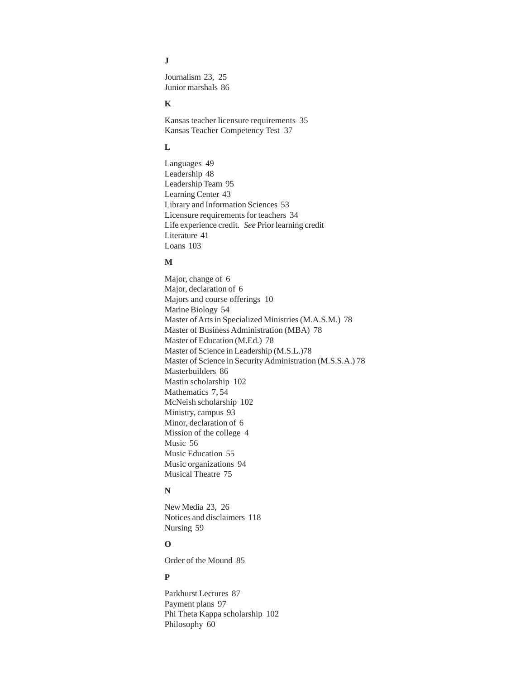## **J**

Journalism 23, 25 Junior marshals 86

## **K**

Kansas teacher licensure requirements 35 Kansas Teacher Competency Test 37

## **L**

Languages 49 Leadership 48 Leadership Team 95 Learning Center 43 Library and Information Sciences 53 Licensure requirements for teachers 34 Life experience credit. *See* Prior learning credit Literature 41 Loans 103

#### **M**

Major, change of 6 Major, declaration of 6 Majors and course offerings 10 Marine Biology 54 Master of Arts in Specialized Ministries (M.A.S.M.) 78 Master of Business Administration (MBA) 78 Master of Education (M.Ed.) 78 Master of Science in Leadership (M.S.L.)78 Master of Science in Security Administration (M.S.S.A.) 78 Masterbuilders 86 Mastin scholarship 102 Mathematics 7, 54 McNeish scholarship 102 Ministry, campus 93 Minor, declaration of 6 Mission of the college 4 Music 56 Music Education 55 Music organizations 94 Musical Theatre 75

#### **N**

New Media 23, 26 Notices and disclaimers 118 Nursing 59

## **O**

Order of the Mound 85

#### **P**

Parkhurst Lectures 87 Payment plans 97 Phi Theta Kappa scholarship 102 Philosophy 60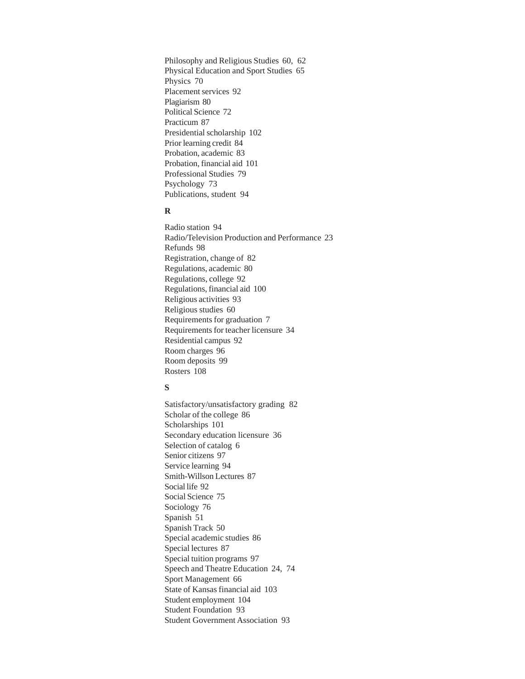Philosophy and Religious Studies 60, 62 Physical Education and Sport Studies 65 Physics 70 Placement services 92 Plagiarism 80 Political Science 72 Practicum 87 Presidential scholarship 102 Prior learning credit 84 Probation, academic 83 Probation, financial aid 101 Professional Studies 79 Psychology 73 Publications, student 94

#### **R**

Radio station 94 Radio/Television Production and Performance 23 Refunds 98 Registration, change of 82 Regulations, academic 80 Regulations, college 92 Regulations, financial aid 100 Religious activities 93 Religious studies 60 Requirements for graduation 7 Requirements for teacher licensure 34 Residential campus 92 Room charges 96 Room deposits 99 Rosters 108

#### **S**

Satisfactory/unsatisfactory grading 82 Scholar of the college 86 Scholarships 101 Secondary education licensure 36 Selection of catalog 6 Senior citizens 97 Service learning 94 Smith-Willson Lectures 87 Social life 92 Social Science 75 Sociology 76 Spanish 51 Spanish Track 50 Special academic studies 86 Special lectures 87 Special tuition programs 97 Speech and Theatre Education 24, 74 Sport Management 66 State of Kansas financial aid 103 Student employment 104 Student Foundation 93 Student Government Association 93